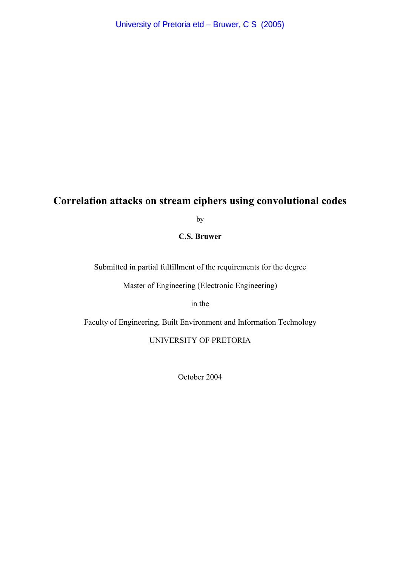# **Correlation attacks on stream ciphers using convolutional codes**

by

**C.S. Bruwer** 

Submitted in partial fulfillment of the requirements for the degree

Master of Engineering (Electronic Engineering)

in the

Faculty of Engineering, Built Environment and Information Technology

#### UNIVERSITY OF PRETORIA

October 2004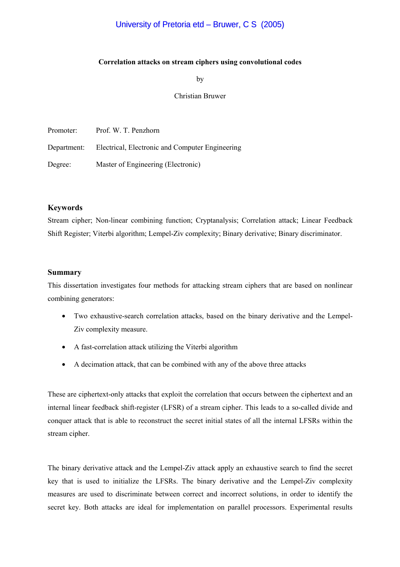### University of Pretoria etd – Bruwer, C S (2005)

#### **Correlation attacks on stream ciphers using convolutional codes**

by

#### Christian Bruwer

| Promoter:   | Prof. W. T. Penzhorn                            |
|-------------|-------------------------------------------------|
| Department: | Electrical, Electronic and Computer Engineering |
| Degree:     | Master of Engineering (Electronic)              |

#### **Keywords**

Stream cipher; Non-linear combining function; Cryptanalysis; Correlation attack; Linear Feedback Shift Register; Viterbi algorithm; Lempel-Ziv complexity; Binary derivative; Binary discriminator.

#### **Summary**

This dissertation investigates four methods for attacking stream ciphers that are based on nonlinear combining generators:

- Two exhaustive-search correlation attacks, based on the binary derivative and the Lempel-Ziv complexity measure.
- A fast-correlation attack utilizing the Viterbi algorithm
- A decimation attack, that can be combined with any of the above three attacks

These are ciphertext-only attacks that exploit the correlation that occurs between the ciphertext and an internal linear feedback shift-register (LFSR) of a stream cipher. This leads to a so-called divide and conquer attack that is able to reconstruct the secret initial states of all the internal LFSRs within the stream cipher.

The binary derivative attack and the Lempel-Ziv attack apply an exhaustive search to find the secret key that is used to initialize the LFSRs. The binary derivative and the Lempel-Ziv complexity measures are used to discriminate between correct and incorrect solutions, in order to identify the secret key. Both attacks are ideal for implementation on parallel processors. Experimental results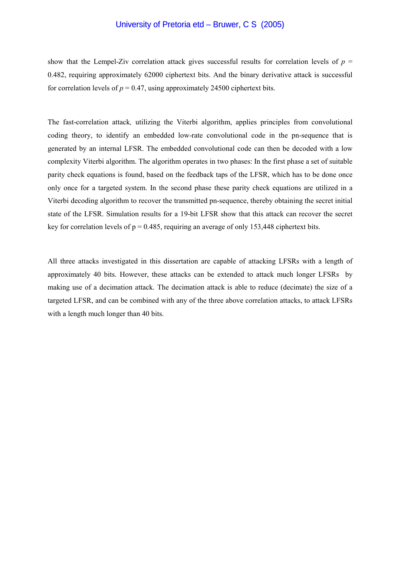#### University of Pretoria etd – Bruwer, C S (2005)

show that the Lempel-Ziv correlation attack gives successful results for correlation levels of  $p =$ 0.482, requiring approximately 62000 ciphertext bits. And the binary derivative attack is successful for correlation levels of  $p = 0.47$ , using approximately 24500 ciphertext bits.

The fast-correlation attack*,* utilizing the Viterbi algorithm, applies principles from convolutional coding theory, to identify an embedded low-rate convolutional code in the pn-sequence that is generated by an internal LFSR. The embedded convolutional code can then be decoded with a low complexity Viterbi algorithm. The algorithm operates in two phases: In the first phase a set of suitable parity check equations is found, based on the feedback taps of the LFSR, which has to be done once only once for a targeted system. In the second phase these parity check equations are utilized in a Viterbi decoding algorithm to recover the transmitted pn-sequence, thereby obtaining the secret initial state of the LFSR. Simulation results for a 19-bit LFSR show that this attack can recover the secret key for correlation levels of  $p = 0.485$ , requiring an average of only 153,448 ciphertext bits.

All three attacks investigated in this dissertation are capable of attacking LFSRs with a length of approximately 40 bits. However, these attacks can be extended to attack much longer LFSRs by making use of a decimation attack. The decimation attack is able to reduce (decimate) the size of a targeted LFSR, and can be combined with any of the three above correlation attacks, to attack LFSRs with a length much longer than 40 bits.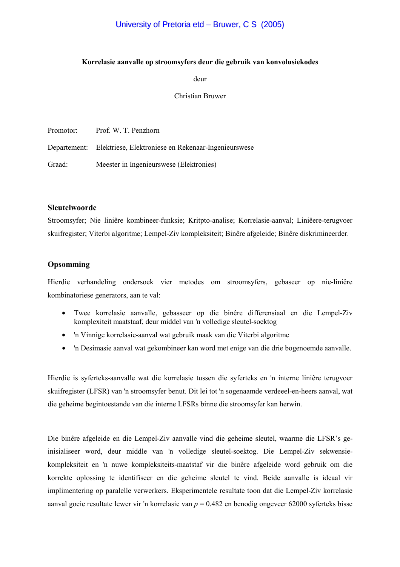#### **Korrelasie aanvalle op stroomsyfers deur die gebruik van konvolusiekodes**

deur

#### Christian Bruwer

| Promotor: | Prof. W. T. Penzhorn                                             |
|-----------|------------------------------------------------------------------|
|           | Departement: Elektriese, Elektroniese en Rekenaar-Ingenieurswese |
| Graad:    | Meester in Ingenieurswese (Elektronies)                          |

#### **Sleutelwoorde**

Stroomsyfer; Nie liniêre kombineer-funksie; Kritpto-analise; Korrelasie-aanval; Liniêere-terugvoer skuifregister; Viterbi algoritme; Lempel-Ziv kompleksiteit; Binêre afgeleide; Binêre diskrimineerder.

#### **Opsomming**

Hierdie verhandeling ondersoek vier metodes om stroomsyfers, gebaseer op nie-liniêre kombinatoriese generators, aan te val:

- Twee korrelasie aanvalle, gebasseer op die binêre differensiaal en die Lempel-Ziv komplexiteit maatstaaf, deur middel van 'n volledige sleutel-soektog
- 'n Vinnige korrelasie-aanval wat gebruik maak van die Viterbi algoritme
- 'n Desimasie aanval wat gekombineer kan word met enige van die drie bogenoemde aanvalle.

Hierdie is syferteks-aanvalle wat die korrelasie tussen die syferteks en 'n interne liniêre terugvoer skuifregister (LFSR) van 'n stroomsyfer benut. Dit lei tot 'n sogenaamde verdeeel-en-heers aanval, wat die geheime begintoestande van die interne LFSRs binne die stroomsyfer kan herwin.

Die binêre afgeleide en die Lempel-Ziv aanvalle vind die geheime sleutel, waarme die LFSR's geinisialiseer word, deur middle van 'n volledige sleutel-soektog. Die Lempel-Ziv sekwensiekompleksiteit en 'n nuwe kompleksiteits-maatstaf vir die binêre afgeleide word gebruik om die korrekte oplossing te identifiseer en die geheime sleutel te vind. Beide aanvalle is ideaal vir implimentering op paralelle verwerkers. Eksperimentele resultate toon dat die Lempel-Ziv korrelasie aanval goeie resultate lewer vir 'n korrelasie van *p* = 0.482 en benodig ongeveer 62000 syferteks bisse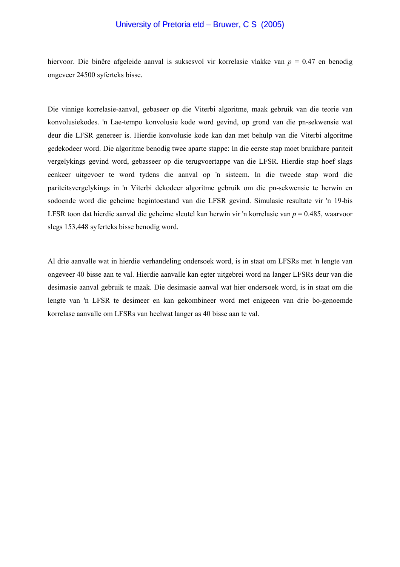### University of Pretoria etd – Bruwer, C S (2005)

hiervoor. Die binêre afgeleide aanval is suksesvol vir korrelasie vlakke van *p* = 0.47 en benodig ongeveer 24500 syferteks bisse.

Die vinnige korrelasie-aanval, gebaseer op die Viterbi algoritme, maak gebruik van die teorie van konvolusiekodes. 'n Lae-tempo konvolusie kode word gevind, op grond van die pn-sekwensie wat deur die LFSR genereer is. Hierdie konvolusie kode kan dan met behulp van die Viterbi algoritme gedekodeer word. Die algoritme benodig twee aparte stappe: In die eerste stap moet bruikbare pariteit vergelykings gevind word, gebasseer op die terugvoertappe van die LFSR. Hierdie stap hoef slags eenkeer uitgevoer te word tydens die aanval op 'n sisteem. In die tweede stap word die pariteitsvergelykings in 'n Viterbi dekodeer algoritme gebruik om die pn-sekwensie te herwin en sodoende word die geheime begintoestand van die LFSR gevind. Simulasie resultate vir 'n 19-bis LFSR toon dat hierdie aanval die geheime sleutel kan herwin vir 'n korrelasie van *p* = 0.485, waarvoor slegs 153,448 syferteks bisse benodig word.

Al drie aanvalle wat in hierdie verhandeling ondersoek word, is in staat om LFSRs met 'n lengte van ongeveer 40 bisse aan te val. Hierdie aanvalle kan egter uitgebrei word na langer LFSRs deur van die desimasie aanval gebruik te maak. Die desimasie aanval wat hier ondersoek word, is in staat om die lengte van 'n LFSR te desimeer en kan gekombineer word met enigeeen van drie bo-genoemde korrelase aanvalle om LFSRs van heelwat langer as 40 bisse aan te val.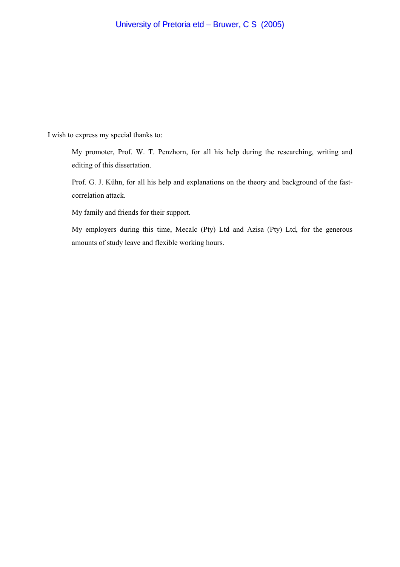I wish to express my special thanks to:

My promoter, Prof. W. T. Penzhorn, for all his help during the researching, writing and editing of this dissertation.

Prof. G. J. Kühn, for all his help and explanations on the theory and background of the fastcorrelation attack.

My family and friends for their support.

My employers during this time, Mecalc (Pty) Ltd and Azisa (Pty) Ltd, for the generous amounts of study leave and flexible working hours.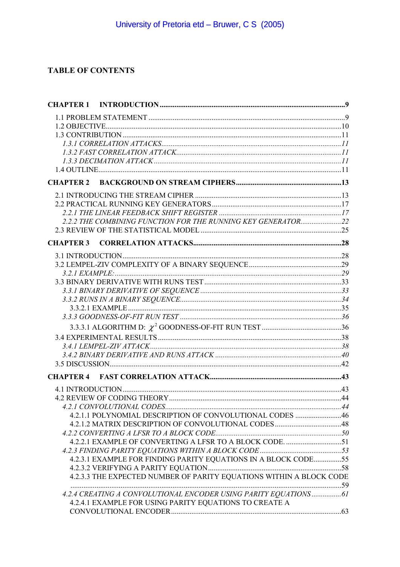# **TABLE OF CONTENTS**

| 2.2.2 THE COMBINING FUNCTION FOR THE RUNNING KEY GENERATOR22        |  |
|---------------------------------------------------------------------|--|
|                                                                     |  |
| <b>CHAPTER 3</b>                                                    |  |
|                                                                     |  |
|                                                                     |  |
|                                                                     |  |
|                                                                     |  |
|                                                                     |  |
|                                                                     |  |
|                                                                     |  |
|                                                                     |  |
|                                                                     |  |
|                                                                     |  |
|                                                                     |  |
|                                                                     |  |
|                                                                     |  |
|                                                                     |  |
|                                                                     |  |
|                                                                     |  |
|                                                                     |  |
| 4.2.1.1 POLYNOMIAL DESCRIPTION OF CONVOLUTIONAL CODES 46            |  |
|                                                                     |  |
|                                                                     |  |
|                                                                     |  |
|                                                                     |  |
| 4.2.3.1 EXAMPLE FOR FINDING PARITY EQUATIONS IN A BLOCK CODE55      |  |
|                                                                     |  |
| 4.2.3.3 THE EXPECTED NUMBER OF PARITY EQUATIONS WITHIN A BLOCK CODE |  |
| 4.2.4 CREATING A CONVOLUTIONAL ENCODER USING PARITY EQUATIONS  61   |  |
| 4.2.4.1 EXAMPLE FOR USING PARITY EQUATIONS TO CREATE A              |  |
|                                                                     |  |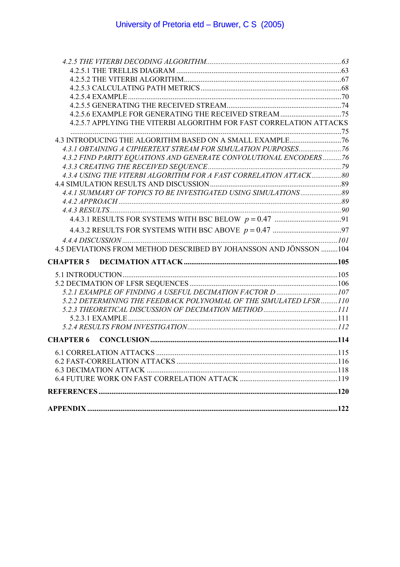| 4.2.5.7 APPLYING THE VITERBI ALGORITHM FOR FAST CORRELATION ATTACKS |  |
|---------------------------------------------------------------------|--|
|                                                                     |  |
|                                                                     |  |
| 4.3.1 OBTAINING A CIPHERTEXT STREAM FOR SIMULATION PURPOSES 76      |  |
| 4.3.2 FIND PARITY EQUATIONS AND GENERATE CONVOLUTIONAL ENCODERS 76  |  |
|                                                                     |  |
| 4.3.4 USING THE VITERBI ALGORITHM FOR A FAST CORRELATION ATTACK 80  |  |
|                                                                     |  |
| 4.4.1 SUMMARY OF TOPICS TO BE INVESTIGATED USING SIMULATIONS 89     |  |
|                                                                     |  |
|                                                                     |  |
|                                                                     |  |
|                                                                     |  |
|                                                                     |  |
| 4.5 DEVIATIONS FROM METHOD DESCRIBED BY JOHANSSON AND JÖNSSON 104   |  |
| <b>CHAPTER 5</b>                                                    |  |
|                                                                     |  |
|                                                                     |  |
| 5.2.1 EXAMPLE OF FINDING A USEFUL DECIMATION FACTOR D 107           |  |
| 5.2.2 DETERMINING THE FEEDBACK POLYNOMIAL OF THE SIMULATED LFSR110  |  |
|                                                                     |  |
|                                                                     |  |
|                                                                     |  |
| <b>CHAPTER 6</b>                                                    |  |
|                                                                     |  |
|                                                                     |  |
|                                                                     |  |
|                                                                     |  |
|                                                                     |  |
|                                                                     |  |
|                                                                     |  |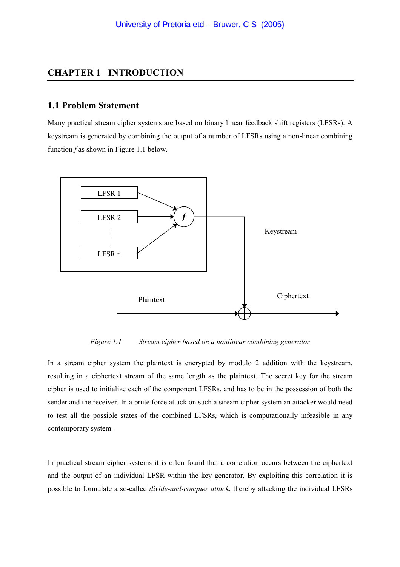### <span id="page-8-0"></span>**CHAPTER 1 INTRODUCTION**

#### **1.1 Problem Statement**

Many practical stream cipher systems are based on binary linear feedback shift registers (LFSRs). A keystream is generated by combining the output of a number of LFSRs using a non-linear combining function *f* as shown in Figure 1.1 below.



*Figure 1.1 Stream cipher based on a nonlinear combining generator* 

In a stream cipher system the plaintext is encrypted by modulo 2 addition with the keystream, resulting in a ciphertext stream of the same length as the plaintext. The secret key for the stream cipher is used to initialize each of the component LFSRs, and has to be in the possession of both the sender and the receiver. In a brute force attack on such a stream cipher system an attacker would need to test all the possible states of the combined LFSRs, which is computationally infeasible in any contemporary system.

In practical stream cipher systems it is often found that a correlation occurs between the ciphertext and the output of an individual LFSR within the key generator. By exploiting this correlation it is possible to formulate a so-called *divide-and-conquer attack*, thereby attacking the individual LFSRs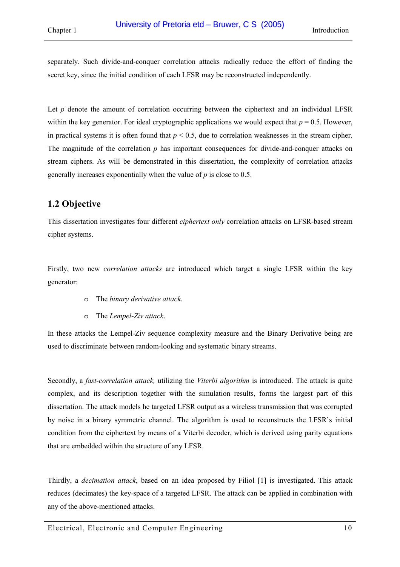<span id="page-9-0"></span>separately. Such divide-and-conquer correlation attacks radically reduce the effort of finding the secret key, since the initial condition of each LFSR may be reconstructed independently.

Let  $p$  denote the amount of correlation occurring between the ciphertext and an individual LFSR within the key generator. For ideal cryptographic applications we would expect that  $p = 0.5$ . However, in practical systems it is often found that  $p < 0.5$ , due to correlation weaknesses in the stream cipher. The magnitude of the correlation *p* has important consequences for divide-and-conquer attacks on stream ciphers. As will be demonstrated in this dissertation, the complexity of correlation attacks generally increases exponentially when the value of *p* is close to 0.5.

# **1.2 Objective**

This dissertation investigates four different *ciphertext only* correlation attacks on LFSR-based stream cipher systems.

Firstly, two new *correlation attacks* are introduced which target a single LFSR within the key generator:

- o The *binary derivative attack*.
- o The *Lempel-Ziv attack*.

In these attacks the Lempel-Ziv sequence complexity measure and the Binary Derivative being are used to discriminate between random-looking and systematic binary streams.

Secondly, a *fast-correlation attack,* utilizing the *Viterbi algorithm* is introduced. The attack is quite complex, and its description together with the simulation results, forms the largest part of this dissertation. The attack models he targeted LFSR output as a wireless transmission that was corrupted by noise in a binary symmetric channel. The algorithm is used to reconstructs the LFSR's initial condition from the ciphertext by means of a Viterbi decoder, which is derived using parity equations that are embedded within the structure of any LFSR.

Thirdly, a *decimation attack*, based on an idea proposed by Filiol [\[1\]](#page-119-0) is investigated. This attack reduces (decimates) the key-space of a targeted LFSR. The attack can be applied in combination with any of the above-mentioned attacks.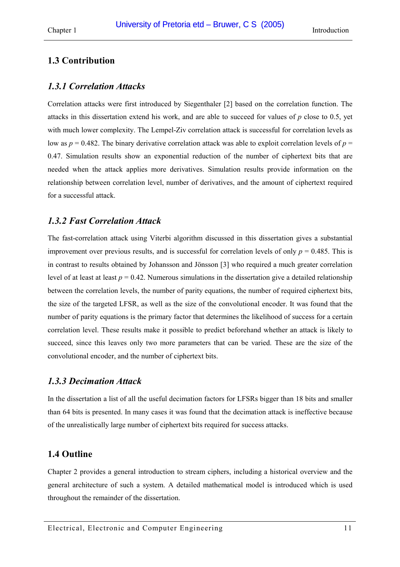# <span id="page-10-0"></span>**1.3 Contribution**

### *1.3.1 Correlation Attacks*

Correlation attacks were first introduced by Siegenthaler [\[2\]](#page-119-0) based on the correlation function. The attacks in this dissertation extend his work, and are able to succeed for values of *p* close to 0.5, yet with much lower complexity. The Lempel-Ziv correlation attack is successful for correlation levels as low as  $p = 0.482$ . The binary derivative correlation attack was able to exploit correlation levels of  $p =$ 0.47. Simulation results show an exponential reduction of the number of ciphertext bits that are needed when the attack applies more derivatives. Simulation results provide information on the relationship between correlation level, number of derivatives, and the amount of ciphertext required for a successful attack.

# *1.3.2 Fast Correlation Attack*

The fast-correlation attack using Viterbi algorithm discussed in this dissertation gives a substantial improvement over previous results, and is successful for correlation levels of only  $p = 0.485$ . This is in contrast to results obtained by Johansson and Jönsson [\[3\]](#page-119-0) who required a much greater correlation level of at least at least  $p = 0.42$ . Numerous simulations in the dissertation give a detailed relationship between the correlation levels, the number of parity equations, the number of required ciphertext bits, the size of the targeted LFSR, as well as the size of the convolutional encoder. It was found that the number of parity equations is the primary factor that determines the likelihood of success for a certain correlation level. These results make it possible to predict beforehand whether an attack is likely to succeed, since this leaves only two more parameters that can be varied. These are the size of the convolutional encoder, and the number of ciphertext bits.

### *1.3.3 Decimation Attack*

In the dissertation a list of all the useful decimation factors for LFSRs bigger than 18 bits and smaller than 64 bits is presented. In many cases it was found that the decimation attack is ineffective because of the unrealistically large number of ciphertext bits required for success attacks.

# **1.4 Outline**

Chapter 2 provides a general introduction to stream ciphers, including a historical overview and the general architecture of such a system. A detailed mathematical model is introduced which is used throughout the remainder of the dissertation.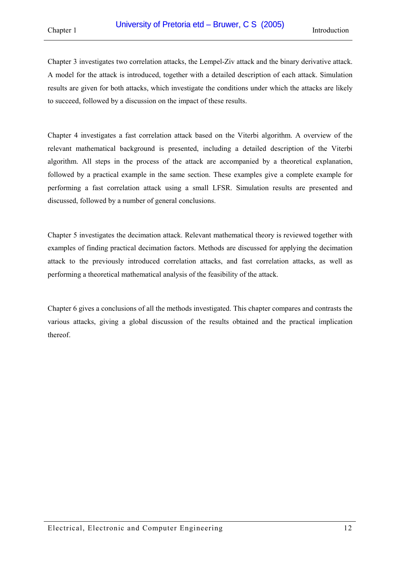Chapter 3 investigates two correlation attacks, the Lempel-Ziv attack and the binary derivative attack. A model for the attack is introduced, together with a detailed description of each attack. Simulation results are given for both attacks, which investigate the conditions under which the attacks are likely to succeed, followed by a discussion on the impact of these results.

Chapter 4 investigates a fast correlation attack based on the Viterbi algorithm. A overview of the relevant mathematical background is presented, including a detailed description of the Viterbi algorithm. All steps in the process of the attack are accompanied by a theoretical explanation, followed by a practical example in the same section. These examples give a complete example for performing a fast correlation attack using a small LFSR. Simulation results are presented and discussed, followed by a number of general conclusions.

Chapter 5 investigates the decimation attack. Relevant mathematical theory is reviewed together with examples of finding practical decimation factors. Methods are discussed for applying the decimation attack to the previously introduced correlation attacks, and fast correlation attacks, as well as performing a theoretical mathematical analysis of the feasibility of the attack.

Chapter 6 gives a conclusions of all the methods investigated. This chapter compares and contrasts the various attacks, giving a global discussion of the results obtained and the practical implication thereof.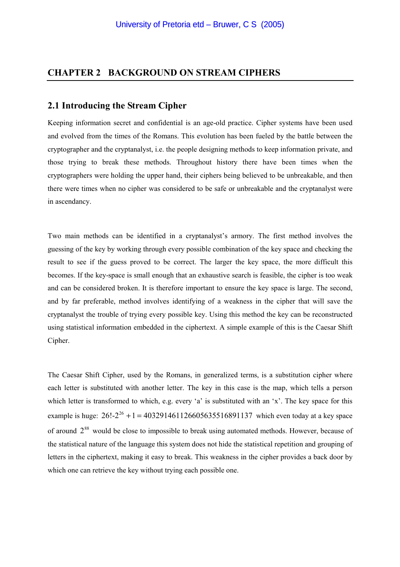### <span id="page-12-0"></span>**CHAPTER 2 BACKGROUND ON STREAM CIPHERS**

#### **2.1 Introducing the Stream Cipher**

Keeping information secret and confidential is an age-old practice. Cipher systems have been used and evolved from the times of the Romans. This evolution has been fueled by the battle between the cryptographer and the cryptanalyst, i.e. the people designing methods to keep information private, and those trying to break these methods. Throughout history there have been times when the cryptographers were holding the upper hand, their ciphers being believed to be unbreakable, and then there were times when no cipher was considered to be safe or unbreakable and the cryptanalyst were in ascendancy.

Two main methods can be identified in a cryptanalyst's armory. The first method involves the guessing of the key by working through every possible combination of the key space and checking the result to see if the guess proved to be correct. The larger the key space, the more difficult this becomes. If the key-space is small enough that an exhaustive search is feasible, the cipher is too weak and can be considered broken. It is therefore important to ensure the key space is large. The second, and by far preferable, method involves identifying of a weakness in the cipher that will save the cryptanalyst the trouble of trying every possible key. Using this method the key can be reconstructed using statistical information embedded in the ciphertext. A simple example of this is the Caesar Shift Cipher.

The Caesar Shift Cipher, used by the Romans, in generalized terms, is a substitution cipher where each letter is substituted with another letter. The key in this case is the map, which tells a person which letter is transformed to which, e.g. every 'a' is substituted with an 'x'. The key space for this example is huge:  $26!-2^{26} + 1 = 403291461126605635516891137$  which even today at a key space of around  $2^{88}$  would be close to impossible to break using automated methods. However, because of the statistical nature of the language this system does not hide the statistical repetition and grouping of letters in the ciphertext, making it easy to break. This weakness in the cipher provides a back door by which one can retrieve the key without trying each possible one.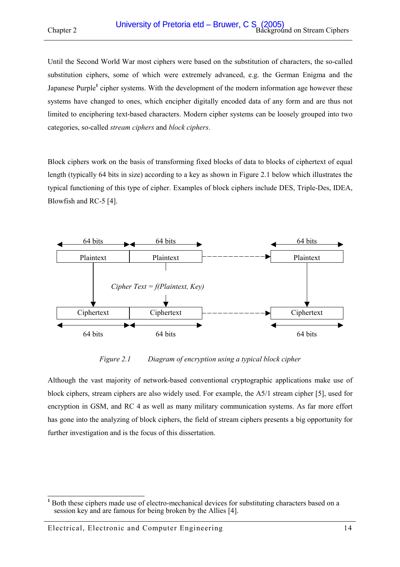Until the Second World War most ciphers were based on the substitution of characters, the so-called substitution ciphers, some of which were extremely advanced, e.g. the German Enigma and the Japanese Purple<sup>1</sup> cipher systems. With the development of the modern information age however these systems have changed to ones, which encipher digitally encoded data of any form and are thus not limited to enciphering text-based characters. Modern cipher systems can be loosely grouped into two categories, so-called *stream ciphers* and *block ciphers*.

Block ciphers work on the basis of transforming fixed blocks of data to blocks of ciphertext of equal length (typically 64 bits in size) according to a key as shown in Figure 2.1 below which illustrates the typical functioning of this type of cipher. Examples of block ciphers include DES, Triple-Des, IDEA, Blowfish and RC-5 [\[4\].](#page-119-0)



*Figure 2.1 Diagram of encryption using a typical block cipher* 

Although the vast majority of network-based conventional cryptographic applications make use of block ciphers, stream ciphers are also widely used. For example, the A5/1 stream cipher [\[5\],](#page-119-0) used for encryption in GSM, and RC 4 as well as many military communication systems. As far more effort has gone into the analyzing of block ciphers, the field of stream ciphers presents a big opportunity for further investigation and is the focus of this dissertation.

<sup>&</sup>lt;sup>1</sup> Both these ciphers made use of electro-mechanical devices for substituting characters based on a session key and are famous for being broken by the Allies [4].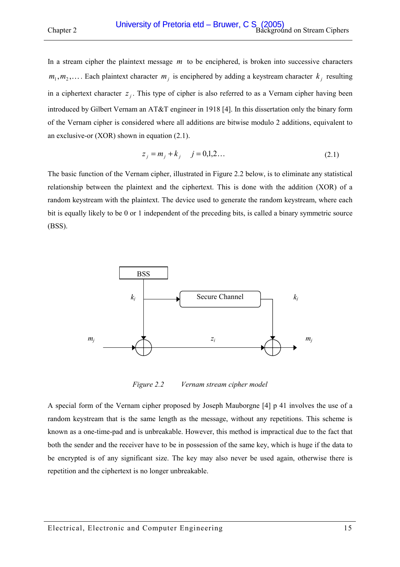In a stream cipher the plaintext message *m* to be enciphered, is broken into successive characters  $m_1, m_2, \ldots$ . Each plaintext character  $m_j$  is enciphered by adding a keystream character  $k_j$  resulting in a ciphertext character  $z_j$ . This type of cipher is also referred to as a Vernam cipher having been introduced by Gilbert Vernam an AT&T engineer in 1918 [\[4\].](#page-119-0) In this dissertation only the binary form of the Vernam cipher is considered where all additions are bitwise modulo 2 additions, equivalent to an exclusive-or (XOR) shown in equation (2.1).

$$
z_j = m_j + k_j \t j = 0,1,2...
$$
\t(2.1)

The basic function of the Vernam cipher, illustrated in Figure 2.2 below, is to eliminate any statistical relationship between the plaintext and the ciphertext. This is done with the addition (XOR) of a random keystream with the plaintext. The device used to generate the random keystream, where each bit is equally likely to be 0 or 1 independent of the preceding bits, is called a binary symmetric source (BSS).



*Figure 2.2 Vernam stream cipher model* 

A special form of the Vernam cipher proposed by Joseph Mauborgne [\[4\]](#page-119-0) p 41 involves the use of a random keystream that is the same length as the message, without any repetitions. This scheme is known as a one-time-pad and is unbreakable. However, this method is impractical due to the fact that both the sender and the receiver have to be in possession of the same key, which is huge if the data to be encrypted is of any significant size. The key may also never be used again, otherwise there is repetition and the ciphertext is no longer unbreakable.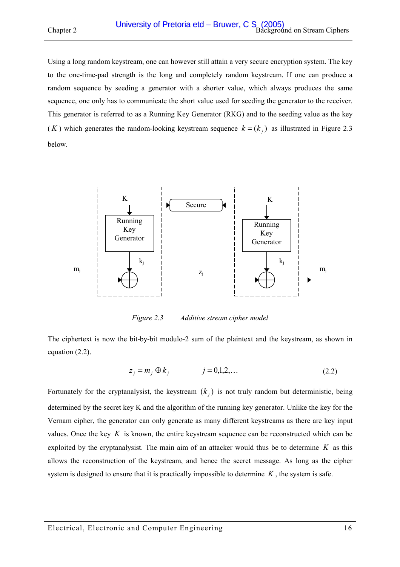Using a long random keystream, one can however still attain a very secure encryption system. The key to the one-time-pad strength is the long and completely random keystream. If one can produce a random sequence by seeding a generator with a shorter value, which always produces the same sequence, one only has to communicate the short value used for seeding the generator to the receiver. This generator is referred to as a Running Key Generator (RKG) and to the seeding value as the key (*K*) which generates the random-looking keystream sequence  $k = (k_i)$  as illustrated in Figure 2.3 below.



*Figure 2.3 Additive stream cipher model* 

The ciphertext is now the bit-by-bit modulo-2 sum of the plaintext and the keystream, as shown in equation (2.2).

$$
z_j = m_j \oplus k_j \qquad j = 0, 1, 2, \dots \qquad (2.2)
$$

Fortunately for the cryptanalysist, the keystream  $(k_i)$  is not truly random but deterministic, being determined by the secret key K and the algorithm of the running key generator. Unlike the key for the Vernam cipher, the generator can only generate as many different keystreams as there are key input values. Once the key *K* is known, the entire keystream sequence can be reconstructed which can be exploited by the cryptanalysist. The main aim of an attacker would thus be to determine  $K$  as this allows the reconstruction of the keystream, and hence the secret message. As long as the cipher system is designed to ensure that it is practically impossible to determine *K* , the system is safe.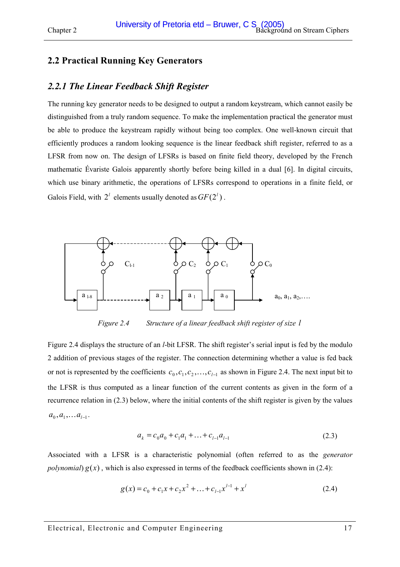# <span id="page-16-0"></span>**2.2 Practical Running Key Generators**

### *2.2.1 The Linear Feedback Shift Register*

The running key generator needs to be designed to output a random keystream, which cannot easily be distinguished from a truly random sequence. To make the implementation practical the generator must be able to produce the keystream rapidly without being too complex. One well-known circuit that efficiently produces a random looking sequence is the linear feedback shift register, referred to as a LFSR from now on. The design of LFSRs is based on finite field theory, developed by the French mathematic Évariste Galois apparently shortly before being killed in a dual [\[6\].](#page-119-0) In digital circuits, which use binary arithmetic, the operations of LFSRs correspond to operations in a finite field, or Galois Field, with  $2^{l}$  elements usually denoted as  $GF(2^{l})$ .



*Figure 2.4 Structure of a linear feedback shift register of size l*

Figure 2.4 displays the structure of an *l*-bit LFSR. The shift register's serial input is fed by the modulo 2 addition of previous stages of the register. The connection determining whether a value is fed back or not is represented by the coefficients  $c_0, c_1, c_2, \ldots, c_{l-1}$  as shown in Figure 2.4. The next input bit to the LFSR is thus computed as a linear function of the current contents as given in the form of a recurrence relation in (2.3) below, where the initial contents of the shift register is given by the values  $a_0, a_1, \ldots a_{l-1}$ .

$$
a_k = c_0 a_0 + c_1 a_1 + \dots + c_{l-1} a_{l-1}
$$
\n(2.3)

Associated with a LFSR is a characteristic polynomial (often referred to as the *generator polynomial*)  $g(x)$ , which is also expressed in terms of the feedback coefficients shown in (2.4):

$$
g(x) = c_0 + c_1 x + c_2 x^2 + \dots + c_{l-1} x^{l-1} + x^l
$$
 (2.4)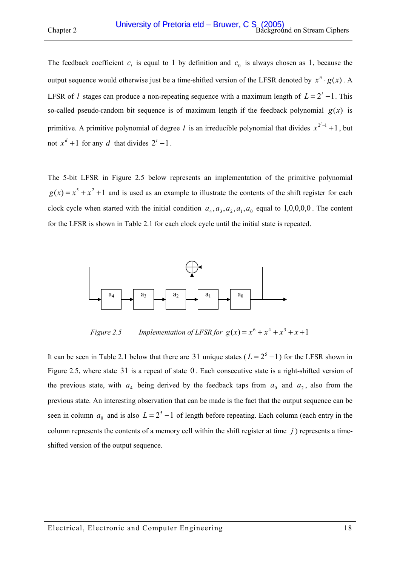<span id="page-17-0"></span>The feedback coefficient  $c_i$  is equal to 1 by definition and  $c_0$  is always chosen as 1, because the output sequence would otherwise just be a time-shifted version of the LFSR denoted by  $x^n \cdot g(x)$ . A LFSR of *l* stages can produce a non-repeating sequence with a maximum length of  $L = 2<sup>l</sup> - 1$ . This so-called pseudo-random bit sequence is of maximum length if the feedback polynomial  $g(x)$  is primitive. A primitive polynomial of degree *l* is an irreducible polynomial that divides  $x^{2^l-1} + 1$ , but not  $x^d + 1$  for any *d* that divides  $2^l - 1$ .

The 5-bit LFSR in Figure 2.5 below represents an implementation of the primitive polynomial  $g(x) = x^5 + x^2 + 1$  and is used as an example to illustrate the contents of the shift register for each clock cycle when started with the initial condition  $a_4, a_3, a_2, a_1, a_0$  equal to 1,0,0,0,0. The content for the LFSR is shown in [Table 2.1](#page-18-0) for each clock cycle until the initial state is repeated.



*Figure 2.5* Implementation of LFSR for  $g(x) = x^6 + x^4 + x^3 + x + 1$ 

It can be seen in [Table 2.1 below](#page-18-0) that there are 31 unique states ( $L = 2<sup>5</sup> - 1$ ) for the LFSR shown in Figure 2.5, where state 31 is a repeat of state 0 . Each consecutive state is a right-shifted version of the previous state, with  $a_4$  being derived by the feedback taps from  $a_0$  and  $a_2$ , also from the previous state. An interesting observation that can be made is the fact that the output sequence can be seen in column  $a_0$  and is also  $L = 2^5 - 1$  of length before repeating. Each column (each entry in the column represents the contents of a memory cell within the shift register at time *j* ) represents a timeshifted version of the output sequence.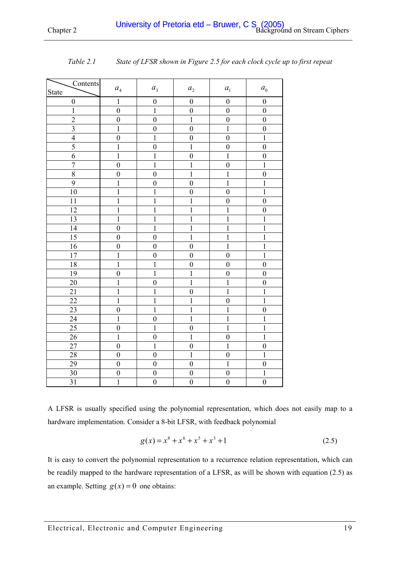| Contents                |                    |                  |                    |                      |                    |
|-------------------------|--------------------|------------------|--------------------|----------------------|--------------------|
| <b>State</b>            | $\boldsymbol{a}_4$ | $a_{3}$          | $\boldsymbol{a}_2$ | $\boldsymbol{a}_{1}$ | $\boldsymbol{a}_0$ |
| $\boldsymbol{0}$        | $\mathbf{1}$       | $\boldsymbol{0}$ | $\boldsymbol{0}$   | $\boldsymbol{0}$     | $\boldsymbol{0}$   |
| $\mathbf{1}$            | $\mathbf{0}$       | $\mathbf{1}$     | $\boldsymbol{0}$   | $\mathbf{0}$         | $\boldsymbol{0}$   |
| $\overline{2}$          | $\overline{0}$     | $\overline{0}$   | $\mathbf{1}$       | $\overline{0}$       | $\boldsymbol{0}$   |
| $\overline{\mathbf{3}}$ | $\overline{1}$     | $\boldsymbol{0}$ | $\overline{0}$     | $\overline{1}$       | $\boldsymbol{0}$   |
| $\overline{4}$          | $\boldsymbol{0}$   | $\mathbf{1}$     | $\boldsymbol{0}$   | $\boldsymbol{0}$     | $\mathbf{1}$       |
| $\overline{5}$          | $\overline{1}$     | $\boldsymbol{0}$ | $\mathbf{1}$       | $\boldsymbol{0}$     | $\boldsymbol{0}$   |
| 6                       | $\overline{1}$     | $\mathbf{1}$     | $\boldsymbol{0}$   | $\mathbf{1}$         | $\boldsymbol{0}$   |
| $\overline{7}$          | $\overline{0}$     | $\mathbf{1}$     | $\mathbf{1}$       | $\boldsymbol{0}$     | $\mathbf{1}$       |
| $\overline{8}$          | $\overline{0}$     | $\overline{0}$   | $\mathbf{1}$       | $\overline{1}$       | $\boldsymbol{0}$   |
| 9                       | $\mathbf{1}$       | $\boldsymbol{0}$ | $\boldsymbol{0}$   | $\mathbf{1}$         | $\mathbf{1}$       |
| 10                      | $\mathbf{1}$       | $\mathbf{1}$     | $\boldsymbol{0}$   | $\boldsymbol{0}$     | $\mathbf{1}$       |
| 11                      | $\mathbf{1}$       | $\mathbf{1}$     | $\mathbf{1}$       | $\boldsymbol{0}$     | $\boldsymbol{0}$   |
| 12                      | $\overline{1}$     | $\mathbf{1}$     | $\mathbf{1}$       | $\mathbf{1}$         | $\boldsymbol{0}$   |
| 13                      | $\mathbf{1}$       | $\mathbf{1}$     | $\mathbf{1}$       | $\mathbf{1}$         | $\mathbf{1}$       |
| 14                      | $\overline{0}$     | $\overline{1}$   | $\overline{1}$     | $\overline{1}$       | $\overline{1}$     |
| $\overline{15}$         | $\boldsymbol{0}$   | $\boldsymbol{0}$ | $\mathbf{1}$       | $\mathbf{1}$         | $\mathbf{1}$       |
| 16                      | $\boldsymbol{0}$   | $\overline{0}$   | $\boldsymbol{0}$   | $\mathbf{1}$         | $\mathbf{1}$       |
| 17                      | $\mathbf 1$        | $\boldsymbol{0}$ | $\boldsymbol{0}$   | $\mathbf{0}$         | $\mathbf{1}$       |
| 18                      | $\overline{1}$     | $\mathbf{1}$     | $\overline{0}$     | $\overline{0}$       | $\mathbf{0}$       |
| 19                      | $\boldsymbol{0}$   | $\mathbf{1}$     | $\mathbf{1}$       | $\boldsymbol{0}$     | $\boldsymbol{0}$   |
| 20                      | $\mathbf{1}$       | $\boldsymbol{0}$ | $\mathbf{1}$       | $\mathbf{1}$         | $\boldsymbol{0}$   |
| 21                      | $\mathbf{1}$       | $\mathbf 1$      | $\boldsymbol{0}$   | $\mathbf{1}$         | $\mathbf{1}$       |
| 22                      | $\mathbf 1$        | $\mathbf 1$      | $\mathbf{1}$       | $\boldsymbol{0}$     | $\mathbf{1}$       |
| 23                      | $\overline{0}$     | $\mathbf{1}$     | $\mathbf{1}$       | $\mathbf{1}$         | $\boldsymbol{0}$   |
| 24                      | $\mathbf 1$        | $\boldsymbol{0}$ | $\mathbf{1}$       | $\overline{1}$       | $\mathbf{1}$       |
| 25                      | $\boldsymbol{0}$   | $\overline{1}$   | $\boldsymbol{0}$   | $\overline{1}$       | $\overline{1}$     |
| 26                      | $\mathbf{1}$       | $\boldsymbol{0}$ | $\mathbf{1}$       | $\boldsymbol{0}$     | $\mathbf{1}$       |
| 27                      | $\boldsymbol{0}$   | $\mathbf{1}$     | $\boldsymbol{0}$   | $\mathbf{1}$         | $\boldsymbol{0}$   |
| 28                      | $\overline{0}$     | $\mathbf{0}$     | $\mathbf{1}$       | $\boldsymbol{0}$     | $\overline{1}$     |
| 29                      | $\overline{0}$     | $\overline{0}$   | $\overline{0}$     | $\overline{1}$       | $\overline{0}$     |
| 30                      | $\boldsymbol{0}$   | $\boldsymbol{0}$ | $\boldsymbol{0}$   | $\boldsymbol{0}$     | $\mathbf{1}$       |
| 31                      | $\mathbf{1}$       | $\boldsymbol{0}$ | $\boldsymbol{0}$   | $\boldsymbol{0}$     | $\boldsymbol{0}$   |

<span id="page-18-0"></span>*Table 2.1 State of LFSR shown in [Figure 2.5](#page-17-0) for each clock cycle up to first repeat* 

A LFSR is usually specified using the polynomial representation, which does not easily map to a hardware implementation. Consider a 8-bit LFSR, with feedback polynomial

$$
g(x) = x^8 + x^6 + x^5 + x^3 + 1
$$
 (2.5)

It is easy to convert the polynomial representation to a recurrence relation representation, which can be readily mapped to the hardware representation of a LFSR, as will be shown with equation (2.5) as an example. Setting  $g(x) = 0$  one obtains: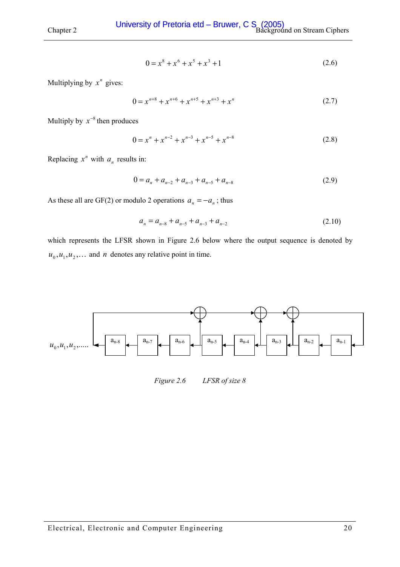$$
0 = x^8 + x^6 + x^5 + x^3 + 1 \tag{2.6}
$$

Multiplying by  $x^n$  gives:

$$
0 = x^{n+8} + x^{n+6} + x^{n+5} + x^{n+3} + x^n
$$
 (2.7)

Multiply by  $x^{-8}$  then produces

$$
0 = x^{n} + x^{n-2} + x^{n-3} + x^{n-5} + x^{n-8}
$$
 (2.8)

Replacing  $x^n$  with  $a_n$  results in:

$$
0 = a_n + a_{n-2} + a_{n-3} + a_{n-5} + a_{n-8}
$$
 (2.9)

As these all are GF(2) or modulo 2 operations  $a_n = -a_n$ ; thus

$$
a_n = a_{n-8} + a_{n-5} + a_{n-3} + a_{n-2}
$$
 (2.10)

which represents the LFSR shown in Figure 2.6 below where the output sequence is denoted by  $u_0$ ,  $u_1$ ,  $u_2$ ,... and *n* denotes any relative point in time.



*Figure 2.6 LFSR of size 8*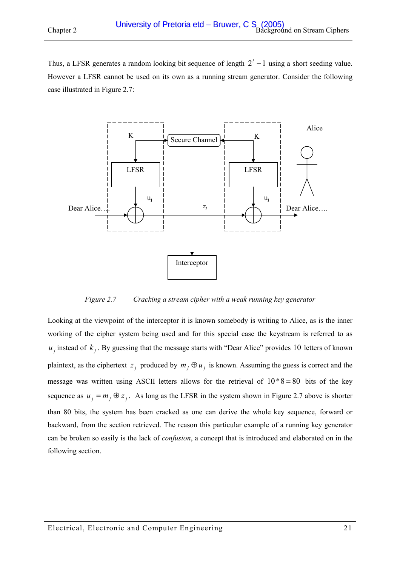Thus, a LFSR generates a random looking bit sequence of length  $2<sup>l</sup> - 1$  using a short seeding value. However a LFSR cannot be used on its own as a running stream generator. Consider the following case illustrated in Figure 2.7:



*Figure 2.7 Cracking a stream cipher with a weak running key generator* 

Looking at the viewpoint of the interceptor it is known somebody is writing to Alice, as is the inner working of the cipher system being used and for this special case the keystream is referred to as  $u_i$  instead of  $k_i$ . By guessing that the message starts with "Dear Alice" provides 10 letters of known plaintext, as the ciphertext  $z_j$  produced by  $m_j \oplus u_j$  is known. Assuming the guess is correct and the message was written using ASCII letters allows for the retrieval of  $10*8 = 80$  bits of the key sequence as  $u_i = m_i \oplus z_i$ . As long as the LFSR in the system shown in Figure 2.7 above is shorter than 80 bits, the system has been cracked as one can derive the whole key sequence, forward or backward, from the section retrieved. The reason this particular example of a running key generator can be broken so easily is the lack of *confusion*, a concept that is introduced and elaborated on in the following section.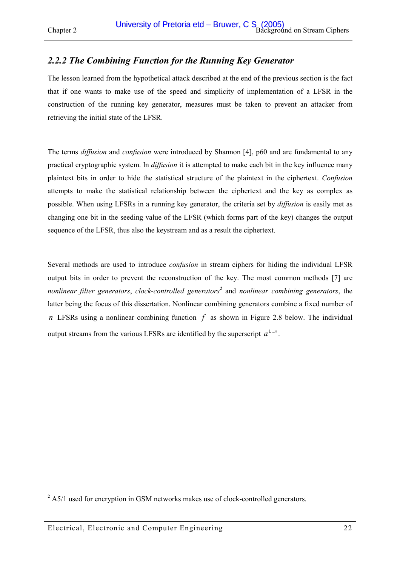# <span id="page-21-0"></span>*2.2.2 The Combining Function for the Running Key Generator*

The lesson learned from the hypothetical attack described at the end of the previous section is the fact that if one wants to make use of the speed and simplicity of implementation of a LFSR in the construction of the running key generator, measures must be taken to prevent an attacker from retrieving the initial state of the LFSR.

The terms *diffusion* and *confusion* were introduced by Shannon [\[4\],](#page-119-0) p60 and are fundamental to any practical cryptographic system. In *diffusion* it is attempted to make each bit in the key influence many plaintext bits in order to hide the statistical structure of the plaintext in the ciphertext. *Confusion* attempts to make the statistical relationship between the ciphertext and the key as complex as possible. When using LFSRs in a running key generator, the criteria set by *diffusion* is easily met as changing one bit in the seeding value of the LFSR (which forms part of the key) changes the output sequence of the LFSR, thus also the keystream and as a result the ciphertext.

Several methods are used to introduce *confusion* in stream ciphers for hiding the individual LFSR output bits in order to prevent the reconstruction of the key. The most common methods [\[7\]](#page-119-0) are *nonlinear filter generators*, *clock-controlled generators<sup>2</sup>* and *nonlinear combining generators*, the latter being the focus of this dissertation. Nonlinear combining generators combine a fixed number of *n* LFSRs using a nonlinear combining function *f* as shown in [Figure 2.8 below.](#page-22-0) The individual output streams from the various LFSRs are identified by the superscript  $a^{1...n}$ .

<sup>&</sup>lt;sup>2</sup> A5/1 used for encryption in GSM networks makes use of clock-controlled generators.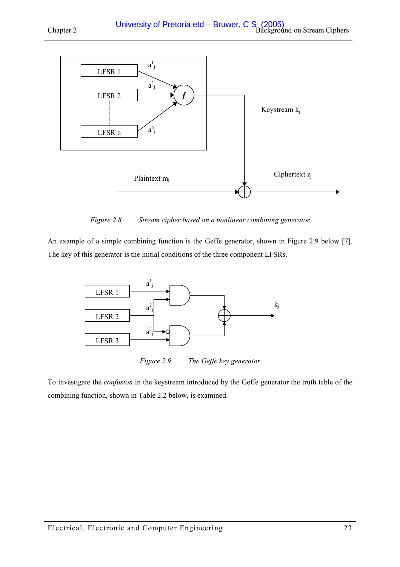<span id="page-22-0"></span>



*Figure 2.8 Stream cipher based on a nonlinear combining generator* 

An example of a simple combining function is the Geffe generator, shown in Figure 2.9 below [\[7\].](#page-119-0) The key of this generator is the initial conditions of the three component LFSRs.



*Figure 2.9 The Geffe key generator* 

To investigate the *confusion* in the keystream introduced by the Geffe generator the truth table of the combining function, shown in [Table 2.2 below,](#page-23-0) is examined.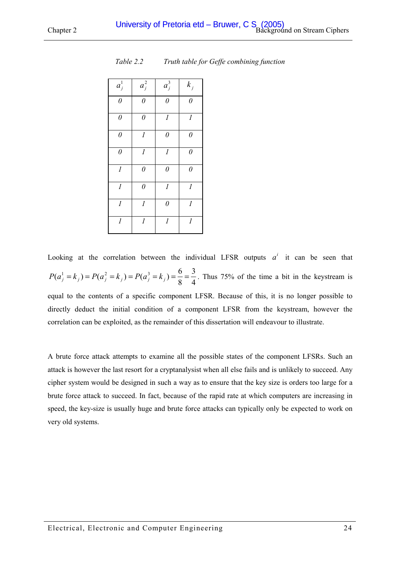| $a_j^1$                     | $a_j^2$          | $a_j^3$                     | $k_j$            |
|-----------------------------|------------------|-----------------------------|------------------|
| $\theta$                    | $\theta$         | $\theta$                    | $\theta$         |
| $\theta$                    | $\theta$         | $\overline{l}$              | $\overline{l}$   |
| $\theta$                    | $\boldsymbol{l}$ | $\theta$                    | $\theta$         |
| $\theta$                    | $\mathfrak l$    | $\mathcal{I}_{\mathcal{I}}$ | $\theta$         |
| $\mathcal{I}_{\mathcal{I}}$ | $\theta$         | $\theta$                    | $\theta$         |
| $\mathcal{I}_{\mathcal{I}}$ | $\theta$         | $\boldsymbol{l}$            | $\overline{l}$   |
| $\boldsymbol{l}$            | $\boldsymbol{l}$ | $\theta$                    | 1                |
| $\boldsymbol{l}$            | $\boldsymbol{l}$ | $\boldsymbol{l}$            | $\boldsymbol{l}$ |

<span id="page-23-0"></span>*Table 2.2 Truth table for Geffe combining function* 

Looking at the correlation between the individual LFSR outputs  $a^i$  it can be seen that 4 3  $P(a_j^1 = k_j) = P(a_j^2 = k_j) = P(a_j^3 = k_j) = \frac{6}{8} = \frac{3}{4}$ . Thus 75% of the time a bit in the keystream is equal to the contents of a specific component LFSR. Because of this, it is no longer possible to directly deduct the initial condition of a component LFSR from the keystream, however the correlation can be exploited, as the remainder of this dissertation will endeavour to illustrate.

A brute force attack attempts to examine all the possible states of the component LFSRs. Such an attack is however the last resort for a cryptanalysist when all else fails and is unlikely to succeed. Any cipher system would be designed in such a way as to ensure that the key size is orders too large for a brute force attack to succeed. In fact, because of the rapid rate at which computers are increasing in speed, the key-size is usually huge and brute force attacks can typically only be expected to work on very old systems.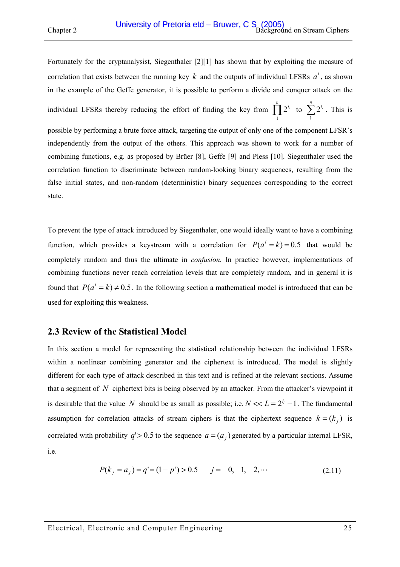<span id="page-24-0"></span>

Fortunately for the cryptanalysist, Siegenthaler [\[2\]\[1\]](#page-119-0) has shown that by exploiting the measure of correlation that exists between the running key  $k$  and the outputs of individual LFSRs  $a^i$ , as shown in the example of the Geffe generator, it is possible to perform a divide and conquer attack on the

individual LFSRs thereby reducing the effort of finding the key from  $\prod_{i=1}^{n} 2^{l_i}$  $\prod_{i=1}^{n} 2^{l_i}$  to  $\sum_{i=1}^{n} 2^{l_i}$ 1  $2^{l_i}$ . This is

possible by performing a brute force attack, targeting the output of only one of the component LFSR's independently from the output of the others. This approach was shown to work for a number of combining functions, e.g. as proposed by Brüer [\[8\],](#page-119-0) Geffe [\[9\]](#page-119-0) and Pless [\[10\].](#page-119-0) Siegenthaler used the correlation function to discriminate between random-looking binary sequences, resulting from the false initial states, and non-random (deterministic) binary sequences corresponding to the correct state.

To prevent the type of attack introduced by Siegenthaler, one would ideally want to have a combining function, which provides a keystream with a correlation for  $P(a^i = k) = 0.5$  that would be completely random and thus the ultimate in *confusion.* In practice however, implementations of combining functions never reach correlation levels that are completely random, and in general it is found that  $P(a^i = k) \neq 0.5$ . In the following section a mathematical model is introduced that can be used for exploiting this weakness.

# **2.3 Review of the Statistical Model**

In this section a model for representing the statistical relationship between the individual LFSRs within a nonlinear combining generator and the ciphertext is introduced. The model is slightly different for each type of attack described in this text and is refined at the relevant sections. Assume that a segment of *N* ciphertext bits is being observed by an attacker. From the attacker's viewpoint it is desirable that the value *N* should be as small as possible; i.e.  $N \ll L = 2^{l_i} - 1$ . The fundamental assumption for correlation attacks of stream ciphers is that the ciphertext sequence  $k = (k_i)$  is correlated with probability  $q' > 0.5$  to the sequence  $a = (a_i)$  generated by a particular internal LFSR, i.e.

$$
P(k_j = a_j) = q' = (1 - p') > 0.5 \qquad j = 0, 1, 2, \cdots \tag{2.11}
$$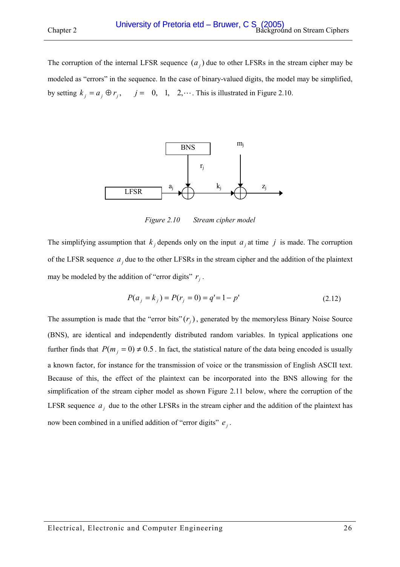<span id="page-25-0"></span>The corruption of the internal LFSR sequence  $(a_i)$  due to other LFSRs in the stream cipher may be modeled as "errors" in the sequence. In the case of binary-valued digits, the model may be simplified, by setting  $k_i = a_i \oplus r_i$ ,  $j = 0, 1, 2,...$  This is illustrated in Figure 2.10.



*Figure 2.10 Stream cipher model* 

The simplifying assumption that  $k_j$  depends only on the input  $a_j$  at time  $j$  is made. The corruption of the LFSR sequence  $a_j$  due to the other LFSRs in the stream cipher and the addition of the plaintext may be modeled by the addition of "error digits"  $r_i$ .

$$
P(a_j = k_j) = P(r_j = 0) = q' = 1 - p'
$$
\n(2.12)

The assumption is made that the "error bits"  $(r_i)$ , generated by the memoryless Binary Noise Source (BNS), are identical and independently distributed random variables. In typical applications one further finds that  $P(m_i = 0) \neq 0.5$ . In fact, the statistical nature of the data being encoded is usually a known factor, for instance for the transmission of voice or the transmission of English ASCII text. Because of this, the effect of the plaintext can be incorporated into the BNS allowing for the simplification of the stream cipher model as shown [Figure 2.11 below,](#page-26-0) where the corruption of the LFSR sequence  $a_j$  due to the other LFSRs in the stream cipher and the addition of the plaintext has now been combined in a unified addition of "error digits"  $e_i$ .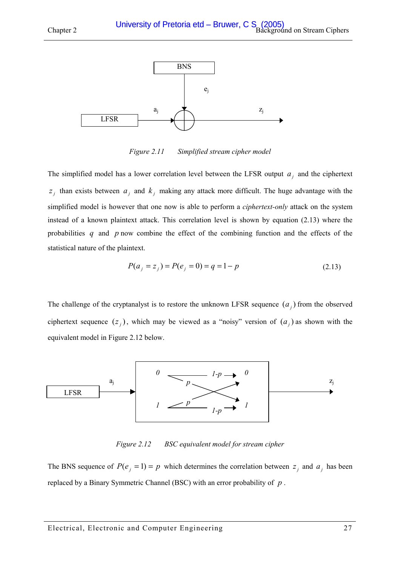<span id="page-26-0"></span>

*Figure 2.11 Simplified stream cipher model* 

The simplified model has a lower correlation level between the LFSR output  $a_i$  and the ciphertext  $z_j$  than exists between  $a_j$  and  $k_j$  making any attack more difficult. The huge advantage with the simplified model is however that one now is able to perform a *ciphertext-only* attack on the system instead of a known plaintext attack. This correlation level is shown by equation (2.13) where the probabilities *q* and *p* now combine the effect of the combining function and the effects of the statistical nature of the plaintext.

$$
P(a_j = z_j) = P(e_j = 0) = q = 1 - p \tag{2.13}
$$

The challenge of the cryptanalyst is to restore the unknown LFSR sequence  $(a_i)$  from the observed ciphertext sequence  $(z_j)$ , which may be viewed as a "noisy" version of  $(a_j)$  as shown with the equivalent model in Figure 2.12 below.



*Figure 2.12 BSC equivalent model for stream cipher* 

The BNS sequence of  $P(e_i = 1) = p$  which determines the correlation between  $z_i$  and  $a_i$  has been replaced by a Binary Symmetric Channel (BSC) with an error probability of *p* .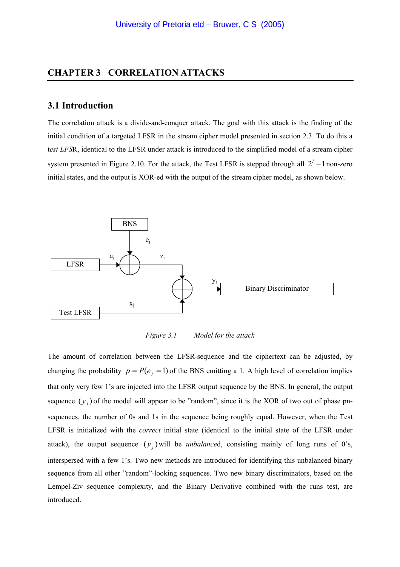### <span id="page-27-0"></span>**CHAPTER 3 CORRELATION ATTACKS**

#### **3.1 Introduction**

The correlation attack is a divide-and-conquer attack. The goal with this attack is the finding of the initial condition of a targeted LFSR in the stream cipher model presented in section [2.3.](#page-24-0) To do this a t*est LFS*R, identical to the LFSR under attack is introduced to the simplified model of a stream cipher system presented in [Figure 2.10.](#page-25-0) For the attack, the Test LFSR is stepped through all  $2<sup>l</sup> - 1$  non-zero initial states, and the output is XOR-ed with the output of the stream cipher model, as shown below.



*Figure 3.1 Model for the attack* 

The amount of correlation between the LFSR-sequence and the ciphertext can be adjusted, by changing the probability  $p = P(e_i = 1)$  of the BNS emitting a 1. A high level of correlation implies that only very few 1's are injected into the LFSR output sequence by the BNS. In general, the output sequence  $(y_i)$  of the model will appear to be "random", since it is the XOR of two out of phase pnsequences, the number of 0s and 1s in the sequence being roughly equal. However, when the Test LFSR is initialized with the *correct* initial state (identical to the initial state of the LFSR under attack), the output sequence  $(y_i)$  will be *unbalanced*, consisting mainly of long runs of 0's, interspersed with a few 1's. Two new methods are introduced for identifying this unbalanced binary sequence from all other "random"-looking sequences. Two new binary discriminators, based on the Lempel-Ziv sequence complexity, and the Binary Derivative combined with the runs test, are introduced.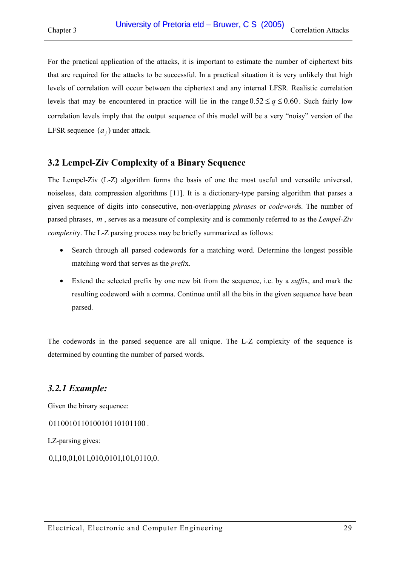<span id="page-28-0"></span>For the practical application of the attacks, it is important to estimate the number of ciphertext bits that are required for the attacks to be successful. In a practical situation it is very unlikely that high levels of correlation will occur between the ciphertext and any internal LFSR. Realistic correlation levels that may be encountered in practice will lie in the range  $0.52 \le q \le 0.60$ . Such fairly low correlation levels imply that the output sequence of this model will be a very "noisy" version of the LFSR sequence  $(a_i)$  under attack.

# **3.2 Lempel-Ziv Complexity of a Binary Sequence**

The Lempel-Ziv (L-Z) algorithm forms the basis of one the most useful and versatile universal, noiseless, data compression algorithms [\[11\].](#page-119-0) It is a dictionary-type parsing algorithm that parses a given sequence of digits into consecutive, non-overlapping *phrases* or *codeword*s. The number of parsed phrases, *m* \_, serves as a measure of complexity and is commonly referred to as the *Lempel-Ziv complexit*y. The L-Z parsing process may be briefly summarized as follows:

- Search through all parsed codewords for a matching word. Determine the longest possible matching word that serves as the *prefi*x.
- Extend the selected prefix by one new bit from the sequence, i.e. by a *suffi*x, and mark the resulting codeword with a comma. Continue until all the bits in the given sequence have been parsed.

The codewords in the parsed sequence are all unique. The L-Z complexity of the sequence is determined by counting the number of parsed words.

# *3.2.1 Example:*

Given the binary sequence:

```
011001011010101100.
```
LZ-parsing gives:

```
0,1,10,01,011,010,0101,101,0110,0.
```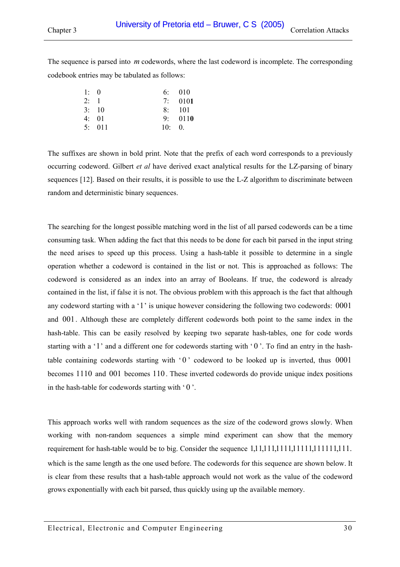The sequence is parsed into *m* codewords, where the last codeword is incomplete. The corresponding codebook entries may be tabulated as follows:

| 1: 0 |       |                 | 6: 010         |
|------|-------|-----------------|----------------|
| 2:1  |       |                 | 7:0101         |
|      | 3:10  |                 | $8 \cdot 101$  |
|      | 4:01  |                 | 9:0110         |
|      | 5:011 | 10 <sup>°</sup> | $\mathbf{0}$ . |

The suffixes are shown in bold print. Note that the prefix of each word corresponds to a previously occurring codeword. Gilbert *et al* have derived exact analytical results for the LZ-parsing of binary sequences [\[12\].](#page-119-0) Based on their results, it is possible to use the L-Z algorithm to discriminate between random and deterministic binary sequences.

The searching for the longest possible matching word in the list of all parsed codewords can be a time consuming task. When adding the fact that this needs to be done for each bit parsed in the input string the need arises to speed up this process. Using a hash-table it possible to determine in a single operation whether a codeword is contained in the list or not. This is approached as follows: The codeword is considered as an index into an array of Booleans. If true, the codeword is already contained in the list, if false it is not. The obvious problem with this approach is the fact that although any codeword starting with a '1' is unique however considering the following two codewords: 0001 and 001. Although these are completely different codewords both point to the same index in the hash-table. This can be easily resolved by keeping two separate hash-tables, one for code words starting with a '1' and a different one for codewords starting with '0'. To find an entry in the hashtable containing codewords starting with  $\hat{0}$  codeword to be looked up is inverted, thus 0001 becomes 1110 and 001 becomes 110 . These inverted codewords do provide unique index positions in the hash-table for codewords starting with  $\degree$  0  $\degree$ .

This approach works well with random sequences as the size of the codeword grows slowly. When working with non-random sequences a simple mind experiment can show that the memory requirement for hash-table would be to big. Consider the sequence 1,11,1111,1111,11111,1111,1111,111. which is the same length as the one used before. The codewords for this sequence are shown below. It is clear from these results that a hash-table approach would not work as the value of the codeword grows exponentially with each bit parsed, thus quickly using up the available memory.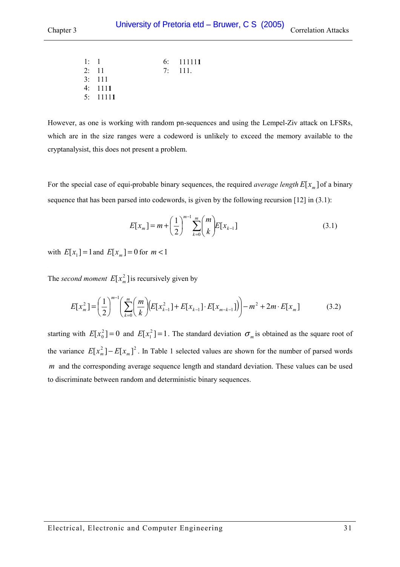| 1: 1 |                | 6:111111 |
|------|----------------|----------|
|      | 2: 11          | 7:111.   |
|      | 3:111          |          |
|      | $4 \cdot 1111$ |          |
|      | 5:11111        |          |

However, as one is working with random pn-sequences and using the Lempel-Ziv attack on LFSRs, which are in the size ranges were a codeword is unlikely to exceed the memory available to the cryptanalysist, this does not present a problem.

For the special case of equi-probable binary sequences, the required *average length*  $E[x_m]$  of a binary sequence that has been parsed into codewords, is given by the following recursion [\[12\]](#page-119-0) in (3.1):

$$
E[x_m] = m + \left(\frac{1}{2}\right)^{m-1} \sum_{k=0}^{m} {m \choose k} E[x_{k-1}]
$$
\n(3.1)

with  $E[x_1] = 1$  and  $E[x_m] = 0$  for  $m < 1$ 

The *second moment*  $E[x_m^2]$  is recursively given by

$$
E[x_m^2] = \left(\frac{1}{2}\right)^{m-1} \left(\sum_{k=0}^m \left(\frac{m}{k}\right) \left(E[x_{k-1}^2] + E[x_{k-1}] \cdot E[x_{m-k-1}]\right)\right) - m^2 + 2m \cdot E[x_m]
$$
(3.2)

starting with  $E[x_0^2] = 0$  and  $E[x_1^2] = 1$ . The standard deviation  $\sigma_m$  is obtained as the square root of the variance  $E[x_m^2] - E[x_m]^2$ . In Table 1 selected values are shown for the number of parsed words *m* and the corresponding average sequence length and standard deviation. These values can be used to discriminate between random and deterministic binary sequences.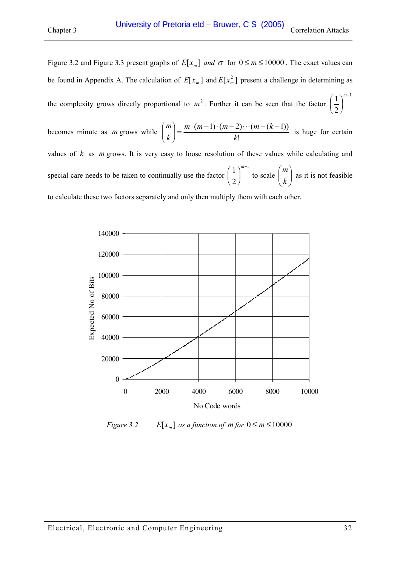Figure 3.2 and [Figure 3.3](#page-32-0) present graphs of  $E[x_m]$  *and*  $\sigma$  for  $0 \le m \le 10000$ . The exact values can be found in Appendix [A.](#page-122-0) The calculation of  $E[x_m]$  and  $E[x_m^2]$  present a challenge in determining as the complexity grows directly proportional to  $m^2$ . Further it can be seen that the factor 1 2  $1$ <sup>m-</sup>  $\overline{\phantom{a}}$ J  $\left(\frac{1}{2}\right)$  $\setminus$  $(1)^m$ 

becomes minute as *m* grows while  $\binom{m}{k} = \frac{m \cdot (m-1) \cdot (m-2) \cdots (m-(k-1))}{k!}$ *k*  $m \cdot (m-1) \cdot (m-2) \cdots (m-k)$  $\binom{m}{k} = \frac{m \cdot (m-1) \cdot (m-2) \cdots (m-(k-1))}{k!}$ J  $\setminus$  $\overline{\phantom{a}}$  $\setminus$  $\binom{m}{k} = \frac{m \cdot (m-1) \cdot (m-2) \cdots (m-(k-1))}{m}$  is huge for certain values of *k* as *m* grows. It is very easy to loose resolution of these values while calculating and special care needs to be taken to continually use the factor 1 2  $1$ <sup>m-</sup>  $\overline{\phantom{a}}$ J  $\left(\frac{1}{2}\right)$  $\setminus$  $(1)^m$ to scale  $\begin{pmatrix} m \\ k \end{pmatrix}$ J  $\setminus$  $\overline{\phantom{a}}$  $\setminus$ ſ *k m* as it is not feasible to calculate these two factors separately and only then multiply them with each other.



*Figure 3.2*  $E[x_m]$  *as a function of m for*  $0 \le m \le 10000$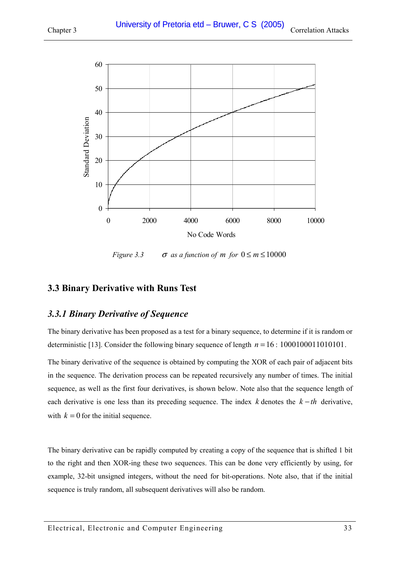<span id="page-32-0"></span>

*Figure 3.3*  $\sigma$  *as a function of m for*  $0 \le m \le 10000$ 

# **3.3 Binary Derivative with Runs Test**

# *3.3.1 Binary Derivative of Sequence*

The binary derivative has been proposed as a test for a binary sequence, to determine if it is random or deterministic [\[13\].](#page-119-0) Consider the following binary sequence of length  $n = 16 : 1000100011010101$ .

The binary derivative of the sequence is obtained by computing the XOR of each pair of adjacent bits in the sequence. The derivation process can be repeated recursively any number of times. The initial sequence, as well as the first four derivatives, is shown below. Note also that the sequence length of each derivative is one less than its preceding sequence. The index *k* denotes the *k* − *th* derivative, with  $k = 0$  for the initial sequence.

The binary derivative can be rapidly computed by creating a copy of the sequence that is shifted 1 bit to the right and then XOR-ing these two sequences. This can be done very efficiently by using, for example, 32-bit unsigned integers, without the need for bit-operations. Note also, that if the initial sequence is truly random, all subsequent derivatives will also be random.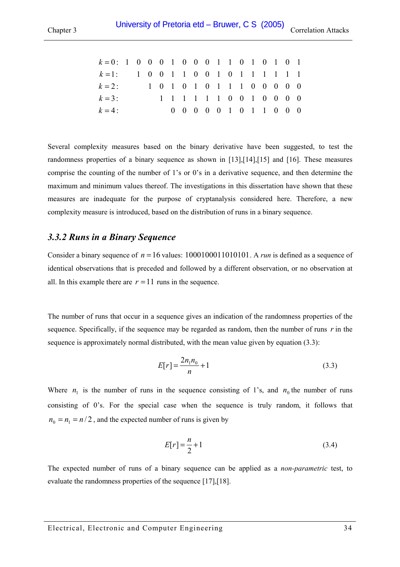<span id="page-33-0"></span>

| $k=0$ : 1 0 0 0 1 0 0 0 1 1 0 1 0 1 0 1 |  |  |                             |  |  |  |  |  |
|-----------------------------------------|--|--|-----------------------------|--|--|--|--|--|
| $k=1$ : 1 0 0 1 1 0 0 1 0 1 1 1 1 1 1 1 |  |  |                             |  |  |  |  |  |
| $k=2$ :                                 |  |  | 1 0 1 0 1 0 1 1 1 0 0 0 0 0 |  |  |  |  |  |
| $k = 3$ :                               |  |  | 1 1 1 1 1 1 0 0 1 0 0 0 0   |  |  |  |  |  |
| $k=4$ :                                 |  |  | 0 0 0 0 0 1 0 1 1 0 0 0     |  |  |  |  |  |

Several complexity measures based on the binary derivative have been suggested, to test the randomness properties of a binary sequence as shown in [\[13\],\[14\],](#page-119-0)[\[15\]](#page-120-0) and [\[16\].](#page-120-0) These measures comprise the counting of the number of 1's or 0's in a derivative sequence, and then determine the maximum and minimum values thereof. The investigations in this dissertation have shown that these measures are inadequate for the purpose of cryptanalysis considered here. Therefore, a new complexity measure is introduced, based on the distribution of runs in a binary sequence.

### *3.3.2 Runs in a Binary Sequence*

Consider a binary sequence of  $n = 16$  values:  $1000100011010101$ . A *run* is defined as a sequence of identical observations that is preceded and followed by a different observation, or no observation at all. In this example there are  $r = 11$  runs in the sequence.

The number of runs that occur in a sequence gives an indication of the randomness properties of the sequence. Specifically, if the sequence may be regarded as random, then the number of runs *r* in the sequence is approximately normal distributed, with the mean value given by equation (3.3):

$$
E[r] = \frac{2n_1n_0}{n} + 1\tag{3.3}
$$

Where  $n_1$  is the number of runs in the sequence consisting of 1's, and  $n_0$  the number of runs consisting of 0's. For the special case when the sequence is truly random, it follows that  $n_0 = n_1 = n/2$ , and the expected number of runs is given by

$$
E[r] = \frac{n}{2} + 1\tag{3.4}
$$

The expected number of runs of a binary sequence can be applied as a *non-parametric* test, to evaluate the randomness properties of the sequence [\[17\],\[18\].](#page-120-0)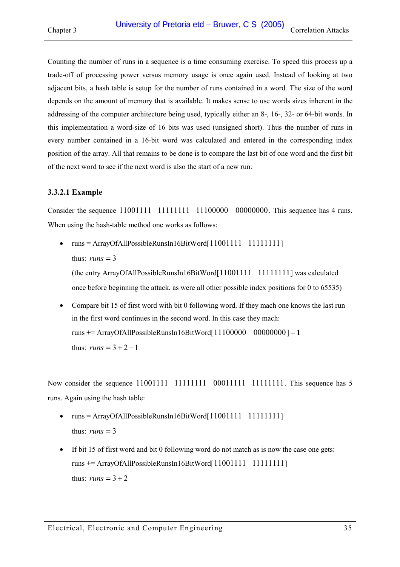<span id="page-34-0"></span>Counting the number of runs in a sequence is a time consuming exercise. To speed this process up a trade-off of processing power versus memory usage is once again used. Instead of looking at two adjacent bits, a hash table is setup for the number of runs contained in a word. The size of the word depends on the amount of memory that is available. It makes sense to use words sizes inherent in the addressing of the computer architecture being used, typically either an 8-, 16-, 32- or 64-bit words. In this implementation a word-size of 16 bits was used (unsigned short). Thus the number of runs in every number contained in a 16-bit word was calculated and entered in the corresponding index position of the array. All that remains to be done is to compare the last bit of one word and the first bit of the next word to see if the next word is also the start of a new run.

#### **3.3.2.1 Example**

Consider the sequence 11001111 11111111 11100000 00000000. This sequence has 4 runs. When using the hash-table method one works as follows:

•  $runs = ArrayOfAll PossibleRunsIn16BitWord[11001111 1111111]$ thus:  $runs = 3$ 

(the entry ArrayOfAllPossibleRunsIn16BitWord[11001111 11111111] was calculated once before beginning the attack, as were all other possible index positions for 0 to 65535)

• Compare bit 15 of first word with bit 0 following word. If they mach one knows the last run in the first word continues in the second word. In this case they mach: runs += ArrayOfAllPossibleRunsIn16BitWord[11100000 00000000] **– 1** thus:  $runs = 3 + 2 - 1$ 

Now consider the sequence 11001111 11111111 00011111 11111111. This sequence has 5 runs. Again using the hash table:

- $runs = ArrayOfAll PossibleRunsIn16BitWord[11001111 1111111]$ thus:  $runs = 3$
- If bit 15 of first word and bit 0 following word do not match as is now the case one gets:  $runs += ArrayOfAllPossibleRunsIn16BitWord[11001111 1111111]$ thus:  $runs = 3 + 2$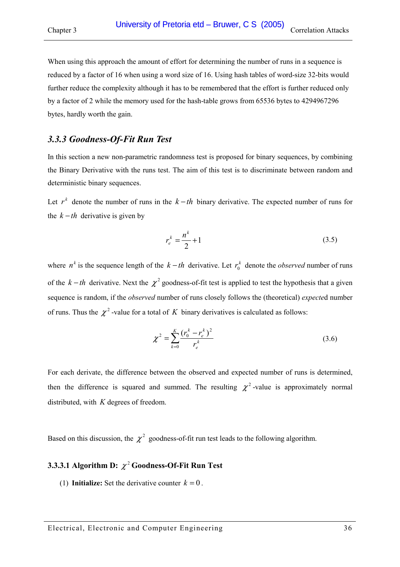<span id="page-35-0"></span>When using this approach the amount of effort for determining the number of runs in a sequence is reduced by a factor of 16 when using a word size of 16. Using hash tables of word-size 32-bits would further reduce the complexity although it has to be remembered that the effort is further reduced only by a factor of 2 while the memory used for the hash-table grows from 65536 bytes to 4294967296 bytes, hardly worth the gain.

### *3.3.3 Goodness-Of-Fit Run Test*

In this section a new non-parametric randomness test is proposed for binary sequences, by combining the Binary Derivative with the runs test. The aim of this test is to discriminate between random and deterministic binary sequences.

Let  $r^k$  denote the number of runs in the  $k-th$  binary derivative. The expected number of runs for the  $k - th$  derivative is given by

$$
r_e^k = \frac{n^k}{2} + 1\tag{3.5}
$$

where  $n^k$  is the sequence length of the  $k-th$  derivative. Let  $r_0^k$  denote the *observed* number of runs of the  $k - th$  derivative. Next the  $\chi^2$  goodness-of-fit test is applied to test the hypothesis that a given sequence is random, if the *observed* number of runs closely follows the (theoretical) *expecte*d number of runs. Thus the  $\chi^2$ -value for a total of K binary derivatives is calculated as follows:

$$
\chi^2 = \sum_{k=0}^{K} \frac{(r_0^k - r_e^k)^2}{r_e^k}
$$
\n(3.6)

For each derivate, the difference between the observed and expected number of runs is determined, then the difference is squared and summed. The resulting  $\chi^2$ -value is approximately normal distributed, with *K* degrees of freedom.

Based on this discussion, the  $\chi^2$  goodness-of-fit run test leads to the following algorithm.

# **3.3.3.1 Algorithm D:**  $\chi^2$  Goodness-Of-Fit Run Test

(1) **Initialize:** Set the derivative counter  $k = 0$ .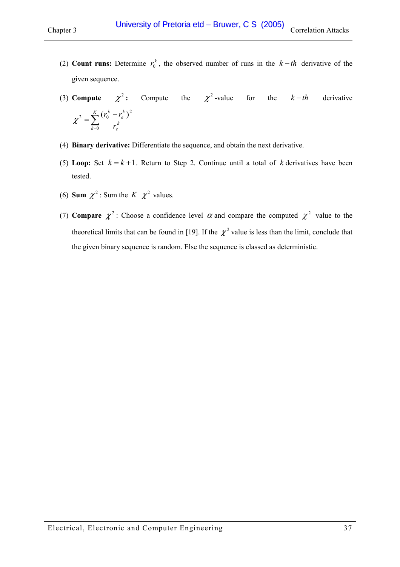- (2) **Count runs:** Determine  $r_0^k$ , the observed number of runs in the  $k-th$  derivative of the given sequence.
- (3) **Compute**  $\chi^2$ : Compute the  $\chi^2$ -value for the  $k-th$  derivative  $=\sum_{k=0}^{K} \frac{(r_0^k - r_0^k)}{r_0^k}$  $\sum_{k=0}$   $r_e^k$ *e k e k r*  $r_0^k - r$ 0  $\chi^{2} = \sum_{k}^{K} \frac{(r_{0}^{k} - r_{e}^{k})^{2}}{r}$
- (4) **Binary derivative:** Differentiate the sequence, and obtain the next derivative.
- (5) **Loop:** Set  $k = k + 1$ . Return to Step 2. Continue until a total of k derivatives have been tested.
- (6) **Sum**  $\chi^2$ : Sum the *K*  $\chi^2$  values.
- (7) **Compare**  $\chi^2$ : Choose a confidence level  $\alpha$  and compare the computed  $\chi^2$  value to the theoretical limits that can be found in [\[19\].](#page-120-0) If the  $\chi^2$  value is less than the limit, conclude that the given binary sequence is random. Else the sequence is classed as deterministic.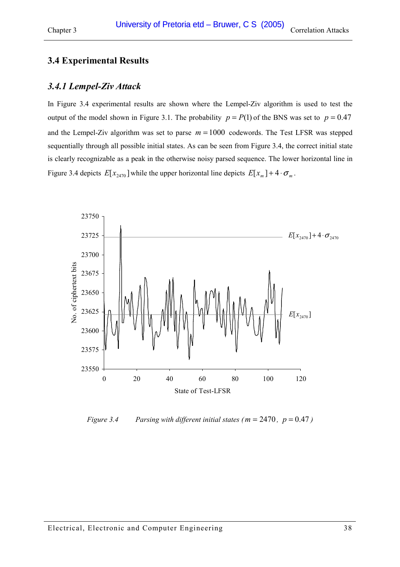# <span id="page-37-0"></span>**3.4 Experimental Results**

## *3.4.1 Lempel-Ziv Attack*

In Figure 3.4 experimental results are shown where the Lempel-Ziv algorithm is used to test the output of the model shown in [Figure 3.1.](#page-27-0) The probability  $p = P(1)$  of the BNS was set to  $p = 0.47$ and the Lempel-Ziv algorithm was set to parse  $m = 1000$  codewords. The Test LFSR was stepped sequentially through all possible initial states. As can be seen from Figure 3.4, the correct initial state is clearly recognizable as a peak in the otherwise noisy parsed sequence. The lower horizontal line in Figure 3.4 depicts  $E[x_{2470}]$  while the upper horizontal line depicts  $E[x_m] + 4 \cdot \sigma_m$ .



*Figure 3.4* Parsing with different initial states ( $m = 2470$ ,  $p = 0.47$ )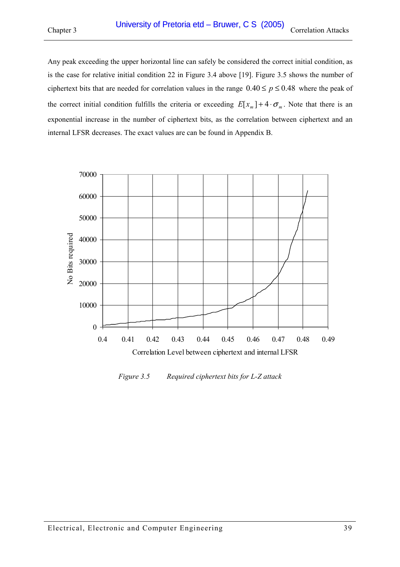Any peak exceeding the upper horizontal line can safely be considered the correct initial condition, as is the case for relative initial condition 22 in [Figure 3.4 above](#page-37-0) [\[19\].](#page-120-0) Figure 3.5 shows the number of ciphertext bits that are needed for correlation values in the range  $0.40 \le p \le 0.48$  where the peak of the correct initial condition fulfills the criteria or exceeding  $E[x_m]+4\cdot\sigma_m$ . Note that there is an exponential increase in the number of ciphertext bits, as the correlation between ciphertext and an internal LFSR decreases. The exact values are can be found in Appendix [B.](#page-129-0)



*Figure 3.5 Required ciphertext bits for L-Z attack*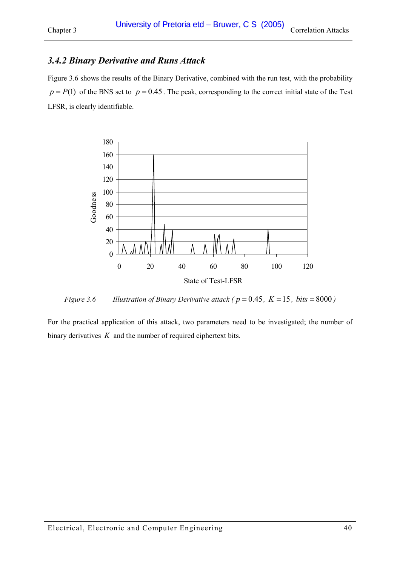# *3.4.2 Binary Derivative and Runs Attack*

Figure 3.6 shows the results of the Binary Derivative, combined with the run test, with the probability  $p = P(1)$  of the BNS set to  $p = 0.45$ . The peak, corresponding to the correct initial state of the Test LFSR, is clearly identifiable.



*Figure 3.6* Illustration of Binary Derivative attack ( $p = 0.45$ ,  $K = 15$ , bits = 8000)

For the practical application of this attack, two parameters need to be investigated; the number of binary derivatives *K* and the number of required ciphertext bits.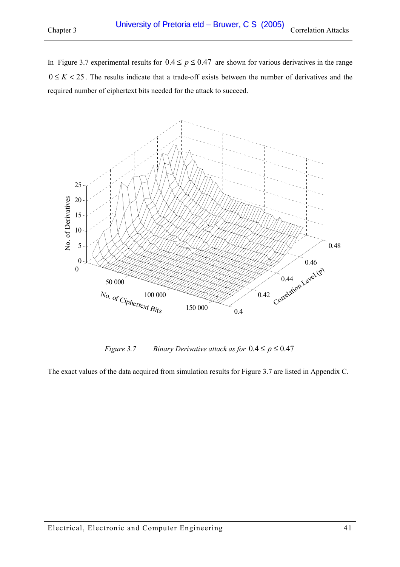<span id="page-40-0"></span>In Figure 3.7 experimental results for  $0.4 \le p \le 0.47$  are shown for various derivatives in the range  $0 \leq K < 25$ . The results indicate that a trade-off exists between the number of derivatives and the required number of ciphertext bits needed for the attack to succeed.



*Figure 3.7* Binary Derivative attack as for  $0.4 \le p \le 0.47$ 

The exact values of the data acquired from simulation results for Figure 3.7 are listed in Appendix [C.](#page-130-0)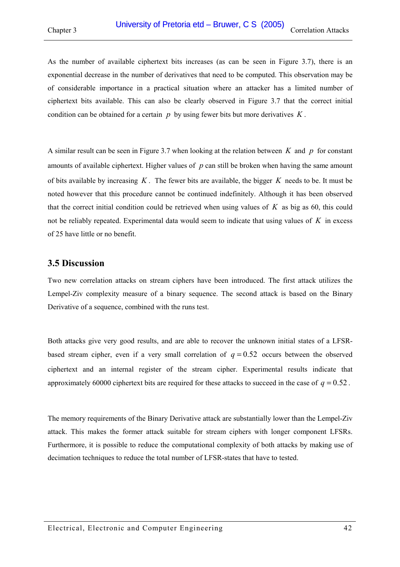As the number of available ciphertext bits increases (as can be seen in [Figure 3.7\)](#page-40-0), there is an exponential decrease in the number of derivatives that need to be computed. This observation may be of considerable importance in a practical situation where an attacker has a limited number of ciphertext bits available. This can also be clearly observed in [Figure 3.7](#page-40-0) that the correct initial condition can be obtained for a certain *p* by using fewer bits but more derivatives *K* .

A similar result can be seen in [Figure 3.7](#page-40-0) when looking at the relation between *K* and *p* for constant amounts of available ciphertext. Higher values of *p* can still be broken when having the same amount of bits available by increasing *K* . The fewer bits are available, the bigger *K* needs to be. It must be noted however that this procedure cannot be continued indefinitely. Although it has been observed that the correct initial condition could be retrieved when using values of *K* as big as 60, this could not be reliably repeated. Experimental data would seem to indicate that using values of *K* in excess of 25 have little or no benefit.

## **3.5 Discussion**

Two new correlation attacks on stream ciphers have been introduced. The first attack utilizes the Lempel-Ziv complexity measure of a binary sequence. The second attack is based on the Binary Derivative of a sequence, combined with the runs test.

Both attacks give very good results, and are able to recover the unknown initial states of a LFSRbased stream cipher, even if a very small correlation of  $q = 0.52$  occurs between the observed ciphertext and an internal register of the stream cipher. Experimental results indicate that approximately 60000 ciphertext bits are required for these attacks to succeed in the case of  $q = 0.52$ .

The memory requirements of the Binary Derivative attack are substantially lower than the Lempel-Ziv attack. This makes the former attack suitable for stream ciphers with longer component LFSRs. Furthermore, it is possible to reduce the computational complexity of both attacks by making use of decimation techniques to reduce the total number of LFSR-states that have to tested.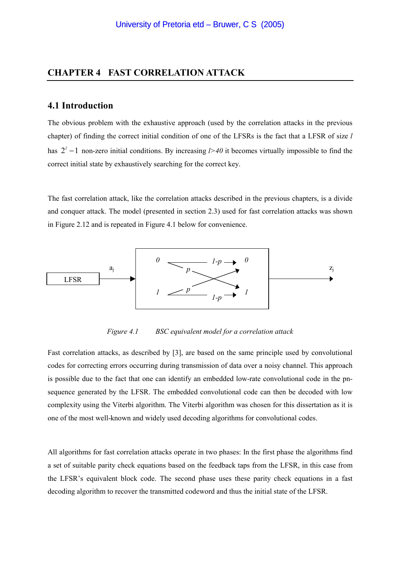## **CHAPTER 4 FAST CORRELATION ATTACK**

### **4.1 Introduction**

The obvious problem with the exhaustive approach (used by the correlation attacks in the previous chapter) of finding the correct initial condition of one of the LFSRs is the fact that a LFSR of size *l* has  $2<sup>1</sup> - 1$  non-zero initial conditions. By increasing *l*>40 it becomes virtually impossible to find the correct initial state by exhaustively searching for the correct key.

The fast correlation attack, like the correlation attacks described in the previous chapters, is a divide and conquer attack. The model (presented in section [2.3\)](#page-24-0) used for fast correlation attacks was shown in [Figure 2.12](#page-26-0) and is repeated in Figure 4.1 below for convenience.



*Figure 4.1 BSC equivalent model for a correlation attack* 

Fast correlation attacks, as described by [\[3\],](#page-119-0) are based on the same principle used by convolutional codes for correcting errors occurring during transmission of data over a noisy channel. This approach is possible due to the fact that one can identify an embedded low-rate convolutional code in the pnsequence generated by the LFSR. The embedded convolutional code can then be decoded with low complexity using the Viterbi algorithm. The Viterbi algorithm was chosen for this dissertation as it is one of the most well-known and widely used decoding algorithms for convolutional codes.

All algorithms for fast correlation attacks operate in two phases: In the first phase the algorithms find a set of suitable parity check equations based on the feedback taps from the LFSR, in this case from the LFSR's equivalent block code. The second phase uses these parity check equations in a fast decoding algorithm to recover the transmitted codeword and thus the initial state of the LFSR.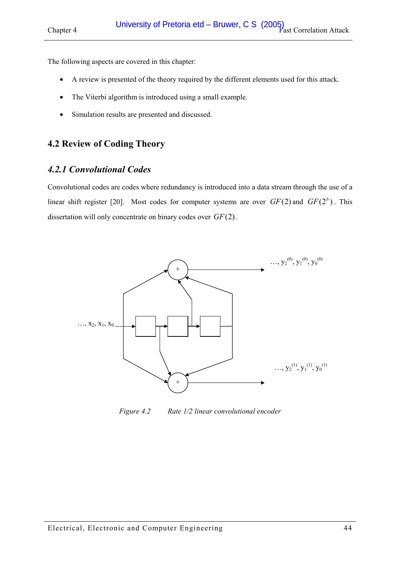<span id="page-43-0"></span>The following aspects are covered in this chapter:

- A review is presented of the theory required by the different elements used for this attack.
- The Viterbi algorithm is introduced using a small example.
- Simulation results are presented and discussed.

# **4.2 Review of Coding Theory**

# *4.2.1 Convolutional Codes*

Convolutional codes are codes where redundancy is introduced into a data stream through the use of a linear shift register [\[20\].](#page-120-0) Most codes for computer systems are over  $GF(2)$  and  $GF(2^b)$ . This dissertation will only concentrate on binary codes over *GF*(2) .



*Figure 4.2 Rate 1/2 linear convolutional encoder*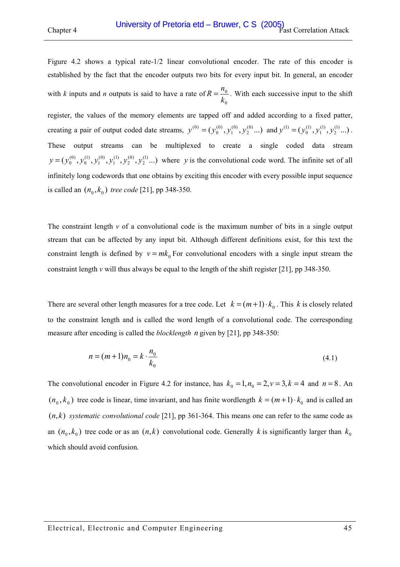[Figure 4.2](#page-43-0) shows a typical rate-1/2 linear convolutional encoder. The rate of this encoder is established by the fact that the encoder outputs two bits for every input bit. In general, an encoder with *k* inputs and *n* outputs is said to have a rate of 0 0 *k*  $R = \frac{n_0}{I}$ . With each successive input to the shift register, the values of the memory elements are tapped off and added according to a fixed patter, creating a pair of output coded date streams,  $y^{(0)} = (y_0^{(0)}, y_1^{(0)}, y_2^{(0)}...)$ (0) 1 (0)  $y^{(0)} = (y_0^{(0)}, y_1^{(0)}, y_2^{(0)}...)$  and  $y^{(1)} = (y_0^{(1)}, y_1^{(1)}, y_2^{(1)}...)$ (1) 1 (1)  $y^{(1)} = (y_0^{(1)}, y_1^{(1)}, y_2^{(1)}...)$ . These output streams can be multiplexed to create a single coded data stream  $(y_0^{(0)}, y_0^{(1)}, y_1^{(0)}, y_1^{(1)}, y_2^{(0)}, y_2^{(1)}...)$ (0) 2 (1) 1 (0) 1 (1) 0  $y = (y_0^{(0)}, y_0^{(1)}, y_1^{(0)}, y_1^{(1)}, y_2^{(0)}, y_2^{(1)}...)$  where *y* is the convolutional code word. The infinite set of all infinitely long codewords that one obtains by exciting this encoder with every possible input sequence is called an  $(n_0, k_0)$  *tree code* [\[21\],](#page-120-0) pp 348-350.

The constraint length  $\nu$  of a convolutional code is the maximum number of bits in a single output stream that can be affected by any input bit. Although different definitions exist, for this text the constraint length is defined by  $v = mk_0$  For convolutional encoders with a single input stream the constraint length *v* will thus always be equal to the length of the shift register [\[21\],](#page-120-0) pp 348-350.

There are several other length measures for a tree code. Let  $k = (m + 1) \cdot k_0$ . This *k* is closely related to the constraint length and is called the word length of a convolutional code. The corresponding measure after encoding is called the *blocklength n* given by [\[21\],](#page-120-0) pp 348-350:

$$
n = (m+1)n_0 = k \cdot \frac{n_0}{k_0}
$$
\n(4.1)

The convolutional encoder in [Figure 4.2](#page-43-0) for instance, has  $k_0 = 1, n_0 = 2, v = 3, k = 4$  and  $n = 8$ . An  $(n_0, k_0)$  tree code is linear, time invariant, and has finite wordlength  $k = (m+1) \cdot k_0$  and is called an  $(n,k)$  *systematic convolutional code* [\[21\],](#page-120-0) pp 361-364. This means one can refer to the same code as an  $(n_0, k_0)$  tree code or as an  $(n, k)$  convolutional code. Generally *k* is significantly larger than  $k_0$ which should avoid confusion.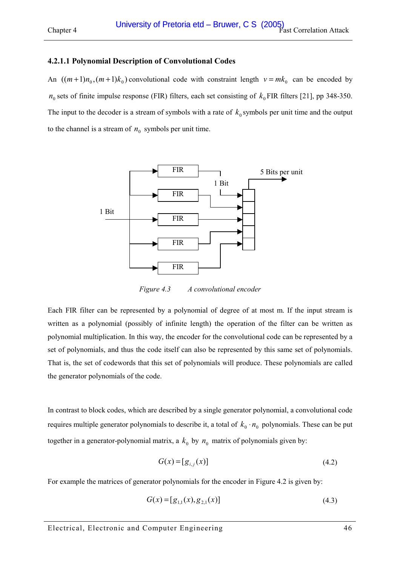### **4.2.1.1 Polynomial Description of Convolutional Codes**

An  $((m+1)n_0, (m+1)k_0)$  convolutional code with constraint length  $v = mk_0$  can be encoded by  $n_0$  sets of finite impulse response (FIR) filters, each set consisting of  $k_0$  FIR filters [\[21\],](#page-120-0) pp 348-350. The input to the decoder is a stream of symbols with a rate of  $k_0$  symbols per unit time and the output to the channel is a stream of  $n_0$  symbols per unit time.



*Figure 4.3 A convolutional encoder* 

Each FIR filter can be represented by a polynomial of degree of at most m. If the input stream is written as a polynomial (possibly of infinite length) the operation of the filter can be written as polynomial multiplication. In this way, the encoder for the convolutional code can be represented by a set of polynomials, and thus the code itself can also be represented by this same set of polynomials. That is, the set of codewords that this set of polynomials will produce. These polynomials are called the generator polynomials of the code.

In contrast to block codes, which are described by a single generator polynomial, a convolutional code requires multiple generator polynomials to describe it, a total of  $k_0 \cdot n_0$  polynomials. These can be put together in a generator-polynomial matrix, a  $k_0$  by  $n_0$  matrix of polynomials given by:

$$
G(x) = [g_{i,j}(x)]\tag{4.2}
$$

For example the matrices of generator polynomials for the encoder in [Figure 4.2](#page-43-0) is given by:

$$
G(x) = [g_{1,1}(x), g_{2,1}(x)] \tag{4.3}
$$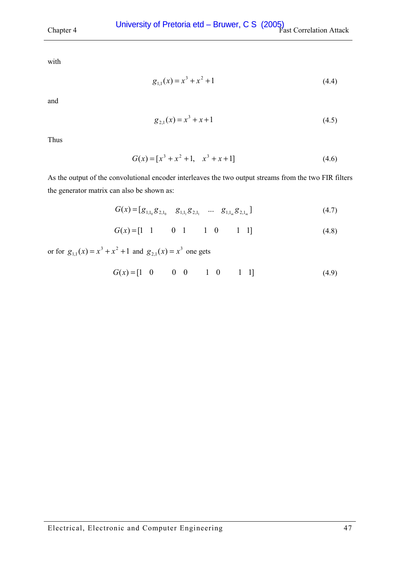with

$$
g_{1,1}(x) = x^3 + x^2 + 1\tag{4.4}
$$

and

$$
g_{2,1}(x) = x^3 + x + 1\tag{4.5}
$$

Thus

$$
G(x) = [x3 + x2 + 1, x3 + x + 1]
$$
 (4.6)

As the output of the convolutional encoder interleaves the two output streams from the two FIR filters the generator matrix can also be shown as:

$$
G(x) = [g_{1,1_0}g_{2,1_0} \quad g_{1,1_1}g_{2,1_1} \quad \dots \quad g_{1,1_m}g_{2,1_m}] \tag{4.7}
$$

$$
G(x) = \begin{bmatrix} 1 & 1 & 0 & 1 & 1 & 0 & 1 & 1 \end{bmatrix}
$$
 (4.8)

or for  $g_{1,1}(x) = x^3 + x^2 + 1$  and  $g_{2,1}(x) = x^3$  one gets

$$
G(x) = \begin{bmatrix} 1 & 0 & 0 & 0 & 1 & 0 & 1 & 1 \end{bmatrix}
$$
 (4.9)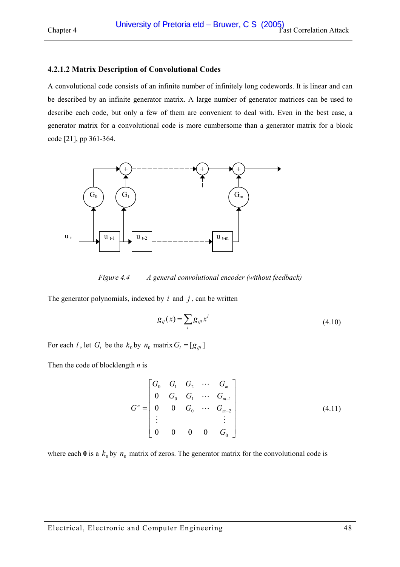#### **4.2.1.2 Matrix Description of Convolutional Codes**

A convolutional code consists of an infinite number of infinitely long codewords. It is linear and can be described by an infinite generator matrix. A large number of generator matrices can be used to describe each code, but only a few of them are convenient to deal with. Even in the best case, a generator matrix for a convolutional code is more cumbersome than a generator matrix for a block code [\[21\],](#page-120-0) pp 361-364.



*Figure 4.4 A general convolutional encoder (without feedback)* 

The generator polynomials, indexed by  $i$  and  $j$ , can be written

$$
g_{ij}(x) = \sum_{l} g_{ijl} x^{l}
$$
\n(4.10)

For each *l*, let  $G_l$  be the  $k_0$  by  $n_0$  matrix  $G_l = [g_{ijl}]$ 

Then the code of blocklength *n* is

$$
G^{n} = \begin{bmatrix} G_{0} & G_{1} & G_{2} & \cdots & G_{m} \\ 0 & G_{0} & G_{1} & \cdots & G_{m-1} \\ 0 & 0 & G_{0} & \cdots & G_{m-2} \\ \vdots & & & & \vdots \\ 0 & 0 & 0 & 0 & G_{0} \end{bmatrix}
$$
(4.11)

where each  $\mathbf{0}$  is a  $k_0$  by  $n_0$  matrix of zeros. The generator matrix for the convolutional code is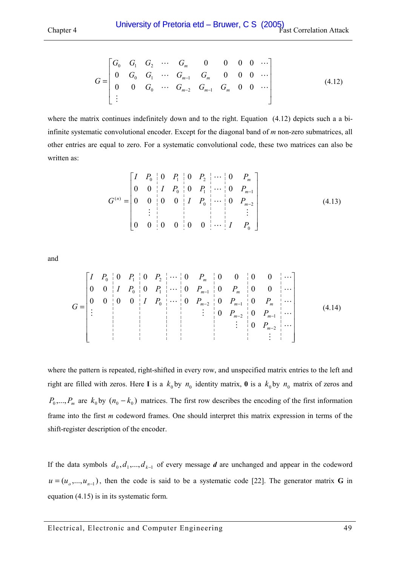<span id="page-48-0"></span>
$$
G = \begin{bmatrix} G_0 & G_1 & G_2 & \cdots & G_m & 0 & 0 & 0 & 0 & \cdots \\ 0 & G_0 & G_1 & \cdots & G_{m-1} & G_m & 0 & 0 & 0 & \cdots \\ 0 & 0 & G_0 & \cdots & G_{m-2} & G_{m-1} & G_m & 0 & 0 & \cdots \\ \vdots & & & & & & & \end{bmatrix} \tag{4.12}
$$

where the matrix continues indefinitely down and to the right. Equation (4.12) depicts such a a biinfinite systematic convolutional encoder. Except for the diagonal band of *m* non-zero submatrices, all other entries are equal to zero. For a systematic convolutional code, these two matrices can also be written as:

$$
G^{(n)} = \begin{bmatrix} I & P_0 & 0 & P_1 & 0 & P_2 & \cdots & 0 & P_m \\ 0 & 0 & I & P_0 & 0 & P_1 & \cdots & 0 & P_{m-1} \\ 0 & 0 & 0 & 0 & I & P_0 & \cdots & 0 & P_{m-2} \\ \vdots & \vdots & \vdots & \ddots & \vdots & \vdots & \vdots \\ 0 & 0 & 0 & 0 & 0 & \cdots & I & P_0 \end{bmatrix}
$$
(4.13)

and

 = − − − − − − M M L M M L L L L L L L 2 2 1 0 2 1 0 1 1 0 1 2 0 0 0 0 0 0 0 0 0 0 0 0 0 0 0 0 0 0 0 0 0 0 0 0 *m m m m m m m m m P P P I P P P P I P P P P I P P P P G* (4.14)

where the pattern is repeated, right-shifted in every row, and unspecified matrix entries to the left and right are filled with zeros. Here **I** is a  $k_0$  by  $n_0$  identity matrix, **0** is a  $k_0$  by  $n_0$  matrix of zeros and  $P_0, \ldots, P_m$  are  $k_0$  by  $(n_0 - k_0)$  matrices. The first row describes the encoding of the first information frame into the first *m* codeword frames. One should interpret this matrix expression in terms of the shift-register description of the encoder.

If the data symbols  $d_0$ ,  $d_1$ ,  $d_2$ ,  $d_3$  of every message *d* are unchanged and appear in the codeword  $u = (u_0, ..., u_{n-1})$ , then the code is said to be a systematic code [\[22\].](#page-120-0) The generator matrix **G** in equation [\(4.15\)](#page-49-0) is in its systematic form.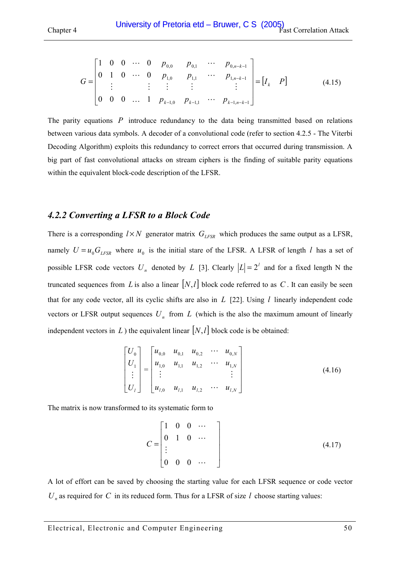<span id="page-49-0"></span>
$$
G = \begin{bmatrix} 1 & 0 & 0 & \cdots & 0 & p_{0,0} & p_{0,1} & \cdots & p_{0,n-k-1} \\ 0 & 1 & 0 & \cdots & 0 & p_{1,0} & p_{1,1} & \cdots & p_{1,n-k-1} \\ \vdots & \vdots & \vdots & \vdots & \vdots & & \vdots \\ 0 & 0 & 0 & \cdots & 1 & p_{k-1,0} & p_{k-1,1} & \cdots & p_{k-1,n-k-1} \end{bmatrix} = [I_k \quad P] \tag{4.15}
$$

The parity equations *P* introduce redundancy to the data being transmitted based on relations between various data symbols. A decoder of a convolutional code (refer to section [4.2.5](#page-62-0) - [The Viterbi](#page-62-0)  [Decoding Algorithm\)](#page-62-0) exploits this redundancy to correct errors that occurred during transmission. A big part of fast convolutional attacks on stream ciphers is the finding of suitable parity equations within the equivalent block-code description of the LFSR.

## *4.2.2 Converting a LFSR to a Block Code*

There is a corresponding  $l \times N$  generator matrix  $G_{LFSR}$  which produces the same output as a LFSR, namely  $U = u_0 G_{LFSR}$  where  $u_0$  is the initial stare of the LFSR. A LFSR of length *l* has a set of possible LFSR code vectors  $U_n$  denoted by *L* [\[3\].](#page-119-0) Clearly  $|L| = 2^l$  and for a fixed length N the truncated sequences from *L* is also a linear  $[N, l]$  block code referred to as *C*. It can easily be seen that for any code vector, all its cyclic shifts are also in *L* [\[22\].](#page-120-0) Using *l* linearly independent code vectors or LFSR output sequences  $U_n$  from  $L$  (which is the also the maximum amount of linearly independent vectors in L ) the equivalent linear  $[N, l]$  block code is be obtained:

$$
\begin{bmatrix} U_0 \\ U_1 \\ \vdots \\ U_l \end{bmatrix} = \begin{bmatrix} u_{0,0} & u_{0,1} & u_{0,2} & \cdots & u_{0,N} \\ u_{1,0} & u_{1,1} & u_{1,2} & \cdots & u_{1,N} \\ \vdots & \vdots & & \vdots \\ u_{l,0} & u_{l,1} & u_{l,2} & \cdots & u_{l,N} \end{bmatrix}
$$
(4.16)

The matrix is now transformed to its systematic form to

$$
C = \begin{bmatrix} 1 & 0 & 0 & \cdots \\ 0 & 1 & 0 & \cdots \\ \vdots & & & \\ 0 & 0 & 0 & \cdots \end{bmatrix}
$$
 (4.17)

A lot of effort can be saved by choosing the starting value for each LFSR sequence or code vector  $U_n$  as required for  $C$  in its reduced form. Thus for a LFSR of size  $l$  choose starting values: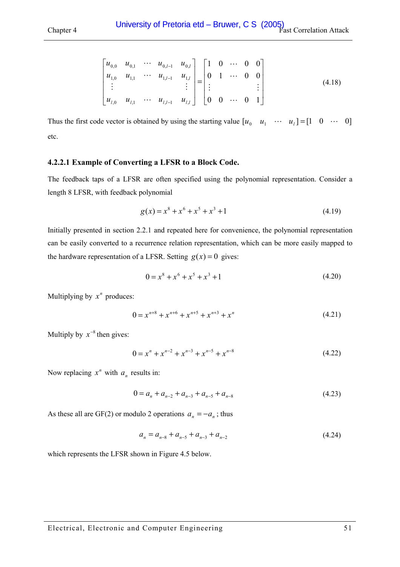<span id="page-50-0"></span>
$$
\begin{bmatrix} u_{0,0} & u_{0,1} & \cdots & u_{0,l-1} & u_{0,l} \\ u_{1,0} & u_{1,1} & \cdots & u_{1,l-1} & u_{1,l} \\ \vdots & & & \vdots \\ u_{l,0} & u_{l,1} & \cdots & u_{l,l-1} & u_{l,l} \end{bmatrix} = \begin{bmatrix} 1 & 0 & \cdots & 0 & 0 \\ 0 & 1 & \cdots & 0 & 0 \\ \vdots & & & \vdots \\ 0 & 0 & \cdots & 0 & 1 \end{bmatrix}
$$
(4.18)

Thus the first code vector is obtained by using the starting value  $\begin{bmatrix} u_0 & u_1 & \cdots & u_l \end{bmatrix} = \begin{bmatrix} 1 & 0 & \cdots & 0 \end{bmatrix}$ etc.

#### **4.2.2.1 Example of Converting a LFSR to a Block Code.**

The feedback taps of a LFSR are often specified using the polynomial representation. Consider a length 8 LFSR, with feedback polynomial

$$
g(x) = x^8 + x^6 + x^5 + x^3 + 1\tag{4.19}
$$

Initially presented in section [2.2.1](#page-16-0) and repeated here for convenience, the polynomial representation can be easily converted to a recurrence relation representation, which can be more easily mapped to the hardware representation of a LFSR. Setting  $g(x) = 0$  gives:

$$
0 = x^8 + x^6 + x^5 + x^3 + 1 \tag{4.20}
$$

Multiplying by  $x^n$  produces:

$$
0 = x^{n+8} + x^{n+6} + x^{n+5} + x^{n+3} + x^n
$$
\n(4.21)

Multiply by  $x^{-8}$  then gives:

$$
0 = x^{n} + x^{n-2} + x^{n-3} + x^{n-5} + x^{n-8}
$$
 (4.22)

Now replacing  $x^n$  with  $a_n$  results in:

$$
0 = a_n + a_{n-2} + a_{n-3} + a_{n-5} + a_{n-8}
$$
\n
$$
(4.23)
$$

As these all are GF(2) or modulo 2 operations  $a_n = -a_n$ ; thus

$$
a_n = a_{n-8} + a_{n-5} + a_{n-3} + a_{n-2}
$$
\n
$$
(4.24)
$$

which represents the LFSR shown in [Figure 4.5 below.](#page-51-0)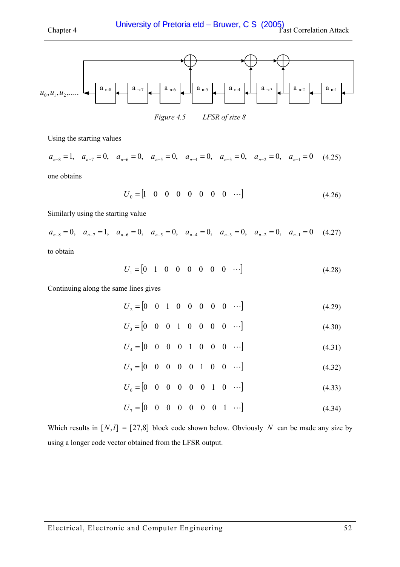<span id="page-51-0"></span>

*Figure 4.5 LFSR of size 8* 

Using the starting values

$$
a_{n-8} = 1
$$
,  $a_{n-7} = 0$ ,  $a_{n-6} = 0$ ,  $a_{n-5} = 0$ ,  $a_{n-4} = 0$ ,  $a_{n-3} = 0$ ,  $a_{n-2} = 0$ ,  $a_{n-1} = 0$  (4.25)

one obtains

$$
U_0 = \begin{bmatrix} 1 & 0 & 0 & 0 & 0 & 0 & 0 & 0 & \cdots \end{bmatrix}
$$
 (4.26)

Similarly using the starting value

$$
a_{n-8} = 0
$$
,  $a_{n-7} = 1$ ,  $a_{n-6} = 0$ ,  $a_{n-5} = 0$ ,  $a_{n-4} = 0$ ,  $a_{n-3} = 0$ ,  $a_{n-2} = 0$ ,  $a_{n-1} = 0$  (4.27)

to obtain

$$
U_1 = [0 \quad 1 \quad 0 \quad 0 \quad 0 \quad 0 \quad 0 \quad 0 \quad \cdots]
$$
 (4.28)

Continuing along the same lines gives

| $U_2 = [0 \ 0 \ 1 \ 0 \ 0 \ 0 \ 0 \ 0 \ \cdots]$ |  |  |  |  |  | (4.29) |
|--------------------------------------------------|--|--|--|--|--|--------|
|                                                  |  |  |  |  |  |        |

$$
U_3 = \begin{bmatrix} 0 & 0 & 0 & 1 & 0 & 0 & 0 & 0 & \cdots \end{bmatrix}
$$
 (4.30)

$$
U_4 = \begin{bmatrix} 0 & 0 & 0 & 0 & 1 & 0 & 0 & 0 & \cdots \end{bmatrix}
$$
 (4.31)

$$
U_5 = \begin{bmatrix} 0 & 0 & 0 & 0 & 0 & 1 & 0 & 0 & \cdots \end{bmatrix}
$$
 (4.32)

$$
U_6 = [0 \quad 0 \quad 0 \quad 0 \quad 0 \quad 0 \quad 1 \quad 0 \quad \cdots]
$$
 (4.33)

$$
U_7 = [0 \ 0 \ 0 \ 0 \ 0 \ 0 \ 0 \ 1 \ \cdots] \tag{4.34}
$$

Which results in  $[N, l] = [27, 8]$  block code shown below. Obviously *N* can be made any size by using a longer code vector obtained from the LFSR output.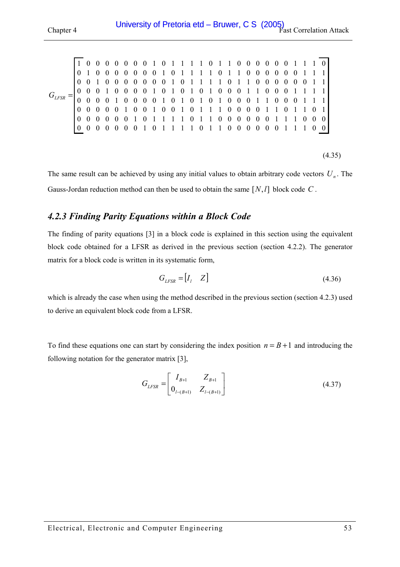<span id="page-52-0"></span> 1 0 0 0 0 0 0 0 1 0 1 1 1 1 0 1 1 0 0 0 0 0 0 1 1 1 0 0 1 0 0 0 0 0 0 0 1 0 1 1 1 1 0 1 1 0 0 0 0 0 0 1 1 1 0 0 1 0 0 0 0 0 0 0 1 0 1 1 1 1 0 1 1 0 0 0 0 0 0 1 1  $G_{LFSR} = \begin{bmatrix} 0 & 0 & 0 & 1 & 0 & 0 & 0 & 0 & 1 & 0 & 1 & 0 & 1 & 0 & 1 & 0 & 0 & 0 & 0 & 1 & 1 & 1 & 1 \\ 0 & 0 & 0 & 0 & 1 & 0 & 0 & 0 & 0 & 1 & 0 & 1 & 0 & 1 & 0 & 0 & 0 & 0 & 0 & 1 & 1 & 1 & 1 \end{bmatrix}$  0 0 0 0 0 1 0 0 1 0 0 1 0 1 1 1 0 0 0 0 1 1 0 1 1 0 1 0 0 0 0 0 0 1 0 1 1 1 1 0 1 1 0 0 0 0 0 0 1 1 1 0 0 0 0 0 0 0 0 0 0 1 0 1 1 1 1 0 1 1 0 0 0 0 0 0 1 1 1 0 0

 $(4.35)$ 

The same result can be achieved by using any initial values to obtain arbitrary code vectors  $U_n$ . The Gauss-Jordan reduction method can then be used to obtain the same [*N*,*l*] block code *C* .

## *4.2.3 Finding Parity Equations within a Block Code*

The finding of parity equations [\[3\]](#page-119-0) in a block code is explained in this section using the equivalent block code obtained for a LFSR as derived in the previous section (section [4.2.2\)](#page-49-0). The generator matrix for a block code is written in its systematic form,

$$
G_{LFSR} = \begin{bmatrix} I_l & Z \end{bmatrix} \tag{4.36}
$$

which is already the case when using the method described in the previous section (section 4.2.3) used to derive an equivalent block code from a LFSR.

To find these equations one can start by considering the index position  $n = B + 1$  and introducing the following notation for the generator matrix [\[3\],](#page-119-0)

$$
G_{LFSR} = \begin{bmatrix} I_{B+1} & Z_{B+1} \\ 0_{L-(B+1)} & Z_{L-(B+1)} \end{bmatrix}
$$
(4.37)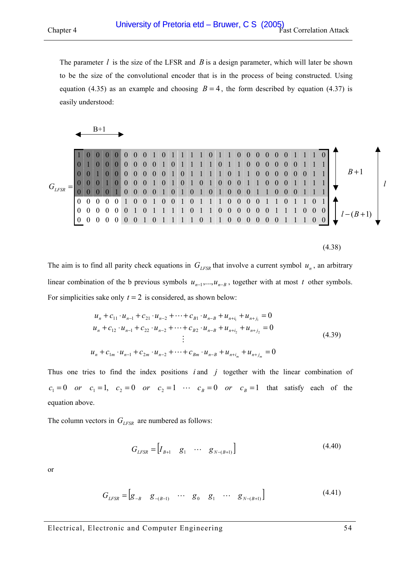<span id="page-53-0"></span>The parameter *l* is the size of the LFSR and *B* is a design parameter, which will later be shown to be the size of the convolutional encoder that is in the process of being constructed. Using equation [\(4.35\)](#page-52-0) as an example and choosing  $B = 4$ , the form described by equation [\(4.37\)](#page-52-0) is easily understood:



|            |  |  |  |          | $0 1 0 1 1 1 1 0 1 1 0 0 0$ |  |  |  |                     |                | $\bf{0}$                                        |          |                  |  |                  |  |       |  |
|------------|--|--|--|----------|-----------------------------|--|--|--|---------------------|----------------|-------------------------------------------------|----------|------------------|--|------------------|--|-------|--|
|            |  |  |  |          |                             |  |  |  | $0$ 1 1 1 1 0 1 1 0 | $\overline{0}$ | $\theta$                                        |          |                  |  |                  |  |       |  |
|            |  |  |  |          | 0 0 1 0 1 1 1 1 0 1 1 0     |  |  |  |                     |                |                                                 | $\bf{0}$ | $\theta$         |  |                  |  | $B+1$ |  |
|            |  |  |  | $\theta$ |                             |  |  |  |                     |                | $1 \t0 \t1 \t0 \t1 \t0 \t1 \t0 \t0 \t1 \t1 \t0$ | $\bf{0}$ |                  |  |                  |  |       |  |
| $G_{LFSR}$ |  |  |  |          |                             |  |  |  |                     |                |                                                 |          |                  |  |                  |  |       |  |
|            |  |  |  |          | $0$ 1 0 0 1 0 1 1 1 0 0 0   |  |  |  |                     | $\theta$       |                                                 |          | $\boldsymbol{0}$ |  |                  |  |       |  |
|            |  |  |  |          | $1$ 1 1 1 0 1 1 0 0 0 0     |  |  |  |                     | $\theta$       | $\vert 0 \vert$                                 |          |                  |  |                  |  |       |  |
|            |  |  |  |          | 1 1 1 1 0 1 1 0 0 0 0       |  |  |  |                     |                | $\overline{0}$                                  |          |                  |  | $\left( \right)$ |  |       |  |



The aim is to find all parity check equations in  $G_{LFSR}$  that involve a current symbol  $u_n$ , an arbitrary linear combination of the b previous symbols  $u_{n-1},...,u_{n-B}$ , together with at most *t* other symbols. For simplicities sake only  $t = 2$  is considered, as shown below:

$$
u_{n} + c_{11} \cdot u_{n-1} + c_{21} \cdot u_{n-2} + \dots + c_{B1} \cdot u_{n-B} + u_{n+i_{1}} + u_{n+j_{1}} = 0
$$
  
\n
$$
u_{n} + c_{12} \cdot u_{n-1} + c_{22} \cdot u_{n-2} + \dots + c_{B2} \cdot u_{n-B} + u_{n+i_{2}} + u_{n+j_{2}} = 0
$$
  
\n
$$
\vdots
$$
  
\n
$$
u_{n} + c_{1m} \cdot u_{n-1} + c_{2m} \cdot u_{n-2} + \dots + c_{Bm} \cdot u_{n-B} + u_{n+i_{m}} + u_{n+j_{m}} = 0
$$
\n(4.39)

Thus one tries to find the index positions *i* and *j* together with the linear combination of  $c_1 = 0$  *or*  $c_1 = 1$ ,  $c_2 = 0$  *or*  $c_2 = 1$   $\cdots$   $c_B = 0$  *or*  $c_B = 1$  that satisfy each of the equation above.

The column vectors in  $G_{LFSR}$  are numbered as follows:

$$
G_{LFSR} = [I_{B+1} \quad g_1 \quad \cdots \quad g_{N-(B+1)}]
$$
(4.40)

or

$$
G_{LFSR} = [g_{-B} \quad g_{-(B-1)} \quad \cdots \quad g_0 \quad g_1 \quad \cdots \quad g_{N-(B+1)}]
$$
(4.41)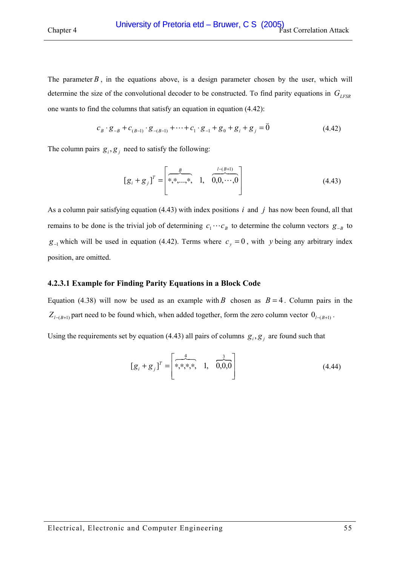<span id="page-54-0"></span>The parameter  $B$ , in the equations above, is a design parameter chosen by the user, which will determine the size of the convolutional decoder to be constructed. To find parity equations in  $G_{LFSR}$ one wants to find the columns that satisfy an equation in equation (4.42):

$$
c_B \cdot g_{-B} + c_{(B-1)} \cdot g_{-(B-1)} + \dots + c_1 \cdot g_{-1} + g_0 + g_i + g_j = \vec{0}
$$
\n(4.42)

The column pairs  $g_i$ ,  $g_j$  need to satisfy the following:

$$
[g_i + g_j]^T = \begin{bmatrix} \frac{B}{*,*,...,*,} & 1, & \frac{I - (B+1)}{0,0,...,0} \\ 0, & \cdots, & 0 \end{bmatrix}
$$
 (4.43)

As a column pair satisfying equation (4.43) with index positions *i* and *j* has now been found, all that remains to be done is the trivial job of determining  $c_1 \cdots c_B$  to determine the column vectors  $g_{-B}$  to *g*<sub>−1</sub> which will be used in equation (4.42). Terms where  $c_y = 0$ , with *y* being any arbitrary index position, are omitted.

#### **4.2.3.1 Example for Finding Parity Equations in a Block Code**

Equation [\(4.38\)](#page-53-0) will now be used as an example with *B* chosen as  $B = 4$ . Column pairs in the  $Z$ <sub>*l*−(*B*+1)</sub> part need to be found which, when added together, form the zero column vector  $0$ <sub>*l*−(*B*+1)</sub>.

Using the requirements set by equation (4.43) all pairs of columns  $g_i$ ,  $g_j$  are found such that

$$
[g_i + g_j]^T = \begin{bmatrix} \frac{4}{*,*,*,*,} & 1, & \frac{3}{0,0,0} \end{bmatrix}
$$
 (4.44)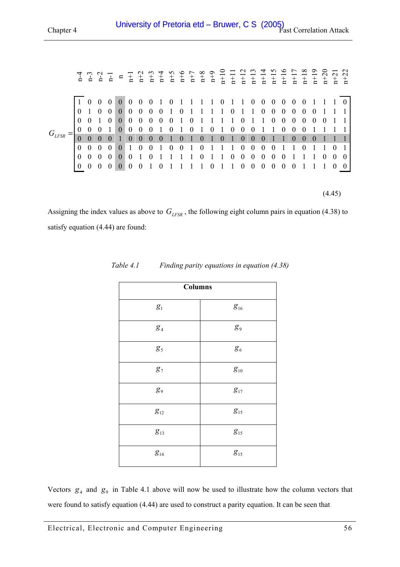<span id="page-55-0"></span>

|            |          |              |                |                 |                                              |                |                  |            |                 |              |                                                                                         |              |                                     |                 |                |                                 |                  |                  |                |                  |          |          |          |          | $\frac{1}{1}$ $\frac{1}{1}$ $\frac{1}{1}$ $\frac{1}{1}$ $\frac{1}{1}$ $\frac{1}{1}$ $\frac{1}{1}$ $\frac{1}{1}$ $\frac{1}{1}$ $\frac{1}{1}$ $\frac{1}{1}$ $\frac{1}{1}$ $\frac{1}{1}$ $\frac{1}{1}$ $\frac{1}{1}$ $\frac{1}{1}$ $\frac{1}{1}$ $\frac{1}{1}$ $\frac{1}{1}$ $\frac{1}{1}$ $\frac{1}{1}$ $\frac{1}{1}$ |                |
|------------|----------|--------------|----------------|-----------------|----------------------------------------------|----------------|------------------|------------|-----------------|--------------|-----------------------------------------------------------------------------------------|--------------|-------------------------------------|-----------------|----------------|---------------------------------|------------------|------------------|----------------|------------------|----------|----------|----------|----------|---------------------------------------------------------------------------------------------------------------------------------------------------------------------------------------------------------------------------------------------------------------------------------------------------------------------|----------------|
|            |          | $\mathbf{0}$ | $\theta$       | $\vert 0 \vert$ | $\overline{0}$                               | $\overline{0}$ | $\boldsymbol{0}$ | - 1        |                 |              | $0$ 1 1 1 1 0                                                                           |              |                                     |                 |                | $1\quad1\quad0$                 |                  | $\overline{0}$   | $\bf{0}$       | $\bf{0}$         | $\theta$ | $\theta$ |          |          |                                                                                                                                                                                                                                                                                                                     | $\overline{0}$ |
|            |          | $\mathbf{0}$ | $\overline{0}$ | $\mathbf{0}$    | $0\quad 0$                                   |                |                  |            | $0 \t0 \t1 \t0$ |              | $1$ 1 1 1 0 1 1 0                                                                       |              |                                     |                 |                |                                 |                  |                  | $\overline{0}$ | $\overline{0}$   | $\Omega$ | $\theta$ | $\theta$ |          |                                                                                                                                                                                                                                                                                                                     |                |
|            |          |              | $\theta$       | $\mathbf{0}$    | $\begin{matrix} 0 & 0 \\ 0 & 0 \end{matrix}$ |                |                  | $0\quad 0$ | 0 <sub>1</sub>  |              | $\theta$                                                                                |              | $1 \quad 1 \quad 1 \quad 1 \quad 0$ |                 |                |                                 | $1\quad1$        |                  | $\theta$       | $\theta$         | $\Omega$ | $\theta$ | $\theta$ | $\theta$ |                                                                                                                                                                                                                                                                                                                     |                |
| $G_{LFSR}$ | $\theta$ |              |                |                 |                                              |                |                  |            |                 |              | $\begin{array}{cccccccc} 0&1&0&1&0&1&0&1&0&0 \\ \hline 0&0&1&0&1&0&1&0&1&0 \end{array}$ |              |                                     |                 |                |                                 |                  |                  |                | $\boldsymbol{0}$ | $\theta$ | $\Omega$ |          |          |                                                                                                                                                                                                                                                                                                                     |                |
|            |          |              | $\theta$       |                 | $\mathbf{0}$                                 |                |                  |            |                 |              |                                                                                         |              |                                     |                 |                |                                 | $\theta$         | $\Omega$         |                |                  | $\Omega$ | $\Omega$ | $\Omega$ |          |                                                                                                                                                                                                                                                                                                                     |                |
|            | $\Omega$ | $\Omega$     | $\theta$       | $\mathbf{0}$    | 1                                            | $\theta$       | 0 <sub>1</sub>   |            | $\mathbf{0}$    | $\mathbf{0}$ |                                                                                         | $\Omega$     |                                     | $\overline{1}$  | $\overline{1}$ | $\boldsymbol{0}$                | $\mathbf{0}$     | $\theta$         | $\theta$       |                  |          | $\Omega$ |          |          | $\theta$                                                                                                                                                                                                                                                                                                            |                |
|            | $\theta$ | $\mathbf{0}$ | $\overline{0}$ | $\overline{0}$  | $\mathbf{0}$                                 |                | $\theta$         |            |                 |              |                                                                                         | $\mathbf{0}$ |                                     | $1\quad1\quad0$ |                | $\begin{matrix} 0 \end{matrix}$ | $\boldsymbol{0}$ | $\boldsymbol{0}$ | $\theta$       | $\Omega$         |          |          |          | $\theta$ | $\theta$                                                                                                                                                                                                                                                                                                            | $\theta$       |
|            |          | $\Omega$     | $\Omega$       | $\Omega$        | $\Omega$                                     | $\Omega$       |                  | $\theta$   |                 |              |                                                                                         |              | $\theta$                            | $\overline{1}$  | $\overline{1}$ | $\mathbf{0}$                    | $\overline{0}$   | $\overline{0}$   | $\overline{0}$ | $\Omega$         | $\theta$ |          |          |          |                                                                                                                                                                                                                                                                                                                     |                |
|            |          |              |                |                 |                                              |                |                  |            |                 |              |                                                                                         |              |                                     |                 |                |                                 |                  |                  |                |                  |          |          |          |          |                                                                                                                                                                                                                                                                                                                     |                |
|            |          |              |                |                 |                                              |                |                  |            |                 |              |                                                                                         |              |                                     |                 |                |                                 |                  |                  |                |                  |          |          |          |          | (4.45)                                                                                                                                                                                                                                                                                                              |                |

Assigning the index values as above to  $G_{LFSR}$ , the following eight column pairs in equation [\(4.38\) t](#page-53-0)o satisfy equation [\(4.44\) a](#page-54-0)re found:

| <b>Columns</b>               |                              |  |  |  |  |  |  |  |  |  |
|------------------------------|------------------------------|--|--|--|--|--|--|--|--|--|
| $g_{\scriptscriptstyle 1}$   | $g_{16}$                     |  |  |  |  |  |  |  |  |  |
| $g_{\scriptscriptstyle 4}$   | $g_{\scriptscriptstyle{9}}$  |  |  |  |  |  |  |  |  |  |
| $g_{\scriptscriptstyle{5}}$  | $g_{\scriptscriptstyle 6}$   |  |  |  |  |  |  |  |  |  |
| $g_{\scriptscriptstyle 7}$   | $g_{\scriptscriptstyle 10}$  |  |  |  |  |  |  |  |  |  |
| $g_{\scriptscriptstyle{9}}$  | $g_{17}$                     |  |  |  |  |  |  |  |  |  |
| $g_{\scriptscriptstyle{12}}$ | $g_{\scriptscriptstyle{15}}$ |  |  |  |  |  |  |  |  |  |
| $g_{\scriptscriptstyle{13}}$ | $g_{15}$                     |  |  |  |  |  |  |  |  |  |
| $g_{14}$                     | $g_{\scriptscriptstyle{15}}$ |  |  |  |  |  |  |  |  |  |

*Table 4.1 Finding parity equations in equation [\(4.38\)](#page-53-0)* 

Vectors  $g_4$  and  $g_9$  in Table 4.1 above will now be used to illustrate how the column vectors that were found to satisfy equation [\(4.44\) a](#page-54-0)re used to construct a parity equation. It can be seen that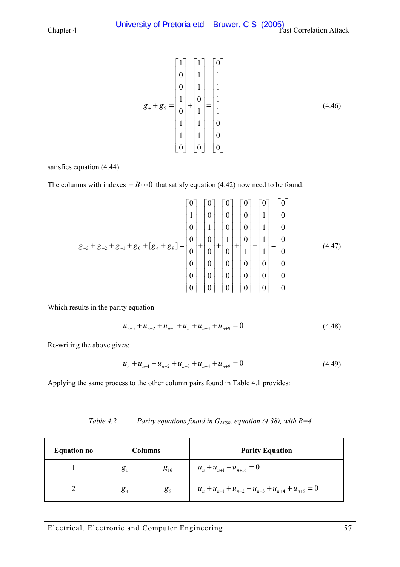<span id="page-56-0"></span>
$$
g_{4} + g_{9} = \begin{bmatrix} 1 \\ 0 \\ 0 \\ 1 \\ 0 \\ 1 \\ 1 \\ 0 \end{bmatrix} + \begin{bmatrix} 1 \\ 1 \\ 1 \\ 0 \\ 1 \\ 1 \\ 0 \\ 0 \end{bmatrix} = \begin{bmatrix} 0 \\ 1 \\ 1 \\ 1 \\ 1 \\ 0 \\ 0 \\ 0 \end{bmatrix}
$$
(4.46)

satisfies equation [\(4.44\).](#page-54-0) 

The columns with indexes  $-B\cdots 0$  that satisfy equation [\(4.42\) n](#page-54-0)ow need to be found:

$$
g_{-3} + g_{-2} + g_{-1} + g_0 + [g_4 + g_9] = \begin{bmatrix} 0 \\ 1 \\ 0 \\ 0 \\ 0 \\ 0 \\ 0 \end{bmatrix} + \begin{bmatrix} 0 \\ 0 \\ 1 \\ 0 \\ 0 \\ 0 \\ 0 \\ 0 \end{bmatrix} + \begin{bmatrix} 0 \\ 0 \\ 0 \\ 1 \\ 0 \\ 0 \\ 0 \\ 0 \end{bmatrix} + \begin{bmatrix} 0 \\ 0 \\ 1 \\ 0 \\ 1 \\ 0 \\ 0 \\ 0 \end{bmatrix} + \begin{bmatrix} 0 \\ 1 \\ 0 \\ 1 \\ 1 \\ 0 \\ 0 \\ 0 \end{bmatrix} + \begin{bmatrix} 0 \\ 0 \\ 1 \\ 1 \\ 1 \\ 0 \\ 0 \\ 0 \end{bmatrix} = \begin{bmatrix} 0 \\ 0 \\ 0 \\ 0 \\ 0 \\ 0 \\ 0 \\ 0 \end{bmatrix}
$$
(4.47)

Which results in the parity equation

$$
u_{n-3} + u_{n-2} + u_{n-1} + u_n + u_{n+4} + u_{n+9} = 0
$$
\n(4.48)

Re-writing the above gives:

$$
u_n + u_{n-1} + u_{n-2} + u_{n-3} + u_{n+4} + u_{n+9} = 0
$$
\n(4.49)

Applying the same process to the other column pairs found in [Table 4.1 p](#page-55-0)rovides:

*Table 4.2 Parity equations found in GLFSR, equation [\(4.38\),](#page-53-0) with B=4* 

| <b>Equation no</b> |                            | <b>Columns</b> | <b>Parity Equation</b>                                      |
|--------------------|----------------------------|----------------|-------------------------------------------------------------|
|                    | $g_{\scriptscriptstyle 1}$ | $g_{16}$       | $u_n + u_{n+1} + u_{n+16} = 0$                              |
|                    | $g_{\scriptscriptstyle 4}$ | g <sub>9</sub> | $u_n + u_{n-1} + u_{n-2} + u_{n-3} + u_{n+4} + u_{n+9} = 0$ |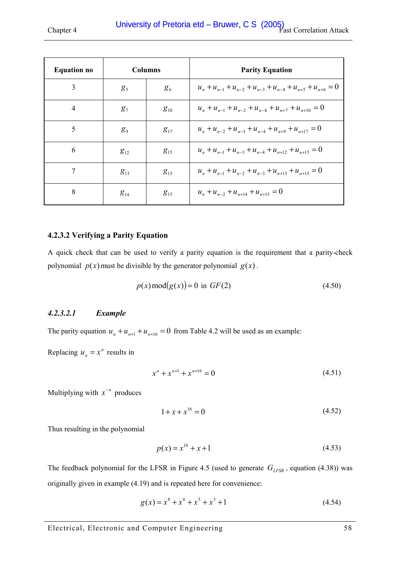<span id="page-57-0"></span>

| <b>Equation no</b> |                | <b>Columns</b> | <b>Parity Equation</b>                                                |  |  |  |  |  |  |
|--------------------|----------------|----------------|-----------------------------------------------------------------------|--|--|--|--|--|--|
| 3                  | g <sub>5</sub> | $g_6$          | $u_n + u_{n-1} + u_{n-2} + u_{n-3} + u_{n-4} + u_{n+5} + u_{n+6} = 0$ |  |  |  |  |  |  |
| $\overline{4}$     | $g_7$          | $g_{10}$       | $u_n + u_{n-1} + u_{n-2} + u_{n-4} + u_{n+7} + u_{n+10} = 0$          |  |  |  |  |  |  |
| 5                  | $g_{9}$        | $g_{17}$       | $u_n + u_{n-2} + u_{n-3} + u_{n-4} + u_{n+9} + u_{n+17} = 0$          |  |  |  |  |  |  |
| 6                  | $g_{12}$       | $g_{15}$       | $u_n + u_{n-1} + u_{n-3} + u_{n-4} + u_{n+12} + u_{n+15} = 0$         |  |  |  |  |  |  |
|                    | $g_{13}$       | $g_{15}$       | $u_n + u_{n-1} + u_{n-2} + u_{n-3} + u_{n+13} + u_{n+15} = 0$         |  |  |  |  |  |  |
| 8                  | $g_{14}$       | $g_{15}$       | $u_n + u_{n-2} + u_{n+14} + u_{n+15} = 0$                             |  |  |  |  |  |  |

### **4.2.3.2 Verifying a Parity Equation**

A quick check that can be used to verify a parity equation is the requirement that a parity-check polynomial  $p(x)$  must be divisible by the generator polynomial  $g(x)$ .

$$
p(x) \operatorname{mod}(g(x)) = 0 \text{ in } GF(2) \tag{4.50}
$$

## *4.2.3.2.1 Example*

The parity equation  $u_n + u_{n+1} + u_{n+16} = 0$  from [Table 4.2](#page-56-0) will be used as an example:

Replacing  $u_n = x^n$  results in

$$
x^n + x^{n+1} + x^{n+16} = 0 \tag{4.51}
$$

Multiplying with  $x^{-n}$  produces

$$
1 + x + x^{16} = 0 \tag{4.52}
$$

Thus resulting in the polynomial

$$
p(x) = x^{16} + x + 1\tag{4.53}
$$

The feedback polynomial for the LFSR in [Figure 4.5](#page-51-0) (used to generate  $G_{LFSR}$ , equation [\(4.38\)\)](#page-53-0) was originally given in example [\(4.19\) a](#page-50-0)nd is repeated here for convenience:

$$
g(x) = x^8 + x^6 + x^5 + x^3 + 1\tag{4.54}
$$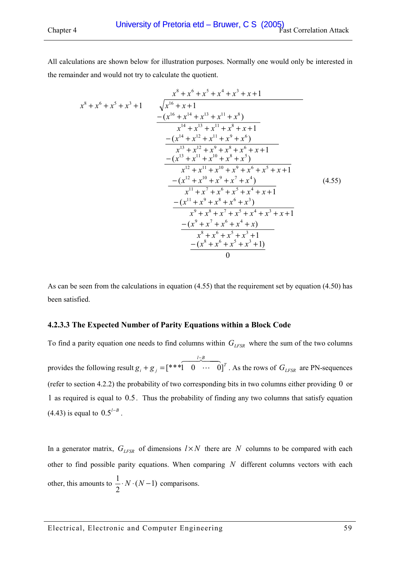All calculations are shown below for illustration purposes. Normally one would only be interested in the remainder and would not try to calculate the quotient.

$$
x^{8} + x^{6} + x^{5} + x^{3} + 1
$$
\n
$$
- (x^{16} + x + 1)
$$
\n
$$
- (x^{16} + x + 1)
$$
\n
$$
- (x^{14} + x^{13} + x^{11} + x^{8})
$$
\n
$$
- (x^{14} + x^{13} + x^{11} + x^{8} + x + 1)
$$
\n
$$
- (x^{14} + x^{12} + x^{11} + x^{9} + x^{6})
$$
\n
$$
- (x^{13} + x^{11} + x^{10} + x^{8} + x^{5})
$$
\n
$$
- (x^{13} + x^{11} + x^{10} + x^{8} + x^{5})
$$
\n
$$
- (x^{12} + x^{11} + x^{10} + x^{9} + x^{6} + x^{5} + x + 1)
$$
\n
$$
- (x^{12} + x^{10} + x^{9} + x^{7} + x^{4})
$$
\n
$$
- (x^{12} + x^{10} + x^{9} + x^{7} + x^{4})
$$
\n
$$
- (x^{11} + x^{9} + x^{8} + x^{6} + x^{3})
$$
\n
$$
x^{9} + x^{8} + x^{7} + x^{5} + x^{4} + x^{3} + x + 1
$$
\n
$$
- (x^{11} + x^{9} + x^{8} + x^{7} + x^{5} + x^{4} + x^{3} + x + 1)
$$
\n
$$
- (x^{9} + x^{7} + x^{6} + x^{4} + x)
$$
\n
$$
- (x^{9} + x^{7} + x^{6} + x^{4} + x)
$$
\n
$$
- (x^{8} + x^{6} + x^{5} + x^{3} + 1)
$$
\n
$$
- (x^{8} + x^{6} + x^{5} + x^{3} + 1)
$$
\n
$$
0
$$
\n0

As can be seen from the calculations in equation (4.55) that the requirement set by equation [\(4.50\) h](#page-57-0)as been satisfied.

#### **4.2.3.3 The Expected Number of Parity Equations within a Block Code**

To find a parity equation one needs to find columns within  $G_{LFSR}$  where the sum of the two columns provides the following result  $g_i + g_j = (***1 \quad 0 \quad \cdots \quad 0]^T$ *l B*  $g_i + g_j = (***1 \ 0 \ \cdots \ 0]$ 647484  $\ddots$ −  $+ g_j = [***1 \quad 0 \quad \cdots \quad 0]^T$ . As the rows of  $G_{LFSR}$  are PN-sequences (refer to section [4.2.2\)](#page-49-0) the probability of two corresponding bits in two columns either providing 0 or 1 as required is equal to 0.5. Thus the probability of finding any two columns that satisfy equation [\(4.43\)](#page-54-0) is equal to  $0.5^{1-B}$ .

In a generator matrix,  $G_{LFSR}$  of dimensions  $l \times N$  there are *N* columns to be compared with each other to find possible parity equations. When comparing *N* different columns vectors with each other, this amounts to  $\frac{1}{2} \cdot N \cdot (N-1)$  comparisons.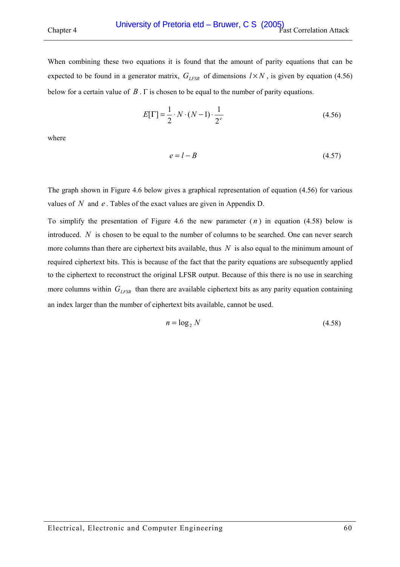When combining these two equations it is found that the amount of parity equations that can be expected to be found in a generator matrix,  $G_{LFSR}$  of dimensions  $l \times N$ , is given by equation (4.56) below for a certain value of *B* . Γ is chosen to be equal to the number of parity equations.

$$
E[\Gamma] = \frac{1}{2} \cdot N \cdot (N - 1) \cdot \frac{1}{2^e}
$$
\n
$$
(4.56)
$$

where

$$
e = l - B \tag{4.57}
$$

The graph shown in [Figure 4.6 below](#page-60-0) gives a graphical representation of equation (4.56) for various values of *N* and *e* . Tables of the exact values are given in Appendix [D.](#page-132-0) 

To simplify the presentation of [Figure 4.6](#page-60-0) the new parameter  $(n)$  in equation (4.58) below is introduced. *N* is chosen to be equal to the number of columns to be searched. One can never search more columns than there are ciphertext bits available, thus *N* is also equal to the minimum amount of required ciphertext bits. This is because of the fact that the parity equations are subsequently applied to the ciphertext to reconstruct the original LFSR output. Because of this there is no use in searching more columns within  $G_{LFSR}$  than there are available ciphertext bits as any parity equation containing an index larger than the number of ciphertext bits available, cannot be used.

$$
n = \log_2 N \tag{4.58}
$$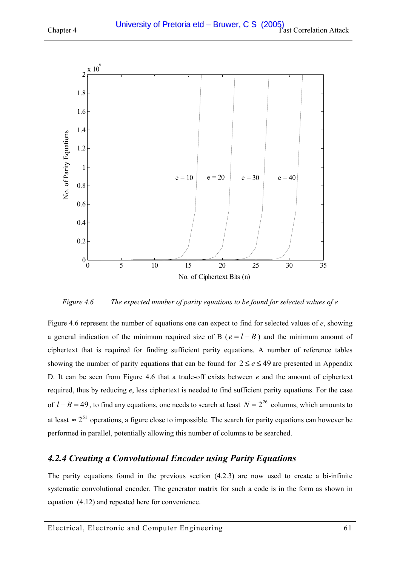<span id="page-60-0"></span>



*Figure 4.6 The expected number of parity equations to be found for selected values of e* 

Figure 4.6 represent the number of equations one can expect to find for selected values of *e*, showing a general indication of the minimum required size of B ( $e = l - B$ ) and the minimum amount of ciphertext that is required for finding sufficient parity equations. A number of reference tables showing the number of parity equations that can be found for  $2 \le e \le 49$  are presented in Appendix [D.](#page-132-0) It can be seen from Figure 4.6 that a trade-off exists between *e* and the amount of ciphertext required, thus by reducing *e*, less ciphertext is needed to find sufficient parity equations. For the case of  $l - B = 49$ , to find any equations, one needs to search at least  $N = 2^{26}$  columns, which amounts to at least  $\approx 2^{51}$  operations, a figure close to impossible. The search for parity equations can however be performed in parallel, potentially allowing this number of columns to be searched.

# *4.2.4 Creating a Convolutional Encoder using Parity Equations*

The parity equations found in the previous section  $(4.2.3)$  $(4.2.3)$  are now used to create a bi-infinite systematic convolutional encoder. The generator matrix for such a code is in the form as shown in equation [\(4.12\)](#page-48-0) and repeated here for convenience.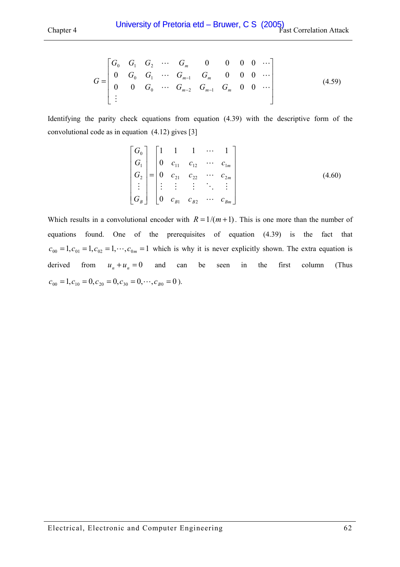$$
G = \begin{bmatrix} G_0 & G_1 & G_2 & \cdots & G_m & 0 & 0 & 0 & 0 & \cdots \\ 0 & G_0 & G_1 & \cdots & G_{m-1} & G_m & 0 & 0 & 0 & \cdots \\ 0 & 0 & G_0 & \cdots & G_{m-2} & G_{m-1} & G_m & 0 & 0 & \cdots \\ \vdots & & & & & & & \end{bmatrix} \tag{4.59}
$$

Identifying the parity check equations from equation [\(4.39\)](#page-53-0) with the descriptive form of the convolutional code as in equation [\(4.12\)](#page-48-0) gives [\[3\]](#page-119-0) 

$$
\begin{bmatrix}\nG_0 \\
G_1 \\
G_2 \\
\vdots \\
G_B\n\end{bmatrix} =\n\begin{bmatrix}\n1 & 1 & 1 & \cdots & 1 \\
0 & c_{11} & c_{12} & \cdots & c_{1m} \\
0 & c_{21} & c_{22} & \cdots & c_{2m} \\
\vdots & \vdots & \vdots & \ddots & \vdots \\
0 & c_{B1} & c_{B2} & \cdots & c_{Bm}\n\end{bmatrix}
$$
\n(4.60)

Which results in a convolutional encoder with  $R = 1/(m+1)$ . This is one more than the number of equations found. One of the prerequisites of equation [\(4.39\)](#page-53-0) is the fact that  $c_{00} = 1, c_{01} = 1, c_{02} = 1, \dots, c_{0m} = 1$  which is why it is never explicitly shown. The extra equation is derived from  $u_n + u_n = 0$  and can be seen in the first column (Thus  $c_{00} = 1, c_{10} = 0, c_{20} = 0, c_{30} = 0, \cdots, c_{B0} = 0$ .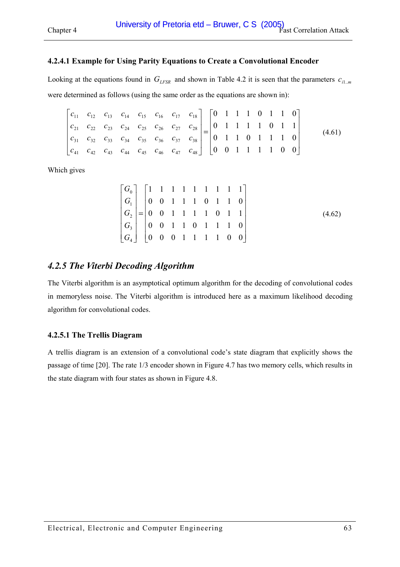### <span id="page-62-0"></span>**4.2.4.1 Example for Using Parity Equations to Create a Convolutional Encoder**

Looking at the equations found in  $G_{LFSR}$  and shown in [Table 4.2](#page-56-0) it is seen that the parameters  $c_{i1..m}$ were determined as follows (using the same order as the equations are shown in):

$$
\begin{bmatrix} c_{11} & c_{12} & c_{13} & c_{14} & c_{15} & c_{16} & c_{17} & c_{18} \ c_{21} & c_{22} & c_{23} & c_{24} & c_{25} & c_{26} & c_{27} & c_{28} \ c_{31} & c_{32} & c_{33} & c_{34} & c_{35} & c_{36} & c_{37} & c_{38} \ c_{41} & c_{42} & c_{43} & c_{44} & c_{45} & c_{46} & c_{47} & c_{48} \end{bmatrix} = \begin{bmatrix} 0 & 1 & 1 & 1 & 0 & 1 & 1 & 0 \ 0 & 1 & 1 & 1 & 1 & 0 & 1 & 1 \ 0 & 1 & 1 & 1 & 1 & 0 & 0 & 1 \ 0 & 0 & 1 & 1 & 1 & 1 & 0 & 0 \ 0 & 0 & 1 & 1 & 1 & 1 & 0 & 0 \end{bmatrix}
$$
(4.61)

Which gives

$$
\begin{bmatrix} G_0 \ G_1 \ G_2 \ G_3 \ G_4 \end{bmatrix} = \begin{bmatrix} 1 & 1 & 1 & 1 & 1 & 1 & 1 & 1 & 1 & 1 \\ 0 & 0 & 1 & 1 & 1 & 0 & 1 & 1 & 0 \\ 0 & 0 & 1 & 1 & 1 & 1 & 0 & 1 & 1 \\ 0 & 0 & 1 & 1 & 0 & 1 & 1 & 1 & 0 \\ 0 & 0 & 0 & 1 & 1 & 1 & 1 & 0 & 0 \end{bmatrix}
$$
(4.62)

# *4.2.5 The Viterbi Decoding Algorithm*

The Viterbi algorithm is an asymptotical optimum algorithm for the decoding of convolutional codes in memoryless noise. The Viterbi algorithm is introduced here as a maximum likelihood decoding algorithm for convolutional codes.

## **4.2.5.1 The Trellis Diagram**

A trellis diagram is an extension of a convolutional code's state diagram that explicitly shows the passage of time [\[20\].](#page-120-0) The rate 1/3 encoder shown in [Figure 4.7](#page-63-0) has two memory cells, which results in the state diagram with four states as shown in [Figure 4.8.](#page-63-0)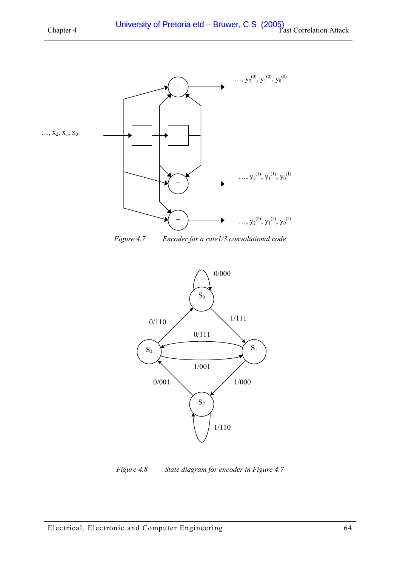<span id="page-63-0"></span>

*Figure 4.7 Encoder for a rate1/3 convolutional code* 



*Figure 4.8 State diagram for encoder in Figure 4.7*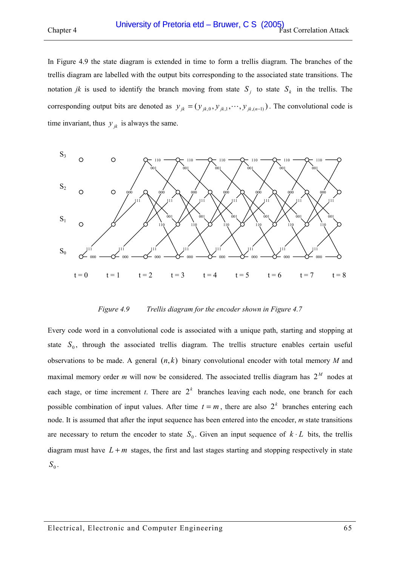In Figure 4.9 the state diagram is extended in time to form a trellis diagram. The branches of the trellis diagram are labelled with the output bits corresponding to the associated state transitions. The notation *jk* is used to identify the branch moving from state  $S_i$  to state  $S_k$  in the trellis. The corresponding output bits are denoted as  $y_{jk} = (y_{jk,0}, y_{jk,1}, \dots, y_{jk,(n-1)})$ . The convolutional code is time invariant, thus  $y_{ik}$  is always the same.



#### *Figure 4.9* Trellis diagram for the encoder shown in Figure 4.7

Every code word in a convolutional code is associated with a unique path, starting and stopping at state  $S_0$ , through the associated trellis diagram. The trellis structure enables certain useful observations to be made. A general  $(n, k)$  binary convolutional encoder with total memory *M* and maximal memory order *m* will now be considered. The associated trellis diagram has  $2^M$  nodes at each stage, or time increment *t*. There are  $2<sup>k</sup>$  branches leaving each node, one branch for each possible combination of input values. After time  $t = m$ , there are also  $2^k$  branches entering each node. It is assumed that after the input sequence has been entered into the encoder, *m* state transitions are necessary to return the encoder to state  $S_0$ . Given an input sequence of  $k \cdot L$  bits, the trellis diagram must have  $L + m$  stages, the first and last stages starting and stopping respectively in state  $S_0$ .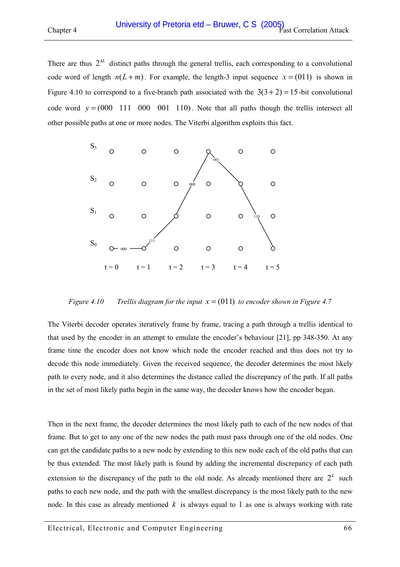There are thus  $2^{k}$  distinct paths through the general trellis, each corresponding to a convolutional code word of length  $n(L+m)$ . For example, the length-3 input sequence  $x = (011)$  is shown in Figure 4.10 to correspond to a five-branch path associated with the  $3(3+2) = 15$ -bit convolutional code word  $y = (000 \t 111 \t 000 \t 001 \t 110)$ . Note that all paths though the trellis intersect all other possible paths at one or more nodes. The Viterbi algorithm exploits this fact.



*Figure 4.10 Trellis diagram for the input x* = (011) *to encoder shown in [Figure 4.7](#page-63-0)* 

The Viterbi decoder operates iteratively frame by frame, tracing a path through a trellis identical to that used by the encoder in an attempt to emulate the encoder's behaviour [\[21\],](#page-120-0) pp 348-350. At any frame time the encoder does not know which node the encoder reached and thus does not try to decode this node immediately. Given the received sequence, the decoder determines the most likely path to every node, and it also determines the distance called the discrepancy of the path. If all paths in the set of most likely paths begin in the same way, the decoder knows how the encoder began.

Then in the next frame, the decoder determines the most likely path to each of the new nodes of that frame. But to get to any one of the new nodes the path must pass through one of the old nodes. One can get the candidate paths to a new node by extending to this new node each of the old paths that can be thus extended. The most likely path is found by adding the incremental discrepancy of each path extension to the discrepancy of the path to the old node. As already mentioned there are  $2<sup>k</sup>$  such paths to each new node, and the path with the smallest discrepancy is the most likely path to the new node. In this case as already mentioned *k* is always equal to 1 as one is always working with rate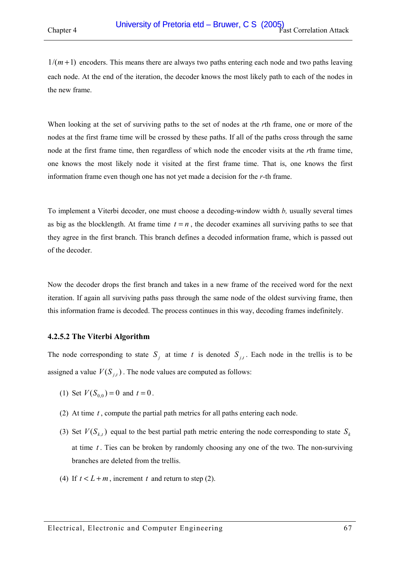$1/(m+1)$  encoders. This means there are always two paths entering each node and two paths leaving each node. At the end of the iteration, the decoder knows the most likely path to each of the nodes in the new frame.

When looking at the set of surviving paths to the set of nodes at the *r*th frame, one or more of the nodes at the first frame time will be crossed by these paths. If all of the paths cross through the same node at the first frame time, then regardless of which node the encoder visits at the *r*th frame time, one knows the most likely node it visited at the first frame time. That is, one knows the first information frame even though one has not yet made a decision for the *r-*th frame.

To implement a Viterbi decoder, one must choose a decoding-window width *b,* usually several times as big as the blocklength. At frame time  $t = n$ , the decoder examines all surviving paths to see that they agree in the first branch. This branch defines a decoded information frame, which is passed out of the decoder.

Now the decoder drops the first branch and takes in a new frame of the received word for the next iteration. If again all surviving paths pass through the same node of the oldest surviving frame, then this information frame is decoded. The process continues in this way, decoding frames indefinitely.

### **4.2.5.2 The Viterbi Algorithm**

The node corresponding to state  $S_i$  at time t is denoted  $S_i$ . Each node in the trellis is to be assigned a value  $V(S_{i,t})$ . The node values are computed as follows:

- (1) Set  $V(S_{0,0}) = 0$  and  $t = 0$ .
- (2) At time *t* , compute the partial path metrics for all paths entering each node.
- (3) Set  $V(S_{k,t})$  equal to the best partial path metric entering the node corresponding to state  $S_k$ at time *t* . Ties can be broken by randomly choosing any one of the two. The non-surviving branches are deleted from the trellis.
- (4) If  $t < L + m$ , increment *t* and return to step (2).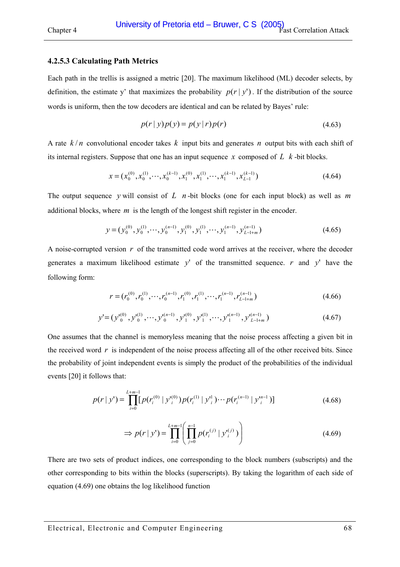#### **4.2.5.3 Calculating Path Metrics**

Each path in the trellis is assigned a metric [\[20\].](#page-120-0) The maximum likelihood (ML) decoder selects, by definition, the estimate y' that maximizes the probability  $p(r | y')$ . If the distribution of the source words is uniform, then the tow decoders are identical and can be related by Bayes' rule:

$$
p(r | y) p(y) = p(y | r) p(r)
$$
\n(4.63)

A rate *k* / *n* convolutional encoder takes *k* input bits and generates *n* output bits with each shift of its internal registers. Suppose that one has an input sequence *x* composed of *L k* -bit blocks.

$$
x = (x_0^{(0)}, x_0^{(1)}, \cdots, x_0^{(k-1)}, x_1^{(0)}, x_1^{(1)}, \cdots, x_1^{(k-1)}, x_{L-1}^{(k-1)})
$$
\n(4.64)

The output sequence *y* will consist of *L n* -bit blocks (one for each input block) as well as *m* additional blocks, where *m* is the length of the longest shift register in the encoder.

$$
y = (y_0^{(0)}, y_0^{(1)}, \cdots, y_0^{(n-1)}, y_1^{(0)}, y_1^{(1)}, \cdots, y_1^{(n-1)}, y_{L-1+m}^{(n-1)})
$$
\n(4.65)

A noise-corrupted version *r* of the transmitted code word arrives at the receiver, where the decoder generates a maximum likelihood estimate *y*' of the transmitted sequence. *r* and *y*' have the following form:

$$
r = (r_0^{(0)}, r_0^{(1)}, \cdots, r_0^{(n-1)}, r_1^{(0)}, r_1^{(1)}, \cdots, r_1^{(n-1)}, r_{L-1+m}^{(n-1)})
$$
(4.66)

$$
y' = (y_0^{(0)}, y_0^{(1)}, \cdots, y_0^{(n-1)}, y_1^{(0)}, y_1^{(1)}, \cdots, y_1^{(n-1)}, y_{L-1+m}^{(n-1)})
$$
\n(4.67)

One assumes that the channel is memoryless meaning that the noise process affecting a given bit in the received word  $r$  is independent of the noise process affecting all of the other received bits. Since the probability of joint independent events is simply the product of the probabilities of the individual events [\[20\] i](#page-120-0)t follows that:

$$
p(r | y') = \prod_{i=0}^{L+m-1} [p(r_i^{(0)} | y_i^{(0)}) p(r_i^{(1)} | y_i^{(1)}) \cdots p(r_i^{(n-1)} | y_i^{(n-1)})]
$$
(4.68)

$$
\Rightarrow p(r \mid y') = \prod_{i=0}^{L+m-1} \left( \prod_{j=0}^{n-1} p(r_i^{(j)} \mid y_i^{(j)}) \right)
$$
(4.69)

There are two sets of product indices, one corresponding to the block numbers (subscripts) and the other corresponding to bits within the blocks (superscripts). By taking the logarithm of each side of equation (4.69) one obtains the log likelihood function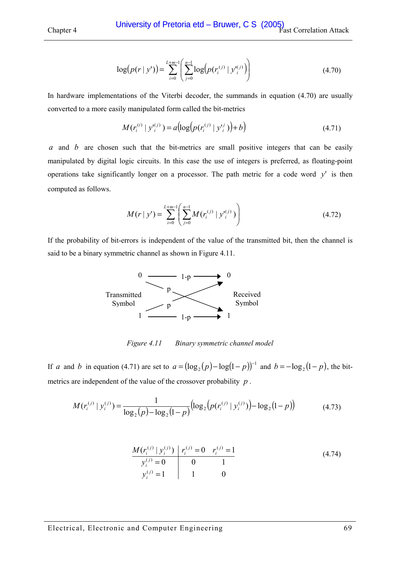$$
\log(p(r \mid y')) = \sum_{i=0}^{L+m-1} \left( \sum_{j=0}^{n-1} \log(p(r_i^{(j)} \mid y_i^{(j)}) \right)
$$
(4.70)

In hardware implementations of the Viterbi decoder, the summands in equation (4.70) are usually converted to a more easily manipulated form called the bit-metrics

$$
M(r_i^{(i)} | y_i^{(j)}) = a(\log(p(r_i^{(j)} | y_i^{(j)})) + b)
$$
\n(4.71)

*a* and *b* are chosen such that the bit-metrics are small positive integers that can be easily manipulated by digital logic circuits. In this case the use of integers is preferred, as floating-point operations take significantly longer on a processor. The path metric for a code word  $y'$  is then computed as follows.

$$
M(r \mid y') = \sum_{i=0}^{L+m-1} \left( \sum_{j=0}^{n-1} M(r_i^{(j)} \mid y_i^{(j)}) \right)
$$
(4.72)

If the probability of bit-errors is independent of the value of the transmitted bit, then the channel is said to be a binary symmetric channel as shown in Figure 4.11.



*Figure 4.11 Binary symmetric channel model* 

If *a* and *b* in equation (4.71) are set to  $a = (\log_2(p) - \log(1-p))^{-1}$  and  $b = -\log_2(1-p)$ , the bitmetrics are independent of the value of the crossover probability *p* .

$$
M(r_i^{(j)} | y_i^{(j)}) = \frac{1}{\log_2(p) - \log_2(1-p)} \big( \log_2\big(p(r_i^{(j)} | y_i^{(j)})\big) - \log_2(1-p)\big) \tag{4.73}
$$

$$
\frac{M(r_i^{(j)} | y_i^{(j)}) | r_i^{(j)} = 0 \r_i^{(j)} = 1 \r_i^{(j)} = 1 \r_i^{(j)} = 1 \r_i^{(j)} = 1 \r_i^{(j)} = 1 \r_i^{(j)} = 1 \r_i^{(j)} = 1 \r_i^{(j)} = 1 \r_i^{(j)} = 1 \r_i^{(j)} = 1 \r_i^{(j)} = 1 \r_i^{(j)} = 1 \r_i^{(j)} = 1 \r_i^{(j)} = 1 \r_i^{(j)} = 1 \r_i^{(j)} = 1 \r_i^{(j)} = 1 \r_i^{(j)} = 1 \r_i^{(j)} = 1 \r_i^{(j)} = 1 \r_i^{(j)} = 1 \r_i^{(j)} = 1 \r_i^{(j)} = 1 \r_i^{(j)} = 1 \r_i^{(j)} = 1 \r_i^{(j)} = 1 \r_i^{(j)} = 1 \r_i^{(j)} = 1 \r_i^{(j)} = 1 \r_i^{(j)} = 1 \r_i^{(j)} = 1 \r_i^{(j)} = 1 \r_i^{(j)} = 1 \r_i^{(j)} = 1 \r_i^{(j)} = 1 \r_i^{(j)} = 1 \r_i^{(j)} = 1 \r_i^{(j)} = 1 \r_i^{(j)} = 1 \r_i^{(j)} = 1 \r_i^{(j)} = 1 \r_i^{(j)} = 1 \r_i^{(j)} = 1 \r_i^{(j)} = 1 \r_i^{(j)} = 1 \r_i^{(j)} = 1 \r_i^{(j)} = 1 \r_i^{(j)} = 1 \r_i^{(j)} = 1 \r_i^{(j)} = 1 \r_i^{(j)} = 1 \r_i^{(j)} = 1 \r_i^{(j)} = 1 \r_i^{(j)} = 1 \r_i^{(j)} = 1 \r_i^{(j)} = 1 \r_i^{(j)} = 1 \r_i^{(j)} = 1 \r_i^{(j)} = 1 \r_i^{(j)} = 1 \r_i^{(j)} = 1 \r_i^{(j)} = 1 \r_i^{(j)} = 1 \r_i^{(j)} = 1 \r_i^{(j)} = 1 \r_i^{(j)} = 1 \r_i^{(j)} = 1 \r_i^{(j)} = 1 \r_i^{(j)} = 1 \r_i^{(j)} = 1 \r_i^{(j)} = 1 \r_i^{(j)} = 1 \r_i^{(j)} = 1 \r_i
$$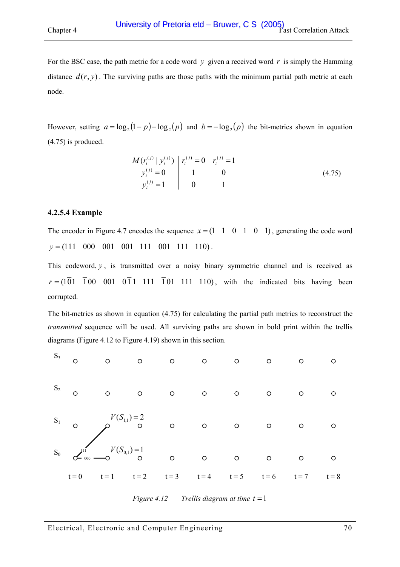<span id="page-69-0"></span>For the BSC case, the path metric for a code word  $y$  given a received word  $r$  is simply the Hamming distance  $d(r, y)$ . The surviving paths are those paths with the minimum partial path metric at each node.

However, setting  $a = \log_2 (1-p) - \log_2 (p)$  and  $b = -\log_2 (p)$  the bit-metrics shown in equation (4.75) is produced.

$$
\frac{M(r_i^{(j)} | y_i^{(j)}) | r_i^{(j)} = 0 \t r_i^{(j)} = 1}{y_i^{(j)} = 1} \n\begin{array}{c|c}\n1 & 0 \\
0 & 1\n\end{array}
$$
\n(4.75)

### **4.2.5.4 Example**

The encoder in [Figure 4.7](#page-63-0) encodes the sequence  $x = (1 \ 1 \ 0 \ 1 \ 0 \ 1)$ , generating the code word  $y = (111 \t 000 \t 001 \t 001 \t 111 \t 001 \t 111 \t 110).$ 

This codeword,  $y$ , is transmitted over a noisy binary symmetric channel and is received as  $r = (101 \ 100 \ 001 \ 011 \ 111 \ 101 \ 111 \ 110)$ , with the indicated bits having been corrupted.

The bit-metrics as shown in equation (4.75) for calculating the partial path metrics to reconstruct the *transmitted* sequence will be used. All surviving paths are shown in bold print within the trellis diagrams (Figure 4.12 to [Figure 4.19\)](#page-73-0) shown in this section.



*Figure 4.12 Trellis diagram at time*  $t = 1$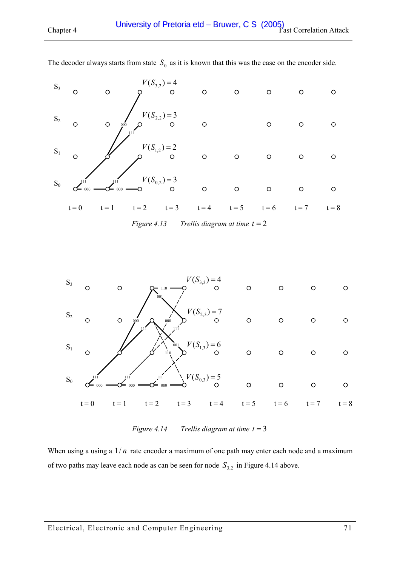| $S_0$ | 111<br>$\sigma$ 000 | 111            | $V(S_{0,2}) = 3$<br>$\Omega$ | $\circ$ | $\circ$ | $\circ$ | $\circ$ | $\circ$ |
|-------|---------------------|----------------|------------------------------|---------|---------|---------|---------|---------|
| $S_1$ |                     |                | $V(S_{1,2}) = 2$<br>◯        | $\circ$ | $\circ$ | $\circ$ | $\circ$ | ∩       |
| $S_2$ | O                   | $\circ$<br>000 | $V(S_{2,2}) = 3$<br>$\circ$  | $\circ$ |         | O       | Ω       | ∩       |
| $S_3$ | O                   | O              | $V(S_{3,2})=4$<br>∩          | $\circ$ | $\circ$ | O       | $\circ$ | ◯       |

The decoder always starts from state  $S_0$  as it is known that this was the case on the encoder side.





*Figure 4.14 Trellis diagram at time t* = 3

When using a using a  $1/n$  rate encoder a maximum of one path may enter each node and a maximum of two paths may leave each node as can be seen for node  $S_{3,2}$  in Figure 4.14 above.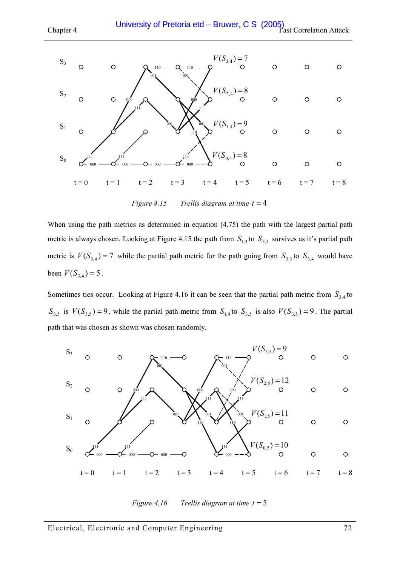

*Figure 4.15 Trellis diagram at time t* = 4

When using the path metrics as determined in equation [\(4.75\)](#page-69-0) the path with the largest partial path metric is always chosen. Looking at Figure 4.15 the path from  $S<sub>1,3</sub>$  to  $S<sub>3,4</sub>$  survives as it's partial path metric is  $V(S_{3,4}) = 7$  while the partial path metric for the path going from  $S_{3,3}$  to  $S_{3,4}$  would have been  $V(S_{3,4}) = 5$ .

Sometimes ties occur. Looking at Figure 4.16 it can be seen that the partial path metric from  $S_{3,4}$  to  $S_{3,5}$  is  $V(S_{3,5}) = 9$ , while the partial path metric from  $S_{1,4}$  to  $S_{3,5}$  is also  $V(S_{3,5}) = 9$ . The partial path that was chosen as shown was chosen randomly.



*Figure 4.16 Trellis diagram at time t* = 5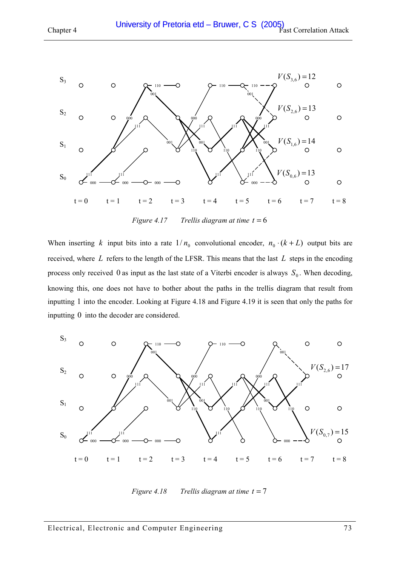

*Figure 4.17* Trellis diagram at time  $t = 6$ 

When inserting *k* input bits into a rate  $1/n_0$  convolutional encoder,  $n_0 \cdot (k + L)$  output bits are received, where *L* refers to the length of the LFSR. This means that the last *L* steps in the encoding process only received 0 as input as the last state of a Viterbi encoder is always  $S_0$ . When decoding, knowing this, one does not have to bother about the paths in the trellis diagram that result from inputting 1 into the encoder. Looking at Figure 4.18 and [Figure 4.19](#page-73-0) it is seen that only the paths for inputting 0 into the decoder are considered.



*Figure 4.18 Trellis diagram at time t* = 7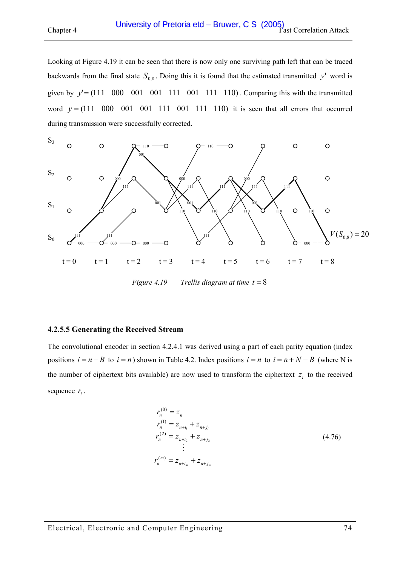<span id="page-73-0"></span>

Looking at Figure 4.19 it can be seen that there is now only one surviving path left that can be traced backwards from the final state  $S_{0.8}$ . Doing this it is found that the estimated transmitted *y*' word is given by  $y' = (111 \ 000 \ 001 \ 001 \ 111 \ 001 \ 111 \ 110)$ . Comparing this with the transmitted word  $y = (111 \ 000 \ 001 \ 001 \ 111 \ 001 \ 111 \ 110)$  it is seen that all errors that occurred during transmission were successfully corrected.



*Figure 4.19 Trellis diagram at time t* = 8

#### **4.2.5.5 Generating the Received Stream**

The convolutional encoder in section [4.2.4.1](#page-62-0) was derived using a part of each parity equation (index positions  $i = n - B$  to  $i = n$ ) shown in [Table 4.2.](#page-56-0) Index positions  $i = n$  to  $i = n + N - B$  (where N is the number of ciphertext bits available) are now used to transform the ciphertext  $z_i$  to the received sequence  $r_i$ .

$$
r_n^{(0)} = z_n
$$
  
\n
$$
r_n^{(1)} = z_{n+i_i} + z_{n+j_i}
$$
  
\n
$$
r_n^{(2)} = z_{n+i_2} + z_{n+j_2}
$$
  
\n
$$
\vdots
$$
  
\n
$$
r_n^{(m)} = z_{n+i_m} + z_{n+j_m}
$$
  
\n(4.76)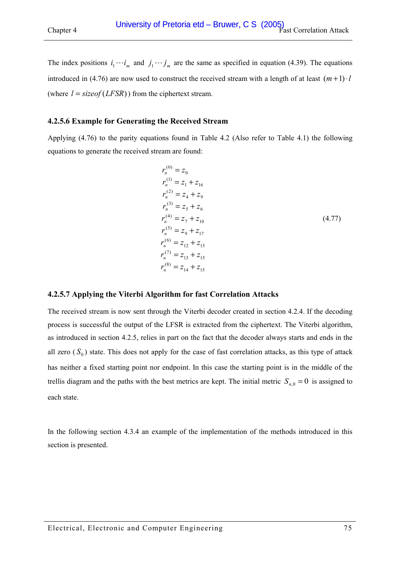<span id="page-74-0"></span>The index positions  $i_1 \cdots i_m$  and  $j_1 \cdots j_m$  are the same as specified in equation [\(4.39\).](#page-53-0) The equations introduced in [\(4.76\)](#page-73-0) are now used to construct the received stream with a length of at least  $(m+1) \cdot l$ (where  $l = \text{sizeof}(LFSR)$ ) from the ciphertext stream.

#### **4.2.5.6 Example for Generating the Received Stream**

Applying [\(4.76\)](#page-73-0) to the parity equations found in [Table 4.2](#page-56-0) (Also refer to [Table 4.1\)](#page-55-0) the following equations to generate the received stream are found:

$$
r_n^{(0)} = z_0
$$
  
\n
$$
r_n^{(1)} = z_1 + z_{16}
$$
  
\n
$$
r_n^{(2)} = z_4 + z_9
$$
  
\n
$$
r_n^{(3)} = z_5 + z_6
$$
  
\n
$$
r_n^{(4)} = z_7 + z_{10}
$$
  
\n
$$
r_n^{(5)} = z_9 + z_{17}
$$
  
\n
$$
r_n^{(6)} = z_{12} + z_{15}
$$
  
\n
$$
r_n^{(7)} = z_{13} + z_{15}
$$
  
\n
$$
r_n^{(8)} = z_{14} + z_{15}
$$

#### **4.2.5.7 Applying the Viterbi Algorithm for fast Correlation Attacks**

The received stream is now sent through the Viterbi decoder created in section [4.2.4.](#page-60-0) If the decoding process is successful the output of the LFSR is extracted from the ciphertext. The Viterbi algorithm, as introduced in section [4.2.5,](#page-62-0) relies in part on the fact that the decoder always starts and ends in the all zero  $(S_0)$  state. This does not apply for the case of fast correlation attacks, as this type of attack has neither a fixed starting point nor endpoint. In this case the starting point is in the middle of the trellis diagram and the paths with the best metrics are kept. The initial metric  $S_{n,0} = 0$  is assigned to each state.

In the following section [4.3.4](#page-79-0) an example of the implementation of the methods introduced in this section is presented.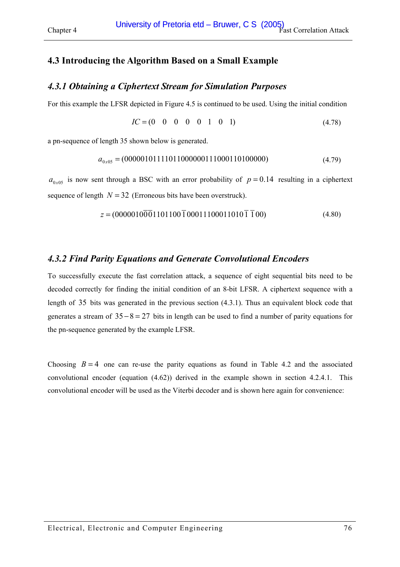# <span id="page-75-0"></span>**4.3 Introducing the Algorithm Based on a Small Example**

## *4.3.1 Obtaining a Ciphertext Stream for Simulation Purposes*

For this example the LFSR depicted in [Figure 4.5](#page-51-0) is continued to be used. Using the initial condition

$$
IC = (0 \quad 0 \quad 0 \quad 0 \quad 0 \quad 1 \quad 0 \quad 1) \tag{4.78}
$$

a pn-sequence of length 35 shown below is generated.

$$
a_{0x05} = (00000101111011000000111000110100000) \tag{4.79}
$$

 $a_{0x05}$  is now sent through a BSC with an error probability of  $p = 0.14$  resulting in a ciphertext sequence of length  $N = 32$  (Erroneous bits have been overstruck).

$$
z = (00000100001101100010001110001101010100)
$$
\n(4.80)

## *4.3.2 Find Parity Equations and Generate Convolutional Encoders*

To successfully execute the fast correlation attack, a sequence of eight sequential bits need to be decoded correctly for finding the initial condition of an 8-bit LFSR. A ciphertext sequence with a length of 35 bits was generated in the previous section (4.3.1). Thus an equivalent block code that generates a stream of  $35 - 8 = 27$  bits in length can be used to find a number of parity equations for the pn-sequence generated by the example LFSR.

Choosing  $B = 4$  one can re-use the parity equations as found in [Table 4.2](#page-56-0) and the associated convolutional encoder (equation [\(4.62\)\)](#page-62-0) derived in the example shown in section [4.2.4.1.](#page-62-0) This convolutional encoder will be used as the Viterbi decoder and is shown here again for convenience: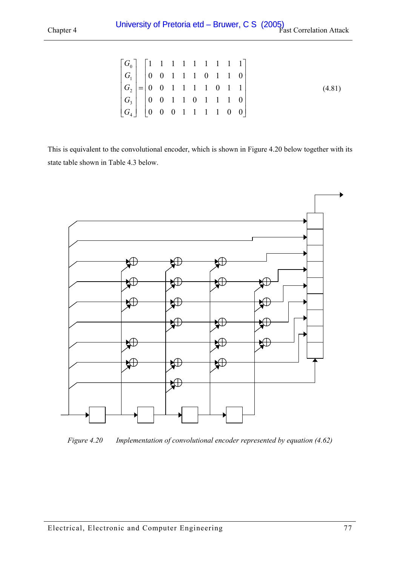<span id="page-76-0"></span>

|  |  |  | $\begin{bmatrix} G_0 \\ G_1 \\ G_2 \\ G_3 \\ G_4 \end{bmatrix} = \begin{bmatrix} 1 & 1 & 1 & 1 & 1 & 1 & 1 & 1 & 1 \\ 0 & 0 & 1 & 1 & 1 & 0 & 1 & 1 & 0 \\ 0 & 0 & 1 & 1 & 1 & 1 & 0 & 1 & 1 \\ 0 & 0 & 1 & 1 & 0 & 1 & 1 & 1 & 0 \\ 0 & 0 & 0 & 1 & 1 & 1 & 1 & 0 & 0 \end{bmatrix}$ |  |  |
|--|--|--|---------------------------------------------------------------------------------------------------------------------------------------------------------------------------------------------------------------------------------------------------------------------------------------|--|--|

This is equivalent to the convolutional encoder, which is shown in Figure 4.20 below together with its state table shown in [Table 4.3 below.](#page-77-0) 



*Figure 4.20 Implementation of convolutional encoder represented by equation [\(4.62\)](#page-62-0)*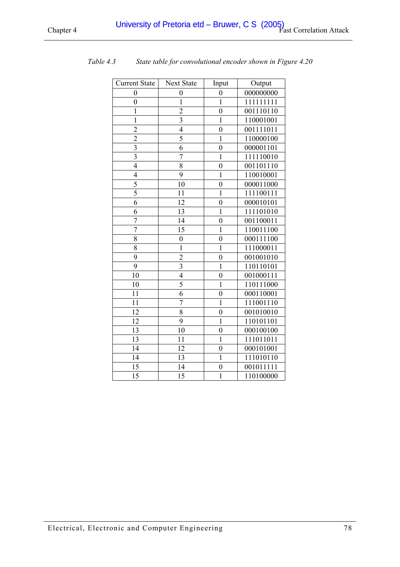| <b>Current State</b>    | <b>Next State</b> | Input            | Output    |
|-------------------------|-------------------|------------------|-----------|
| $\overline{0}$          | $\overline{0}$    | $\boldsymbol{0}$ | 000000000 |
| $\overline{0}$          | $\mathbf{1}$      | $\mathbf{1}$     | 111111111 |
| $\mathbf{1}$            | $\overline{c}$    | $\overline{0}$   | 001110110 |
| $\mathbf{1}$            | $\overline{3}$    | $\mathbf{1}$     | 110001001 |
| $\overline{2}$          | $\overline{4}$    | $\overline{0}$   | 001111011 |
| $\overline{c}$          | 5                 | $\mathbf{1}$     | 110000100 |
| $\overline{3}$          | 6                 | $\overline{0}$   | 000001101 |
| $\overline{\mathbf{3}}$ | 7                 | $\mathbf{1}$     | 111110010 |
| $\overline{4}$          | 8                 | $\overline{0}$   | 001101110 |
| 4                       | 9                 | $\mathbf{1}$     | 110010001 |
| 5                       | 10                | $\overline{0}$   | 000011000 |
| $\overline{5}$          | 11                | $\mathbf{1}$     | 111100111 |
| 6                       | 12                | $\overline{0}$   | 000010101 |
| 6                       | 13                | $\mathbf{1}$     | 111101010 |
| 7                       | 14                | $\overline{0}$   | 001100011 |
| $\overline{7}$          | 15                | $\mathbf{1}$     | 110011100 |
| 8                       | $\overline{0}$    | $\overline{0}$   | 000111100 |
| $\overline{8}$          | $\mathbf{1}$      | $\mathbf{1}$     | 111000011 |
| 9                       | $\overline{c}$    | $\overline{0}$   | 001001010 |
| 9                       | $\overline{3}$    | $\mathbf{1}$     | 110110101 |
| 10                      | $\overline{4}$    | $\overline{0}$   | 001000111 |
| 10                      | $\overline{5}$    | $\mathbf{1}$     | 110111000 |
| 11                      | 6                 | $\boldsymbol{0}$ | 000110001 |
| 11                      | 7                 | $\mathbf{1}$     | 111001110 |
| 12                      | 8                 | $\overline{0}$   | 001010010 |
| 12                      | 9                 | $\mathbf{1}$     | 110101101 |
| 13                      | 10                | $\boldsymbol{0}$ | 000100100 |
| 13                      | 11                | $\mathbf{1}$     | 111011011 |
| 14                      | 12                | $\overline{0}$   | 000101001 |
| 14                      | 13                | $\mathbf{1}$     | 111010110 |
| 15                      | 14                | $\overline{0}$   | 001011111 |
| 15                      | 15                | $\mathbf{1}$     | 110100000 |

<span id="page-77-0"></span>*Table 4.3 State table for convolutional encoder shown in [Figure 4.20](#page-76-0)*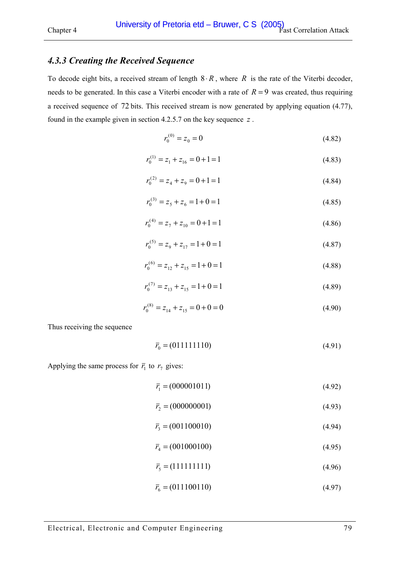# *4.3.3 Creating the Received Sequence*

To decode eight bits, a received stream of length  $8 \cdot R$ , where  $R$  is the rate of the Viterbi decoder, needs to be generated. In this case a Viterbi encoder with a rate of  $R = 9$  was created, thus requiring a received sequence of 72 bits. This received stream is now generated by applying equation [\(4.77\),](#page-74-0)  found in the example given in section [4.2.5.7](#page-74-0) on the key sequence *z* .

$$
r_0^{(0)} = z_0 = 0 \tag{4.82}
$$

$$
r_0^{(1)} = z_1 + z_{16} = 0 + 1 = 1
$$
\n(4.83)

$$
r_0^{(2)} = z_4 + z_9 = 0 + 1 = 1\tag{4.84}
$$

$$
r_0^{(3)} = z_5 + z_6 = 1 + 0 = 1\tag{4.85}
$$

$$
r_0^{(4)} = z_7 + z_{10} = 0 + 1 = 1\tag{4.86}
$$

$$
r_0^{(5)} = z_9 + z_{17} = 1 + 0 = 1\tag{4.87}
$$

$$
r_0^{(6)} = z_{12} + z_{15} = 1 + 0 = 1
$$
\n(4.88)

$$
r_0^{(7)} = z_{13} + z_{15} = 1 + 0 = 1\tag{4.89}
$$

$$
r_0^{(8)} = z_{14} + z_{15} = 0 + 0 = 0
$$
\n
$$
(4.90)
$$

Thus receiving the sequence

$$
\bar{r}_0 = (011111110) \tag{4.91}
$$

Applying the same process for  $\bar{r}_1$  to  $r_7$  gives:

$$
\bar{r}_1 = (000001011) \tag{4.92}
$$

$$
\bar{r}_2 = (000000001) \tag{4.93}
$$

$$
\bar{r}_3 = (001100010) \tag{4.94}
$$

$$
\bar{r}_4 = (001000100) \tag{4.95}
$$

$$
\bar{r}_5 = (111111111) \tag{4.96}
$$

$$
\bar{r}_6 = (011100110) \tag{4.97}
$$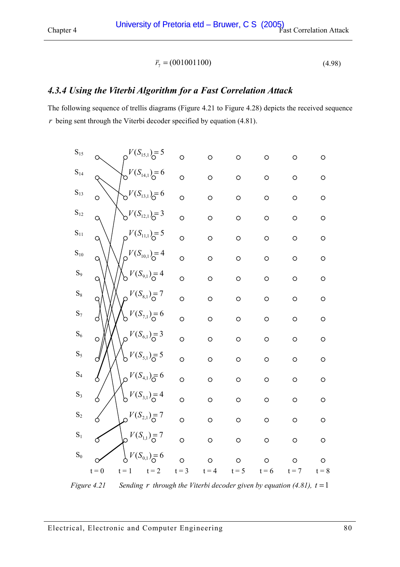$$
\bar{r}_7 = (001001100) \tag{4.98}
$$

# <span id="page-79-0"></span>*4.3.4 Using the Viterbi Algorithm for a Fast Correlation Attack*

The following sequence of trellis diagrams (Figure 4.21 to [Figure 4.28\)](#page-86-0) depicts the received sequence *r* being sent through the Viterbi decoder specified by equation [\(4.81\).](#page-76-0) 

| $t = 0$  | $t = 1$ | $t = 3$ | $\circ$<br>$t = 4$                                                                                                                                                                                                                                                                                                                                                                            | $\circ$<br>$t = 5$ | $\circ$<br>$t = 6$ | $\circ$<br>$t = 7$ | $\circ$<br>$t = 8$ |
|----------|---------|---------|-----------------------------------------------------------------------------------------------------------------------------------------------------------------------------------------------------------------------------------------------------------------------------------------------------------------------------------------------------------------------------------------------|--------------------|--------------------|--------------------|--------------------|
|          |         |         |                                                                                                                                                                                                                                                                                                                                                                                               |                    |                    |                    | $\circ$            |
|          |         |         |                                                                                                                                                                                                                                                                                                                                                                                               |                    |                    |                    |                    |
|          |         | $\circ$ | $\circ$                                                                                                                                                                                                                                                                                                                                                                                       | $\circ$            |                    | $\circ$            | $\circ$            |
| 6        |         | $\circ$ | $\circ$                                                                                                                                                                                                                                                                                                                                                                                       | $\circ$            | $\circ$            | $\circ$            | $\circ$            |
| Ó        |         | $\circ$ | $\circ$                                                                                                                                                                                                                                                                                                                                                                                       | $\circ$            | $\circ$            | $\circ$            | $\circ$            |
| d        |         | $\circ$ | $\circ$                                                                                                                                                                                                                                                                                                                                                                                       | $\circ$            | $\circ$            | $\circ$            | $\circ$            |
| $\circ$  |         | $\circ$ | $\circ$                                                                                                                                                                                                                                                                                                                                                                                       | $\circ$            | $\circ$            | $\circ$            | $\circ$            |
| d        |         | $\circ$ | $\circ$                                                                                                                                                                                                                                                                                                                                                                                       | $\circ$            | $\circ$            | $\circ$            | $\circ$            |
| 9        |         | $\circ$ | $\circ$                                                                                                                                                                                                                                                                                                                                                                                       | $\circ$            | $\circ$            | $\circ$            | $\circ$            |
| $\circ$  |         | $\circ$ | $\circ$                                                                                                                                                                                                                                                                                                                                                                                       | $\circ$            | $\circ$            | $\circ$            | $\circ$            |
| $\alpha$ |         | $\circ$ | $\circ$                                                                                                                                                                                                                                                                                                                                                                                       | $\circ$            | $\circ$            | $\circ$            | $\circ$            |
| $\alpha$ |         | $\circ$ | $\circ$                                                                                                                                                                                                                                                                                                                                                                                       | $\circ$            | $\circ$            | $\circ$            | $\circ$            |
| Q        |         | $\circ$ | $\circ$                                                                                                                                                                                                                                                                                                                                                                                       | $\circ$            | $\circ$            | $\circ$            | $\circ$            |
| $\circ$  |         | $\circ$ | $\circ$                                                                                                                                                                                                                                                                                                                                                                                       | $\circ$            | $\circ$            | $\circ$            | $\circ$            |
|          |         | $\circ$ | $\circ$                                                                                                                                                                                                                                                                                                                                                                                       | $\circ$            | $\circ$            | $\circ$            | $\circ$            |
|          |         | $\circ$ | $\circ$                                                                                                                                                                                                                                                                                                                                                                                       | $\circ$            | $\circ$            | $\circ$            | $\circ$            |
|          |         |         | $V(S_{15,1}) = 5$<br>$V(S_{14,1}) = 6$<br>$V(S_{13,1}) = 6$<br>$V(S_{12,1}) = 3$<br>$V(S_{11,1}) = 5$<br>$V(S_{10,1}) = 4$<br>$V(S_{9,1}) = 4$<br>$V(S_{8,1}) = 7$<br>$V(S_{7,1}) = 6$<br>$V(S_{6,1}) = 3$<br>$V(S_{5,1})_{\overline{O}}=5$<br>$V(S_{4,1})_{\overline{O}}=6$<br>$V(S_{3,1}) = 4$<br>$V(S_{2,1}) = 7$<br>$V(S_{1,1}) = 7$<br>$\circ$<br>$V(S_{0,1}) = 6$<br>$\circ$<br>$t = 2$ | $\circ$            | $\bigcirc$         | $\circ$<br>$\circ$ | $\circ$            |

*Figure 4.21 Sending r through the Viterbi decoder given by equation [\(4.81\),](#page-76-0) t* =1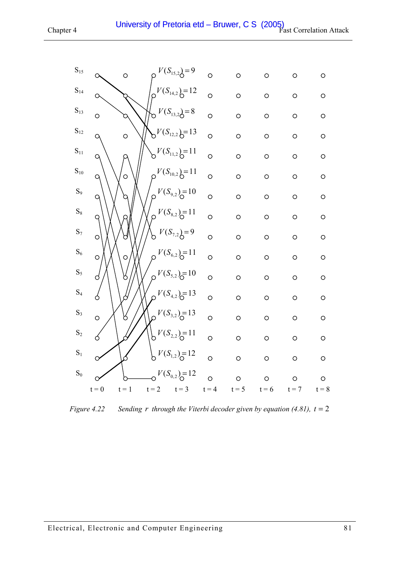| $\mathbf{S}_{15}$ |              | $\circ$ |         | $V(S_{15,2}) = 9$             | $\circ$ | $\circ$ | $\circ$ | $\circ$    | $\circ$ |
|-------------------|--------------|---------|---------|-------------------------------|---------|---------|---------|------------|---------|
| $S_{14}$          | О            |         |         | $V(S_{14,2}) = 12$            | $\circ$ | $\circ$ | $\circ$ | $\circ$    | $\circ$ |
| $\mathbf{S}_{13}$ | $\circ$      |         |         | $V(S_{13,2}) = 8$             | $\circ$ | $\circ$ | $\circ$ | $\circ$    | $\circ$ |
| $\mathbf{S}_{12}$ | q            | $\circ$ |         | $V(S_{12,2}) = 13$            | $\circ$ | $\circ$ | $\circ$ | $\circ$    | $\circ$ |
| $\mathbf{S}_{11}$ | $\alpha$     |         |         | $b^{V(S_{11,2})=11}$          | $\circ$ | $\circ$ | $\circ$ | $\circ$    | $\circ$ |
| $\mathrm{S}_{10}$ | $\alpha$     | $\circ$ |         | $O^{V(S_{10,2})=11}$          | $\circ$ | $\circ$ | $\circ$ | $\bigcirc$ | $\circ$ |
| $S_9$             | $\mathsf{Q}$ |         |         | $V(S_{9,2}) = 10$             | $\circ$ | $\circ$ | $\circ$ | $\circ$    | $\circ$ |
| $\mathrm{S}_8$    | $\mathsf{Q}$ |         |         | $V(S_{8,2}) = 11$             | $\circ$ | $\circ$ | $\circ$ | $\circ$    | $\circ$ |
| $S_7$             | $\circ$      |         |         | $V(S_{7,2}) = 9$              | $\circ$ | $\circ$ | $\circ$ | $\circ$    | $\circ$ |
| $\mathrm{S}_6$    | $\circ$      | $\circ$ |         | $V(S_{6,2}) = 11$             | $\circ$ | $\circ$ | $\circ$ | $\circ$    | $\circ$ |
| $\mathbf{S}_5$    | d            | n       | $\circ$ | $V(S_{5,2}) = 10$             | $\circ$ | $\circ$ | $\circ$ | $\circ$    | $\circ$ |
| $\mathrm{S}_4$    | 6            |         |         | $V(S_{4,2}) = 13$             | $\circ$ | $\circ$ | $\circ$ | $\circ$    | $\circ$ |
| $\mathrm{S}_3$    | $\circ$      |         |         | $\mathcal{D}^{V(S_{3,2})=13}$ | $\circ$ | $\circ$ | $\circ$ | $\circ$    | $\circ$ |
| $\mathbf{S}_2$    | Ó            |         |         | $V(S_{2,2}) = 11$             | $\circ$ | $\circ$ | $\circ$ | $\circ$    | $\circ$ |
| $\mathbf{S}_1$    |              |         |         | $V(S_{1,2}) = 12$             | $\circ$ | $\circ$ | $\circ$ | $\circ$    | $\circ$ |
| $\mathrm{S}_0$    |              |         |         | $V(S_{0,2}) = 12$             | $\circ$ | $\circ$ | $\circ$ | $\circ$    | $\circ$ |
|                   | $t = 0$      | $t = 1$ | $t = 2$ | $t = 3$                       | $t = 4$ | $t = 5$ | $t = 6$ | $t = 7$    | $t = 8$ |

*Figure 4.22* Sending r through the Viterbi decoder given by equation [\(4.81\),](#page-76-0)  $t = 2$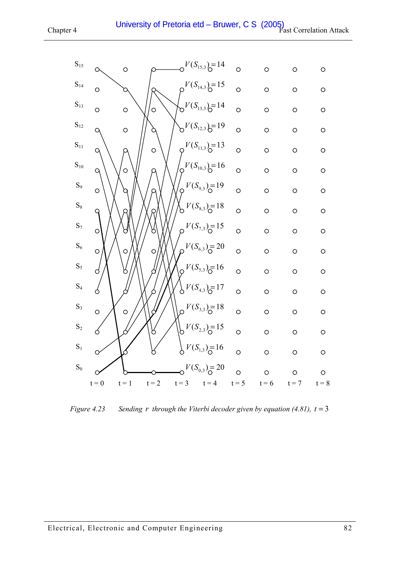

*Figure 4.23 Sending r through the Viterbi decoder given by equation [\(4.81\),](#page-76-0) t* = 3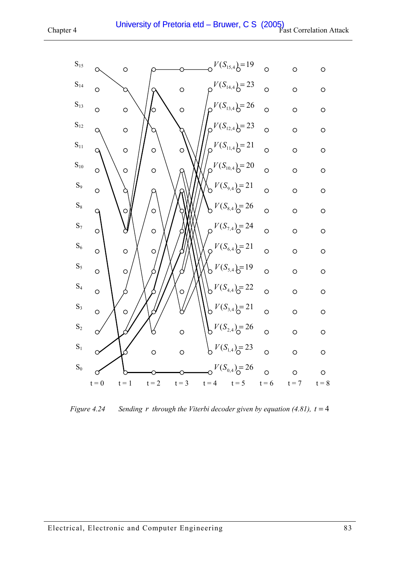

*Figure 4.24* Sending r through the Viterbi decoder given by equation [\(4.81\),](#page-76-0)  $t = 4$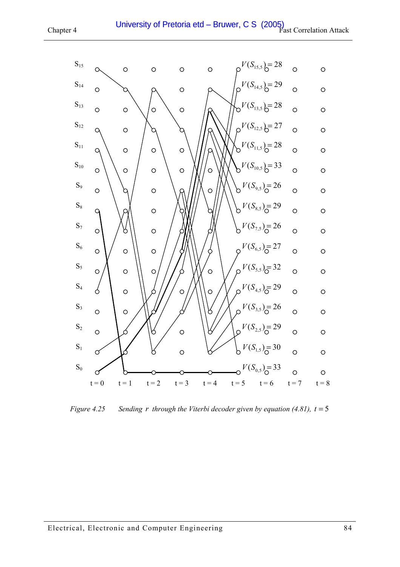

*Figure 4.25 Sending r through the Viterbi decoder given by equation [\(4.81\),](#page-76-0) t* = 5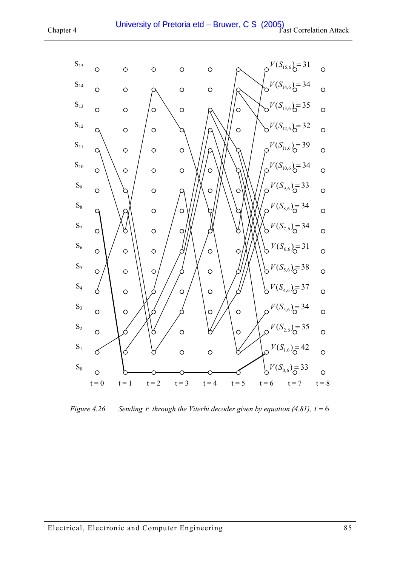

*Figure 4.26* Sending *r* through the Viterbi decoder given by equation [\(4.81\),](#page-76-0)  $t = 6$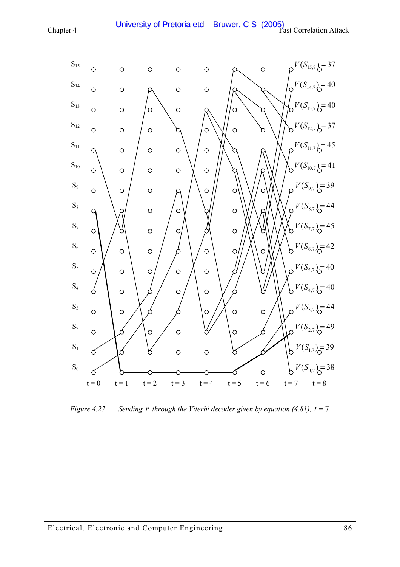



*Figure 4.27* Sending *r* through the Viterbi decoder given by equation [\(4.81\),](#page-76-0)  $t = 7$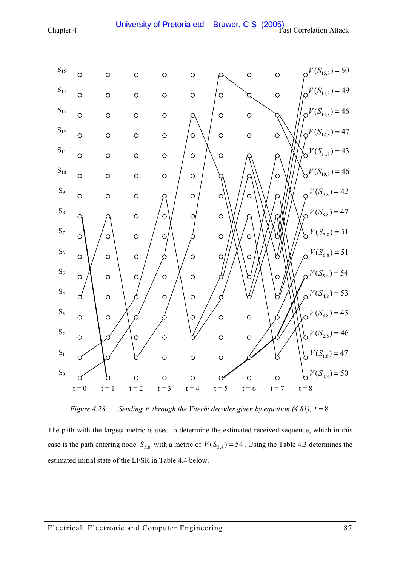<span id="page-86-0"></span>

*Figure 4.28 Sending r through the Viterbi decoder given by equation [\(4.81\),](#page-76-0) t* = 8

The path with the largest metric is used to determine the estimated received sequence, which in this case is the path entering node  $S_{5,8}$  with a metric of  $V(S_{5,8}) = 54$ . Using the [Table 4.3](#page-77-0) determines the estimated initial state of the LFSR in [Table 4.4 below.](#page-87-0)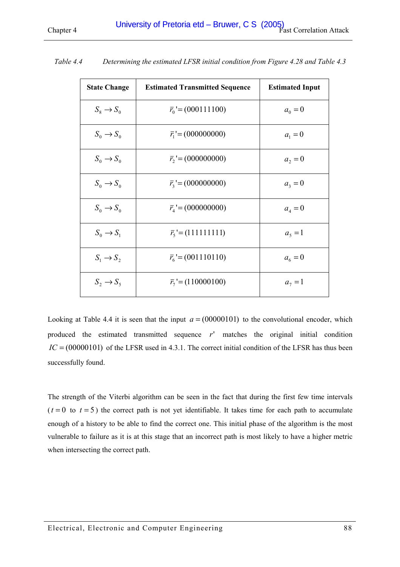| <b>State Change</b>   | <b>Estimated Transmitted Sequence</b> | <b>Estimated Input</b> |
|-----------------------|---------------------------------------|------------------------|
| $S_8 \rightarrow S_0$ | $\bar{r}_0 = (000111100)$             | $a_0 = 0$              |
| $S_0 \rightarrow S_0$ | $\overline{r_1}$ '=(000000000)        | $a_1 = 0$              |
| $S_0 \rightarrow S_0$ | $\bar{r}_2$ '=(000000000)             | $a_2 = 0$              |
| $S_0 \rightarrow S_0$ | $\bar{r}_3 = (000000000)$             | $a_3 = 0$              |
| $S_0 \rightarrow S_0$ | $\bar{r}_4$ '=(000000000)             | $a_4 = 0$              |
| $S_0 \to S_1$         | $\bar{r}_5 = (111111111)$             | $a_5 = 1$              |
| $S_1 \rightarrow S_2$ | $\bar{r}_6 = (001110110)$             | $a_6 = 0$              |
| $S_2 \rightarrow S_5$ | $\bar{r}_7 = (110000100)$             | $a_7 = 1$              |

<span id="page-87-0"></span>*Table 4.4 Determining the estimated LFSR initial condition from [Figure 4.28](#page-86-0) and [Table 4.3](#page-77-0)* 

Looking at Table 4.4 it is seen that the input  $a = (00000101)$  to the convolutional encoder, which produced the estimated transmitted sequence *r*' matches the original initial condition  $IC = (00000101)$  of the LFSR used in [4.3.1.](#page-75-0) The correct initial condition of the LFSR has thus been successfully found.

The strength of the Viterbi algorithm can be seen in the fact that during the first few time intervals  $(t=0$  to  $t=5$ ) the correct path is not yet identifiable. It takes time for each path to accumulate enough of a history to be able to find the correct one. This initial phase of the algorithm is the most vulnerable to failure as it is at this stage that an incorrect path is most likely to have a higher metric when intersecting the correct path.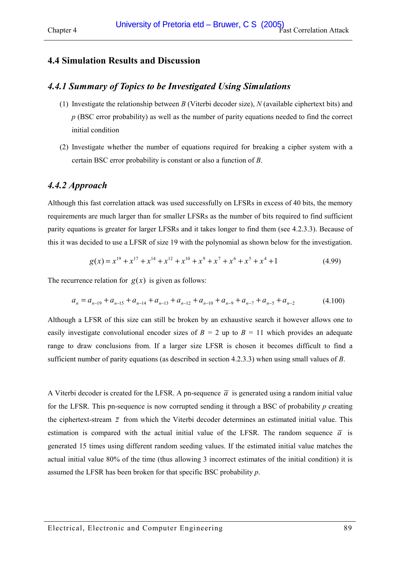## **4.4 Simulation Results and Discussion**

# *4.4.1 Summary of Topics to be Investigated Using Simulations*

- (1) Investigate the relationship between *B* (Viterbi decoder size), *N* (available ciphertext bits) and *p* (BSC error probability) as well as the number of parity equations needed to find the correct initial condition
- (2) Investigate whether the number of equations required for breaking a cipher system with a certain BSC error probability is constant or also a function of *B*.

#### *4.4.2 Approach*

Although this fast correlation attack was used successfully on LFSRs in excess of 40 bits, the memory requirements are much larger than for smaller LFSRs as the number of bits required to find sufficient parity equations is greater for larger LFSRs and it takes longer to find them (see [4.2.3.3\)](#page-58-0). Because of this it was decided to use a LFSR of size 19 with the polynomial as shown below for the investigation.

$$
g(x) = x^{19} + x^{17} + x^{14} + x^{12} + x^{10} + x^9 + x^7 + x^6 + x^5 + x^4 + 1
$$
\n(4.99)

The recurrence relation for  $g(x)$  is given as follows:

$$
a_n = a_{n-19} + a_{n-15} + a_{n-14} + a_{n-13} + a_{n-12} + a_{n-10} + a_{n-9} + a_{n-7} + a_{n-5} + a_{n-2}
$$
(4.100)

Although a LFSR of this size can still be broken by an exhaustive search it however allows one to easily investigate convolutional encoder sizes of  $B = 2$  up to  $B = 11$  which provides an adequate range to draw conclusions from. If a larger size LFSR is chosen it becomes difficult to find a sufficient number of parity equations (as described in section [4.2.3.3\)](#page-58-0) when using small values of *B*.

A Viterbi decoder is created for the LFSR. A pn-sequence  $\bar{a}$  is generated using a random initial value for the LFSR. This pn-sequence is now corrupted sending it through a BSC of probability *p* creating the ciphertext-stream  $\bar{z}$  from which the Viterbi decoder determines an estimated initial value. This estimation is compared with the actual initial value of the LFSR. The random sequence  $\bar{a}$  is generated 15 times using different random seeding values. If the estimated initial value matches the actual initial value 80% of the time (thus allowing 3 incorrect estimates of the initial condition) it is assumed the LFSR has been broken for that specific BSC probability *p*.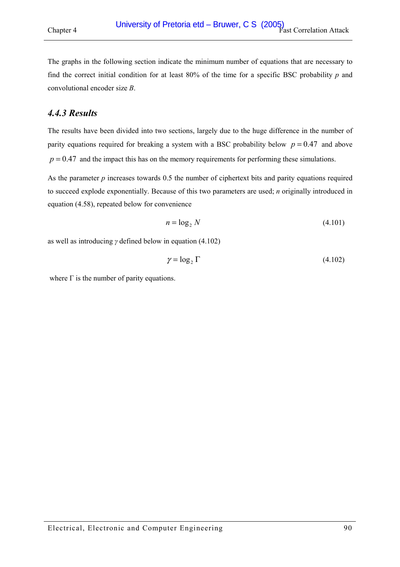The graphs in the following section indicate the minimum number of equations that are necessary to find the correct initial condition for at least 80% of the time for a specific BSC probability *p* and convolutional encoder size *B*.

## *4.4.3 Results*

The results have been divided into two sections, largely due to the huge difference in the number of parity equations required for breaking a system with a BSC probability below  $p = 0.47$  and above  $p = 0.47$  and the impact this has on the memory requirements for performing these simulations.

As the parameter *p* increases towards 0.5 the number of ciphertext bits and parity equations required to succeed explode exponentially. Because of this two parameters are used; *n* originally introduced in equation [\(4.58\),](#page-59-0) repeated below for convenience

$$
n = \log_2 N \tag{4.101}
$$

as well as introducing *γ* defined below in equation (4.102)

$$
\gamma = \log_2 \Gamma \tag{4.102}
$$

where  $\Gamma$  is the number of parity equations.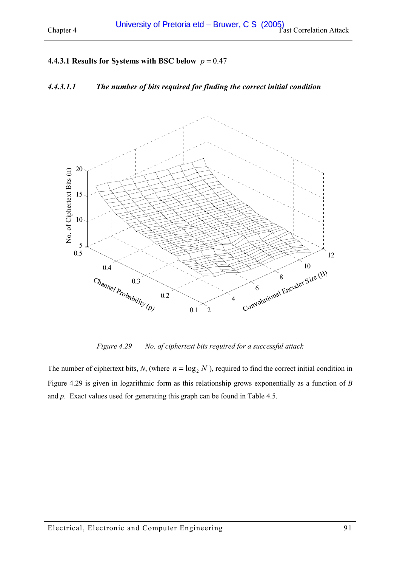## <span id="page-90-0"></span>**4.4.3.1 Results for Systems with BSC below**  $p = 0.47$

# *4.4.3.1.1 The number of bits required for finding the correct initial condition*



*Figure 4.29 No. of ciphertext bits required for a successful attack* 

The number of ciphertext bits, *N*, (where  $n = \log_2 N$ ), required to find the correct initial condition in Figure 4.29 is given in logarithmic form as this relationship grows exponentially as a function of *B* and *p*. Exact values used for generating this graph can be found in [Table 4.5.](#page-92-0)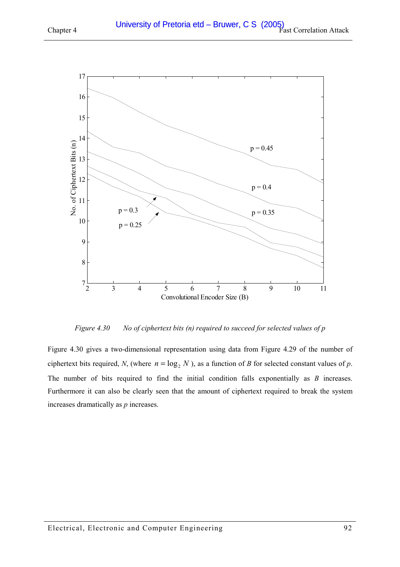<span id="page-91-0"></span>

*Figure 4.30 No of ciphertext bits (n) required to succeed for selected values of p* 

Figure 4.30 gives a two-dimensional representation using data from [Figure 4.29](#page-90-0) of the number of ciphertext bits required, *N*, (where  $n = \log_2 N$ ), as a function of *B* for selected constant values of *p*. The number of bits required to find the initial condition falls exponentially as *B* increases. Furthermore it can also be clearly seen that the amount of ciphertext required to break the system increases dramatically as *p* increases.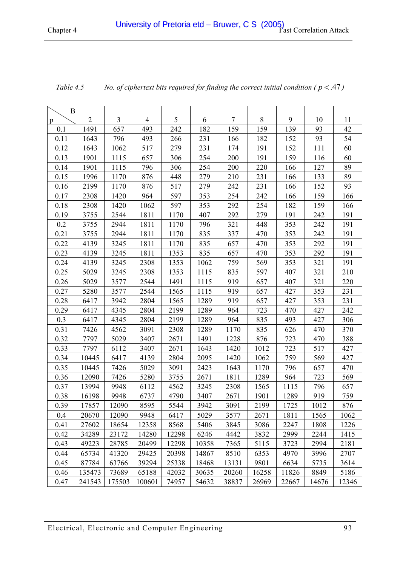| $\mathbf{B}$ |            |        |                |       |       |       |         |       |       |       |
|--------------|------------|--------|----------------|-------|-------|-------|---------|-------|-------|-------|
| p            | $\sqrt{2}$ | 3      | $\overline{4}$ | 5     | 6     | 7     | $\,8\,$ | 9     | 10    | 11    |
| 0.1          | 1491       | 657    | 493            | 242   | 182   | 159   | 159     | 139   | 93    | 42    |
| 0.11         | 1643       | 796    | 493            | 266   | 231   | 166   | 182     | 152   | 93    | 54    |
| 0.12         | 1643       | 1062   | 517            | 279   | 231   | 174   | 191     | 152   | 111   | 60    |
| 0.13         | 1901       | 1115   | 657            | 306   | 254   | 200   | 191     | 159   | 116   | 60    |
| 0.14         | 1901       | 1115   | 796            | 306   | 254   | 200   | 220     | 166   | 127   | 89    |
| 0.15         | 1996       | 1170   | 876            | 448   | 279   | 210   | 231     | 166   | 133   | 89    |
| 0.16         | 2199       | 1170   | 876            | 517   | 279   | 242   | 231     | 166   | 152   | 93    |
| 0.17         | 2308       | 1420   | 964            | 597   | 353   | 254   | 242     | 166   | 159   | 166   |
| 0.18         | 2308       | 1420   | 1062           | 597   | 353   | 292   | 254     | 182   | 159   | 166   |
| 0.19         | 3755       | 2544   | 1811           | 1170  | 407   | 292   | 279     | 191   | 242   | 191   |
| 0.2          | 3755       | 2944   | 1811           | 1170  | 796   | 321   | 448     | 353   | 242   | 191   |
| 0.21         | 3755       | 2944   | 1811           | 1170  | 835   | 337   | 470     | 353   | 242   | 191   |
| 0.22         | 4139       | 3245   | 1811           | 1170  | 835   | 657   | 470     | 353   | 292   | 191   |
| 0.23         | 4139       | 3245   | 1811           | 1353  | 835   | 657   | 470     | 353   | 292   | 191   |
| 0.24         | 4139       | 3245   | 2308           | 1353  | 1062  | 759   | 569     | 353   | 321   | 191   |
| 0.25         | 5029       | 3245   | 2308           | 1353  | 1115  | 835   | 597     | 407   | 321   | 210   |
| 0.26         | 5029       | 3577   | 2544           | 1491  | 1115  | 919   | 657     | 407   | 321   | 220   |
| 0.27         | 5280       | 3577   | 2544           | 1565  | 1115  | 919   | 657     | 427   | 353   | 231   |
| 0.28         | 6417       | 3942   | 2804           | 1565  | 1289  | 919   | 657     | 427   | 353   | 231   |
| 0.29         | 6417       | 4345   | 2804           | 2199  | 1289  | 964   | 723     | 470   | 427   | 242   |
| 0.3          | 6417       | 4345   | 2804           | 2199  | 1289  | 964   | 835     | 493   | 427   | 306   |
| 0.31         | 7426       | 4562   | 3091           | 2308  | 1289  | 1170  | 835     | 626   | 470   | 370   |
| 0.32         | 7797       | 5029   | 3407           | 2671  | 1491  | 1228  | 876     | 723   | 470   | 388   |
| 0.33         | 7797       | 6112   | 3407           | 2671  | 1643  | 1420  | 1012    | 723   | 517   | 427   |
| 0.34         | 10445      | 6417   | 4139           | 2804  | 2095  | 1420  | 1062    | 759   | 569   | 427   |
| 0.35         | 10445      | 7426   | 5029           | 3091  | 2423  | 1643  | 1170    | 796   | 657   | 470   |
| 0.36         | 12090      | 7426   | 5280           | 3755  | 2671  | 1811  | 1289    | 964   | 723   | 569   |
| 0.37         | 13994      | 9948   | 6112           | 4562  | 3245  | 2308  | 1565    | 1115  | 796   | 657   |
| 0.38         | 16198      | 9948   | 6737           | 4790  | 3407  | 2671  | 1901    | 1289  | 919   | 759   |
| 0.39         | 17857      | 12090  | 8595           | 5544  | 3942  | 3091  | 2199    | 1725  | 1012  | 876   |
| 0.4          | 20670      | 12090  | 9948           | 6417  | 5029  | 3577  | 2671    | 1811  | 1565  | 1062  |
| 0.41         | 27602      | 18654  | 12358          | 8568  | 5406  | 3845  | 3086    | 2247  | 1808  | 1226  |
| 0.42         | 34289      | 23172  | 14280          | 12298 | 6246  | 4442  | 3832    | 2999  | 2244  | 1415  |
| 0.43         | 49223      | 28785  | 20499          | 12298 | 10358 | 7365  | 5115    | 3723  | 2994  | 2181  |
| 0.44         | 65734      | 41320  | 29425          | 20398 | 14867 | 8510  | 6353    | 4970  | 3996  | 2707  |
| 0.45         | 87784      | 63766  | 39294          | 25338 | 18468 | 13131 | 9801    | 6634  | 5735  | 3614  |
| 0.46         | 135473     | 73689  | 65188          | 42032 | 30635 | 20260 | 16258   | 11826 | 8849  | 5186  |
| 0.47         | 241543     | 175503 | 100601         | 74957 | 54632 | 38837 | 26969   | 22667 | 14676 | 12346 |

<span id="page-92-0"></span>*Table 4.5* No. of ciphertext bits required for finding the correct initial condition ( $p < 0.47$ )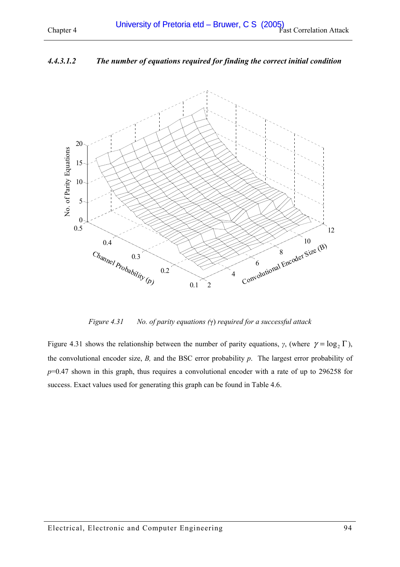### <span id="page-93-0"></span>*4.4.3.1.2 The number of equations required for finding the correct initial condition*



*Figure 4.31 No. of parity equations (*γ) *required for a successful attack* 

Figure 4.31 shows the relationship between the number of parity equations, *γ*, (where  $\gamma = \log_2 \Gamma$ ), the convolutional encoder size, *B,* and the BSC error probability *p*. The largest error probability of *p*=0.47 shown in this graph, thus requires a convolutional encoder with a rate of up to 296258 for success. Exact values used for generating this graph can be found in [Table 4.6.](#page-95-0)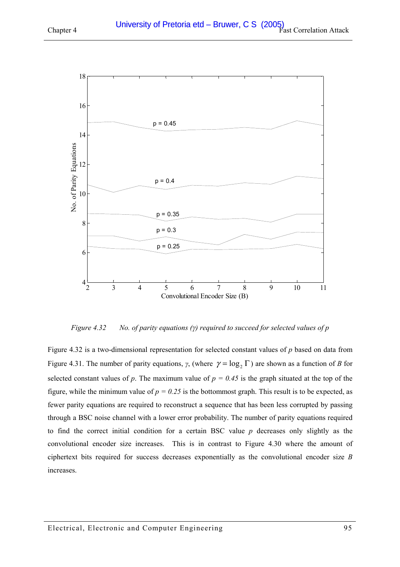

2 3 4 5 6 7 8 9 10 11 4 6 8 Convolutional Encoder Size (B)  $p = 0.35$  $p = 0.3$  $p = 0.25$ 

*Figure 4.32 No. of parity equations (γ) required to succeed for selected values of p* 

Figure 4.32 is a two-dimensional representation for selected constant values of *p* based on data from [Figure 4.31.](#page-93-0) The number of parity equations, *γ*, (where  $\gamma = \log_2 \Gamma$ ) are shown as a function of *B* for selected constant values of *p*. The maximum value of  $p = 0.45$  is the graph situated at the top of the figure, while the minimum value of  $p = 0.25$  is the bottommost graph. This result is to be expected, as fewer parity equations are required to reconstruct a sequence that has been less corrupted by passing through a BSC noise channel with a lower error probability. The number of parity equations required to find the correct initial condition for a certain BSC value *p* decreases only slightly as the convolutional encoder size increases. This is in contrast to [Figure 4.30](#page-91-0) where the amount of ciphertext bits required for success decreases exponentially as the convolutional encoder size *B* increases.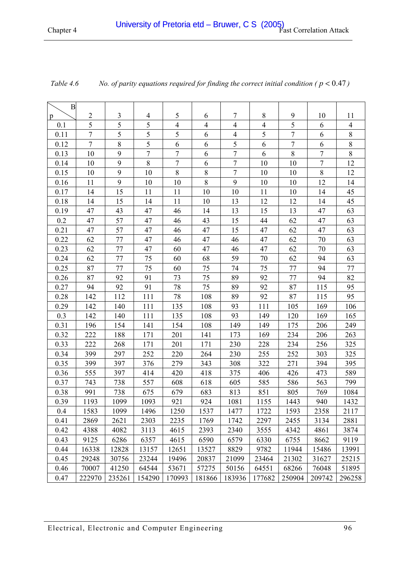| $\boldsymbol{B}$ |                |                |                |                |                |                  |                |                |                  |                |
|------------------|----------------|----------------|----------------|----------------|----------------|------------------|----------------|----------------|------------------|----------------|
| p                | $\overline{2}$ | 3              | 4              | 5              | 6              | 7                | 8              | 9              | 10               | 11             |
| 0.1              | 5              | $\overline{5}$ | 5              | $\overline{4}$ | $\overline{4}$ | $\overline{4}$   | $\overline{4}$ | 5              | 6                | $\overline{4}$ |
| 0.11             | $\overline{7}$ | 5              | 5              | 5              | 6              | $\overline{4}$   | 5              | 7              | 6                | $\bar{8}$      |
| 0.12             | $\overline{7}$ | 8              | 5              | 6              | 6              | 5                | 6              | $\overline{7}$ | 6                | $\overline{8}$ |
| 0.13             | 10             | 9              | $\overline{7}$ | $\overline{7}$ | 6              | $\overline{7}$   | 6              | $\,8\,$        | $\tau$           | $8\,$          |
| 0.14             | 10             | 9              | $8\,$          | $\tau$         | 6              | $\boldsymbol{7}$ | 10             | 10             | $\boldsymbol{7}$ | 12             |
| 0.15             | 10             | 9              | 10             | $\,8\,$        | $\,8\,$        | $\boldsymbol{7}$ | 10             | 10             | $\,8\,$          | 12             |
| 0.16             | 11             | 9              | 10             | 10             | 8              | 9                | 10             | 10             | 12               | 14             |
| 0.17             | 14             | 15             | 11             | 11             | 10             | 10               | 11             | 10             | 14               | 45             |
| 0.18             | 14             | 15             | 14             | 11             | 10             | 13               | 12             | 12             | 14               | 45             |
| 0.19             | 47             | 43             | 47             | 46             | 14             | 13               | 15             | 13             | 47               | 63             |
| 0.2              | 47             | 57             | 47             | 46             | 43             | 15               | 44             | 62             | 47               | 63             |
| 0.21             | 47             | 57             | 47             | 46             | 47             | 15               | 47             | 62             | 47               | 63             |
| 0.22             | 62             | 77             | 47             | 46             | 47             | 46               | 47             | 62             | 70               | 63             |
| 0.23             | 62             | 77             | 47             | 60             | 47             | 46               | 47             | 62             | 70               | 63             |
| 0.24             | 62             | 77             | 75             | 60             | 68             | 59               | 70             | 62             | 94               | 63             |
| 0.25             | 87             | 77             | 75             | 60             | 75             | 74               | 75             | 77             | 94               | 77             |
| 0.26             | 87             | 92             | 91             | 73             | 75             | 89               | 92             | 77             | 94               | 82             |
| 0.27             | 94             | 92             | 91             | 78             | 75             | 89               | 92             | 87             | 115              | 95             |
| 0.28             | 142            | 112            | 111            | 78             | 108            | 89               | 92             | 87             | 115              | 95             |
| 0.29             | 142            | 140            | 111            | 135            | 108            | 93               | 111            | 105            | 169              | 106            |
| 0.3              | 142            | 140            | 111            | 135            | 108            | 93               | 149            | 120            | 169              | 165            |
| 0.31             | 196            | 154            | 141            | 154            | 108            | 149              | 149            | 175            | 206              | 249            |
| 0.32             | 222            | 188            | 171            | 201            | 141            | 173              | 169            | 234            | 206              | 263            |
| 0.33             | 222            | 268            | 171            | 201            | 171            | 230              | 228            | 234            | 256              | 325            |
| 0.34             | 399            | 297            | 252            | 220            | 264            | 230              | 255            | 252            | 303              | 325            |
| 0.35             | 399            | 397            | 376            | 279            | 343            | 308              | 322            | 271            | 394              | 395            |
| 0.36             | 555            | 397            | 414            | 420            | 418            | 375              | 406            | 426            | 473              | 589            |
| 0.37             | 743            | 738            | 557            | 608            | 618            | 605              | 585            | 586            | 563              | 799            |
| $0.38\,$         | 991            | 738            | 675            | 679            | 683            | 813              | 851            | 805            | 769              | 1084           |
| 0.39             | 1193           | 1099           | 1093           | 921            | 924            | 1081             | 1155           | 1443           | 940              | 1432           |
| 0.4              | 1583           | 1099           | 1496           | 1250           | 1537           | 1477             | 1722           | 1593           | 2358             | 2117           |
| 0.41             | 2869           | 2621           | 2303           | 2235           | 1769           | 1742             | 2297           | 2455           | 3134             | 2881           |
| 0.42             | 4388           | 4082           | 3113           | 4615           | 2393           | 2340             | 3555           | 4342           | 4861             | 3874           |
| 0.43             | 9125           | 6286           | 6357           | 4615           | 6590           | 6579             | 6330           | 6755           | 8662             | 9119           |
| 0.44             | 16338          | 12828          | 13157          | 12651          | 13527          | 8829             | 9782           | 11944          | 15486            | 13991          |
| 0.45             | 29248          | 30756          | 23244          | 19496          | 20837          | 21099            | 23464          | 21302          | 31627            | 25215          |
| 0.46             | 70007          | 41250          | 64544          | 53671          | 57275          | 50156            | 64551          | 68266          | 76048            | 51895          |
| 0.47             | 222970         | 235261         | 154290         | 170993         | 181866         | 183936           | 177682         | 250904         | 209742           | 296258         |

<span id="page-95-0"></span>

| Table 4.6 | No. of parity equations required for finding the correct initial condition ( $p < 0.47$ ) |  |  |  |
|-----------|-------------------------------------------------------------------------------------------|--|--|--|
|-----------|-------------------------------------------------------------------------------------------|--|--|--|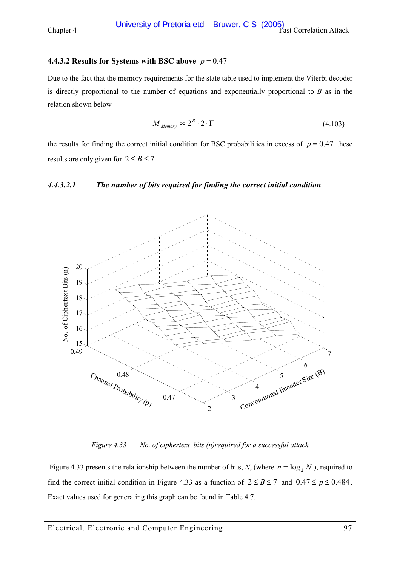#### <span id="page-96-0"></span>**4.4.3.2 Results for Systems with BSC above**  $p = 0.47$

Due to the fact that the memory requirements for the state table used to implement the Viterbi decoder is directly proportional to the number of equations and exponentially proportional to *B* as in the relation shown below

$$
M_{Memory} \propto 2^B \cdot 2 \cdot \Gamma \tag{4.103}
$$

the results for finding the correct initial condition for BSC probabilities in excess of  $p = 0.47$  these results are only given for  $2 \le B \le 7$ .

#### *4.4.3.2.1 The number of bits required for finding the correct initial condition*



*Figure 4.33 No. of ciphertext bits (n)required for a successful attack* 

Figure 4.33 presents the relationship between the number of bits, *N*, (where  $n = \log_2 N$ ), required to find the correct initial condition in Figure 4.33 as a function of  $2 \le B \le 7$  and  $0.47 \le p \le 0.484$ . Exact values used for generating this graph can be found in [Table 4.7.](#page-97-0)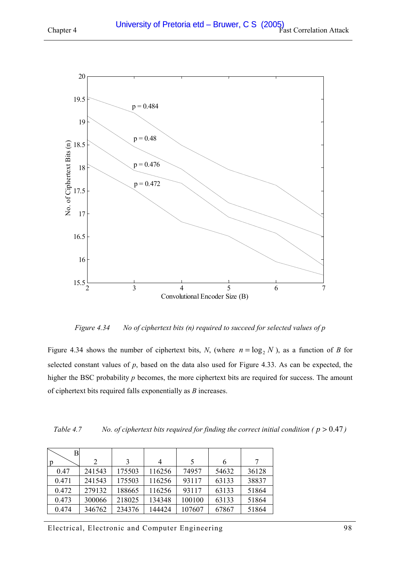<span id="page-97-0"></span>

*Figure 4.34 No of ciphertext bits (n) required to succeed for selected values of p* 

Figure 4.34 shows the number of ciphertext bits, *N*, (where  $n = \log_2 N$ ), as a function of *B* for selected constant values of *p*, based on the data also used for [Figure 4.33.](#page-96-0) As can be expected, the higher the BSC probability *p* becomes, the more ciphertext bits are required for success. The amount of ciphertext bits required falls exponentially as *B* increases.

| Table 4.7 |  |  | No. of ciphertext bits required for finding the correct initial condition ( $p > 0.47$ ) |  |  |
|-----------|--|--|------------------------------------------------------------------------------------------|--|--|
|           |  |  |                                                                                          |  |  |

| В     |        |        |                |        |       |       |
|-------|--------|--------|----------------|--------|-------|-------|
|       | 2      | 3      | $\overline{4}$ | 5      | 6     |       |
| 0.47  | 241543 | 175503 | 116256         | 74957  | 54632 | 36128 |
| 0.471 | 241543 | 175503 | 116256         | 93117  | 63133 | 38837 |
| 0.472 | 279132 | 188665 | 116256         | 93117  | 63133 | 51864 |
| 0.473 | 300066 | 218025 | 134348         | 100100 | 63133 | 51864 |
| 0.474 | 346762 | 234376 | 144424         | 107607 | 67867 | 51864 |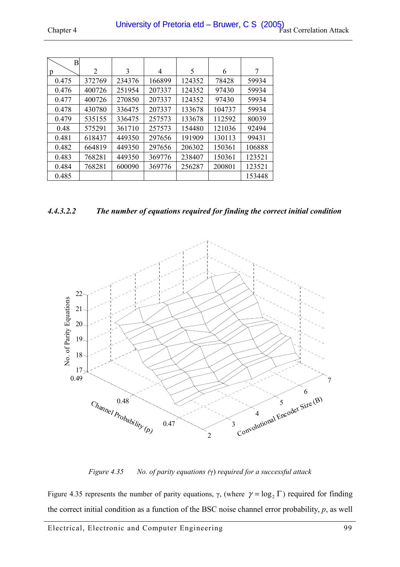| B     |        |        |        |        |        |        |
|-------|--------|--------|--------|--------|--------|--------|
| p     | 2      | 3      | 4      | 5      | 6      | 7      |
| 0.475 | 372769 | 234376 | 166899 | 124352 | 78428  | 59934  |
| 0.476 | 400726 | 251954 | 207337 | 124352 | 97430  | 59934  |
| 0.477 | 400726 | 270850 | 207337 | 124352 | 97430  | 59934  |
| 0.478 | 430780 | 336475 | 207337 | 133678 | 104737 | 59934  |
| 0.479 | 535155 | 336475 | 257573 | 133678 | 112592 | 80039  |
| 0.48  | 575291 | 361710 | 257573 | 154480 | 121036 | 92494  |
| 0.481 | 618437 | 449350 | 297656 | 191909 | 130113 | 99431  |
| 0.482 | 664819 | 449350 | 297656 | 206302 | 150361 | 106888 |
| 0.483 | 768281 | 449350 | 369776 | 238407 | 150361 | 123521 |
| 0.484 | 768281 | 600090 | 369776 | 256287 | 200801 | 123521 |
| 0.485 |        |        |        |        |        | 153448 |

*4.4.3.2.2 The number of equations required for finding the correct initial condition* 



*Figure 4.35 No. of parity equations (*γ) *required for a successful attack* 

Figure 4.35 represents the number of parity equations, γ, (where  $\gamma = \log_2 \Gamma$ ) required for finding the correct initial condition as a function of the BSC noise channel error probability, *p*, as well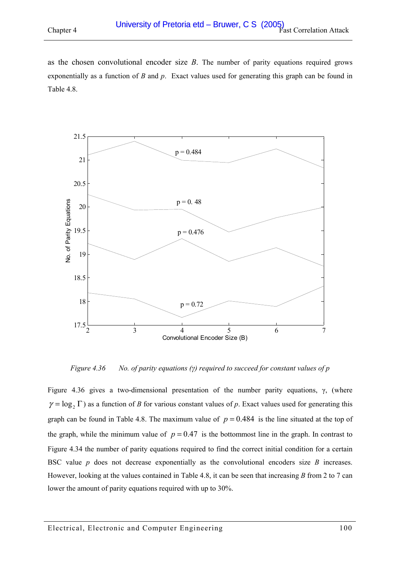as the chosen convolutional encoder size *B*. The number of parity equations required grows exponentially as a function of *B* and *p*. Exact values used for generating this graph can be found in [Table 4.8.](#page-100-0)



*Figure 4.36 No. of parity equations (γ) required to succeed for constant values of p* 

Figure 4.36 gives a two-dimensional presentation of the number parity equations, γ, (where  $\gamma = \log_2 \Gamma$ ) as a function of *B* for various constant values of *p*. Exact values used for generating this graph can be found in [Table 4.8.](#page-100-0) The maximum value of  $p = 0.484$  is the line situated at the top of the graph, while the minimum value of  $p = 0.47$  is the bottommost line in the graph. In contrast to [Figure 4.34](#page-97-0) the number of parity equations required to find the correct initial condition for a certain BSC value *p* does not decrease exponentially as the convolutional encoders size *B* increases. However, looking at the values contained in [Table 4.8,](#page-100-0) it can be seen that increasing *B* from 2 to 7 can lower the amount of parity equations required with up to 30%.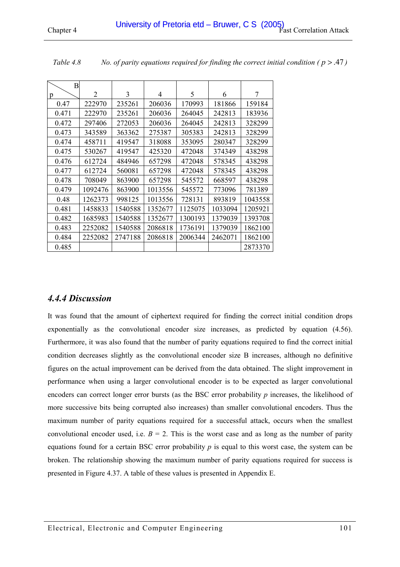| Β     |                |         |         |         |         |         |
|-------|----------------|---------|---------|---------|---------|---------|
| p     | $\overline{2}$ | 3       | 4       | 5       | 6       | 7       |
| 0.47  | 222970         | 235261  | 206036  | 170993  | 181866  | 159184  |
| 0.471 | 222970         | 235261  | 206036  | 264045  | 242813  | 183936  |
| 0.472 | 297406         | 272053  | 206036  | 264045  | 242813  | 328299  |
| 0.473 | 343589         | 363362  | 275387  | 305383  | 242813  | 328299  |
| 0.474 | 458711         | 419547  | 318088  | 353095  | 280347  | 328299  |
| 0.475 | 530267         | 419547  | 425320  | 472048  | 374349  | 438298  |
| 0.476 | 612724         | 484946  | 657298  | 472048  | 578345  | 438298  |
| 0.477 | 612724         | 560081  | 657298  | 472048  | 578345  | 438298  |
| 0.478 | 708049         | 863900  | 657298  | 545572  | 668597  | 438298  |
| 0.479 | 1092476        | 863900  | 1013556 | 545572  | 773096  | 781389  |
| 0.48  | 1262373        | 998125  | 1013556 | 728131  | 893819  | 1043558 |
| 0.481 | 1458833        | 1540588 | 1352677 | 1125075 | 1033094 | 1205921 |
| 0.482 | 1685983        | 1540588 | 1352677 | 1300193 | 1379039 | 1393708 |
| 0.483 | 2252082        | 1540588 | 2086818 | 1736191 | 1379039 | 1862100 |
| 0.484 | 2252082        | 2747188 | 2086818 | 2006344 | 2462071 | 1862100 |
| 0.485 |                |         |         |         |         | 2873370 |

<span id="page-100-0"></span>*Table 4.8 No. of parity equations required for finding the correct initial condition ( p* > .47 *)* 

## *4.4.4 Discussion*

It was found that the amount of ciphertext required for finding the correct initial condition drops exponentially as the convolutional encoder size increases, as predicted by equation [\(4.56\).](#page-59-0)  Furthermore, it was also found that the number of parity equations required to find the correct initial condition decreases slightly as the convolutional encoder size B increases, although no definitive figures on the actual improvement can be derived from the data obtained. The slight improvement in performance when using a larger convolutional encoder is to be expected as larger convolutional encoders can correct longer error bursts (as the BSC error probability *p* increases, the likelihood of more successive bits being corrupted also increases) than smaller convolutional encoders. Thus the maximum number of parity equations required for a successful attack, occurs when the smallest convolutional encoder used, i.e.  $B = 2$ . This is the worst case and as long as the number of parity equations found for a certain BSC error probability *p* is equal to this worst case, the system can be broken. The relationship showing the maximum number of parity equations required for success is presented in [Figure 4.37.](#page-101-0) A table of these values is presented in Appendix [E.](#page-136-0)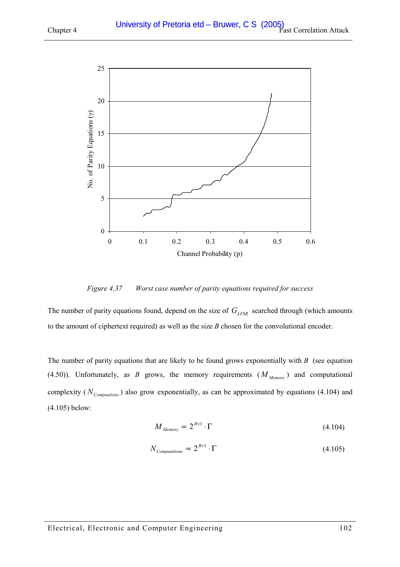<span id="page-101-0"></span>

*Figure 4.37 Worst case number of parity equations required for success* 

The number of parity equations found, depend on the size of  $G_{LFSR}$  searched through (which amounts to the amount of ciphertext required) as well as the size *B* chosen for the convolutional encoder.

The number of parity equations that are likely to be found grows exponentially with *B* (see equation [\(4.50\)\)](#page-57-0). Unfortunately, as *B* grows, the memory requirements  $(M_{Memory})$  and computational complexity ( $N_{\textit{Computions}}$ ) also grow exponentially, as can be approximated by equations (4.104) and (4.105) below:

$$
M_{\text{Memory}} \propto 2^{B+1} \cdot \Gamma \tag{4.104}
$$

$$
N_{\text{Computations}} \propto 2^{B+1} \cdot \Gamma \tag{4.105}
$$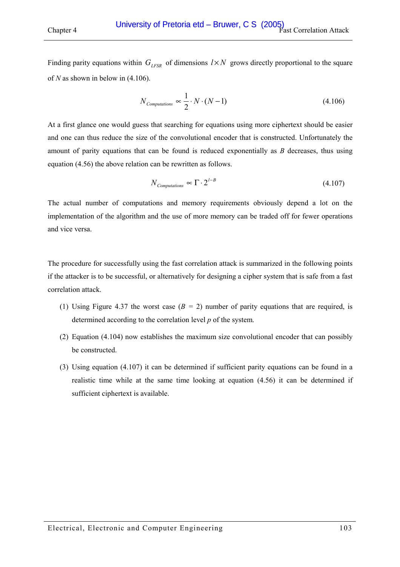Finding parity equations within  $G_{LFSR}$  of dimensions  $l \times N$  grows directly proportional to the square of *N* as shown in below in (4.106).

$$
N_{Computations} \propto \frac{1}{2} \cdot N \cdot (N - 1) \tag{4.106}
$$

At a first glance one would guess that searching for equations using more ciphertext should be easier and one can thus reduce the size of the convolutional encoder that is constructed. Unfortunately the amount of parity equations that can be found is reduced exponentially as *B* decreases, thus using equation [\(4.56\)](#page-59-0) the above relation can be rewritten as follows.

$$
N_{\textit{Computations}} \propto \Gamma \cdot 2^{l-B} \tag{4.107}
$$

The actual number of computations and memory requirements obviously depend a lot on the implementation of the algorithm and the use of more memory can be traded off for fewer operations and vice versa.

The procedure for successfully using the fast correlation attack is summarized in the following points if the attacker is to be successful, or alternatively for designing a cipher system that is safe from a fast correlation attack.

- (1) Using [Figure 4.37](#page-101-0) the worst case (*B =* 2) number of parity equations that are required, is determined according to the correlation level *p* of the system.
- (2) Equation [\(4.104\)](#page-101-0) now establishes the maximum size convolutional encoder that can possibly be constructed.
- (3) Using equation (4.107) it can be determined if sufficient parity equations can be found in a realistic time while at the same time looking at equation [\(4.56\)](#page-59-0) it can be determined if sufficient ciphertext is available.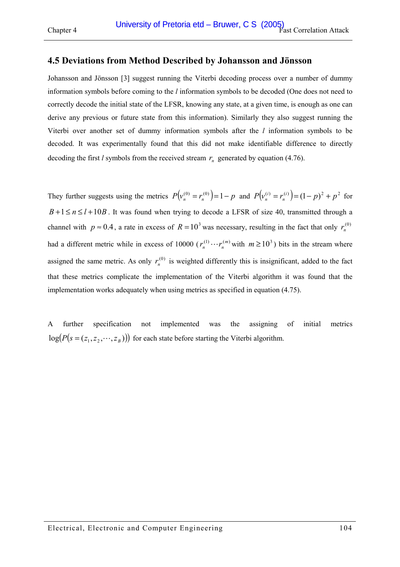# **4.5 Deviations from Method Described by Johansson and Jönsson**

Johansson and Jönsson [\[3\]](#page-119-0) suggest running the Viterbi decoding process over a number of dummy information symbols before coming to the *l* information symbols to be decoded (One does not need to correctly decode the initial state of the LFSR, knowing any state, at a given time, is enough as one can derive any previous or future state from this information). Similarly they also suggest running the Viterbi over another set of dummy information symbols after the *l* information symbols to be decoded. It was experimentally found that this did not make identifiable difference to directly decoding the first *l* symbols from the received stream  $r<sub>n</sub>$  generated by equation (4.76).

They further suggests using the metrics  $P(v_n^{(0)} = r_n^{(0)}) = 1 - p$  and  $P(v_n^{(i)} = r_n^{(i)}) = (1 - p)^2 + p^2$ *n*  $\binom{n}{n} = r_n^{(i)}$  =  $(1-p)^2 + p^2$  for  $B+1 \le n \le l+10B$ . It was found when trying to decode a LFSR of size 40, transmitted through a channel with  $p \approx 0.4$ , a rate in excess of  $R = 10^3$  was necessary, resulting in the fact that only  $r_n^{(0)}$ had a different metric while in excess of 10000 ( $r_n^{(1)} \cdots r_n^{(m)}$  with  $m \ge 10^3$ ) bits in the stream where assigned the same metric. As only  $r_n^{(0)}$  is weighted differently this is insignificant, added to the fact that these metrics complicate the implementation of the Viterbi algorithm it was found that the implementation works adequately when using metrics as specified in equation [\(4.75\).](#page-69-0)

A further specification not implemented was the assigning of initial metrics  $log(P(s = (z_1, z_2, \dots, z_n)))$  for each state before starting the Viterbi algorithm.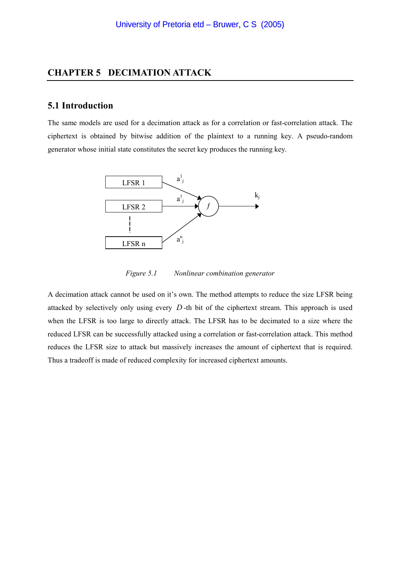## **CHAPTER 5 DECIMATION ATTACK**

## **5.1 Introduction**

The same models are used for a decimation attack as for a correlation or fast-correlation attack. The ciphertext is obtained by bitwise addition of the plaintext to a running key. A pseudo-random generator whose initial state constitutes the secret key produces the running key.



*Figure 5.1 Nonlinear combination generator* 

A decimation attack cannot be used on it's own. The method attempts to reduce the size LFSR being attacked by selectively only using every *D* -th bit of the ciphertext stream. This approach is used when the LFSR is too large to directly attack. The LFSR has to be decimated to a size where the reduced LFSR can be successfully attacked using a correlation or fast-correlation attack. This method reduces the LFSR size to attack but massively increases the amount of ciphertext that is required. Thus a tradeoff is made of reduced complexity for increased ciphertext amounts.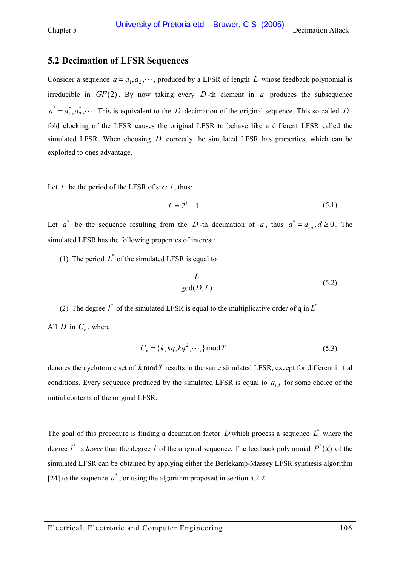## **5.2 Decimation of LFSR Sequences**

Consider a sequence  $a = a_1, a_2, \dots$ , produced by a LFSR of length *L* whose feedback polynomial is irreducible in  $GF(2)$ . By now taking every D-th element in *a* produces the subsequence  $a^* = a_1^*, a_2^*, \cdots$ . This is equivalent to the *D* -decimation of the original sequence. This so-called *D* fold clocking of the LFSR causes the original LFSR to behave like a different LFSR called the simulated LFSR. When choosing *D* correctly the simulated LFSR has properties, which can be exploited to ones advantage.

Let *L* be the period of the LFSR of size *l* , thus:

$$
L = 2l - 1 \tag{5.1}
$$

Let  $a^*$  be the sequence resulting from the *D* -th decimation of *a*, thus  $a^* = a_{i,d}$ ,  $d \ge 0$ . The simulated LFSR has the following properties of interest:

(1) The period  $L^*$  of the simulated LFSR is equal to

$$
\frac{L}{\gcd(D, L)}\tag{5.2}
$$

(2) The degree  $l^*$  of the simulated LFSR is equal to the multiplicative order of q in  $L^*$ All *D* in  $C_k$ , where

$$
C_k = \{k, kq, kq^2, \cdots\} \mod T \tag{5.3}
$$

denotes the cyclotomic set of *k* mod*T* results in the same simulated LFSR, except for different initial conditions. Every sequence produced by the simulated LFSR is equal to  $a_{i,d}$  for some choice of the initial contents of the original LFSR.

The goal of this procedure is finding a decimation factor  $D$  which process a sequence  $L^*$  where the degree  $l^*$  is *lower* than the degree *l* of the original sequence. The feedback polynomial  $P^*(x)$  of the simulated LFSR can be obtained by applying either the Berlekamp-Massey LFSR synthesis algorithm [\[24\]](#page-120-0) to the sequence  $a^*$ , or using the algorithm proposed in section 5.2.2.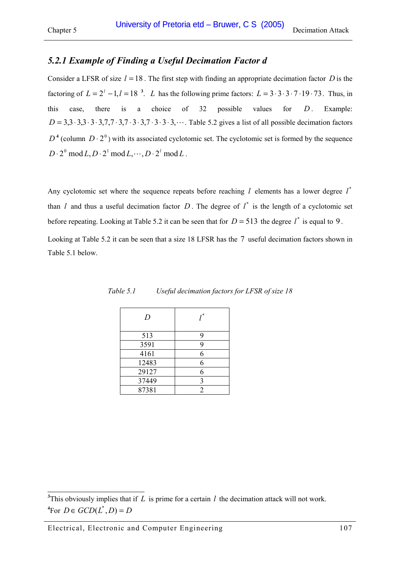# *5.2.1 Example of Finding a Useful Decimation Factor d*

Consider a LFSR of size  $l = 18$ . The first step with finding an appropriate decimation factor *D* is the factoring of  $L = 2^l - 1$ ,  $l = 18^{3}$ . *L* has the following prime factors:  $L = 3 \cdot 3 \cdot 3 \cdot 7 \cdot 19 \cdot 73$ . Thus, in this case, there is a choice of  $32$  possible values for  $D$ . Example: *D* = 3,3⋅ 3,3⋅ 3⋅3,7,7 ⋅ 3,7 ⋅3⋅ 3,7 ⋅ 3⋅3⋅ 3,L. [Table 5.2](#page-107-0) gives a list of all possible decimation factors  $D^4$  (column  $D \cdot 2^0$ ) with its associated cyclotomic set. The cyclotomic set is formed by the sequence  $D \cdot 2^0 \mod L$ ,  $D \cdot 2^1 \mod L$ ,  $\cdots$ ,  $D \cdot 2^l \mod L$ .

Any cyclotomic set where the sequence repeats before reaching  $l$  elements has a lower degree  $l^*$ than *l* and thus a useful decimation factor D. The degree of  $l^*$  is the length of a cyclotomic set before repeating. Looking at [Table 5.2](#page-107-0) it can be seen that for  $D = 513$  the degree  $l^*$  is equal to 9.

Looking at [Table 5.2](#page-107-0) it can be seen that a size 18 LFSR has the 7 useful decimation factors shown in Table 5.1 below.

| D     | *              |
|-------|----------------|
| 513   | 9              |
| 3591  | 9              |
| 4161  | 6              |
| 12483 | 6              |
| 29127 | 6              |
| 37449 | 3              |
| 87381 | $\mathfrak{D}$ |

| Table 5.1 | Useful decimation factors for LFSR of size 18 |  |  |
|-----------|-----------------------------------------------|--|--|
|           |                                               |  |  |

<sup>&</sup>lt;sup>3</sup>This obviously implies that if *L* is prime for a certain *l* the decimation attack will not work.  ${}^4$ For  $D \in GCD(L^*, D) = D$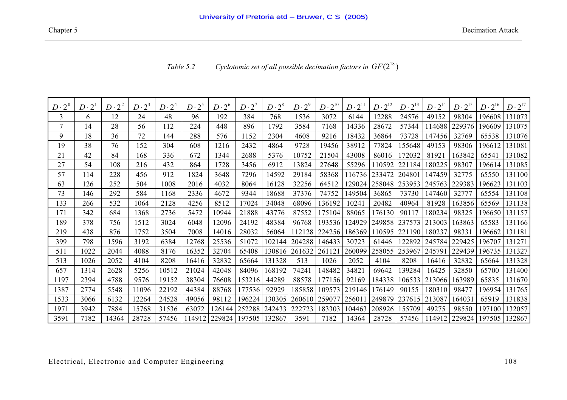i

i

<span id="page-107-0"></span>

| $D\cdot 2^0$ | $D\cdot 2^1$ | $D\cdot 2^2$ | $D\cdot 2^3$ | $D\cdot 2^4$ | $D\cdot 2^5$ | $D\cdot 2^6$ | $D\cdot 2^7$  | $D\cdot 2^8$ | $D\cdot 2^9$ | $D\cdot 2^{10}$ | $D\cdot 2^{11}$ | $D\cdot 2^{12}$ | $D\cdot 2^{13}$ | $2^{14}$<br>$D \cdot$ | $D\cdot 2^{15}$ | $D\cdot 2^{16}$ | $D\cdot 2^{17}$ |
|--------------|--------------|--------------|--------------|--------------|--------------|--------------|---------------|--------------|--------------|-----------------|-----------------|-----------------|-----------------|-----------------------|-----------------|-----------------|-----------------|
| 3            | 6            | 12           | 24           | 48           | 96           | 192          | 384           | 768          | 1536         | 3072            | 6144            | 12288           | 24576           | 49152                 | 98304           | 196608          | 131073          |
|              | 14           | 28           | 56           | 112          | 224          | 448          | 896           | 1792         | 3584         | 7168            | 14336           | 28672           | 57344           | 114688                | 229376          | 196609          | 131075          |
| 9            | 18           | 36           | 72           | 144          | 288          | 576          | 1152          | 2304         | 4608         | 9216            | 18432           | 36864           | 73728           | 147456                | 32769           | 65538           | 131076          |
| 19           | 38           | 76           | 152          | 304          | 608          | 1216         | 2432          | 4864         | 9728         | 19456           | 38912           | 77824           | 155648          | 49153                 | 98306           | 196612          | 131081          |
| 21           | 42           | 84           | 168          | 336          | 672          | 1344         | 2688          | 5376         | 10752        | 21504           | 43008           | 86016           | 172032          | 81921                 | 163842          | 65541           | 131082          |
| 27           | 54           | 108          | 216          | 432          | 864          | 1728         | 3456          | 6912         | 13824        | 27648           | 55296           | 110592          | 221184          | 180225                | 98307           | 196614          | 131085          |
| 57           | 114          | 228          | 456          | 912          | 1824         | 3648         | 7296          | 14592        | 29184        | 58368           | 116736          | 233472          | 204801          | 147459                | 32775           | 65550           | 131100          |
| 63           | 126          | 252          | 504          | 1008         | 2016         | 4032         | 8064          | 16128        | 32256        | 64512           | 129024          | 258048          | 253953          | 245763                | 229383          | 196623          | 131103          |
| 73           | 146          | 292          | 584          | 1168         | 2336         | 4672         | 9344          | 18688        | 37376        | 74752           | 149504          | 36865           | 73730           | 147460                | 32777           | 65554           | 131108          |
| 133          | 266          | 532          | 1064         | 2128         | 4256         | 8512         | 17024         | 34048        | 68096        | 136192          | 10241           | 20482           | 40964           | 81928                 | 163856          | 65569           | 131138          |
| 171          | 342          | 684          | 1368         | 2736         | 5472         | 10944        | 21888         | 43776        | 87552        | 175104          | 88065           | 176130          | 90117           | 180234                | 98325           | 196650          | 131157          |
| 189          | 378          | 756          | 1512         | 3024         | 6048         | 12096        | 24192         | 48384        | 96768        | 193536          | 124929          | 249858          | 237573          | 213003                | 163863          | 65583           | 131166          |
| 219          | 438          | 876          | 1752         | 3504         | 7008         | 14016        | 28032         | 56064        | 112128       | 224256          | 186369          | 110595          | 221190          | 180237                | 98331           | 196662          | 131181          |
| 399          | 798          | 1596         | 3192         | 6384         | 12768        | 25536        | 51072         | 102144       | 204288       | 146433          | 30723           | 61446           | 22892           | 245784                | 229425          | 196707          | 131271          |
| 511          | 1022         | 2044         | 4088         | 8176         | 16352        | 32704        | 65408         | 130816       | 261632       | 261121          | 260099          | 258055          | 253967          | 245791                | 229439          | 196735          | 131327          |
| 513          | 1026         | 2052         | 4104         | 8208         | 16416        | 32832        | 65664         | 131328       | 513          | 1026            | 2052            | 4104            | 8208            | 16416                 | 32832           | 65664           | 131328          |
| 657          | 1314         | 2628         | 5256         | 10512        | 21024        | 42048        | 84096         | 168192       | 74241        | 148482          | 34821           | 69642           | 39284           | 16425                 | 32850           | 65700           | 131400          |
| 1197         | 2394         | 4788         | 9576         | 19152        | 38304        | 76608        | 153216        | 44289        | 88578        | 177156          | 92169           | 184338          | 106533          | 213066                | 163989          | 65835           | 131670          |
| 1387         | 2774         | 5548         | 11096        | 22192        | 44384        | 88768        | 177536        | 92929        | 185858       | 109573          | 219146          | 176149          | 90155           | 180310                | 98477           | 196954          | 131765          |
| 1533         | 3066         | 6132         | 12264        | 24528        | 49056        | 98112        | 196224        | 130305       | 260610       | 259077          | 256011          | 249879          | 237615          | 213087                | 164031          | 65919           | 131838          |
| 1971         | 3942         | 7884         | 15768        | 31536        | 63072        | 126144       | 252288        | 242433       | 222723       | 183303          | 104463          | 208926          | 155709          | 49275                 | 98550           | 197100          | 132057          |
| 3591         | 7182         | 14364        | 28728        | 57456        | 114912       | 229824       | 197505 132867 |              | 3591         | 7182            | 14364           | 28728           | 57456           | 114912                | 229824          | 197505          | 132867          |

| Table 5.2 | Cyclotomic set of all possible decimation factors in $GF(2^{18})$ |  |  |  |
|-----------|-------------------------------------------------------------------|--|--|--|
|           |                                                                   |  |  |  |

i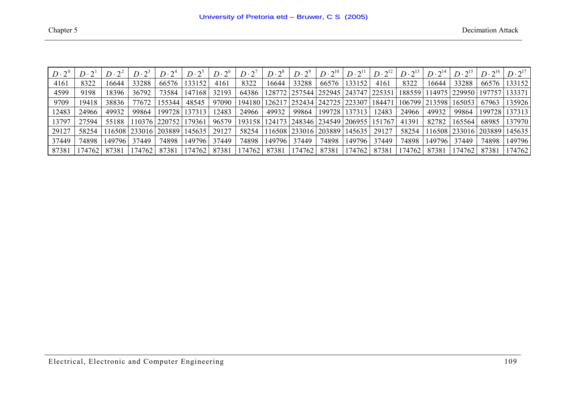| $D\cdot 2^0$ | $D\cdot 2^1$ | $D\cdot 2^2$ | $D\cdot 2^3$ | $D\cdot 2^4$ | $D\cdot 2^5$ | $D\cdot 2^6$ | $D \cdot 2^7$ | $D\cdot 2^8$ | $D\cdot 2^9$ | $D\cdot 2^{10}$                   | $D\cdot 2^{11}$             | $D\cdot 2^{12}$ | $D\cdot 2^{13}$ | $D\cdot 2^{14}$ | $D\cdot 2^{15}$ | $D\cdot 2^{16}$ | $D\cdot 2^{17}$ |
|--------------|--------------|--------------|--------------|--------------|--------------|--------------|---------------|--------------|--------------|-----------------------------------|-----------------------------|-----------------|-----------------|-----------------|-----------------|-----------------|-----------------|
| 4161         | 8322         | 16644        | 33288        | 66576        | 133152       | 4161         | 8322          | 16644        | 33288        | 66576                             | 133152                      | 4161            | 8322            | 16644           | 33288           | 66576           | 133152          |
| 4599         | 9198         | 18396        | 36792        | 73584        | 147168       | 32193        | 64386         |              |              | 128772   257544   252945   243747 |                             | 225351          | 188559          | 14975           | 229950   19775  |                 | 133371          |
| 9709         | 19418        | 38836        | 77672        | 155344       | 48545        | 97090        | 194180        |              |              | 126217 252434 242725 223307       |                             | 184471          |                 | 106799   213598 | 165053          | 67963           | 135926          |
| 12483        | 24966        | 49932        | 99864        | 199728       | 137313       | 12483        | 24966         | 49932        | 99864        | 199728                            | 137313                      | 12483           | 24966           | 49932           | 99864           | 199728          | 137313          |
| 13797        | 27594        | 55188        | 10376        | 220752       | 179361       | 96579        | 193158        |              |              |                                   | 124173 248346 234549 206955 | 151767          | 41391           | 82782           | 165564          | 68985           | 137970          |
| 29127        | 58254        | 16508        | 233016       | 203889       | 145635       | 29127        | 58254         |              |              | 116508 233016 203889              | 145635                      | 29127           | 58254           | 16508           | 233016 203889   |                 | 145635          |
| 37449        | 74898        | 149796       | 37449        | 74898        | 149796       | 37449        | 74898         | 149796       | 37449        | 74898                             | 149796                      | 37449           | 74898           | 149796          | 37449           | 74898           | 149796          |
| 87381        | 174762       | 87381        | .74762       | 87381        | .74762       | 8738         | 174762        | 87381        | 174762       | 87381                             | 174762                      | 87381           | 74762           | 87381           | 174762          | 87381           | 174762          |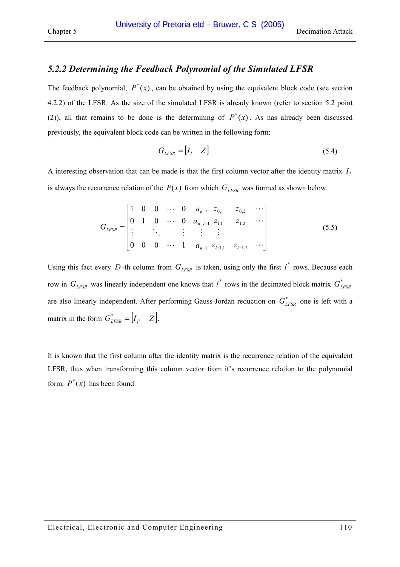### *5.2.2 Determining the Feedback Polynomial of the Simulated LFSR*

The feedback polynomial,  $P^*(x)$ , can be obtained by using the equivalent block code (see section [4.2.2\)](#page-49-0) of the LFSR. As the size of the simulated LFSR is already known (refer to section [5.2](#page-105-0) point [\(2\)\)](#page-105-0), all that remains to be done is the determining of  $P^*(x)$ . As has already been discussed previously, the equivalent block code can be written in the following form:

$$
G_{LFSR} = [I_l \quad Z] \tag{5.4}
$$

A interesting observation that can be made is that the first column vector after the identity matrix  $I_i$ is always the recurrence relation of the  $P(x)$  from which  $G_{LFSR}$  was formed as shown below.

$$
G_{LFSR} = \begin{bmatrix} 1 & 0 & 0 & \cdots & 0 & a_{n-l} & z_{0,1} & z_{0,2} & \cdots \\ 0 & 1 & 0 & \cdots & 0 & a_{n-l+1} & z_{1,1} & z_{1,2} & \cdots \\ \vdots & \vdots & \vdots & \vdots & \vdots & \vdots & \vdots \\ 0 & 0 & 0 & \cdots & 1 & a_{n-1} & z_{l-1,1} & z_{l-1,2} & \cdots \end{bmatrix}
$$
(5.5)

Using this fact every D-th column from  $G_{LFSR}$  is taken, using only the first  $l^*$  rows. Because each row in  $G_{LFSR}$  was linearly independent one knows that  $l^*$  rows in the decimated block matrix  $G_{LFSR}^*$ are also linearly independent. After performing Gauss-Jordan reduction on  $G_{LFSR}^*$  one is left with a matrix in the form  $G_{LFSR}^* = [I_{l^*} \quad Z].$ 

It is known that the first column after the identity matrix is the recurrence relation of the equivalent LFSR, thus when transforming this column vector from it's recurrence relation to the polynomial form,  $P^*(x)$  has been found.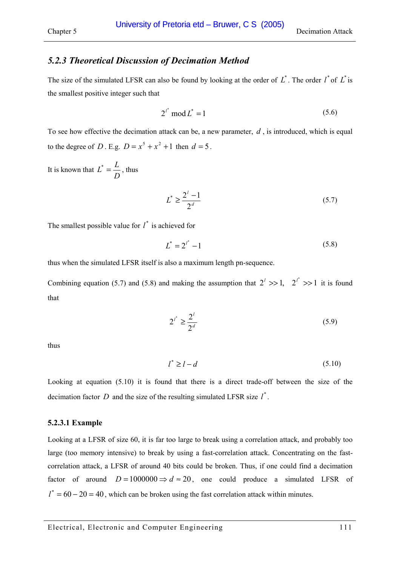### <span id="page-110-0"></span>Chapter 5 Decimation Attack

### *5.2.3 Theoretical Discussion of Decimation Method*

The size of the simulated LFSR can also be found by looking at the order of  $L^*$ . The order  $l^*$  of  $L^*$  is the smallest positive integer such that

$$
2^{i^*} \mod L^* = 1 \tag{5.6}
$$

To see how effective the decimation attack can be, a new parameter, *d* , is introduced, which is equal to the degree of *D*. E.g.  $D = x^5 + x^2 + 1$  then  $d = 5$ .

It is known that *D*  $L^* = \frac{L}{R}$ , thus

$$
L^* \ge \frac{2^l - 1}{2^d} \tag{5.7}
$$

The smallest possible value for  $l^*$  is achieved for

$$
L^* = 2^{l^*} - 1 \tag{5.8}
$$

thus when the simulated LFSR itself is also a maximum length pn-sequence.

Combining equation (5.7) and (5.8) and making the assumption that  $2^i \gg 1$ ,  $2^{i^*} \gg 1$  it is found that

$$
2^{l^*} \ge \frac{2^l}{2^d} \tag{5.9}
$$

thus

$$
l^* \ge l - d \tag{5.10}
$$

Looking at equation  $(5.10)$  it is found that there is a direct trade-off between the size of the decimation factor  $D$  and the size of the resulting simulated LFSR size  $l^*$ .

#### **5.2.3.1 Example**

Looking at a LFSR of size 60, it is far too large to break using a correlation attack, and probably too large (too memory intensive) to break by using a fast-correlation attack. Concentrating on the fastcorrelation attack, a LFSR of around 40 bits could be broken. Thus, if one could find a decimation factor of around  $D = 1000000 \Rightarrow d \approx 20$ , one could produce a simulated LFSR of  $l^* = 60 - 20 = 40$ , which can be broken using the fast correlation attack within minutes.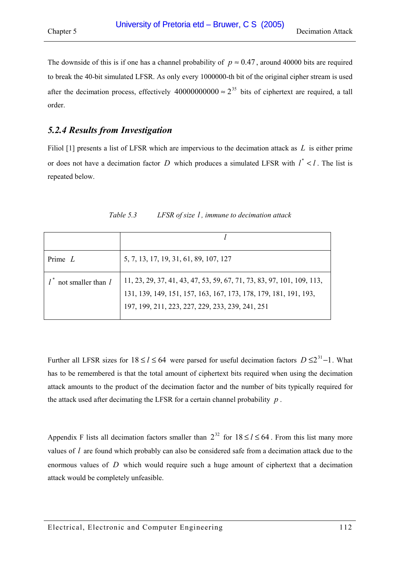<span id="page-111-0"></span>The downside of this is if one has a channel probability of  $p \approx 0.47$ , around 40000 bits are required to break the 40-bit simulated LFSR. As only every 1000000-th bit of the original cipher stream is used after the decimation process, effectively  $40000000000 \approx 2^{35}$  bits of ciphertext are required, a tall order.

### *5.2.4 Results from Investigation*

Filiol [\[1\]](#page-119-0) presents a list of LFSR which are impervious to the decimation attack as *L* is either prime or does not have a decimation factor *D* which produces a simulated LFSR with  $l^* < l$ . The list is repeated below.

| Prime $L$          | 5, 7, 13, 17, 19, 31, 61, 89, 107, 127                                                                                                                                                         |
|--------------------|------------------------------------------------------------------------------------------------------------------------------------------------------------------------------------------------|
| not smaller than l | 11, 23, 29, 37, 41, 43, 47, 53, 59, 67, 71, 73, 83, 97, 101, 109, 113,<br>131, 139, 149, 151, 157, 163, 167, 173, 178, 179, 181, 191, 193,<br>197, 199, 211, 223, 227, 229, 233, 239, 241, 251 |

*Table 5.3 LFSR of size l , immune to decimation attack* 

Further all LFSR sizes for  $18 \le l \le 64$  were parsed for useful decimation factors  $D \le 2^{31} - 1$ . What has to be remembered is that the total amount of ciphertext bits required when using the decimation attack amounts to the product of the decimation factor and the number of bits typically required for the attack used after decimating the LFSR for a certain channel probability *p* .

Appendix [F](#page-137-0) lists all decimation factors smaller than  $2^{32}$  for  $18 \le l \le 64$ . From this list many more values of *l* are found which probably can also be considered safe from a decimation attack due to the enormous values of *D* which would require such a huge amount of ciphertext that a decimation attack would be completely unfeasible.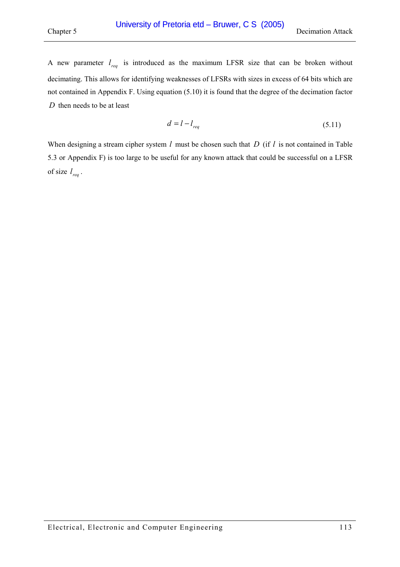A new parameter  $l_{\text{req}}$  is introduced as the maximum LFSR size that can be broken without decimating. This allows for identifying weaknesses of LFSRs with sizes in excess of 64 bits which are not contained in Appendix [F.](#page-137-0) Using equation [\(5.10\) i](#page-110-0)t is found that the degree of the decimation factor *D* then needs to be at least

$$
d = l - l_{req} \tag{5.11}
$$

When designing a stream cipher system *l* must be chosen such that *D* (if *l* is not contained in [Table](#page-111-0)  [5.3](#page-111-0) or Appendix [F\)](#page-137-0) is too large to be useful for any known attack that could be successful on a LFSR of size  $l_{\text{req}}$ .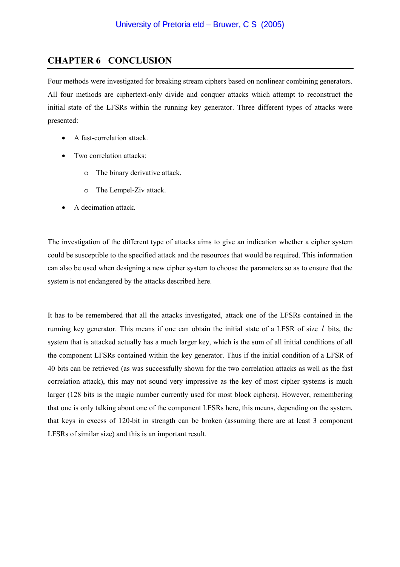# **CHAPTER 6 CONCLUSION**

Four methods were investigated for breaking stream ciphers based on nonlinear combining generators. All four methods are ciphertext-only divide and conquer attacks which attempt to reconstruct the initial state of the LFSRs within the running key generator. Three different types of attacks were presented:

- A fast-correlation attack.
- Two correlation attacks:
	- o The binary derivative attack.
	- o The Lempel-Ziv attack.
- A decimation attack.

The investigation of the different type of attacks aims to give an indication whether a cipher system could be susceptible to the specified attack and the resources that would be required. This information can also be used when designing a new cipher system to choose the parameters so as to ensure that the system is not endangered by the attacks described here.

It has to be remembered that all the attacks investigated, attack one of the LFSRs contained in the running key generator. This means if one can obtain the initial state of a LFSR of size *l* bits, the system that is attacked actually has a much larger key, which is the sum of all initial conditions of all the component LFSRs contained within the key generator. Thus if the initial condition of a LFSR of 40 bits can be retrieved (as was successfully shown for the two correlation attacks as well as the fast correlation attack), this may not sound very impressive as the key of most cipher systems is much larger (128 bits is the magic number currently used for most block ciphers). However, remembering that one is only talking about one of the component LFSRs here, this means, depending on the system, that keys in excess of 120-bit in strength can be broken (assuming there are at least 3 component LFSRs of similar size) and this is an important result.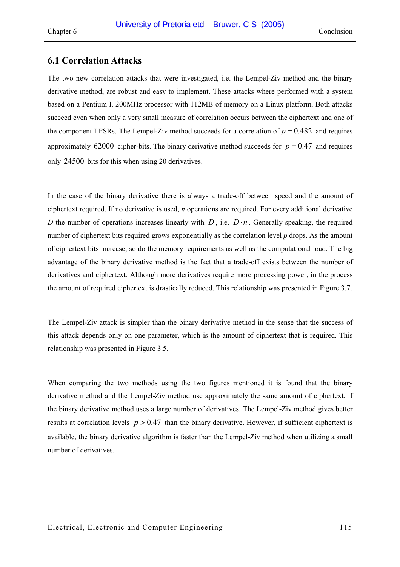### **6.1 Correlation Attacks**

The two new correlation attacks that were investigated, i.e. the Lempel-Ziv method and the binary derivative method, are robust and easy to implement. These attacks where performed with a system based on a Pentium I, 200MHz processor with 112MB of memory on a Linux platform. Both attacks succeed even when only a very small measure of correlation occurs between the ciphertext and one of the component LFSRs. The Lempel-Ziv method succeeds for a correlation of  $p = 0.482$  and requires approximately 62000 cipher-bits. The binary derivative method succeeds for  $p = 0.47$  and requires only 24500 bits for this when using 20 derivatives.

In the case of the binary derivative there is always a trade-off between speed and the amount of ciphertext required. If no derivative is used, *n* operations are required. For every additional derivative *D* the number of operations increases linearly with *D*, i.e.  $D \cdot n$ . Generally speaking, the required number of ciphertext bits required grows exponentially as the correlation level *p* drops. As the amount of ciphertext bits increase, so do the memory requirements as well as the computational load. The big advantage of the binary derivative method is the fact that a trade-off exists between the number of derivatives and ciphertext. Although more derivatives require more processing power, in the process the amount of required ciphertext is drastically reduced. This relationship was presented in [Figure 3.7.](#page-40-0) 

The Lempel-Ziv attack is simpler than the binary derivative method in the sense that the success of this attack depends only on one parameter, which is the amount of ciphertext that is required. This relationship was presented in [Figure 3.5.](#page-38-0)

When comparing the two methods using the two figures mentioned it is found that the binary derivative method and the Lempel-Ziv method use approximately the same amount of ciphertext, if the binary derivative method uses a large number of derivatives. The Lempel-Ziv method gives better results at correlation levels  $p > 0.47$  than the binary derivative. However, if sufficient ciphertext is available, the binary derivative algorithm is faster than the Lempel-Ziv method when utilizing a small number of derivatives.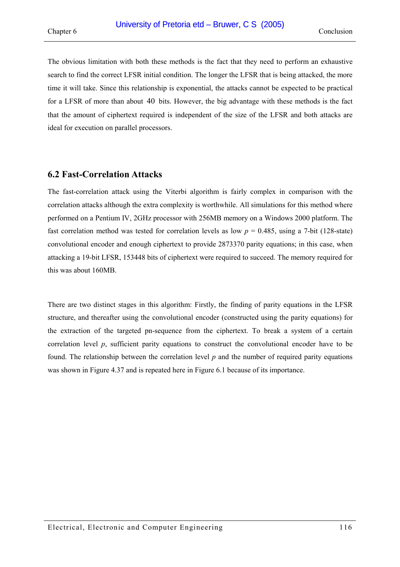The obvious limitation with both these methods is the fact that they need to perform an exhaustive search to find the correct LFSR initial condition. The longer the LFSR that is being attacked, the more time it will take. Since this relationship is exponential, the attacks cannot be expected to be practical for a LFSR of more than about 40 bits. However, the big advantage with these methods is the fact that the amount of ciphertext required is independent of the size of the LFSR and both attacks are ideal for execution on parallel processors.

### **6.2 Fast-Correlation Attacks**

The fast-correlation attack using the Viterbi algorithm is fairly complex in comparison with the correlation attacks although the extra complexity is worthwhile. All simulations for this method where performed on a Pentium IV, 2GHz processor with 256MB memory on a Windows 2000 platform. The fast correlation method was tested for correlation levels as low  $p = 0.485$ , using a 7-bit (128-state) convolutional encoder and enough ciphertext to provide 2873370 parity equations; in this case, when attacking a 19-bit LFSR, 153448 bits of ciphertext were required to succeed. The memory required for this was about 160MB.

There are two distinct stages in this algorithm: Firstly, the finding of parity equations in the LFSR structure, and thereafter using the convolutional encoder (constructed using the parity equations) for the extraction of the targeted pn-sequence from the ciphertext. To break a system of a certain correlation level *p*, sufficient parity equations to construct the convolutional encoder have to be found. The relationship between the correlation level *p* and the number of required parity equations was shown in [Figure 4.37](#page-101-0) and is repeated here in [Figure 6.1](#page-116-0) because of its importance.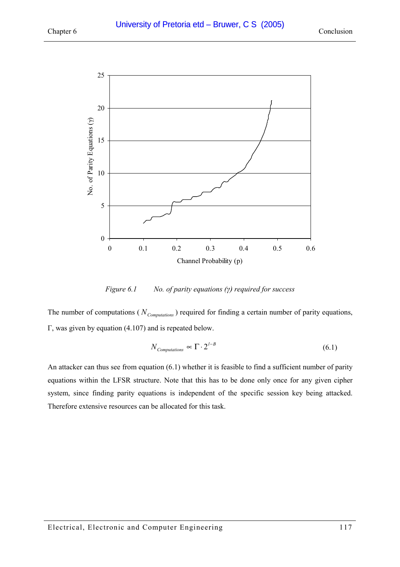<span id="page-116-0"></span>

*Figure 6.1 No. of parity equations (γ) required for success* 

The number of computations ( $N_{Computation}$ ) required for finding a certain number of parity equations, Γ, was given by equation [\(4.107\) a](#page-102-0)nd is repeated below.

$$
N_{\text{Computations}} \propto \Gamma \cdot 2^{l-B} \tag{6.1}
$$

An attacker can thus see from equation (6.1) whether it is feasible to find a sufficient number of parity equations within the LFSR structure. Note that this has to be done only once for any given cipher system, since finding parity equations is independent of the specific session key being attacked. Therefore extensive resources can be allocated for this task.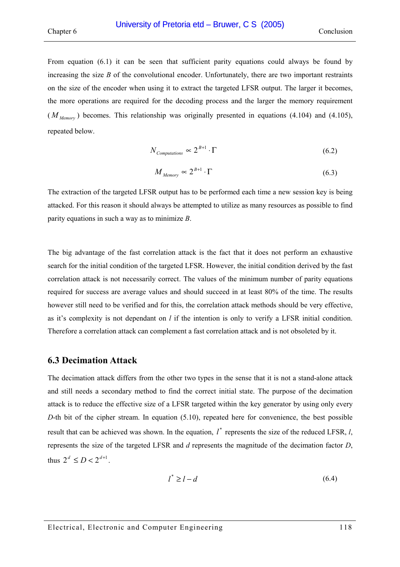From equation [\(6.1\)](#page-116-0) it can be seen that sufficient parity equations could always be found by increasing the size *B* of the convolutional encoder. Unfortunately, there are two important restraints on the size of the encoder when using it to extract the targeted LFSR output. The larger it becomes, the more operations are required for the decoding process and the larger the memory requirement  $(M_{Memon})$  becomes. This relationship was originally presented in equations [\(4.104\)](#page-101-0) and (4.105), repeated below.

$$
N_{\text{Computations}} \propto 2^{B+1} \cdot \Gamma \tag{6.2}
$$

$$
M_{\text{Memory}} \propto 2^{B+1} \cdot \Gamma \tag{6.3}
$$

The extraction of the targeted LFSR output has to be performed each time a new session key is being attacked. For this reason it should always be attempted to utilize as many resources as possible to find parity equations in such a way as to minimize *B*.

The big advantage of the fast correlation attack is the fact that it does not perform an exhaustive search for the initial condition of the targeted LFSR. However, the initial condition derived by the fast correlation attack is not necessarily correct. The values of the minimum number of parity equations required for success are average values and should succeed in at least 80% of the time. The results however still need to be verified and for this, the correlation attack methods should be very effective, as it's complexity is not dependant on *l* if the intention is only to verify a LFSR initial condition. Therefore a correlation attack can complement a fast correlation attack and is not obsoleted by it.

### **6.3 Decimation Attack**

The decimation attack differs from the other two types in the sense that it is not a stand-alone attack and still needs a secondary method to find the correct initial state. The purpose of the decimation attack is to reduce the effective size of a LFSR targeted within the key generator by using only every *D*-th bit of the cipher stream. In equation [\(5.10\),](#page-110-0) repeated here for convenience, the best possible result that can be achieved was shown. In the equation,  $l^*$  represents the size of the reduced LFSR,  $l$ , represents the size of the targeted LFSR and *d* represents the magnitude of the decimation factor *D*, thus  $2^d \le D < 2^{d+1}$ .

$$
l^* \ge l - d \tag{6.4}
$$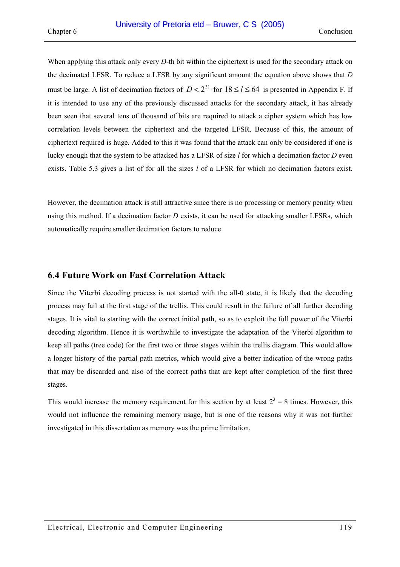When applying this attack only every *D*-th bit within the ciphertext is used for the secondary attack on the decimated LFSR. To reduce a LFSR by any significant amount the equation above shows that *D* must be large. A list of decimation factors of  $D < 2^{31}$  for  $18 \le l \le 64$  is presented in Appendix [F.](#page-137-0) If it is intended to use any of the previously discussed attacks for the secondary attack, it has already been seen that several tens of thousand of bits are required to attack a cipher system which has low correlation levels between the ciphertext and the targeted LFSR. Because of this, the amount of ciphertext required is huge. Added to this it was found that the attack can only be considered if one is lucky enough that the system to be attacked has a LFSR of size *l* for which a decimation factor *D* even exists. [Table 5.3](#page-111-0) gives a list of for all the sizes *l* of a LFSR for which no decimation factors exist.

However, the decimation attack is still attractive since there is no processing or memory penalty when using this method. If a decimation factor *D* exists, it can be used for attacking smaller LFSRs, which automatically require smaller decimation factors to reduce.

### **6.4 Future Work on Fast Correlation Attack**

Since the Viterbi decoding process is not started with the all-0 state, it is likely that the decoding process may fail at the first stage of the trellis. This could result in the failure of all further decoding stages. It is vital to starting with the correct initial path, so as to exploit the full power of the Viterbi decoding algorithm. Hence it is worthwhile to investigate the adaptation of the Viterbi algorithm to keep all paths (tree code) for the first two or three stages within the trellis diagram. This would allow a longer history of the partial path metrics, which would give a better indication of the wrong paths that may be discarded and also of the correct paths that are kept after completion of the first three stages.

This would increase the memory requirement for this section by at least  $2^3 = 8$  times. However, this would not influence the remaining memory usage, but is one of the reasons why it was not further investigated in this dissertation as memory was the prime limitation.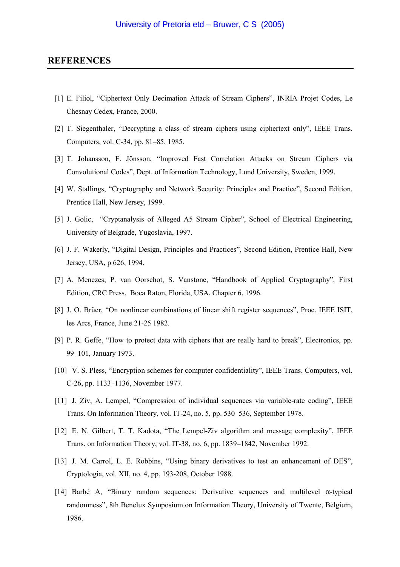#### <span id="page-119-0"></span>**REFERENCES**

- [1] E. Filiol, "Ciphertext Only Decimation Attack of Stream Ciphers", INRIA Projet Codes, Le Chesnay Cedex, France, 2000.
- [2] T. Siegenthaler, "Decrypting a class of stream ciphers using ciphertext only", IEEE Trans. Computers, vol. C-34, pp. 81–85, 1985.
- [3] T. Johansson, F. Jönsson, "Improved Fast Correlation Attacks on Stream Ciphers via Convolutional Codes", Dept. of Information Technology, Lund University, Sweden, 1999.
- [4] W. Stallings, "Cryptography and Network Security: Principles and Practice", Second Edition. Prentice Hall, New Jersey, 1999.
- [5] J. Golic, "Cryptanalysis of Alleged A5 Stream Cipher", School of Electrical Engineering, University of Belgrade, Yugoslavia, 1997.
- [6] J. F. Wakerly, "Digital Design, Principles and Practices", Second Edition, Prentice Hall, New Jersey, USA, p 626, 1994.
- [7] A. Menezes, P. van Oorschot, S. Vanstone, "Handbook of Applied Cryptography", First Edition, CRC Press, Boca Raton, Florida, USA, Chapter 6, 1996.
- [8] J. O. Brüer, "On nonlinear combinations of linear shift register sequences", Proc. IEEE ISIT, les Arcs, France, June 21-25 1982.
- [9] P. R. Geffe, "How to protect data with ciphers that are really hard to break", Electronics, pp. 99–101, January 1973.
- [10] V. S. Pless, "Encryption schemes for computer confidentiality", IEEE Trans. Computers, vol. C-26, pp. 1133–1136, November 1977.
- [11] J. Ziv, A. Lempel, "Compression of individual sequences via variable-rate coding", IEEE Trans. On Information Theory, vol. IT-24, no. 5, pp. 530–536, September 1978.
- [12] E. N. Gilbert, T. T. Kadota, "The Lempel-Ziv algorithm and message complexity", IEEE Trans. on Information Theory, vol. IT-38, no. 6, pp. 1839–1842, November 1992.
- [13] J. M. Carrol, L. E. Robbins, "Using binary derivatives to test an enhancement of DES", Cryptologia, vol. XII, no. 4, pp. 193-208, October 1988.
- [14] Barbé A, "Binary random sequences: Derivative sequences and multilevel α-typical randomness", 8th Benelux Symposium on Information Theory, University of Twente, Belgium, 1986.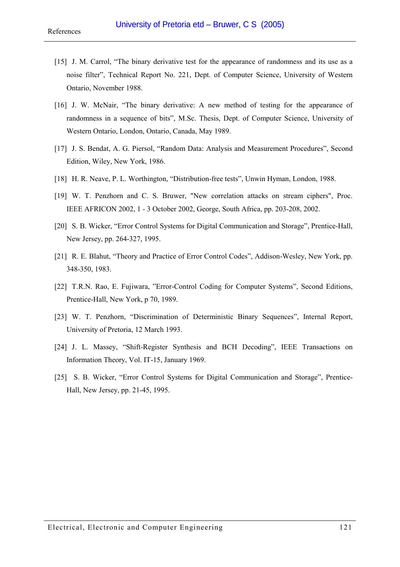- [15] J. M. Carrol, "The binary derivative test for the appearance of randomness and its use as a noise filter", Technical Report No. 221, Dept. of Computer Science, University of Western Ontario, November 1988.
- [16] J. W. McNair, "The binary derivative: A new method of testing for the appearance of randomness in a sequence of bits", M.Sc. Thesis, Dept. of Computer Science, University of Western Ontario, London, Ontario, Canada, May 1989.
- [17] J. S. Bendat, A. G. Piersol, "Random Data: Analysis and Measurement Procedures", Second Edition, Wiley, New York, 1986.
- [18] H. R. Neave, P. L. Worthington, "Distribution-free tests", Unwin Hyman, London, 1988.
- [19] W. T. Penzhorn and C. S. Bruwer, "New correlation attacks on stream ciphers", Proc. IEEE AFRICON 2002, 1 - 3 October 2002, George, South Africa, pp. 203-208, 2002.
- [20] S. B. Wicker, "Error Control Systems for Digital Communication and Storage", Prentice-Hall, New Jersey, pp. 264-327, 1995.
- [21] R. E. Blahut, "Theory and Practice of Error Control Codes", Addison-Wesley, New York, pp. 348-350, 1983.
- [22] T.R.N. Rao, E. Fujiwara, "Error-Control Coding for Computer Systems", Second Editions, Prentice-Hall, New York, p 70, 1989.
- [23] W. T. Penzhorn, "Discrimination of Deterministic Binary Sequences", Internal Report, University of Pretoria, 12 March 1993.
- [24] J. L. Massey, "Shift-Register Synthesis and BCH Decoding", IEEE Transactions on Information Theory, Vol. IT-15, January 1969.
- [25] S. B. Wicker, "Error Control Systems for Digital Communication and Storage", Prentice-Hall, New Jersey, pp. 21-45, 1995.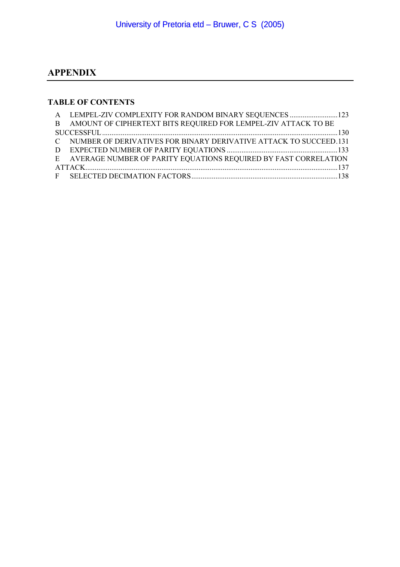# **APPENDIX**

# **TABLE OF CONTENTS**

| A LEMPEL-ZIV COMPLEXITY FOR RANDOM BINARY SEQUENCES  123            |  |
|---------------------------------------------------------------------|--|
| B AMOUNT OF CIPHERTEXT BITS REQUIRED FOR LEMPEL-ZIV ATTACK TO BE    |  |
|                                                                     |  |
| C NUMBER OF DERIVATIVES FOR BINARY DERIVATIVE ATTACK TO SUCCEED.131 |  |
|                                                                     |  |
| E AVERAGE NUMBER OF PARITY EQUATIONS REQUIRED BY FAST CORRELATION   |  |
|                                                                     |  |
|                                                                     |  |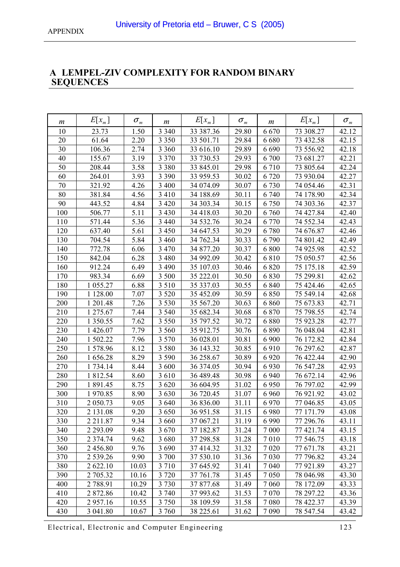# <span id="page-122-0"></span>**A LEMPEL-ZIV COMPLEXITY FOR RANDOM BINARY SEQUENCES**

| m   | $E[x_{m}]$  | $\sigma_{\scriptscriptstyle m}$ | $\boldsymbol{m}$ | $E[x_m]$  | $\sigma_{\scriptscriptstyle m}$ | m       | $E[x_{m}]$ | $\sigma_{\scriptscriptstyle m}$ |
|-----|-------------|---------------------------------|------------------|-----------|---------------------------------|---------|------------|---------------------------------|
| 10  | 23.73       | 1.50                            | 3 3 4 0          | 33 387.36 | 29.80                           | 6670    | 73 308.27  | 42.12                           |
| 20  | 61.64       | 2.20                            | 3 3 5 0          | 33 501.71 | 29.84                           | 6680    | 73 432.58  | 42.15                           |
| 30  | 106.36      | 2.74                            | 3 3 6 0          | 33 616.10 | 29.89                           | 6 6 9 0 | 73 556.92  | 42.18                           |
| 40  | 155.67      | 3.19                            | 3 3 7 0          | 33 730.53 | 29.93                           | 6 700   | 73 681.27  | 42.21                           |
| 50  | 208.44      | 3.58                            | 3 3 8 0          | 33 845.01 | 29.98                           | 6710    | 73 805.64  | 42.24                           |
| 60  | 264.01      | 3.93                            | 3 3 9 0          | 33 959.53 | 30.02                           | 6720    | 73 930.04  | 42.27                           |
| 70  | 321.92      | 4.26                            | 3 4 0 0          | 34 074.09 | 30.07                           | 6730    | 74 054.46  | 42.31                           |
| 80  | 381.84      | 4.56                            | 3 4 1 0          | 34 188.69 | 30.11                           | 6 740   | 74 178.90  | 42.34                           |
| 90  | 443.52      | 4.84                            | 3 4 2 0          | 34 303.34 | 30.15                           | 6750    | 74 303.36  | 42.37                           |
| 100 | 506.77      | 5.11                            | 3 4 3 0          | 34 418.03 | 30.20                           | 6760    | 74 427.84  | 42.40                           |
| 110 | 571.44      | 5.36                            | 3 4 4 0          | 34 532.76 | 30.24                           | 6 7 7 0 | 74 552.34  | 42.43                           |
| 120 | 637.40      | 5.61                            | 3 4 5 0          | 34 647.53 | 30.29                           | 6780    | 74 676.87  | 42.46                           |
| 130 | 704.54      | 5.84                            | 3 4 6 0          | 34 762.34 | 30.33                           | 6790    | 74 801.42  | 42.49                           |
| 140 | 772.78      | 6.06                            | 3 4 7 0          | 34 877.20 | 30.37                           | 6 800   | 74 925.98  | 42.52                           |
| 150 | 842.04      | 6.28                            | 3 4 8 0          | 34 992.09 | 30.42                           | 6810    | 75 050.57  | 42.56                           |
| 160 | 912.24      | 6.49                            | 3 4 9 0          | 35 107.03 | 30.46                           | 6 8 20  | 75 175.18  | 42.59                           |
| 170 | 983.34      | 6.69                            | 3 500            | 35 222.01 | 30.50                           | 6830    | 75 299.81  | 42.62                           |
| 180 | 1 055.27    | 6.88                            | 3 5 1 0          | 35 337.03 | 30.55                           | 6 8 4 0 | 75 424.46  | 42.65                           |
| 190 | 1 128.00    | 7.07                            | 3 5 2 0          | 35 452.09 | 30.59                           | 6850    | 75 549.14  | 42.68                           |
| 200 | 1 201.48    | 7.26                            | 3 5 3 0          | 35 567.20 | 30.63                           | 6 8 6 0 | 75 673.83  | 42.71                           |
| 210 | 1 275.67    | 7.44                            | 3 5 4 0          | 35 682.34 | 30.68                           | 6870    | 75 798.55  | 42.74                           |
| 220 | 1 350.55    | 7.62                            | 3 5 5 0          | 35 797.52 | 30.72                           | 6880    | 75 923.28  | 42.77                           |
| 230 | 1 426.07    | 7.79                            | 3 5 6 0          | 35 912.75 | 30.76                           | 6890    | 76 048.04  | 42.81                           |
| 240 | 1 502.22    | 7.96                            | 3 5 7 0          | 36 028.01 | 30.81                           | 6 9 0 0 | 76 172.82  | 42.84                           |
| 250 | 1578.96     | 8.12                            | 3 5 8 0          | 36 143.32 | 30.85                           | 6910    | 76 297.62  | 42.87                           |
| 260 | 1656.28     | 8.29                            | 3 5 9 0          | 36 258.67 | 30.89                           | 6920    | 76 422.44  | 42.90                           |
| 270 | 1 734.14    | 8.44                            | 3 600            | 36 374.05 | 30.94                           | 6930    | 76 547.28  | 42.93                           |
| 280 | 1812.54     | 8.60                            | 3 6 1 0          | 36 489.48 | 30.98                           | 6 9 4 0 | 76 672.14  | 42.96                           |
| 290 | 1891.45     | 8.75                            | 3 6 20           | 36 604.95 | 31.02                           | 6950    | 76 797.02  | 42.99                           |
| 300 | 1970.85     | 8.90                            | 3 6 3 0          | 36 720.45 | 31.07                           | 6 9 6 0 | 76 921.92  | 43.02                           |
| 310 | 2 050.73    | 9.05                            | 3 6 4 0          | 36 836.00 | 31.11                           | 6970    | 77 046.85  | 43.05                           |
| 320 | 2 131.08    | 9.20                            | 3 6 5 0          | 36 951.58 | 31.15                           | 6980    | 77 171.79  | 43.08                           |
| 330 | 2 2 1 1 .87 | 9.34                            | 3 6 6 0          | 37 067.21 | 31.19                           | 6 9 9 0 | 77 296.76  | 43.11                           |
| 340 | 2 293.09    | 9.48                            | 3 6 7 0          | 37 182.87 | 31.24                           | 7 0 0 0 | 77 421.74  | 43.15                           |
| 350 | 2 3 7 4 .74 | 9.62                            | 3 6 8 0          | 37 298.58 | 31.28                           | 7010    | 77 546.75  | 43.18                           |
| 360 | 2 456.80    | 9.76                            | 3 6 9 0          | 37 414.32 | 31.32                           | 7 0 20  | 77 671.78  | 43.21                           |
| 370 | 2 539.26    | 9.90                            | 3 700            | 37 530.10 | 31.36                           | 7 0 3 0 | 77 796.82  | 43.24                           |
| 380 | 2 622.10    | 10.03                           | 3 7 1 0          | 37 645.92 | 31.41                           | 7 0 4 0 | 77 921.89  | 43.27                           |
| 390 | 2 705.32    | 10.16                           | 3 7 2 0          | 37 761.78 | 31.45                           | 7 0 5 0 | 78 046.98  | 43.30                           |
| 400 | 2788.91     | 10.29                           | 3 7 3 0          | 37 877.68 | 31.49                           | 7 0 6 0 | 78 172.09  | 43.33                           |
| 410 | 2872.86     | 10.42                           | 3 740            | 37 993.62 | 31.53                           | 7070    | 78 297.22  | 43.36                           |
| 420 | 2957.16     | 10.55                           | 3 7 5 0          | 38 109.59 | 31.58                           | 7 0 8 0 | 78 422.37  | 43.39                           |
| 430 | 3 041.80    | 10.67                           | 3 760            | 38 225.61 | 31.62                           | 7 0 9 0 | 78 547.54  | 43.42                           |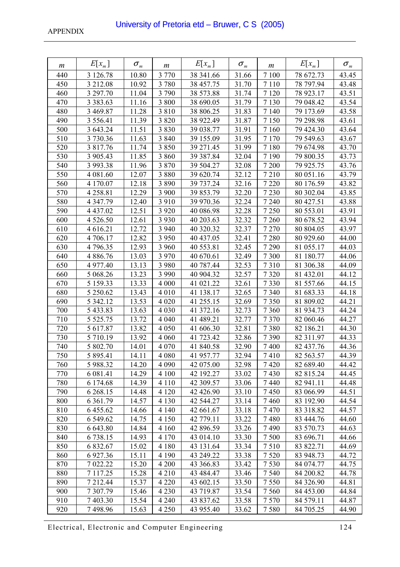| m   | $E[x_m]$      | $\sigma_{\scriptscriptstyle m}$ | m       | $E[x_{m}]$ | $\sigma_{\scriptscriptstyle m}$ | m       | $E[x_m]$  | $\sigma_{\scriptscriptstyle m}$ |
|-----|---------------|---------------------------------|---------|------------|---------------------------------|---------|-----------|---------------------------------|
| 440 | 3 126.78      | 10.80                           | 3 7 7 0 | 38 341.66  | 31.66                           | 7 100   | 78 672.73 | 43.45                           |
| 450 | 3 212.08      | 10.92                           | 3 7 8 0 | 38 457.75  | 31.70                           | 7 1 1 0 | 78 797.94 | 43.48                           |
| 460 | 3 297.70      | 11.04                           | 3 7 9 0 | 38 573.88  | 31.74                           | 7 1 20  | 78 923.17 | 43.51                           |
| 470 | 3 3 8 3 . 6 3 | 11.16                           | 3 800   | 38 690.05  | 31.79                           | 7 1 3 0 | 79 048.42 | 43.54                           |
| 480 | 3 469.87      | 11.28                           | 3 8 1 0 | 38 806.25  | 31.83                           | 7 1 4 0 | 79 173.69 | 43.58                           |
| 490 | 3 5 5 6 . 4 1 | 11.39                           | 3 8 2 0 | 38 922.49  | 31.87                           | 7 1 5 0 | 79 298.98 | 43.61                           |
| 500 | 3 643.24      | 11.51                           | 3 8 3 0 | 39 038.77  | 31.91                           | 7 1 6 0 | 79 424.30 | 43.64                           |
| 510 | 3 730.36      | 11.63                           | 3 8 4 0 | 39 155.09  | 31.95                           | 7 1 7 0 | 79 549.63 | 43.67                           |
| 520 | 3 817.76      | 11.74                           | 3 8 5 0 | 39 271.45  | 31.99                           | 7 1 8 0 | 79 674.98 | 43.70                           |
| 530 | 3 905.43      | 11.85                           | 3 8 6 0 | 39 387.84  | 32.04                           | 7 1 9 0 | 79 800.35 | 43.73                           |
| 540 | 3 993.38      | 11.96                           | 3 8 7 0 | 39 504.27  | 32.08                           | 7 200   | 79 925.75 | 43.76                           |
| 550 | 4 081.60      | 12.07                           | 3 8 8 0 | 39 620.74  | 32.12                           | 7210    | 80 051.16 | 43.79                           |
| 560 | 4 170.07      | 12.18                           | 3 8 9 0 | 39 737.24  | 32.16                           | 7 2 2 0 | 80 176.59 | 43.82                           |
| 570 | 4258.81       | 12.29                           | 3 900   | 39 853.79  | 32.20                           | 7 2 3 0 | 80 302.04 | 43.85                           |
| 580 | 4 3 4 7 . 7 9 | 12.40                           | 3 9 1 0 | 39 970.36  | 32.24                           | 7 2 4 0 | 80 427.51 | 43.88                           |
| 590 | 4 4 3 7 .0 2  | 12.51                           | 3 9 2 0 | 40 086.98  | 32.28                           | 7 2 5 0 | 80 553.01 | 43.91                           |
| 600 | 4 5 26.50     | 12.61                           | 3 9 3 0 | 40 203.63  | 32.32                           | 7 2 6 0 | 80 678.52 | 43.94                           |
| 610 | 4 616.21      | 12.72                           | 3 9 4 0 | 40 320.32  | 32.37                           | 7 2 7 0 | 80 804.05 | 43.97                           |
| 620 | 4 706.17      | 12.82                           | 3 9 5 0 | 40 437.05  | 32.41                           | 7 2 8 0 | 80 929.60 | 44.00                           |
| 630 | 4796.35       | 12.93                           | 3 9 6 0 | 40 553.81  | 32.45                           | 7 2 9 0 | 81 055.17 | 44.03                           |
| 640 | 4 8 8 6 .76   | 13.03                           | 3 9 7 0 | 40 670.61  | 32.49                           | 7 3 0 0 | 81 180.77 | 44.06                           |
| 650 | 4 977.40      | 13.13                           | 3 9 8 0 | 40 787.44  | 32.53                           | 7310    | 81 306.38 | 44.09                           |
| 660 | 5 068.26      | 13.23                           | 3 9 9 0 | 40 904.32  | 32.57                           | 7 3 2 0 | 81 432.01 | 44.12                           |
| 670 | 5 159.33      | 13.33                           | 4 0 0 0 | 41 021.22  | 32.61                           | 7330    | 81 557.66 | 44.15                           |
| 680 | 5 250.62      | 13.43                           | 4 0 1 0 | 41 138.17  | 32.65                           | 7 3 4 0 | 81 683.33 | 44.18                           |
| 690 | 5 342.12      | 13.53                           | 4 0 20  | 41 255.15  | 32.69                           | 7350    | 81 809.02 | 44.21                           |
| 700 | 5 433.83      | 13.63                           | 4 0 3 0 | 41 372.16  | 32.73                           | 7 3 6 0 | 81 934.73 | 44.24                           |
| 710 | 5 5 2 5 .75   | 13.72                           | 4 0 4 0 | 41 489.21  | 32.77                           | 7370    | 82 060.46 | 44.27                           |
| 720 | 5 617.87      | 13.82                           | 4 0 5 0 | 41 606.30  | 32.81                           | 7380    | 82 186.21 | 44.30                           |
| 730 | 5 710.19      | 13.92                           | 4 0 6 0 | 41 723.42  | 32.86                           | 7390    | 82 311.97 | 44.33                           |
| 740 | 5 802.70      | 14.01                           | 4 0 7 0 | 41 840.58  | 32.90                           | 7400    | 82 437.76 | 44.36                           |
| 750 | 5 895.41      | 14.11                           | 4 0 8 0 | 41 957.77  | 32.94                           | 7410    | 82 563.57 | 44.39                           |
| 760 | 5 988.32      | 14.20                           | 4 0 9 0 | 42 075.00  | 32.98                           | 7420    | 82 689.40 | 44.42                           |
| 770 | 6 081.41      | 14.29                           | 4 100   | 42 192.27  | 33.02                           | 7430    | 82 815.24 | 44.45                           |
| 780 | 6 174.68      | 14.39                           | 4 1 1 0 | 42 309.57  | 33.06                           | 7440    | 82 941.11 | 44.48                           |
| 790 | 6 2 68.15     | 14.48                           | 4 1 2 0 | 42 426.90  | 33.10                           | 7450    | 83 066.99 | 44.51                           |
| 800 | 6 3 6 1 . 7 9 | 14.57                           | 4 1 3 0 | 42 544.27  | 33.14                           | 7460    | 83 192.90 | 44.54                           |
| 810 | 6 455.62      | 14.66                           | 4 1 4 0 | 42 661.67  | 33.18                           | 7470    | 83 318.82 | 44.57                           |
| 820 | 6 549.62      | 14.75                           | 4 1 5 0 | 42 779.11  | 33.22                           | 7480    | 83 444.76 | 44.60                           |
| 830 | 6 643.80      | 14.84                           | 4 1 6 0 | 42 896.59  | 33.26                           | 7490    | 83 570.73 | 44.63                           |
| 840 | 6738.15       | 14.93                           | 4 1 7 0 | 43 014.10  | 33.30                           | 7500    | 83 696.71 | 44.66                           |
| 850 | 6 832.67      | 15.02                           | 4 1 8 0 | 43 131.64  | 33.34                           | 7510    | 83 822.71 | 44.69                           |
| 860 | 6 9 27.36     | 15.11                           | 4 1 9 0 | 43 249.22  | 33.38                           | 7520    | 83 948.73 | 44.72                           |
| 870 | 7 022.22      | 15.20                           | 4 200   | 43 366.83  | 33.42                           | 7530    | 84 074.77 | 44.75                           |
| 880 | 7 117.25      | 15.28                           | 4 2 1 0 | 43 484.47  | 33.46                           | 7540    | 84 200.82 | 44.78                           |
| 890 | 7 212.44      | 15.37                           | 4 2 2 0 | 43 602.15  | 33.50                           | 7550    | 84 326.90 | 44.81                           |
| 900 | 7 307.79      | 15.46                           | 4 2 3 0 | 43 719.87  | 33.54                           | 7560    | 84 453.00 | 44.84                           |
| 910 | 7 403.30      | 15.54                           | 4 2 4 0 | 43 837.62  | 33.58                           | 7570    | 84 579.11 | 44.87                           |
| 920 | 7498.96       | 15.63                           | 4 2 5 0 | 43 955.40  | 33.62                           | 7580    | 84 705.25 | 44.90                           |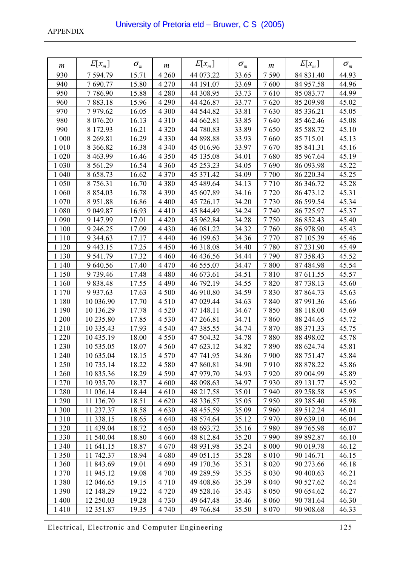| $\boldsymbol{m}$ | $E[x_{m}]$    | $\sigma_{\scriptscriptstyle m}$ | m       | $E[x_{m}]$ | $\sigma_{\scriptscriptstyle m}$ | m       | $E[x_{m}]$ | $\sigma_{\scriptscriptstyle m}$ |
|------------------|---------------|---------------------------------|---------|------------|---------------------------------|---------|------------|---------------------------------|
| 930              | 7 594.79      | 15.71                           | 4 2 6 0 | 44 073.22  | 33.65                           | 7590    | 84 831.40  | 44.93                           |
| 940              | 7690.77       | 15.80                           | 4 2 7 0 | 44 191.07  | 33.69                           | 7600    | 84 957.58  | 44.96                           |
| 950              | 7786.90       | 15.88                           | 4 2 8 0 | 44 308.95  | 33.73                           | 7610    | 85 083.77  | 44.99                           |
| 960              | 7883.18       | 15.96                           | 4 2 9 0 | 44 4 26.87 | 33.77                           | 7620    | 85 209.98  | 45.02                           |
| 970              | 7979.62       | 16.05                           | 4 3 0 0 | 44 544.82  | 33.81                           | 7630    | 85 336.21  | 45.05                           |
| 980              | 8 0 7 6 . 20  | 16.13                           | 4 3 1 0 | 44 662.81  | 33.85                           | 7640    | 85 462.46  | 45.08                           |
| 990              | 8 172.93      | 16.21                           | 4 3 2 0 | 44 780.83  | 33.89                           | 7650    | 85 588.72  | 45.10                           |
| 1 000            | 8 2 6 9 . 8 1 | 16.29                           | 4 3 3 0 | 44 898.88  | 33.93                           | 7660    | 85 715.01  | 45.13                           |
| 1 0 1 0          | 8 3 6 6 .8 2  | 16.38                           | 4 3 4 0 | 45 016.96  | 33.97                           | 7670    | 85 841.31  | 45.16                           |
| 1 0 20           | 8 4 6 3 . 9 9 | 16.46                           | 4 3 5 0 | 45 135.08  | 34.01                           | 7680    | 85 967.64  | 45.19                           |
| 1 0 3 0          | 8 5 6 1 . 29  | 16.54                           | 4 3 6 0 | 45 253.23  | 34.05                           | 7690    | 86 093.98  | 45.22                           |
| 1 0 4 0          | 8 658.73      | 16.62                           | 4 3 7 0 | 45 371.42  | 34.09                           | 7700    | 86 220.34  | 45.25                           |
| 1 0 5 0          | 8 7 5 6 . 3 1 | 16.70                           | 4 3 8 0 | 45 489.64  | 34.13                           | 7710    | 86 346.72  | 45.28                           |
| 1 0 6 0          | 8 8 5 4 . 0 3 | 16.78                           | 4 3 9 0 | 45 607.89  | 34.16                           | 7720    | 86 473.12  | 45.31                           |
| 1 0 7 0          | 8951.88       | 16.86                           | 4 4 0 0 | 45 726.17  | 34.20                           | 7730    | 86 599.54  | 45.34                           |
| 1 0 8 0          | 9 049.87      | 16.93                           | 4410    | 45 844.49  | 34.24                           | 7740    | 86 725.97  | 45.37                           |
| 1 0 9 0          | 9 147.99      | 17.01                           | 4 4 2 0 | 45 962.84  | 34.28                           | 7750    | 86 852.43  | 45.40                           |
| 1 100            | 9 2 4 6.25    | 17.09                           | 4 4 3 0 | 46 081.22  | 34.32                           | 7760    | 86 978.90  | 45.43                           |
| 1 1 1 0          | 9 3 4 4 . 6 3 | 17.17                           | 4 4 4 0 | 46 199.63  | 34.36                           | 7770    | 87 105.39  | 45.46                           |
| 1 1 2 0          | 9 4 4 3 . 1 5 | 17.25                           | 4 4 5 0 | 46 318.08  | 34.40                           | 7780    | 87 231.90  | 45.49                           |
| 1 1 3 0          | 9 541.79      | 17.32                           | 4 4 6 0 | 46 436.56  | 34.44                           | 7790    | 87 358.43  | 45.52                           |
| 1 1 4 0          | 9 640.56      | 17.40                           | 4 4 7 0 | 46 555.07  | 34.47                           | 7800    | 87 484.98  | 45.54                           |
| 1 1 5 0          | 9739.46       | 17.48                           | 4 4 8 0 | 46 673.61  | 34.51                           | 7810    | 87 611.55  | 45.57                           |
| 1 160            | 9 8 3 8 . 4 8 | 17.55                           | 4 4 9 0 | 46 792.19  | 34.55                           | 7820    | 87 738.13  | 45.60                           |
| 1 1 7 0          | 9 9 3 7 . 6 3 | 17.63                           | 4 500   | 46 910.80  | 34.59                           | 7830    | 87 864.73  | 45.63                           |
| 1 1 8 0          | 10 036.90     | 17.70                           | 4 5 1 0 | 47 029.44  | 34.63                           | 7840    | 87 991.36  | 45.66                           |
| 1 1 9 0          | 10 136.29     | 17.78                           | 4 5 20  | 47 148.11  | 34.67                           | 7850    | 88 118.00  | 45.69                           |
| 1 200            | 10 235.80     | 17.85                           | 4 5 3 0 | 47 266.81  | 34.71                           | 7860    | 88 244.65  | 45.72                           |
| 1210             | 10 335.43     | 17.93                           | 4 5 4 0 | 47 385.55  | 34.74                           | 7870    | 88 371.33  | 45.75                           |
| 1 2 2 0          | 10 435.19     | 18.00                           | 4 5 5 0 | 47 504.32  | 34.78                           | 7880    | 88 498.02  | 45.78                           |
| 1 2 3 0          | 10 535.05     | 18.07                           | 4 5 6 0 | 47 623.12  | 34.82                           | 7890    | 88 624.74  | 45.81                           |
| 1 240            | 10 635.04     | 18.15                           | 4 5 7 0 | 47 741.95  | 34.86                           | 7900    | 88 751.47  | 45.84                           |
| 1 2 5 0          | 10 735.14     | 18.22                           | 4580    | 47 860.81  | 34.90                           | 7910    | 88 878.22  | 45.86                           |
| 1 260            | 10 835.36     | 18.29                           | 4 5 9 0 | 47 979.70  | 34.93                           | 7920    | 89 004.99  | 45.89                           |
| 1 2 7 0          | 10 935.70     | 18.37                           | 4 600   | 48 098.63  | 34.97                           | 7930    | 89 131.77  | 45.92                           |
| 1 2 8 0          | 11 036.14     | 18.44                           | 4610    | 48 217.58  | 35.01                           | 7940    | 89 258.58  | 45.95                           |
| 1 2 9 0          | 11 136.70     | 18.51                           | 4 6 20  | 48 336.57  | 35.05                           | 7950    | 89 385.40  | 45.98                           |
| 1 300            | 11 237.37     | 18.58                           | 4 6 3 0 | 48 455.59  | 35.09                           | 7960    | 89 512.24  | 46.01                           |
| 1310             | 11 338.15     | 18.65                           | 4 6 4 0 | 48 574.64  | 35.12                           | 7970    | 89 639.10  | 46.04                           |
| 1 3 2 0          | 11 439.04     | 18.72                           | 4 6 5 0 | 48 693.72  | 35.16                           | 7980    | 89 765.98  | 46.07                           |
| 1 3 3 0          | 11 540.04     | 18.80                           | 4 6 6 0 | 48 812.84  | 35.20                           | 7990    | 89 892.87  | 46.10                           |
| 1 3 4 0          | 11 641.15     | 18.87                           | 4670    | 48 931.98  | 35.24                           | 8 0 0 0 | 90 019.78  | 46.12                           |
| 1 3 5 0          | 11 742.37     | 18.94                           | 4680    | 49 051.15  | 35.28                           | 8 0 1 0 | 90 146.71  | 46.15                           |
| 1 3 6 0          | 11 843.69     | 19.01                           | 4 6 9 0 | 49 170.36  | 35.31                           | 8 0 2 0 | 90 273.66  | 46.18                           |
| 1 3 7 0          | 11 945.12     | 19.08                           | 4 700   | 49 289.59  | 35.35                           | 8 0 3 0 | 90 400.63  | 46.21                           |
| 1 3 8 0          | 12 046.65     | 19.15                           | 4 7 1 0 | 49 408.86  | 35.39                           | 8 0 4 0 | 90 527.62  | 46.24                           |
| 1 3 9 0          | 12 148.29     | 19.22                           | 4 7 2 0 | 49 528.16  | 35.43                           | 8 0 5 0 | 90 654.62  | 46.27                           |
| 1 400            | 12 250.03     | 19.28                           | 4 7 3 0 | 49 647.48  | 35.46                           | 8 0 6 0 | 90 781.64  | 46.30                           |
| 1410             | 12 351.87     | 19.35                           | 4 7 4 0 | 49 766.84  | 35.50                           | 8 0 7 0 | 90 908.68  | 46.33                           |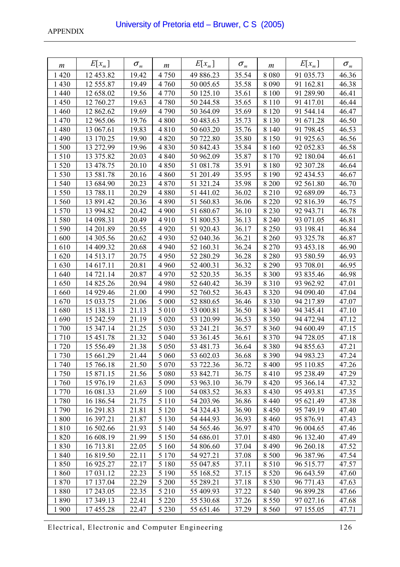| m       | $E[x_m]$   | $\sigma_{\scriptscriptstyle m}$ | m       | $E[x_{m}]$ | $\sigma_{\scriptscriptstyle m}$ | m       | $E[x_m]$  | $\sigma_{\scriptscriptstyle m}$ |
|---------|------------|---------------------------------|---------|------------|---------------------------------|---------|-----------|---------------------------------|
| 1 4 2 0 | 12 453.82  | 19.42                           | 4 7 5 0 | 49 886.23  | 35.54                           | 8 0 8 0 | 91 035.73 | 46.36                           |
| 1 4 3 0 | 12 555.87  | 19.49                           | 4 7 6 0 | 50 005.65  | 35.58                           | 8 0 9 0 | 91 162.81 | 46.38                           |
| 1 4 4 0 | 12 658.02  | 19.56                           | 4 7 7 0 | 50 125.10  | 35.61                           | 8 100   | 91 289.90 | 46.41                           |
| 1450    | 12 760.27  | 19.63                           | 4780    | 50 244.58  | 35.65                           | 8 1 1 0 | 91 417.01 | 46.44                           |
| 1 4 6 0 | 12 862.62  | 19.69                           | 4 7 9 0 | 50 364.09  | 35.69                           | 8 1 2 0 | 91 544.14 | 46.47                           |
| 1470    | 12 965.06  | 19.76                           | 4 800   | 50 483.63  | 35.73                           | 8 1 3 0 | 91 671.28 | 46.50                           |
| 1 4 8 0 | 13 067.61  | 19.83                           | 4810    | 50 603.20  | 35.76                           | 8 1 4 0 | 91 798.45 | 46.53                           |
| 1 4 9 0 | 13 170.25  | 19.90                           | 4 8 20  | 50 722.80  | 35.80                           | 8 1 5 0 | 91 925.63 | 46.56                           |
| 1500    | 13 272.99  | 19.96                           | 4830    | 50 842.43  | 35.84                           | 8 1 6 0 | 92 052.83 | 46.58                           |
| 1510    | 13 375.82  | 20.03                           | 4 8 4 0 | 50 962.09  | 35.87                           | 8 1 7 0 | 92 180.04 | 46.61                           |
| 1520    | 13 478.75  | 20.10                           | 4 8 5 0 | 51 081.78  | 35.91                           | 8 1 8 0 | 92 307.28 | 46.64                           |
| 1530    | 13 581.78  | 20.16                           | 4 8 6 0 | 51 201.49  | 35.95                           | 8 1 9 0 | 92 434.53 | 46.67                           |
| 1 540   | 13 684.90  | 20.23                           | 4 8 7 0 | 51 321.24  | 35.98                           | 8 2 0 0 | 92 561.80 | 46.70                           |
| 1550    | 13 788.11  | 20.29                           | 4 8 8 0 | 51 441.02  | 36.02                           | 8 2 1 0 | 92 689.09 | 46.73                           |
| 1560    | 13 891.42  | 20.36                           | 4 8 9 0 | 51 560.83  | 36.06                           | 8 2 2 0 | 92 816.39 | 46.75                           |
| 1570    | 13 994.82  | 20.42                           | 4 9 0 0 | 51 680.67  | 36.10                           | 8 2 3 0 | 92 943.71 | 46.78                           |
| 1580    | 14 098.31  | 20.49                           | 4910    | 51 800.53  | 36.13                           | 8 2 4 0 | 93 071.05 | 46.81                           |
| 1590    | 14 201.89  | 20.55                           | 4 9 20  | 51 920.43  | 36.17                           | 8 2 5 0 | 93 198.41 | 46.84                           |
| 1600    | 14 305.56  | 20.62                           | 4 9 3 0 | 52 040.36  | 36.21                           | 8 2 6 0 | 93 325.78 | 46.87                           |
| 1610    | 14 409.32  | 20.68                           | 4 9 4 0 | 52 160.31  | 36.24                           | 8 2 7 0 | 93 453.18 | 46.90                           |
| 1620    | 14 5 13 17 | 20.75                           | 4 9 5 0 | 52 280.29  | 36.28                           | 8 2 8 0 | 93 580.59 | 46.93                           |
| 1630    | 14 617.11  | 20.81                           | 4 9 6 0 | 52 400.31  | 36.32                           | 8 2 9 0 | 93 708.01 | 46.95                           |
| 1640    | 14 721.14  | 20.87                           | 4 9 7 0 | 52 520.35  | 36.35                           | 8 3 0 0 | 93 835.46 | 46.98                           |
| 1650    | 14 825.26  | 20.94                           | 4 9 8 0 | 52 640.42  | 36.39                           | 8 3 1 0 | 93 962.92 | 47.01                           |
| 1660    | 14 929.46  | 21.00                           | 4 9 9 0 | 52 760.52  | 36.43                           | 8 3 2 0 | 94 090.40 | 47.04                           |
| 1670    | 15 033.75  | 21.06                           | 5 0 0 0 | 52 880.65  | 36.46                           | 8 3 3 0 | 94 217.89 | 47.07                           |
| 1680    | 15 138.13  | 21.13                           | 5 0 1 0 | 53 000.81  | 36.50                           | 8 3 4 0 | 94 345.41 | 47.10                           |
| 1690    | 15 242.59  | 21.19                           | 5 0 20  | 53 120.99  | 36.53                           | 8 3 5 0 | 94 472.94 | 47.12                           |
| 1700    | 15 347.14  | 21.25                           | 5 0 3 0 | 53 241.21  | 36.57                           | 8 3 6 0 | 94 600.49 | 47.15                           |
| 1710    | 15 451.78  | 21.32                           | 5 0 4 0 | 53 361.45  | 36.61                           | 8 3 7 0 | 94 728.05 | 47.18                           |
| 1720    | 15 556.49  | 21.38                           | 5 0 5 0 | 53 481.73  | 36.64                           | 8 3 8 0 | 94 855.63 | 47.21                           |
| 1730    | 15 661.29  | 21.44                           | 5 0 6 0 | 53 602.03  | 36.68                           | 8 3 9 0 | 94 983.23 | 47.24                           |
| 1740    | 15 766.18  | 21.50                           | 5 0 7 0 | 53 722.36  | 36.72                           | 8 4 0 0 | 95 110.85 | 47.26                           |
| 1750    | 15 871.15  | 21.56                           | 5 0 8 0 | 53 842.71  | 36.75                           | 8 4 1 0 | 95 238.49 | 47.29                           |
| 1760    | 15 976.19  | 21.63                           | 5 0 9 0 | 53 963.10  | 36.79                           | 8 4 2 0 | 95 366.14 | 47.32                           |
| 1 770   | 16 081.33  | 21.69                           | 5 100   | 54 083.52  | 36.83                           | 8 4 3 0 | 95 493.81 | 47.35                           |
| 1780    | 16 186.54  | 21.75                           | 5 1 1 0 | 54 203.96  | 36.86                           | 8 4 4 0 | 95 621.49 | 47.38                           |
| 1790    | 16 291.83  | 21.81                           | 5 1 2 0 | 54 324.43  | 36.90                           | 8 4 5 0 | 95 749.19 | 47.40                           |
| 1800    | 16 397.21  | 21.87                           | 5 1 3 0 | 54 444.93  | 36.93                           | 8 4 6 0 | 95 876.91 | 47.43                           |
| 1810    | 16 502.66  | 21.93                           | 5 1 4 0 | 54 565.46  | 36.97                           | 8 4 7 0 | 96 004.65 | 47.46                           |
| 1820    | 16 608.19  | 21.99                           | 5 1 5 0 | 54 686.01  | 37.01                           | 8 4 8 0 | 96 132.40 | 47.49                           |
| 1830    | 16 713.81  | 22.05                           | 5 1 6 0 | 54 806.60  | 37.04                           | 8 4 9 0 | 96 260.18 | 47.52                           |
| 1840    | 16 819.50  | 22.11                           | 5 1 7 0 | 54 927.21  | 37.08                           | 8 500   | 96 387.96 | 47.54                           |
| 1850    | 16 925.27  | 22.17                           | 5 1 8 0 | 55 047.85  | 37.11                           | 8 5 1 0 | 96 515.77 | 47.57                           |
| 1860    | 17 031.12  | 22.23                           | 5 1 9 0 | 55 168.52  | 37.15                           | 8 5 20  | 96 643.59 | 47.60                           |
| 1870    | 17 137.04  | 22.29                           | 5 200   | 55 289.21  | 37.18                           | 8 5 3 0 | 96 771.43 | 47.63                           |
| 1880    | 17 243.05  | 22.35                           | 5 2 1 0 | 55 409.93  | 37.22                           | 8 5 4 0 | 96 899.28 | 47.66                           |
| 1890    | 17 349.13  | 22.41                           | 5 2 2 0 | 55 530.68  | 37.26                           | 8 5 5 0 | 97 027.16 | 47.68                           |
| 1 900   | 17455.28   | 22.47                           | 5 2 3 0 | 55 651.46  | 37.29                           | 8 5 6 0 | 97 155.05 | 47.71                           |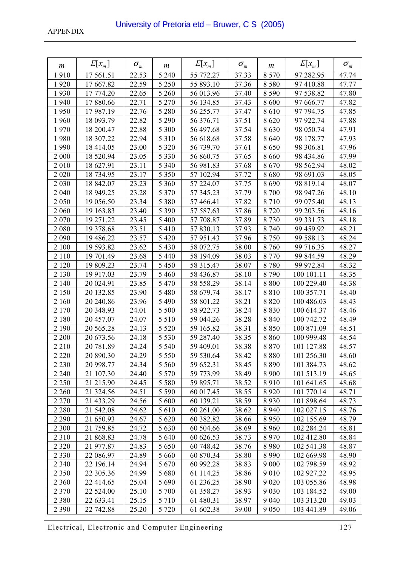| m       | $E[x_m]$  | $\sigma_{\scriptscriptstyle m}$ | m       | $E[x_{m}]$ | $\sigma_{\scriptscriptstyle m}$ | m       | $E[x_{m}]$ | $\sigma_{\scriptscriptstyle m}$ |
|---------|-----------|---------------------------------|---------|------------|---------------------------------|---------|------------|---------------------------------|
| 1910    | 17 561.51 | 22.53                           | 5 2 4 0 | 55 772.27  | 37.33                           | 8 5 7 0 | 97 282.95  | 47.74                           |
| 1920    | 17 667.82 | 22.59                           | 5 2 5 0 | 55 893.10  | 37.36                           | 8580    | 97 410.88  | 47.77                           |
| 1930    | 17 774.20 | 22.65                           | 5 2 6 0 | 56 013.96  | 37.40                           | 8 5 9 0 | 97 538.82  | 47.80                           |
| 1940    | 17880.66  | 22.71                           | 5 2 7 0 | 56 134.85  | 37.43                           | 8 600   | 97 666.77  | 47.82                           |
| 1950    | 17987.19  | 22.76                           | 5 2 8 0 | 56 255.77  | 37.47                           | 8610    | 97 794.75  | 47.85                           |
| 1960    | 18 093.79 | 22.82                           | 5 2 9 0 | 56 376.71  | 37.51                           | 8 6 20  | 97 922.74  | 47.88                           |
| 1970    | 18 200.47 | 22.88                           | 5 300   | 56 497.68  | 37.54                           | 8630    | 98 050.74  | 47.91                           |
| 1980    | 18 307.22 | 22.94                           | 5 3 1 0 | 56 618.68  | 37.58                           | 8 6 4 0 | 98 178.77  | 47.93                           |
| 1990    | 18 414.05 | 23.00                           | 5 3 2 0 | 56 739.70  | 37.61                           | 8650    | 98 306.81  | 47.96                           |
| 2 0 0 0 | 18 520.94 | 23.05                           | 5 3 3 0 | 56 860.75  | 37.65                           | 8 6 6 0 | 98 434.86  | 47.99                           |
| 2010    | 18 627.91 | 23.11                           | 5 3 4 0 | 56 981.83  | 37.68                           | 8670    | 98 562.94  | 48.02                           |
| 2 0 2 0 | 18 734.95 | 23.17                           | 5 3 5 0 | 57 102.94  | 37.72                           | 8680    | 98 691.03  | 48.05                           |
| 2 0 3 0 | 18 842.07 | 23.23                           | 5 3 6 0 | 57 224.07  | 37.75                           | 8690    | 98 819.14  | 48.07                           |
| 2 0 4 0 | 18 949.25 | 23.28                           | 5 3 7 0 | 57 345.23  | 37.79                           | 8 700   | 98 947.26  | 48.10                           |
| 2 0 5 0 | 19 056.50 | 23.34                           | 5 3 8 0 | 57 466.41  | 37.82                           | 8710    | 99 075.40  | 48.13                           |
| 2 0 6 0 | 19 163.83 | 23.40                           | 5 3 9 0 | 57 587.63  | 37.86                           | 8720    | 99 203.56  | 48.16                           |
| 2070    | 19 271.22 | 23.45                           | 5 400   | 57 708.87  | 37.89                           | 8730    | 99 331.73  | 48.18                           |
| 2 0 8 0 | 19 378.68 | 23.51                           | 5 4 1 0 | 57 830.13  | 37.93                           | 8 7 4 0 | 99 459.92  | 48.21                           |
| 2 0 9 0 | 19 486.22 | 23.57                           | 5 4 2 0 | 57 951.43  | 37.96                           | 8750    | 99 588.13  | 48.24                           |
| 2 100   | 19 593.82 | 23.62                           | 5 4 3 0 | 58 072.75  | 38.00                           | 8760    | 99 716.35  | 48.27                           |
| 2 1 1 0 | 19 701.49 | 23.68                           | 5 4 4 0 | 58 194.09  | 38.03                           | 8 7 7 0 | 99 844.59  | 48.29                           |
| 2 1 2 0 | 19 809.23 | 23.74                           | 5 4 5 0 | 58 315.47  | 38.07                           | 8780    | 99 972.84  | 48.32                           |
| 2 1 3 0 | 19 917.03 | 23.79                           | 5 4 6 0 | 58 436.87  | 38.10                           | 8790    | 100 101.11 | 48.35                           |
| 2 140   | 20 024.91 | 23.85                           | 5 4 7 0 | 58 558.29  | 38.14                           | 8 8 0 0 | 100 229.40 | 48.38                           |
| 2 1 5 0 | 20 132.85 | 23.90                           | 5 4 8 0 | 58 679.74  | 38.17                           | 8810    | 100 357.71 | 48.40                           |
| 2 160   | 20 240.86 | 23.96                           | 5 4 9 0 | 58 801.22  | 38.21                           | 8 8 2 0 | 100 486.03 | 48.43                           |
| 2 1 7 0 | 20 348.93 | 24.01                           | 5 500   | 58 922.73  | 38.24                           | 8 8 3 0 | 100 614.37 | 48.46                           |
| 2 1 8 0 | 20 457.07 | 24.07                           | 5 5 1 0 | 59 044.26  | 38.28                           | 8 8 4 0 | 100 742.72 | 48.49                           |
| 2 1 9 0 | 20 565.28 | 24.13                           | 5 5 2 0 | 59 165.82  | 38.31                           | 8850    | 100 871.09 | 48.51                           |
| 2 2 0 0 | 20 673.56 | 24.18                           | 5 5 3 0 | 59 287.40  | 38.35                           | 8 8 6 0 | 100 999.48 | 48.54                           |
| 2 2 1 0 | 20 781.89 | 24.24                           | 5 5 4 0 | 59 409.01  | 38.38                           | 8 8 7 0 | 101 127.88 | 48.57                           |
| 2 2 2 0 | 20 890.30 | 24.29                           | 5 5 5 0 | 59 530.64  | 38.42                           | 8880    | 101 256.30 | 48.60                           |
| 2 2 3 0 | 20 998.77 | 24.34                           | 5 5 6 0 | 59 652.31  | 38.45                           | 8890    | 101 384.73 | 48.62                           |
| 2 2 4 0 | 21 107.30 | 24.40                           | 5 5 7 0 | 59 773.99  | 38.49                           | 8 9 0 0 | 101 513.19 | 48.65                           |
| 2 2 5 0 | 21 215.90 | 24.45                           | 5 5 8 0 | 59 895.71  | 38.52                           | 8910    | 101 641.65 | 48.68                           |
| 2 2 6 0 | 21 324.56 | 24.51                           | 5 5 9 0 | 60 017.45  | 38.55                           | 8 9 2 0 | 101 770.14 | 48.71                           |
| 2 2 7 0 | 21 433.29 | 24.56                           | 5 600   | 60 139.21  | 38.59                           | 8930    | 101 898.64 | 48.73                           |
| 2 2 8 0 | 21 542.08 | 24.62                           | 5 610   | 60 261.00  | 38.62                           | 8 9 4 0 | 102 027.15 | 48.76                           |
| 2 2 9 0 | 21 650.93 | 24.67                           | 5 6 20  | 60 382.82  | 38.66                           | 8 9 5 0 | 102 155.69 | 48.79                           |
| 2 3 0 0 | 21 759.85 | 24.72                           | 5 6 3 0 | 60 504.66  | 38.69                           | 8 9 6 0 | 102 284.24 | 48.81                           |
| 2 3 1 0 | 21 868.83 | 24.78                           | 5 640   | 60 626.53  | 38.73                           | 8 9 7 0 | 102 412.80 | 48.84                           |
| 2 3 2 0 | 21 977.87 | 24.83                           | 5 6 5 0 | 60 748.42  | 38.76                           | 8980    | 102 541.38 | 48.87                           |
| 2 3 3 0 | 22 086.97 | 24.89                           | 5 6 6 0 | 60 870.34  | 38.80                           | 8 9 9 0 | 102 669.98 | 48.90                           |
| 2 3 4 0 | 22 196.14 | 24.94                           | 5 6 7 0 | 60 992.28  | 38.83                           | 9 0 0 0 | 102 798.59 | 48.92                           |
| 2 3 5 0 | 22 305.36 | 24.99                           | 5 680   | 61 114.25  | 38.86                           | 9 0 1 0 | 102 927.22 | 48.95                           |
| 2 3 6 0 | 22 414.65 | 25.04                           | 5 6 9 0 | 61 236.25  | 38.90                           | 9 0 20  | 103 055.86 | 48.98                           |
| 2 3 7 0 | 22 524.00 | 25.10                           | 5 700   | 61 358.27  | 38.93                           | 9 0 3 0 | 103 184.52 | 49.00                           |
| 2 3 8 0 | 22 633.41 | 25.15                           | 5 7 1 0 | 61 480.31  | 38.97                           | 9 0 4 0 | 103 313.20 | 49.03                           |
| 2 3 9 0 | 22 742.88 | 25.20                           | 5 7 2 0 | 61 602.38  | 39.00                           | 9 0 5 0 | 103 441.89 | 49.06                           |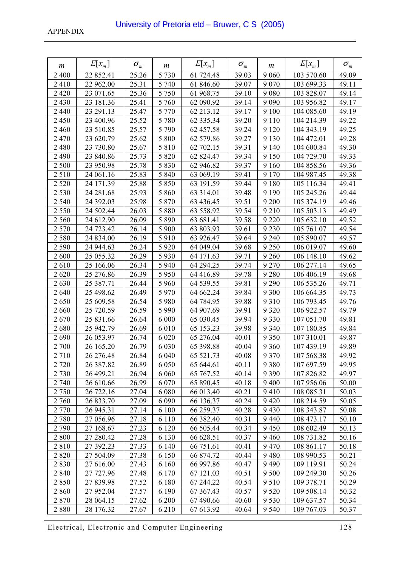| m       | $E[x_{m}]$ | $\sigma_{\scriptscriptstyle m}$ | m       | $E[x_{m}]$ | $\sigma_{\scriptscriptstyle m}$ | m       | $E[x_{m}]$ | $\sigma_{\scriptscriptstyle m}$ |
|---------|------------|---------------------------------|---------|------------|---------------------------------|---------|------------|---------------------------------|
| 2 4 0 0 | 22 852.41  | 25.26                           | 5 7 3 0 | 61 724.48  | 39.03                           | 9 0 6 0 | 103 570.60 | 49.09                           |
| 2410    | 22 962.00  | 25.31                           | 5 740   | 61 846.60  | 39.07                           | 9 0 7 0 | 103 699.33 | 49.11                           |
| 2 4 2 0 | 23 071.65  | 25.36                           | 5 7 5 0 | 61 968.75  | 39.10                           | 9 0 8 0 | 103 828.07 | 49.14                           |
| 2 4 3 0 | 23 181.36  | 25.41                           | 5 760   | 62 090.92  | 39.14                           | 9 0 9 0 | 103 956.82 | 49.17                           |
| 2 4 4 0 | 23 291.13  | 25.47                           | 5 7 7 0 | 62 213.12  | 39.17                           | 9 100   | 104 085.60 | 49.19                           |
| 2 4 5 0 | 23 400.96  | 25.52                           | 5 7 8 0 | 62 335.34  | 39.20                           | 9 1 1 0 | 104 214.39 | 49.22                           |
| 2460    | 23 510.85  | 25.57                           | 5 7 9 0 | 62 457.58  | 39.24                           | 9 1 2 0 | 104 343.19 | 49.25                           |
| 2470    | 23 620.79  | 25.62                           | 5 800   | 62 579.86  | 39.27                           | 9 1 3 0 | 104 472.01 | 49.28                           |
| 2 4 8 0 | 23 730.80  | 25.67                           | 5 8 1 0 | 62 702.15  | 39.31                           | 9 1 4 0 | 104 600.84 | 49.30                           |
| 2 4 9 0 | 23 840.86  | 25.73                           | 5 8 2 0 | 62 824.47  | 39.34                           | 9 1 5 0 | 104 729.70 | 49.33                           |
| 2 500   | 23 950.98  | 25.78                           | 5 8 3 0 | 62 946.82  | 39.37                           | 9 1 6 0 | 104 858.56 | 49.36                           |
| 2510    | 24 061.16  | 25.83                           | 5 8 4 0 | 63 069.19  | 39.41                           | 9 1 7 0 | 104 987.45 | 49.38                           |
| 2 5 2 0 | 24 171.39  | 25.88                           | 5 8 5 0 | 63 191.59  | 39.44                           | 9 1 8 0 | 105 116.34 | 49.41                           |
| 2 5 3 0 | 24 281.68  | 25.93                           | 5 8 6 0 | 63 314.01  | 39.48                           | 9 1 9 0 | 105 245.26 | 49.44                           |
| 2 5 4 0 | 24 392.03  | 25.98                           | 5 8 7 0 | 63 436.45  | 39.51                           | 9 200   | 105 374.19 | 49.46                           |
| 2 5 5 0 | 24 502.44  | 26.03                           | 5 8 8 0 | 63 558.92  | 39.54                           | 9 2 1 0 | 105 503.13 | 49.49                           |
| 2 5 6 0 | 24 612.90  | 26.09                           | 5 8 9 0 | 63 681.41  | 39.58                           | 9 2 2 0 | 105 632.10 | 49.52                           |
| 2570    | 24 723.42  | 26.14                           | 5 900   | 63 803.93  | 39.61                           | 9 2 3 0 | 105 761.07 | 49.54                           |
| 2580    | 24 834.00  | 26.19                           | 5910    | 63 926.47  | 39.64                           | 9 2 4 0 | 105 890.07 | 49.57                           |
| 2 5 9 0 | 24 944.63  | 26.24                           | 5 9 20  | 64 049.04  | 39.68                           | 9 2 5 0 | 106 019.07 | 49.60                           |
| 2600    | 25 055.32  | 26.29                           | 5930    | 64 171.63  | 39.71                           | 9 2 6 0 | 106 148.10 | 49.62                           |
| 2610    | 25 166.06  | 26.34                           | 5 9 4 0 | 64 294.25  | 39.74                           | 9 2 7 0 | 106 277.14 | 49.65                           |
| 2620    | 25 276.86  | 26.39                           | 5 9 5 0 | 64 416.89  | 39.78                           | 9 2 8 0 | 106 406.19 | 49.68                           |
| 2630    | 25 387.71  | 26.44                           | 5 9 6 0 | 64 539.55  | 39.81                           | 9 2 9 0 | 106 535.26 | 49.71                           |
| 2640    | 25 498.62  | 26.49                           | 5 9 7 0 | 64 662.24  | 39.84                           | 9 3 0 0 | 106 664.35 | 49.73                           |
| 2650    | 25 609.58  | 26.54                           | 5 9 8 0 | 64 784.95  | 39.88                           | 9310    | 106 793.45 | 49.76                           |
| 2660    | 25 720.59  | 26.59                           | 5 9 9 0 | 64 907.69  | 39.91                           | 9 3 2 0 | 106 922.57 | 49.79                           |
| 2670    | 25 831.66  | 26.64                           | 6 0 0 0 | 65 030.45  | 39.94                           | 9 3 3 0 | 107 051.70 | 49.81                           |
| 2680    | 25 942.79  | 26.69                           | 6 0 10  | 65 153.23  | 39.98                           | 9 3 4 0 | 107 180.85 | 49.84                           |
| 2690    | 26 053.97  | 26.74                           | 6 0 20  | 65 276.04  | 40.01                           | 9 3 5 0 | 107 310.01 | 49.87                           |
| 2 700   | 26 165.20  | 26.79                           | 6 0 3 0 | 65 398.88  | 40.04                           | 9 3 6 0 | 107 439.19 | 49.89                           |
| 2 7 1 0 | 26 276.48  | 26.84                           | 6 0 4 0 | 65 521.73  | 40.08                           | 9 3 7 0 | 107 568.38 | 49.92                           |
| 2 7 2 0 | 26 387.82  | 26.89                           | 6 0 5 0 | 65 644.61  | 40.11                           | 9 3 8 0 | 107 697.59 | 49.95                           |
| 2 7 3 0 | 26 499.21  | 26.94                           | 6 0 6 0 | 65 767.52  | 40.14                           | 9 3 9 0 | 107 826.82 | 49.97                           |
| 2 7 4 0 | 26 610.66  | 26.99                           | 6 0 7 0 | 65 890.45  | 40.18                           | 9 4 0 0 | 107 956.06 | 50.00                           |
| 2 7 5 0 | 26 722.16  | 27.04                           | 6 0 8 0 | 66 013.40  | 40.21                           | 9410    | 108 085.31 | 50.03                           |
| 2 760   | 26 833.70  | 27.09                           | 6 0 9 0 | 66 136.37  | 40.24                           | 9 4 20  | 108 214.59 | 50.05                           |
| 2 7 7 0 | 26 945.31  | 27.14                           | 6 100   | 66 259.37  | 40.28                           | 9 4 3 0 | 108 343.87 | 50.08                           |
| 2780    | 27 056.96  | 27.18                           | 6 1 1 0 | 66 382.40  | 40.31                           | 9 4 4 0 | 108 473.17 | 50.10                           |
| 2790    | 27 168.67  | 27.23                           | 6 1 2 0 | 66 505.44  | 40.34                           | 9450    | 108 602.49 | 50.13                           |
| 2 800   | 27 280.42  | 27.28                           | 6 1 3 0 | 66 628.51  | 40.37                           | 9460    | 108 731.82 | 50.16                           |
| 2810    | 27 392.23  | 27.33                           | 6 1 4 0 | 66 751.61  | 40.41                           | 9470    | 108 861.17 | 50.18                           |
| 2820    | 27 504.09  | 27.38                           | 6 1 5 0 | 66 874.72  | 40.44                           | 9480    | 108 990.53 | 50.21                           |
| 2830    | 27 616.00  | 27.43                           | 6 1 6 0 | 66 997.86  | 40.47                           | 9490    | 109 119.91 | 50.24                           |
| 2 8 4 0 | 27 727.96  | 27.48                           | 6 170   | 67 121.03  | 40.51                           | 9 500   | 109 249.30 | 50.26                           |
| 2850    | 27 839.98  | 27.52                           | 6 180   | 67 244.22  | 40.54                           | 9 5 10  | 109 378.71 | 50.29                           |
| 2860    | 27 952.04  | 27.57                           | 6 190   | 67 367.43  | 40.57                           | 9 5 20  | 109 508.14 | 50.32                           |
| 2870    | 28 064.15  | 27.62                           | 6 200   | 67 490.66  | 40.60                           | 9530    | 109 637.57 | 50.34                           |
| 2880    | 28 176.32  | 27.67                           | 6 2 1 0 | 67 613.92  | 40.64                           | 9 5 4 0 | 109 767.03 | 50.37                           |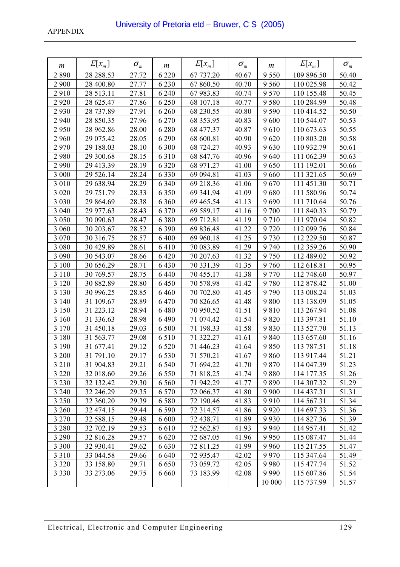| m       | $E[x_{m}]$ | $\sigma_{\scriptscriptstyle m}$ | m       | $E[x_{m}]$ | $\sigma_{\scriptscriptstyle m}$ | m       | $E[x_{m}]$ | $\sigma_{\scriptscriptstyle m}$ |
|---------|------------|---------------------------------|---------|------------|---------------------------------|---------|------------|---------------------------------|
| 2890    | 28 288.53  | 27.72                           | 6 2 2 0 | 67 737.20  | 40.67                           | 9 5 5 0 | 109 896.50 | 50.40                           |
| 2 9 0 0 | 28 400.80  | 27.77                           | 6 2 3 0 | 67 860.50  | 40.70                           | 9 5 6 0 | 110 025.98 | 50.42                           |
| 2910    | 28 513.11  | 27.81                           | 6 2 4 0 | 67 983.83  | 40.74                           | 9 5 7 0 | 110 155.48 | 50.45                           |
| 2920    | 28 625.47  | 27.86                           | 6 2 5 0 | 68 107.18  | 40.77                           | 9580    | 110 284.99 | 50.48                           |
| 2930    | 28 737.89  | 27.91                           | 6 2 6 0 | 68 230.55  | 40.80                           | 9 5 9 0 | 110 414.52 | 50.50                           |
| 2 9 4 0 | 28 850.35  | 27.96                           | 6 2 7 0 | 68 353.95  | 40.83                           | 9600    | 110 544.07 | 50.53                           |
| 2950    | 28 962.86  | 28.00                           | 6 2 8 0 | 68 477.37  | 40.87                           | 9610    | 110 673.63 | 50.55                           |
| 2 9 6 0 | 29 075.42  | 28.05                           | 6 2 9 0 | 68 600.81  | 40.90                           | 9620    | 110 803.20 | 50.58                           |
| 2970    | 29 188.03  | 28.10                           | 6 300   | 68 724.27  | 40.93                           | 9630    | 110 932.79 | 50.61                           |
| 2980    | 29 300.68  | 28.15                           | 6310    | 68 847.76  | 40.96                           | 9640    | 111 062.39 | 50.63                           |
| 2 9 9 0 | 29 413.39  | 28.19                           | 6 3 2 0 | 68 971.27  | 41.00                           | 9650    | 111 192.01 | 50.66                           |
| 3 000   | 29 526.14  | 28.24                           | 6 3 3 0 | 69 094.81  | 41.03                           | 9660    | 111 321.65 | 50.69                           |
| 3 0 1 0 | 29 638.94  | 28.29                           | 6 3 4 0 | 69 218.36  | 41.06                           | 9670    | 111 451.30 | 50.71                           |
| 3 0 2 0 | 29 751.79  | 28.33                           | 6 3 5 0 | 69 341.94  | 41.09                           | 9680    | 111 580.96 | 50.74                           |
| 3 0 3 0 | 29 864.69  | 28.38                           | 6 3 6 0 | 69 465.54  | 41.13                           | 9690    | 111 710.64 | 50.76                           |
| 3 0 4 0 | 29 977.63  | 28.43                           | 6 3 7 0 | 69 589.17  | 41.16                           | 9 700   | 111 840.33 | 50.79                           |
| 3 0 5 0 | 30 090.63  | 28.47                           | 6 3 8 0 | 69 712.81  | 41.19                           | 9710    | 111 970.04 | 50.82                           |
| 3 0 6 0 | 30 203.67  | 28.52                           | 6 3 9 0 | 69 836.48  | 41.22                           | 9720    | 112 099.76 | 50.84                           |
| 3 0 7 0 | 30 316.75  | 28.57                           | 6 4 0 0 | 69 960.18  | 41.25                           | 9730    | 112 229.50 | 50.87                           |
| 3 0 8 0 | 30 429.89  | 28.61                           | 6410    | 70 083.89  | 41.29                           | 9 740   | 112 359.26 | 50.90                           |
| 3 0 9 0 | 30 543.07  | 28.66                           | 6 4 20  | 70 207.63  | 41.32                           | 9750    | 112 489.02 | 50.92                           |
| 3 100   | 30 656.29  | 28.71                           | 6 4 3 0 | 70 331.39  | 41.35                           | 9760    | 112 618.81 | 50.95                           |
| 3 1 1 0 | 30 769.57  | 28.75                           | 6 4 4 0 | 70 455.17  | 41.38                           | 9770    | 112 748.60 | 50.97                           |
| 3 1 2 0 | 30 882.89  | 28.80                           | 6 4 5 0 | 70 578.98  | 41.42                           | 9780    | 112 878.42 | 51.00                           |
| 3 1 3 0 | 30 996.25  | 28.85                           | 6460    | 70 702.80  | 41.45                           | 9790    | 113 008.24 | 51.03                           |
| 3 1 4 0 | 31 109.67  | 28.89                           | 6 4 7 0 | 70 826.65  | 41.48                           | 9800    | 113 138.09 | 51.05                           |
| 3 1 5 0 | 31 223.12  | 28.94                           | 6 4 8 0 | 70 950.52  | 41.51                           | 9810    | 113 267.94 | 51.08                           |
| 3 160   | 31 336.63  | 28.98                           | 6 4 9 0 | 71 074.42  | 41.54                           | 9820    | 113 397.81 | 51.10                           |
| 3 1 7 0 | 31 450.18  | 29.03                           | 6 500   | 71 198.33  | 41.58                           | 9830    | 113 527.70 | 51.13                           |
| 3 1 8 0 | 31 563.77  | 29.08                           | 6 5 1 0 | 71 322.27  | 41.61                           | 9 8 4 0 | 113 657.60 | 51.16                           |
| 3 1 9 0 | 31 677.41  | 29.12                           | 6 5 20  | 71 446.23  | 41.64                           | 9850    | 113 787.51 | 51.18                           |
| 3 200   | 31 791.10  | 29.17                           | 6 5 3 0 | 71 570.21  | 41.67                           | 9860    | 113 917.44 | 51.21                           |
| 3 2 1 0 | 31 904.83  | 29.21                           | 6 5 4 0 | 71 694.22  | 41.70                           | 9870    | 114 047.39 | 51.23                           |
| 3 2 2 0 | 32 018.60  | 29.26                           | 6 5 5 0 | 71 818.25  | 41.74                           | 9880    | 114 177.35 | 51.26                           |
| 3 2 3 0 | 32 132.42  | 29.30                           | 6 5 6 0 | 71 942.29  | 41.77                           | 9890    | 114 307.32 | 51.29                           |
| 3 2 4 0 | 32 246.29  | 29.35                           | 6 5 7 0 | 72 066.37  | 41.80                           | 9 9 0 0 | 114 437.31 | 51.31                           |
| 3 2 5 0 | 32 360.20  | 29.39                           | 6 5 8 0 | 72 190.46  | 41.83                           | 9910    | 114 567.31 | 51.34                           |
| 3 2 6 0 | 32 474.15  | 29.44                           | 6 5 9 0 | 72 314.57  | 41.86                           | 9 9 2 0 | 114 697.33 | 51.36                           |
| 3 2 7 0 | 32 588.15  | 29.48                           | 6 600   | 72 438.71  | 41.89                           | 9 9 3 0 | 114 827.36 | 51.39                           |
| 3 2 8 0 | 32 702.19  | 29.53                           | 6610    | 72 562.87  | 41.93                           | 9 9 4 0 | 114 957.41 | 51.42                           |
| 3 2 9 0 | 32 816.28  | 29.57                           | 6 6 20  | 72 687.05  | 41.96                           | 9950    | 115 087.47 | 51.44                           |
| 3 3 0 0 | 32 930.41  | 29.62                           | 6 6 3 0 | 72 811.25  | 41.99                           | 9 9 6 0 | 115 217.55 | 51.47                           |
| 3 3 1 0 | 33 044.58  | 29.66                           | 6 6 4 0 | 72 935.47  | 42.02                           | 9970    | 115 347.64 | 51.49                           |
| 3 3 2 0 | 33 158.80  | 29.71                           | 6 6 5 0 | 73 059.72  | 42.05                           | 9980    | 115 477.74 | 51.52                           |
| 3 3 3 0 | 33 273.06  | 29.75                           | 6 6 6 0 | 73 183.99  | 42.08                           | 9 9 9 0 | 115 607.86 | 51.54                           |
|         |            |                                 |         |            |                                 | 10 000  | 115 737.99 | 51.57                           |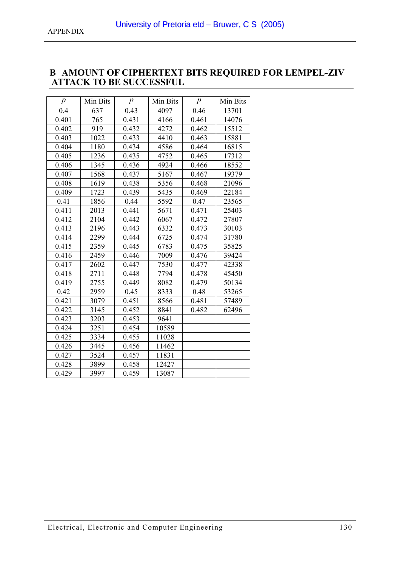### <span id="page-129-0"></span>**B AMOUNT OF CIPHERTEXT BITS REQUIRED FOR LEMPEL-ZIV ATTACK TO BE SUCCESSFUL**

| $\boldsymbol{p}$ | Min Bits | $\boldsymbol{p}$ | Min Bits | $\boldsymbol{p}$ | Min Bits |
|------------------|----------|------------------|----------|------------------|----------|
| 0.4              | 637      | 0.43             | 4097     | 0.46             | 13701    |
| 0.401            | 765      | 0.431            | 4166     | 0.461            | 14076    |
| 0.402            | 919      | 0.432            | 4272     | 0.462            | 15512    |
| 0.403            | 1022     | 0.433            | 4410     | 0.463            | 15881    |
| 0.404            | 1180     | 0.434            | 4586     | 0.464            | 16815    |
| 0.405            | 1236     | 0.435            | 4752     | 0.465            | 17312    |
| 0.406            | 1345     | 0.436            | 4924     | 0.466            | 18552    |
| 0.407            | 1568     | 0.437            | 5167     | 0.467            | 19379    |
| 0.408            | 1619     | 0.438            | 5356     | 0.468            | 21096    |
| 0.409            | 1723     | 0.439            | 5435     | 0.469            | 22184    |
| 0.41             | 1856     | 0.44             | 5592     | 0.47             | 23565    |
| 0.411            | 2013     | 0.441            | 5671     | 0.471            | 25403    |
| 0.412            | 2104     | 0.442            | 6067     | 0.472            | 27807    |
| 0.413            | 2196     | 0.443            | 6332     | 0.473            | 30103    |
| 0.414            | 2299     | 0.444            | 6725     | 0.474            | 31780    |
| 0.415            | 2359     | 0.445            | 6783     | 0.475            | 35825    |
| 0.416            | 2459     | 0.446            | 7009     | 0.476            | 39424    |
| 0.417            | 2602     | 0.447            | 7530     | 0.477            | 42338    |
| 0.418            | 2711     | 0.448            | 7794     | 0.478            | 45450    |
| 0.419            | 2755     | 0.449            | 8082     | 0.479            | 50134    |
| 0.42             | 2959     | 0.45             | 8333     | 0.48             | 53265    |
| 0.421            | 3079     | 0.451            | 8566     | 0.481            | 57489    |
| 0.422            | 3145     | 0.452            | 8841     | 0.482            | 62496    |
| 0.423            | 3203     | 0.453            | 9641     |                  |          |
| 0.424            | 3251     | 0.454            | 10589    |                  |          |
| 0.425            | 3334     | 0.455            | 11028    |                  |          |
| 0.426            | 3445     | 0.456            | 11462    |                  |          |
| 0.427            | 3524     | 0.457            | 11831    |                  |          |
| 0.428            | 3899     | 0.458            | 12427    |                  |          |
| 0.429            | 3997     | 0.459            | 13087    |                  |          |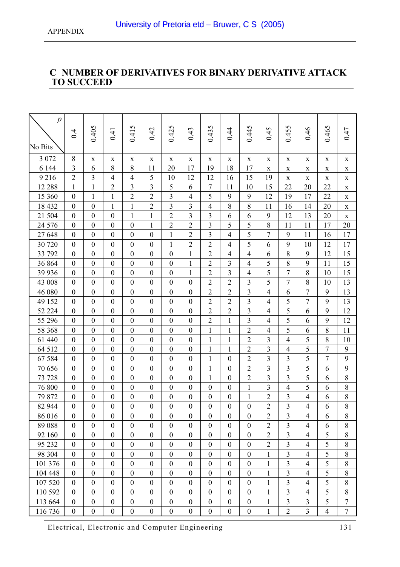# <span id="page-130-0"></span>**C NUMBER OF DERIVATIVES FOR BINARY DERIVATIVE ATTACK TO SUCCEED**

| $\overline{p}$ |                  |                  |                  |                  |                  |                  |                  |                  |                  |                         |                         |                |                |                |                  |
|----------------|------------------|------------------|------------------|------------------|------------------|------------------|------------------|------------------|------------------|-------------------------|-------------------------|----------------|----------------|----------------|------------------|
|                |                  |                  |                  |                  |                  |                  |                  | 0.435            |                  |                         |                         | 0.455          |                |                |                  |
|                | 0.4              | 0.405            | 0.41             | 0.415            | 0.42             | 0.425            | 0.43             |                  | 0.44             | 0.445                   | 0.45                    |                | 0.46           | 0.465          | 0.47             |
| No Bits        |                  |                  |                  |                  |                  |                  |                  |                  |                  |                         |                         |                |                |                |                  |
| 3 0 7 2        | 8                | $\mathbf X$      | $\mathbf X$      | $\mathbf X$      | $\mathbf X$      | $\mathbf X$      | $\mathbf X$      | $\mathbf X$      | $\mathbf X$      | $\mathbf X$             | X                       | $\mathbf X$    | $\mathbf X$    | $\mathbf X$    | $\mathbf X$      |
| 6 1 4 4        | 3                | 6                | 8                | 8                | 11               | 20               | 17               | 19               | 18               | 17                      | $\mathbf X$             | $\mathbf X$    | $\mathbf X$    | $\mathbf X$    | $\mathbf X$      |
| 9216           | $\sqrt{2}$       | $\mathfrak{Z}$   | $\overline{4}$   | $\overline{4}$   | 5                | 10               | 12               | 12               | 16               | 15                      | 19                      | $\mathbf X$    | $\mathbf X$    | $\mathbf X$    | $\mathbf X$      |
| 12 288         | $\mathbf{1}$     | $\mathbf{1}$     | $\overline{2}$   | 3                | 3                | 5                | 6                | 7                | 11               | 10                      | 15                      | 22             | 20             | 22             | $\mathbf X$      |
| 15 360         | $\boldsymbol{0}$ | $\mathbf{1}$     | $\mathbf{1}$     | $\overline{2}$   | $\overline{2}$   | $\overline{3}$   | $\overline{4}$   | 5                | 9                | 9                       | 12                      | 19             | 17             | 22             | $\mathbf X$      |
| 18 432         | $\boldsymbol{0}$ | $\boldsymbol{0}$ | $\mathbf{1}$     | $\mathbf{1}$     | $\sqrt{2}$       | $\overline{3}$   | 3                | $\overline{4}$   | 8                | 8                       | 11                      | 16             | 14             | 20             | X                |
| 21 504         | $\boldsymbol{0}$ | $\boldsymbol{0}$ | $\boldsymbol{0}$ | $\mathbf{1}$     | $\mathbf{1}$     | $\overline{2}$   | 3                | 3                | 6                | 6                       | 9                       | 12             | 13             | 20             | $\mathbf X$      |
| 24 576         | $\boldsymbol{0}$ | $\mathbf{0}$     | $\mathbf{0}$     | $\boldsymbol{0}$ | $\mathbf{1}$     | $\boldsymbol{2}$ | $\overline{2}$   | 3                | 5                | 5                       | 8                       | 11             | 11             | 17             | 20               |
| 27 648         | $\boldsymbol{0}$ | $\boldsymbol{0}$ | $\boldsymbol{0}$ | $\boldsymbol{0}$ | $\boldsymbol{0}$ | $\mathbf{1}$     | 2                | 3                | $\overline{4}$   | 5                       | 7                       | 9              | 11             | 16             | 17               |
| 30 720         | $\boldsymbol{0}$ | $\mathbf{0}$     | $\mathbf{0}$     | $\overline{0}$   | $\mathbf{0}$     | $\mathbf{1}$     | $\overline{2}$   | $\overline{2}$   | $\overline{4}$   | 5                       | 6                       | 9              | 10             | 12             | 17               |
| 33 792         | $\boldsymbol{0}$ | $\boldsymbol{0}$ | $\mathbf{0}$     | $\boldsymbol{0}$ | $\boldsymbol{0}$ | $\boldsymbol{0}$ | $\mathbf{1}$     | $\overline{2}$   | 4                | 4                       | 6                       | 8              | 9              | 12             | 15               |
| 36 864         | $\boldsymbol{0}$ | $\boldsymbol{0}$ | $\boldsymbol{0}$ | $\boldsymbol{0}$ | $\boldsymbol{0}$ | $\boldsymbol{0}$ | $\mathbf{1}$     | $\overline{2}$   | 3                | $\overline{4}$          | 5                       | 8              | 9              | 11             | 15               |
| 39 936         | $\boldsymbol{0}$ | $\boldsymbol{0}$ | $\boldsymbol{0}$ | $\boldsymbol{0}$ | $\boldsymbol{0}$ | $\boldsymbol{0}$ | $\mathbf{1}$     | $\overline{2}$   | $\overline{3}$   | 4                       | 5                       | $\overline{7}$ | 8              | 10             | 15               |
| 43 008         | $\boldsymbol{0}$ | $\boldsymbol{0}$ | $\boldsymbol{0}$ | $\boldsymbol{0}$ | $\boldsymbol{0}$ | $\boldsymbol{0}$ | $\boldsymbol{0}$ | $\overline{2}$   | $\overline{2}$   | $\overline{\mathbf{3}}$ | 5                       | $\overline{7}$ | 8              | 10             | 13               |
| 46 080         | $\boldsymbol{0}$ | $\boldsymbol{0}$ | $\boldsymbol{0}$ | $\boldsymbol{0}$ | $\boldsymbol{0}$ | $\boldsymbol{0}$ | $\boldsymbol{0}$ | $\overline{2}$   | $\overline{2}$   | 3                       | $\overline{4}$          | 6              | $\overline{7}$ | 9              | 13               |
| 49 152         | $\boldsymbol{0}$ | $\mathbf{0}$     | $\mathbf{0}$     | $\boldsymbol{0}$ | $\boldsymbol{0}$ | $\boldsymbol{0}$ | $\mathbf{0}$     | $\overline{2}$   | $\overline{2}$   | $\overline{\mathbf{3}}$ | $\overline{4}$          | 5              | 7              | 9              | 13               |
| 52 224         | $\boldsymbol{0}$ | $\mathbf{0}$     | $\mathbf{0}$     | $\boldsymbol{0}$ | $\boldsymbol{0}$ | $\boldsymbol{0}$ | $\mathbf{0}$     | $\overline{2}$   | $\overline{2}$   | $\overline{\mathbf{3}}$ | $\overline{4}$          | 5              | 6              | 9              | 12               |
| 55 296         | $\boldsymbol{0}$ | $\boldsymbol{0}$ | $\boldsymbol{0}$ | $\boldsymbol{0}$ | $\boldsymbol{0}$ | $\boldsymbol{0}$ | $\boldsymbol{0}$ | $\overline{2}$   | 1                | 3                       | $\overline{4}$          | 5              | 6              | 9              | 12               |
| 58 368         | $\boldsymbol{0}$ | $\overline{0}$   | $\overline{0}$   | $\boldsymbol{0}$ | $\mathbf{0}$     | $\boldsymbol{0}$ | $\mathbf{0}$     | $\mathbf{1}$     | $\mathbf{1}$     | $\overline{c}$          | $\overline{4}$          | 5              | 6              | 8              | 11               |
| 61 440         | $\boldsymbol{0}$ | $\boldsymbol{0}$ | $\boldsymbol{0}$ | $\boldsymbol{0}$ | $\boldsymbol{0}$ | $\boldsymbol{0}$ | $\boldsymbol{0}$ | $\mathbf{1}$     | 1                | $\overline{2}$          | 3                       | $\overline{4}$ | 5              | 8              | 10               |
| 64 512         | $\boldsymbol{0}$ | $\overline{0}$   | $\overline{0}$   | $\boldsymbol{0}$ | $\mathbf{0}$     | $\boldsymbol{0}$ | $\overline{0}$   | $\mathbf{1}$     | 1                | $\overline{2}$          | $\overline{\mathbf{3}}$ | $\overline{4}$ | 5              | $\overline{7}$ | $\boldsymbol{9}$ |
| 67 584         | $\boldsymbol{0}$ | $\overline{0}$   | $\overline{0}$   | $\boldsymbol{0}$ | $\mathbf{0}$     | $\mathbf{0}$     | $\boldsymbol{0}$ | $\mathbf{1}$     | $\boldsymbol{0}$ | $\overline{2}$          | $\overline{3}$          | 3              | 5              | $\tau$         | 9                |
| 70 656         | $\boldsymbol{0}$ | $\boldsymbol{0}$ | $\boldsymbol{0}$ | $\boldsymbol{0}$ | $\boldsymbol{0}$ | $\boldsymbol{0}$ | $\boldsymbol{0}$ | $\mathbf{1}$     | $\boldsymbol{0}$ | $\mathbf{2}$            | 3                       | 3              | 5              | 6              | 9                |
| 73 728         | $\boldsymbol{0}$ | $\boldsymbol{0}$ | $\boldsymbol{0}$ | $\boldsymbol{0}$ | $\boldsymbol{0}$ | $\boldsymbol{0}$ | $\boldsymbol{0}$ | $\mathbf{1}$     | $\boldsymbol{0}$ | $\overline{2}$          | 3                       | $\overline{3}$ | 5              | 6              | 8                |
| 76 800         | $\boldsymbol{0}$ | $\boldsymbol{0}$ | $\boldsymbol{0}$ | $\boldsymbol{0}$ | $\boldsymbol{0}$ | $\boldsymbol{0}$ | $\boldsymbol{0}$ | $\mathbf{0}$     | $\boldsymbol{0}$ | $\mathbf{1}$            | 3                       | $\overline{4}$ | 5              | 6              | 8                |
| 79 872         | $\boldsymbol{0}$ | $\mathbf{0}$     | $\boldsymbol{0}$ | $\boldsymbol{0}$ | $\boldsymbol{0}$ | $\boldsymbol{0}$ | $\boldsymbol{0}$ | $\mathbf{0}$     | $\boldsymbol{0}$ | $\mathbf{1}$            | $\overline{2}$          | 3              | $\overline{4}$ | 6              | $8\,$            |
| 82 944         | $\boldsymbol{0}$ | $\boldsymbol{0}$ | $\boldsymbol{0}$ | $\boldsymbol{0}$ | $\boldsymbol{0}$ | $\boldsymbol{0}$ | $\boldsymbol{0}$ | $\boldsymbol{0}$ | $\boldsymbol{0}$ | $\boldsymbol{0}$        | $\sqrt{2}$              | 3              | $\overline{4}$ | 6              | 8                |
| 86 016         | $\bf{0}$         | $\bf{0}$         | $\theta$         | $\boldsymbol{0}$ | 0                | $\theta$         | $\theta$         | $\boldsymbol{0}$ | $\theta$         | $\boldsymbol{0}$        | $\overline{2}$          | $\mathfrak{I}$ | 4              | b              | 8                |
| 89 088         | $\boldsymbol{0}$ | $\boldsymbol{0}$ | $\boldsymbol{0}$ | $\boldsymbol{0}$ | $\boldsymbol{0}$ | $\boldsymbol{0}$ | $\boldsymbol{0}$ | $\boldsymbol{0}$ | $\boldsymbol{0}$ | $\boldsymbol{0}$        | $\overline{2}$          | $\overline{3}$ | $\overline{4}$ | 6              | $8\,$            |
| 92 160         | $\boldsymbol{0}$ | $\overline{0}$   | $\overline{0}$   | $\boldsymbol{0}$ | $\boldsymbol{0}$ | $\mathbf{0}$     | $\boldsymbol{0}$ | $\mathbf{0}$     | $\boldsymbol{0}$ | $\boldsymbol{0}$        | $\overline{2}$          | $\overline{3}$ | $\overline{4}$ | 5              | 8                |
| 95 232         | $\boldsymbol{0}$ | $\boldsymbol{0}$ | $\boldsymbol{0}$ | $\boldsymbol{0}$ | $\boldsymbol{0}$ | $\boldsymbol{0}$ | $\boldsymbol{0}$ | $\boldsymbol{0}$ | $\boldsymbol{0}$ | $\boldsymbol{0}$        | $\overline{2}$          | $\overline{3}$ | $\overline{4}$ | 5              | 8                |
| 98 304         | $\boldsymbol{0}$ | $\boldsymbol{0}$ | $\boldsymbol{0}$ | $\boldsymbol{0}$ | $\boldsymbol{0}$ | $\boldsymbol{0}$ | $\boldsymbol{0}$ | $\boldsymbol{0}$ | $\boldsymbol{0}$ | $\boldsymbol{0}$        | $\mathbf{1}$            | $\overline{3}$ | $\overline{4}$ | 5              | 8                |
| 101 376        | $\boldsymbol{0}$ | $\boldsymbol{0}$ | $\boldsymbol{0}$ | $\boldsymbol{0}$ | $\boldsymbol{0}$ | $\boldsymbol{0}$ | $\boldsymbol{0}$ | $\boldsymbol{0}$ | $\boldsymbol{0}$ | $\boldsymbol{0}$        | $\mathbf{1}$            | $\overline{3}$ | $\overline{4}$ | 5              | 8                |
| 104 448        | $\mathbf{0}$     | $\boldsymbol{0}$ | $\boldsymbol{0}$ | $\boldsymbol{0}$ | $\boldsymbol{0}$ | $\boldsymbol{0}$ | $\boldsymbol{0}$ | $\boldsymbol{0}$ | $\boldsymbol{0}$ | $\boldsymbol{0}$        | $\mathbf{1}$            | $\overline{3}$ | $\overline{4}$ | 5              | $8\,$            |
| 107 520        | $\boldsymbol{0}$ | $\overline{0}$   | $\overline{0}$   | $\boldsymbol{0}$ | $\boldsymbol{0}$ | $\overline{0}$   | $\overline{0}$   | $\mathbf{0}$     | $\boldsymbol{0}$ | $\boldsymbol{0}$        | 1                       | $\overline{3}$ | $\overline{4}$ | 5              | 8                |
| 110 592        | $\boldsymbol{0}$ | $\boldsymbol{0}$ | $\boldsymbol{0}$ | $\boldsymbol{0}$ | 0                | $\boldsymbol{0}$ | $\boldsymbol{0}$ | $\boldsymbol{0}$ | $\boldsymbol{0}$ | $\boldsymbol{0}$        | $\mathbf{1}$            | 3              | $\overline{4}$ | 5              | 8                |
| 113 664        | $\boldsymbol{0}$ | $\boldsymbol{0}$ | $\boldsymbol{0}$ | $\boldsymbol{0}$ | $\boldsymbol{0}$ | $\boldsymbol{0}$ | $\boldsymbol{0}$ | $\boldsymbol{0}$ | $\boldsymbol{0}$ | $\boldsymbol{0}$        | $\mathbf{1}$            | $\mathfrak{Z}$ | $\mathfrak{Z}$ | 5              | $\tau$           |
| 116 736        | $\boldsymbol{0}$ | $\boldsymbol{0}$ | $\boldsymbol{0}$ | $\boldsymbol{0}$ | $\boldsymbol{0}$ | $\boldsymbol{0}$ | $\boldsymbol{0}$ | $\boldsymbol{0}$ | $\boldsymbol{0}$ | $\boldsymbol{0}$        | $\mathbf{1}$            | $\overline{2}$ | $\overline{3}$ | $\overline{4}$ | $\tau$           |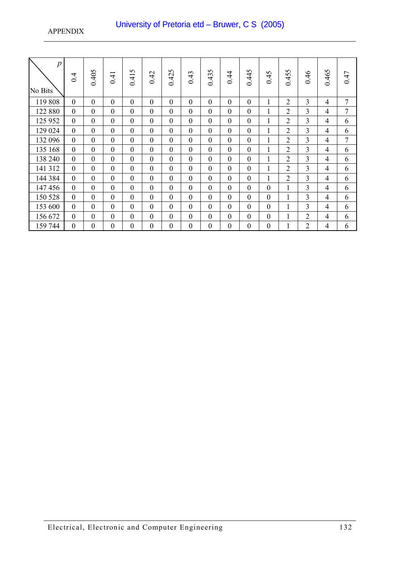| $\boldsymbol{p}$<br>No Bits | 0.4              | 0.405            | 0.41             | 0.415            | 0.42             | 0.425            | 0.43         | 0.435        | 0.44             | 0.445            | 0.45           | 0.455          | 0.46           | 0.465          | 0.47           |
|-----------------------------|------------------|------------------|------------------|------------------|------------------|------------------|--------------|--------------|------------------|------------------|----------------|----------------|----------------|----------------|----------------|
| 119 808                     | $\boldsymbol{0}$ | $\boldsymbol{0}$ | $\mathbf{0}$     | $\boldsymbol{0}$ | $\boldsymbol{0}$ | $\boldsymbol{0}$ | $\mathbf{0}$ | $\mathbf{0}$ | $\overline{0}$   | $\boldsymbol{0}$ | $\mathbf{1}$   | $\overline{2}$ | 3              | 4              | 7              |
| 122 880                     | $\boldsymbol{0}$ | $\boldsymbol{0}$ | $\mathbf{0}$     | $\theta$         | $\overline{0}$   | $\boldsymbol{0}$ | $\mathbf{0}$ | $\theta$     | $\boldsymbol{0}$ | $\boldsymbol{0}$ | $\mathbf{1}$   | $\overline{2}$ | 3              | 4              | $\overline{7}$ |
| 125 952                     | $\boldsymbol{0}$ | $\boldsymbol{0}$ | $\mathbf{0}$     | $\overline{0}$   | $\overline{0}$   | $\boldsymbol{0}$ | $\mathbf{0}$ | $\mathbf{0}$ | $\overline{0}$   | $\boldsymbol{0}$ | $\mathbf{1}$   | $\overline{2}$ | 3              | 4              | 6              |
| 129 024                     | $\boldsymbol{0}$ | $\boldsymbol{0}$ | $\boldsymbol{0}$ | $\boldsymbol{0}$ | $\boldsymbol{0}$ | $\boldsymbol{0}$ | $\mathbf{0}$ | $\mathbf{0}$ | $\boldsymbol{0}$ | $\boldsymbol{0}$ | $\mathbf{1}$   | $\overline{2}$ | 3              | 4              | 6              |
| 132 096                     | $\boldsymbol{0}$ | $\boldsymbol{0}$ | $\mathbf{0}$     | $\theta$         | $\boldsymbol{0}$ | $\boldsymbol{0}$ | $\mathbf{0}$ | $\theta$     | $\boldsymbol{0}$ | $\boldsymbol{0}$ | $\mathbf{1}$   | 2              | 3              | 4              | 7              |
| 135 168                     | $\mathbf{0}$     | $\mathbf{0}$     | $\mathbf{0}$     | $\overline{0}$   | $\mathbf{0}$     | $\mathbf{0}$     | $\mathbf{0}$ | $\mathbf{0}$ | $\overline{0}$   | $\overline{0}$   | 1              | $\overline{2}$ | 3              | $\overline{4}$ | 6              |
| 138 240                     | $\mathbf{0}$     | $\mathbf{0}$     | $\mathbf{0}$     | $\overline{0}$   | $\mathbf{0}$     | $\mathbf{0}$     | $\mathbf{0}$ | $\mathbf{0}$ | $\overline{0}$   | $\boldsymbol{0}$ | $\mathbf{1}$   | $\overline{2}$ | $\overline{3}$ | $\overline{4}$ | 6              |
| 141 312                     | $\mathbf{0}$     | $\mathbf{0}$     | $\mathbf{0}$     | $\overline{0}$   | $\mathbf{0}$     | $\boldsymbol{0}$ | $\mathbf{0}$ | $\theta$     | $\overline{0}$   | $\boldsymbol{0}$ | 1              | 2              | $\overline{3}$ | 4              | 6              |
| 144 384                     | $\mathbf{0}$     | $\mathbf{0}$     | $\mathbf{0}$     | $\overline{0}$   | $\mathbf{0}$     | $\mathbf{0}$     | $\theta$     | $\mathbf{0}$ | $\overline{0}$   | $\overline{0}$   | 1              | $\overline{2}$ | 3              | $\overline{4}$ | 6              |
| 147 456                     | $\mathbf{0}$     | $\mathbf{0}$     | $\overline{0}$   | $\overline{0}$   | $\overline{0}$   | $\mathbf{0}$     | $\mathbf{0}$ | $\mathbf{0}$ | $\overline{0}$   | $\overline{0}$   | $\mathbf{0}$   | 1              | 3              | $\overline{4}$ | 6              |
| 150 528                     | $\mathbf{0}$     | $\mathbf{0}$     | $\overline{0}$   | $\overline{0}$   | $\overline{0}$   | $\mathbf{0}$     | $\mathbf{0}$ | $\mathbf{0}$ | $\overline{0}$   | $\overline{0}$   | $\mathbf{0}$   | 1              | 3              | $\overline{4}$ | 6              |
| 153 600                     | $\mathbf{0}$     | $\mathbf{0}$     | $\mathbf{0}$     | $\overline{0}$   | $\overline{0}$   | $\mathbf{0}$     | $\theta$     | $\mathbf{0}$ | $\overline{0}$   | $\overline{0}$   | $\overline{0}$ | 1              | 3              | $\overline{4}$ | 6              |
| 156 672                     | $\mathbf{0}$     | $\mathbf{0}$     | $\mathbf{0}$     | $\overline{0}$   | $\overline{0}$   | $\mathbf{0}$     | $\mathbf{0}$ | $\mathbf{0}$ | $\overline{0}$   | $\boldsymbol{0}$ | $\theta$       | 1              | $\overline{2}$ | 4              | 6              |
| 159 744                     | $\mathbf{0}$     | $\boldsymbol{0}$ | $\theta$         | $\boldsymbol{0}$ | $\theta$         | $\boldsymbol{0}$ | $\mathbf{0}$ | $\mathbf{0}$ | $\theta$         | $\boldsymbol{0}$ | $\theta$       | 1              | $\overline{2}$ | 4              | 6              |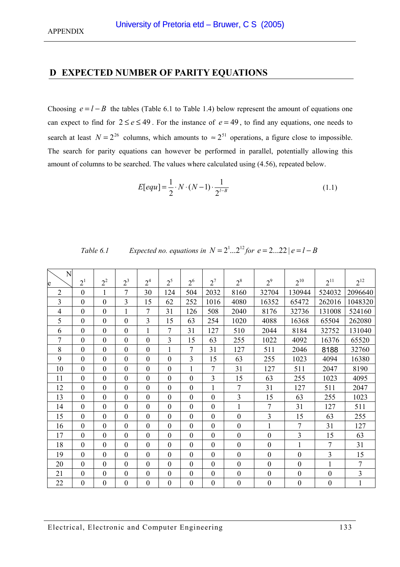# <span id="page-132-0"></span>**D EXPECTED NUMBER OF PARITY EQUATIONS**

Choosing  $e = l - B$  the tables (Table 6.1 to [Table 1.4\)](#page-134-0) below represent the amount of equations one can expect to find for  $2 \le e \le 49$ . For the instance of  $e = 49$ , to find any equations, one needs to search at least  $N = 2^{26}$  columns, which amounts to  $\approx 2^{51}$  operations, a figure close to impossible. The search for parity equations can however be performed in parallel, potentially allowing this amount of columns to be searched. The values where calculated using [\(4.56\),](#page-59-0) repeated below.

$$
E[equ] = \frac{1}{2} \cdot N \cdot (N-1) \cdot \frac{1}{2^{l-B}}
$$
\n(1.1)

| Table 6.1 | Expected no. equations in $N = 2^{1}2^{12}$ for $e = 222$ $ e = l - B$ |  |  |
|-----------|------------------------------------------------------------------------|--|--|
|           |                                                                        |  |  |

| N              | 2 <sup>1</sup>   | $2^2$            | $2^3$            | 2 <sup>4</sup>   | $2^5$            | 2 <sup>6</sup>   | $2^7$            | $2^8$            | $2^9$            | $2^{10}$         | $2^{11}$         | $2^{12}$       |
|----------------|------------------|------------------|------------------|------------------|------------------|------------------|------------------|------------------|------------------|------------------|------------------|----------------|
| e              |                  |                  |                  |                  |                  |                  |                  |                  |                  |                  |                  |                |
| $\overline{2}$ | $\overline{0}$   | $\mathbf{1}$     | 7                | 30               | 124              | 504              | 2032             | 8160             | 32704            | 130944           | 524032           | 2096640        |
| 3              | $\boldsymbol{0}$ | $\boldsymbol{0}$ | $\overline{3}$   | 15               | 62               | 252              | 1016             | 4080             | 16352            | 65472            | 262016           | 1048320        |
| $\overline{4}$ | $\boldsymbol{0}$ | $\overline{0}$   | 1                | $\overline{7}$   | 31               | 126              | 508              | 2040             | 8176             | 32736            | 131008           | 524160         |
| 5              | $\boldsymbol{0}$ | $\overline{0}$   | $\boldsymbol{0}$ | $\overline{3}$   | 15               | 63               | 254              | 1020             | 4088             | 16368            | 65504            | 262080         |
| 6              | $\boldsymbol{0}$ | $\boldsymbol{0}$ | $\boldsymbol{0}$ | $\mathbf{1}$     | 7                | 31               | 127              | 510              | 2044             | 8184             | 32752            | 131040         |
| 7              | $\boldsymbol{0}$ | $\overline{0}$   | $\boldsymbol{0}$ | $\mathbf{0}$     | 3                | 15               | 63               | 255              | 1022             | 4092             | 16376            | 65520          |
| 8              | $\boldsymbol{0}$ | $\boldsymbol{0}$ | $\boldsymbol{0}$ | $\boldsymbol{0}$ | $\mathbf{1}$     | $\overline{7}$   | 31               | 127              | 511              | 2046             | 8188             | 32760          |
| 9              | $\boldsymbol{0}$ | $\boldsymbol{0}$ | $\boldsymbol{0}$ | $\mathbf{0}$     | $\boldsymbol{0}$ | 3                | 15               | 63               | 255              | 1023             | 4094             | 16380          |
| 10             | $\mathbf{0}$     | $\overline{0}$   | $\overline{0}$   | $\overline{0}$   | $\mathbf{0}$     | $\mathbf{1}$     | 7                | 31               | 127              | 511              | 2047             | 8190           |
| 11             | $\boldsymbol{0}$ | $\overline{0}$   | $\boldsymbol{0}$ | $\boldsymbol{0}$ | $\mathbf{0}$     | $\overline{0}$   | $\overline{3}$   | 15               | 63               | 255              | 1023             | 4095           |
| 12             | $\boldsymbol{0}$ | $\boldsymbol{0}$ | $\boldsymbol{0}$ | $\boldsymbol{0}$ | $\boldsymbol{0}$ | $\boldsymbol{0}$ | $\mathbf{1}$     | $\overline{7}$   | 31               | 127              | 511              | 2047           |
| 13             | $\overline{0}$   | $\overline{0}$   | $\overline{0}$   | $\overline{0}$   | $\mathbf{0}$     | $\mathbf{0}$     | $\overline{0}$   | $\overline{3}$   | 15               | 63               | 255              | 1023           |
| 14             | $\boldsymbol{0}$ | $\boldsymbol{0}$ | $\boldsymbol{0}$ | $\mathbf{0}$     | $\boldsymbol{0}$ | $\boldsymbol{0}$ | $\mathbf{0}$     | 1                | $\overline{7}$   | 31               | 127              | 511            |
| 15             | $\boldsymbol{0}$ | $\boldsymbol{0}$ | $\boldsymbol{0}$ | $\boldsymbol{0}$ | $\mathbf{0}$     | $\mathbf{0}$     | $\boldsymbol{0}$ | $\boldsymbol{0}$ | 3                | 15               | 63               | 255            |
| 16             | $\boldsymbol{0}$ | $\overline{0}$   | $\overline{0}$   | $\boldsymbol{0}$ | $\mathbf{0}$     | $\mathbf{0}$     | $\boldsymbol{0}$ | $\boldsymbol{0}$ | $\mathbf{1}$     | $\tau$           | 31               | 127            |
| 17             | $\boldsymbol{0}$ | $\mathbf{0}$     | $\boldsymbol{0}$ | $\mathbf{0}$     | $\mathbf{0}$     | $\mathbf{0}$     | $\overline{0}$   | $\boldsymbol{0}$ | $\mathbf{0}$     | 3                | 15               | 63             |
| 18             | $\boldsymbol{0}$ | $\boldsymbol{0}$ | $\boldsymbol{0}$ | $\boldsymbol{0}$ | $\boldsymbol{0}$ | $\boldsymbol{0}$ | $\boldsymbol{0}$ | $\boldsymbol{0}$ | $\boldsymbol{0}$ | $\mathbf{1}$     | $\overline{7}$   | 31             |
| 19             | $\boldsymbol{0}$ | $\boldsymbol{0}$ | $\boldsymbol{0}$ | $\boldsymbol{0}$ | $\boldsymbol{0}$ | $\boldsymbol{0}$ | $\boldsymbol{0}$ | $\boldsymbol{0}$ | $\boldsymbol{0}$ | $\boldsymbol{0}$ | 3                | 15             |
| 20             | $\mathbf{0}$     | $\overline{0}$   | $\mathbf{0}$     | $\mathbf{0}$     | $\mathbf{0}$     | $\mathbf{0}$     | $\mathbf{0}$     | $\boldsymbol{0}$ | $\boldsymbol{0}$ | $\boldsymbol{0}$ | $\mathbf{1}$     | $\tau$         |
| 21             | $\boldsymbol{0}$ | $\boldsymbol{0}$ | $\boldsymbol{0}$ | $\boldsymbol{0}$ | $\boldsymbol{0}$ | $\mathbf{0}$     | $\boldsymbol{0}$ | $\boldsymbol{0}$ | $\boldsymbol{0}$ | $\boldsymbol{0}$ | $\boldsymbol{0}$ | $\overline{3}$ |
| 22             | $\boldsymbol{0}$ | $\overline{0}$   | $\boldsymbol{0}$ | $\boldsymbol{0}$ | $\boldsymbol{0}$ | $\boldsymbol{0}$ | $\mathbf{0}$     | $\boldsymbol{0}$ | $\boldsymbol{0}$ | $\boldsymbol{0}$ | $\boldsymbol{0}$ | $\mathbf{1}$   |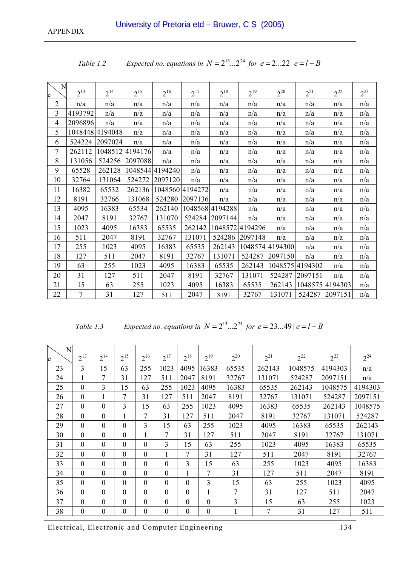| N<br>e         | $2^{13}$       | $2^{14}$        | $2^{15}$        | $2^{16}$        | $2^{17}$        | $2^{18}$        | $2^{19}$        | $2^{20}$        | $2^{21}$        | $2^{22}$        | $2^{23}$ |
|----------------|----------------|-----------------|-----------------|-----------------|-----------------|-----------------|-----------------|-----------------|-----------------|-----------------|----------|
| $\overline{2}$ | n/a            | n/a             | n/a             | n/a             | n/a             | n/a             | n/a             | n/a             | n/a             | n/a             | n/a      |
| 3              | 4193792        | n/a             | n/a             | n/a             | n/a             | n/a             | n/a             | n/a             | n/a             | n/a             | n/a      |
| 4              | 2096896        | n/a             | n/a             | n/a             | n/a             | n/a             | n/a             | n/a             | n/a             | n/a             | n/a      |
| 5              |                | 1048448 4194048 | n/a             | n/a             | n/a             | n/a             | n/a             | n/a             | n/a             | n/a             | n/a      |
| 6              |                | 524224 2097024  | n/a             | n/a             | n/a             | n/a             | n/a             | n/a             | n/a             | n/a             | n/a      |
| 7              | 262112         |                 | 1048512 4194176 | n/a             | n/a             | n/a             | n/a             | n/a             | n/a             | n/a             | n/a      |
| 8              | 131056         |                 | 524256 2097088  | n/a             | n/a             | n/a             | n/a             | n/a             | n/a             | n/a             | n/a      |
| 9              | 65528          | 262128          |                 | 1048544 4194240 | n/a             | n/a             | n/a             | n/a             | n/a             | n/a             | n/a      |
| 10             | 32764          | 131064          |                 | 524272 2097120  | n/a             | n/a             | n/a             | n/a             | n/a             | n/a             | n/a      |
| 11             | 16382          | 65532           | 262136          |                 | 1048560 4194272 | n/a             | n/a             | n/a             | n/a             | n/a             | n/a      |
| 12             | 8191           | 32766           | 131068          | 524280          | 2097136         | n/a             | n/a             | n/a             | n/a             | n/a             | n/a      |
| 13             | 4095           | 16383           | 65534           | 262140          |                 | 1048568 4194288 | n/a             | n/a             | n/a             | n/a             | n/a      |
| 14             | 2047           | 8191            | 32767           | 131070          | 524284          | 2097144         | n/a             | n/a             | n/a             | n/a             | n/a      |
| 15             | 1023           | 4095            | 16383           | 65535           | 262142          |                 | 1048572 4194296 | n/a             | n/a             | n/a             | n/a      |
| 16             | 511            | 2047            | 8191            | 32767           | 131071          |                 | 524286 2097148  | n/a             | n/a             | n/a             | n/a      |
| 17             | 255            | 1023            | 4095            | 16383           | 65535           | 262143          |                 | 1048574 4194300 | n/a             | n/a             | n/a      |
| 18             | 127            | 511             | 2047            | 8191            | 32767           | 131071          | 524287          | 2097150         | n/a             | n/a             | n/a      |
| 19             | 63             | 255             | 1023            | 4095            | 16383           | 65535           | 262143          |                 | 1048575 4194302 | n/a             | n/a      |
| 20             | 31             | 127             | 511             | 2047            | 8191            | 32767           | 131071          | 524287          | 2097151         | n/a             | n/a      |
| 21             | 15             | 63              | 255             | 1023            | 4095            | 16383           | 65535           | 262143          |                 | 1048575 4194303 | n/a      |
| 22             | $\overline{7}$ | 31              | 127             | 511             | 2047            | 8191            | 32767           | 131071          |                 | 524287 2097151  | n/a      |

| Expected no. equations in $N = 2^{13}2^{24}$ for $e = 222   e = l - B$<br>Table 1.2 |  |
|-------------------------------------------------------------------------------------|--|
|-------------------------------------------------------------------------------------|--|

*Table 1.3 Expected no. equations in*  $N = 2^{13} ... 2^{24}$  *for e* = 23...49 |  $e = l - B$ 

| N<br>e | $2^{13}$       | $2^{14}$       | $2^{15}$     | $2^{16}$         | $2^{17}$       | $2^{18}$ | $2^{19}$ | $2^{20}$ | $2^{21}$ | $2^{22}$ | $2^{23}$ | $2^{24}$ |
|--------|----------------|----------------|--------------|------------------|----------------|----------|----------|----------|----------|----------|----------|----------|
| 23     | 3              | 15             | 63           | 255              | 1023           | 4095     | 16383    | 65535    | 262143   | 1048575  | 4194303  | n/a      |
| 24     |                | 7              | 31           | 127              | 511            | 2047     | 8191     | 32767    | 131071   | 524287   | 2097151  | n/a      |
| 25     | $\theta$       | 3              | 15           | 63               | 255            | 1023     | 4095     | 16383    | 65535    | 262143   | 1048575  | 4194303  |
| 26     | $\overline{0}$ | 1              | 7            | 31               | 127            | 511      | 2047     | 8191     | 32767    | 131071   | 524287   | 2097151  |
| 27     | $\mathbf{0}$   | $\overline{0}$ | 3            | 15               | 63             | 255      | 1023     | 4095     | 16383    | 65535    | 262143   | 1048575  |
| 28     | $\mathbf{0}$   | $\overline{0}$ |              | 7                | 31             | 127      | 511      | 2047     | 8191     | 32767    | 131071   | 524287   |
| 29     | $\theta$       | $\theta$       | $\Omega$     | 3                | 15             | 63       | 255      | 1023     | 4095     | 16383    | 65535    | 262143   |
| 30     | $\mathbf{0}$   | $\mathbf{0}$   | $\theta$     |                  | 7              | 31       | 127      | 511      | 2047     | 8191     | 32767    | 131071   |
| 31     | $\theta$       | $\mathbf{0}$   | $\mathbf{0}$ | $\mathbf{0}$     | $\overline{3}$ | 15       | 63       | 255      | 1023     | 4095     | 16383    | 65535    |
| 32     | $\mathbf{0}$   | $\mathbf{0}$   | $\theta$     | $\mathbf{0}$     | 1              | 7        | 31       | 127      | 511      | 2047     | 8191     | 32767    |
| 33     | $\mathbf{0}$   | $\mathbf{0}$   | $\theta$     | $\mathbf{0}$     | $\mathbf{0}$   | 3        | 15       | 63       | 255      | 1023     | 4095     | 16383    |
| 34     | $\mathbf{0}$   | $\mathbf{0}$   | $\theta$     | $\theta$         | $\mathbf{0}$   | 1        | 7        | 31       | 127      | 511      | 2047     | 8191     |
| 35     | $\theta$       | $\theta$       | $\theta$     | $\theta$         | $\theta$       | $\theta$ | 3        | 15       | 63       | 255      | 1023     | 4095     |
| 36     | $\theta$       | $\mathbf{0}$   | $\Omega$     | $\Omega$         | $\mathbf{0}$   | $\Omega$ |          | 7        | 31       | 127      | 511      | 2047     |
| 37     | $\theta$       | $\mathbf{0}$   | $\theta$     | $\Omega$         | $\Omega$       | $\theta$ | $\theta$ | 3        | 15       | 63       | 255      | 1023     |
| 38     | $\theta$       | $\theta$       | $\Omega$     | $\boldsymbol{0}$ | $\theta$       | $\Omega$ | $\theta$ |          | 7        | 31       | 127      | 511      |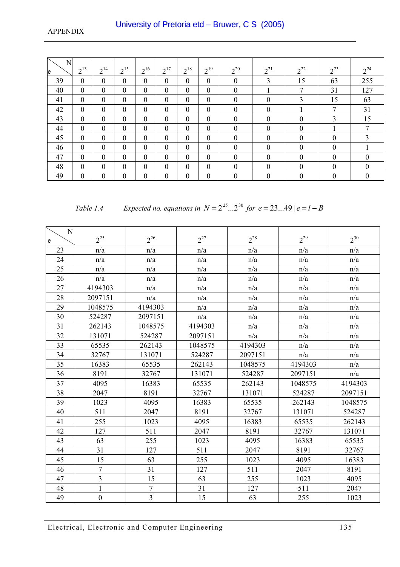<span id="page-134-0"></span>

| N<br>e | $2^{13}$         | $2^{14}$         | $2^{15}$       | $2^{16}$         | $2^{17}$         | $2^{18}$         | $2^{19}$         | $2^{20}$         | $2^{21}$         | $2^{22}$         | $2^{23}$         | $2^{24}$ |
|--------|------------------|------------------|----------------|------------------|------------------|------------------|------------------|------------------|------------------|------------------|------------------|----------|
| 39     | $\theta$         | $\mathbf{0}$     | $\overline{0}$ | $\mathbf{0}$     | $\mathbf{0}$     | $\mathbf{0}$     | $\mathbf{0}$     | $\boldsymbol{0}$ | 3                | 15               | 63               | 255      |
| 40     | $\boldsymbol{0}$ | $\mathbf{0}$     | $\overline{0}$ | $\boldsymbol{0}$ | $\mathbf{0}$     | $\boldsymbol{0}$ | $\mathbf{0}$     | $\mathbf{0}$     |                  | 7                | 31               | 127      |
| 41     | $\theta$         | $\mathbf{0}$     | $\overline{0}$ | $\mathbf{0}$     | $\mathbf{0}$     | $\mathbf{0}$     | $\mathbf{0}$     | $\mathbf{0}$     | 0                | 3                | 15               | 63       |
| 42     | $\theta$         | $\mathbf{0}$     | $\mathbf{0}$   | $\mathbf{0}$     | $\mathbf{0}$     | $\mathbf{0}$     | $\mathbf{0}$     | $\mathbf{0}$     | $\boldsymbol{0}$ |                  | 7                | 31       |
| 43     | $\boldsymbol{0}$ | $\mathbf{0}$     | $\mathbf{0}$   | $\boldsymbol{0}$ | $\mathbf{0}$     | $\mathbf{0}$     | $\mathbf{0}$     | $\mathbf{0}$     | $\boldsymbol{0}$ | $\boldsymbol{0}$ | 3                | 15       |
| 44     | $\boldsymbol{0}$ | $\mathbf{0}$     | $\overline{0}$ | $\mathbf{0}$     | $\mathbf{0}$     | $\mathbf{0}$     | $\mathbf{0}$     | $\mathbf{0}$     | $\boldsymbol{0}$ | $\boldsymbol{0}$ |                  | 7        |
| 45     | $\theta$         | $\mathbf{0}$     | $\overline{0}$ | $\mathbf{0}$     | $\mathbf{0}$     | $\mathbf{0}$     | $\mathbf{0}$     | $\boldsymbol{0}$ | $\boldsymbol{0}$ | $\boldsymbol{0}$ | $\boldsymbol{0}$ | 3        |
| 46     | $\boldsymbol{0}$ | $\mathbf{0}$     | $\overline{0}$ | $\boldsymbol{0}$ | $\mathbf{0}$     | $\mathbf{0}$     | $\mathbf{0}$     | $\mathbf{0}$     | $\mathbf{0}$     | $\boldsymbol{0}$ | $\mathbf{0}$     |          |
| 47     | $\theta$         | $\mathbf{0}$     | $\overline{0}$ | $\mathbf{0}$     | $\mathbf{0}$     | $\mathbf{0}$     | $\mathbf{0}$     | $\mathbf{0}$     | $\theta$         | $\overline{0}$   | $\mathbf{0}$     | $\Omega$ |
| 48     | $\theta$         | $\mathbf{0}$     | $\mathbf{0}$   | $\mathbf{0}$     | $\mathbf{0}$     | $\mathbf{0}$     | $\mathbf{0}$     | $\mathbf{0}$     | $\mathbf{0}$     | $\overline{0}$   | $\mathbf{0}$     | $\Omega$ |
| 49     | $\boldsymbol{0}$ | $\boldsymbol{0}$ | $\mathbf{0}$   | $\boldsymbol{0}$ | $\boldsymbol{0}$ | $\theta$         | $\boldsymbol{0}$ | $\mathbf{0}$     | $\boldsymbol{0}$ | $\boldsymbol{0}$ | $\boldsymbol{0}$ | $\Omega$ |

*Table 1.4* Expected no. equations in  $N = 2^{25} ... 2^{30}$  for  $e = 23 ... 49 | e = l - B$ 

| $\overline{N}$ |                |                  |          |          |          |                         |
|----------------|----------------|------------------|----------|----------|----------|-------------------------|
| e              | $2^{25}$       | $2^{26}$         | $2^{27}$ | $2^{28}$ | $2^{29}$ | $2^{30}$                |
| 23             | n/a            | n/a              | n/a      | n/a      | n/a      | n/a                     |
| 24             | n/a            | n/a              | n/a      | n/a      | n/a      | n/a                     |
| 25             | n/a            | n/a              | n/a      | n/a      | n/a      | $\mathrm{n}/\mathrm{a}$ |
| 26             | n/a            | n/a              | n/a      | n/a      | n/a      | n/a                     |
| 27             | 4194303        | n/a              | n/a      | n/a      | n/a      | n/a                     |
| 28             | 2097151        | n/a              | n/a      | n/a      | n/a      | n/a                     |
| 29             | 1048575        | 4194303          | n/a      | n/a      | n/a      | n/a                     |
| 30             | 524287         | 2097151          | n/a      | n/a      | n/a      | n/a                     |
| 31             | 262143         | 1048575          | 4194303  | n/a      | n/a      | n/a                     |
| 32             | 131071         | 524287           | 2097151  | n/a      | n/a      | n/a                     |
| 33             | 65535          | 262143           | 1048575  | 4194303  | n/a      | n/a                     |
| 34             | 32767          | 131071           | 524287   | 2097151  | n/a      | n/a                     |
| 35             | 16383          | 65535            | 262143   | 1048575  | 4194303  | n/a                     |
| 36             | 8191           | 32767            | 131071   | 524287   | 2097151  | n/a                     |
| 37             | 4095           | 16383            | 65535    | 262143   | 1048575  | 4194303                 |
| 38             | 2047           | 8191             | 32767    | 131071   | 524287   | 2097151                 |
| 39             | 1023           | 4095             | 16383    | 65535    | 262143   | 1048575                 |
| 40             | 511            | 2047             | 8191     | 32767    | 131071   | 524287                  |
| 41             | 255            | 1023             | 4095     | 16383    | 65535    | 262143                  |
| 42             | 127            | 511              | 2047     | 8191     | 32767    | 131071                  |
| 43             | 63             | 255              | 1023     | 4095     | 16383    | 65535                   |
| 44             | 31             | 127              | 511      | 2047     | 8191     | 32767                   |
| 45             | 15             | 63               | 255      | 1023     | 4095     | 16383                   |
| 46             | $\overline{7}$ | 31               | 127      | 511      | 2047     | 8191                    |
| 47             | $\overline{3}$ | 15               | 63       | 255      | 1023     | 4095                    |
| 48             | $\mathbf 1$    | $\boldsymbol{7}$ | 31       | 127      | 511      | 2047                    |
| 49             | $\mathbf{0}$   | $\overline{3}$   | 15       | 63       | 255      | 1023                    |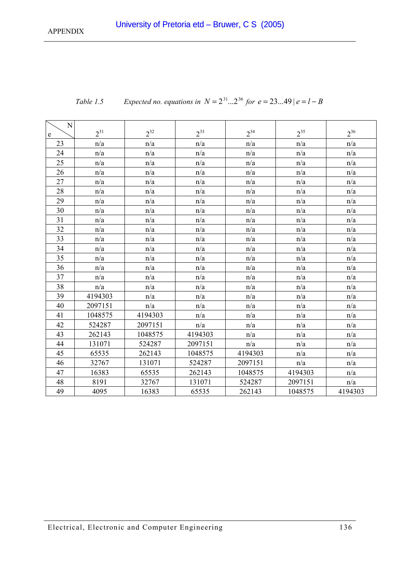| N<br>e | $2^{31}$ | $2^{32}$ | $2^{33}$ | $2^{34}$ | $2^{35}$ | $2^{36}$ |
|--------|----------|----------|----------|----------|----------|----------|
| 23     | n/a      | n/a      | n/a      | n/a      | n/a      | n/a      |
| 24     | n/a      | n/a      | n/a      | n/a      | n/a      | n/a      |
| 25     | n/a      | n/a      | n/a      | n/a      | n/a      | n/a      |
| 26     | n/a      | n/a      | n/a      | n/a      | n/a      | n/a      |
| 27     | n/a      | n/a      | n/a      | n/a      | n/a      | n/a      |
| 28     | n/a      | n/a      | n/a      | n/a      | n/a      | n/a      |
| 29     | n/a      | n/a      | n/a      | n/a      | n/a      | n/a      |
| 30     | n/a      | n/a      | n/a      | n/a      | n/a      | n/a      |
| 31     | n/a      | n/a      | n/a      | n/a      | n/a      | n/a      |
| 32     | n/a      | n/a      | n/a      | n/a      | n/a      | n/a      |
| 33     | n/a      | n/a      | n/a      | n/a      | n/a      | n/a      |
| 34     | n/a      | n/a      | n/a      | n/a      | n/a      | n/a      |
| 35     | n/a      | n/a      | n/a      | n/a      | n/a      | n/a      |
| 36     | n/a      | n/a      | n/a      | n/a      | n/a      | n/a      |
| 37     | n/a      | n/a      | n/a      | n/a      | n/a      | n/a      |
| 38     | n/a      | n/a      | n/a      | n/a      | n/a      | n/a      |
| 39     | 4194303  | n/a      | n/a      | n/a      | n/a      | n/a      |
| 40     | 2097151  | n/a      | n/a      | n/a      | n/a      | n/a      |
| 41     | 1048575  | 4194303  | n/a      | n/a      | n/a      | n/a      |
| 42     | 524287   | 2097151  | n/a      | n/a      | n/a      | n/a      |
| 43     | 262143   | 1048575  | 4194303  | n/a      | n/a      | n/a      |
| 44     | 131071   | 524287   | 2097151  | n/a      | n/a      | n/a      |
| 45     | 65535    | 262143   | 1048575  | 4194303  | n/a      | n/a      |
| 46     | 32767    | 131071   | 524287   | 2097151  | n/a      | n/a      |
| 47     | 16383    | 65535    | 262143   | 1048575  | 4194303  | n/a      |
| 48     | 8191     | 32767    | 131071   | 524287   | 2097151  | n/a      |
| 49     | 4095     | 16383    | 65535    | 262143   | 1048575  | 4194303  |

Table 1.5 Expected no. equations in 
$$
N = 2^{31}...2^{36}
$$
 for  $e = 23...49$  |  $e = l - B$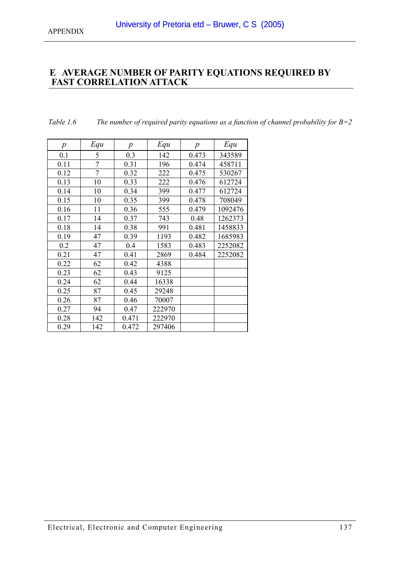# <span id="page-136-0"></span>**E AVERAGE NUMBER OF PARITY EQUATIONS REQUIRED BY FAST CORRELATION ATTACK**

| Table 1.6 |  | The number of required parity equations as a function of channel probability for $B=2$ |  |  |
|-----------|--|----------------------------------------------------------------------------------------|--|--|
|           |  |                                                                                        |  |  |

| $\boldsymbol{p}$ | Equ            | $\boldsymbol{p}$ | Equ    | $\boldsymbol{p}$ | Equ     |
|------------------|----------------|------------------|--------|------------------|---------|
| 0.1              | 5              | 0.3              | 142    | 0.473            | 343589  |
| 0.11             | $\overline{7}$ | 0.31             | 196    | 0.474            | 458711  |
| 0.12             | 7              | 0.32             | 222    | 0.475            | 530267  |
| 0.13             | 10             | 0.33             | 222    | 0.476            | 612724  |
| 0.14             | 10             | 0.34             | 399    | 0.477            | 612724  |
| 0.15             | 10             | 0.35             | 399    | 0.478            | 708049  |
| 0.16             | 11             | 0.36             | 555    | 0.479            | 1092476 |
| 0.17             | 14             | 0.37             | 743    | 0.48             | 1262373 |
| 0.18             | 14             | 0.38             | 991    | 0.481            | 1458833 |
| 0.19             | 47             | 0.39             | 1193   | 0.482            | 1685983 |
| 0.2              | 47             | 0.4              | 1583   | 0.483            | 2252082 |
| 0.21             | 47             | 0.41             | 2869   | 0.484            | 2252082 |
| 0.22             | 62             | 0.42             | 4388   |                  |         |
| 0.23             | 62             | 0.43             | 9125   |                  |         |
| 0.24             | 62             | 0.44             | 16338  |                  |         |
| 0.25             | 87             | 0.45             | 29248  |                  |         |
| 0.26             | 87             | 0.46             | 70007  |                  |         |
| 0.27             | 94             | 0.47             | 222970 |                  |         |
| 0.28             | 142            | 0.471            | 222970 |                  |         |
| 0.29             | 142            | 0.472            | 297406 |                  |         |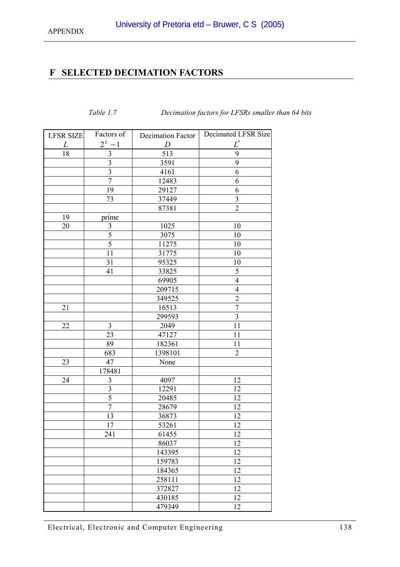*Table 1.7 Decimation factors for LFSRs smaller than 64 bits* 

# <span id="page-137-0"></span>**F SELECTED DECIMATION FACTORS**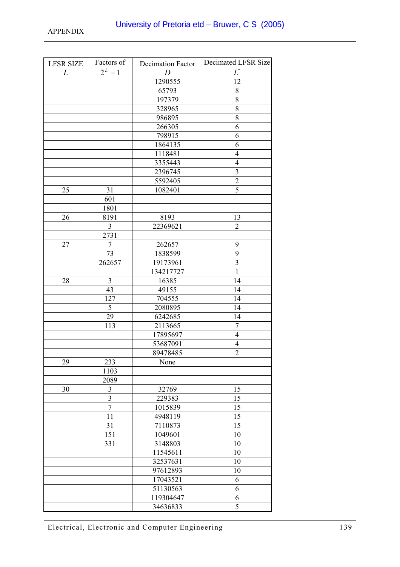| <b>LFSR SIZE</b> | Factors of     | <b>Decimation Factor</b> | Decimated LFSR Size     |
|------------------|----------------|--------------------------|-------------------------|
| $L_{\parallel}$  | $2^L - 1$      | $\overline{D}$           | $\boldsymbol{L}^*$      |
|                  |                | 1290555                  | 12                      |
|                  |                | 65793                    | $8\,$                   |
|                  |                | 197379                   | $8\,$                   |
|                  |                | 328965                   | 8                       |
|                  |                | 986895                   | 8                       |
|                  |                | 266305                   | 6                       |
|                  |                | 798915                   | 6                       |
|                  |                | 1864135                  | 6                       |
|                  |                | 1118481                  | $\overline{4}$          |
|                  |                | 3355443                  | $\overline{4}$          |
|                  |                | 2396745                  | $\overline{\mathbf{3}}$ |
|                  |                | 5592405                  | $\overline{2}$          |
| 25               | 31             | 1082401                  | $\overline{5}$          |
|                  | 601            |                          |                         |
|                  | 1801           |                          |                         |
| 26               | 8191           | 8193                     | 13                      |
|                  | 3              | 22369621                 | $\overline{2}$          |
|                  | 2731           |                          |                         |
| 27               | 7              | 262657                   | 9                       |
|                  | 73             | 1838599                  | 9                       |
|                  | 262657         | 19173961                 | $\overline{\mathbf{3}}$ |
|                  |                | 134217727                | $\mathbf{1}$            |
| 28               | $\mathfrak{Z}$ | 16385                    | 14                      |
|                  | 43             | 49155                    | 14                      |
|                  | 127            | 704555                   | 14                      |
|                  | 5              | 2080895                  | 14                      |
|                  | 29             | 6242685                  | 14                      |
|                  | 113            | 2113665                  | $\boldsymbol{7}$        |
|                  |                | 17895697                 | $\overline{4}$          |
|                  |                | 53687091                 | $\overline{4}$          |
|                  |                | 89478485                 | $\overline{2}$          |
| 29               | 233            | None                     |                         |
|                  | 1103           |                          |                         |
|                  | 2089           |                          |                         |
| 30               | 3              | 32769                    | 15                      |
|                  | 3              | 229383                   | 15                      |
|                  | $\overline{7}$ | 1015839                  | 15                      |
|                  | 11             | 4948119                  | 15                      |
|                  | 31             | 7110873                  | 15                      |
|                  | 151            | 1049601                  | 10                      |
|                  | 331            | 3148803                  | 10                      |
|                  |                | 11545611                 | 10                      |
|                  |                | 32537631                 | 10                      |
|                  |                | 97612893                 | 10                      |
|                  |                | 17043521                 | 6                       |
|                  |                | 51130563                 | 6                       |
|                  |                | 119304647                | 6                       |
|                  |                | 34636833                 | 5                       |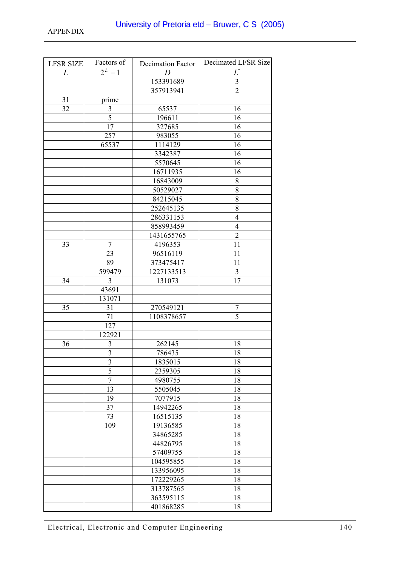| <b>LFSR SIZE</b> | Factors of              | Decimation Factor | Decimated LFSR Size     |
|------------------|-------------------------|-------------------|-------------------------|
| $L_{\parallel}$  | $2^L - 1$               | $\overline{D}$    | $L^*$                   |
|                  |                         | 153391689         | $\overline{\mathbf{3}}$ |
|                  |                         | 357913941         | $\overline{2}$          |
| 31               | prime                   |                   |                         |
| 32               | $\overline{3}$          | 65537             | 16                      |
|                  | 5                       | 196611            | 16                      |
|                  | 17                      | 327685            | 16                      |
|                  | 257                     | 983055            | 16                      |
|                  | 65537                   | 1114129           | 16                      |
|                  |                         | 3342387           | 16                      |
|                  |                         | 5570645           | 16                      |
|                  |                         | 16711935          | 16                      |
|                  |                         | 16843009          | $8\,$                   |
|                  |                         | 50529027          | 8                       |
|                  |                         | 84215045          | $\overline{8}$          |
|                  |                         | 252645135         | 8                       |
|                  |                         | 286331153         | $\overline{4}$          |
|                  |                         | 858993459         | $\overline{4}$          |
|                  |                         | 1431655765        | $\overline{2}$          |
| 33               | 7                       | 4196353           | 11                      |
|                  | 23                      | 96516119          | 11                      |
|                  | 89                      | 373475417         | 11                      |
|                  | 599479                  | 1227133513        | $\mathfrak{Z}$          |
| 34               | $\overline{3}$          | 131073            | 17                      |
|                  | 43691                   |                   |                         |
|                  | 131071                  |                   |                         |
| 35               | 31                      | 270549121         | 7                       |
|                  | 71                      | 1108378657        | $\overline{5}$          |
|                  | 127                     |                   |                         |
|                  | 122921                  |                   |                         |
| 36               | $\mathfrak{Z}$          | 262145            | 18                      |
|                  | $\overline{\mathbf{3}}$ | 786435            | 18                      |
|                  | 3                       | 1835015           | 18                      |
|                  | $\overline{5}$          | 2359305           | 18                      |
|                  | $\overline{7}$          | 4980755           | 18                      |
|                  | 13                      | 5505045           | 18                      |
|                  | 19                      | 7077915           | 18                      |
|                  | 37                      | 14942265          | 18                      |
|                  | 73                      | 16515135          | 18                      |
|                  | 109                     | 19136585          | 18                      |
|                  |                         | 34865285          | 18                      |
|                  |                         | 44826795          | 18                      |
|                  |                         | 57409755          | 18                      |
|                  |                         | 104595855         | 18                      |
|                  |                         | 133956095         | 18                      |
|                  |                         | 172229265         | 18                      |
|                  |                         | 313787565         | 18                      |
|                  |                         | 363595115         | 18                      |
|                  |                         | 401868285         | 18                      |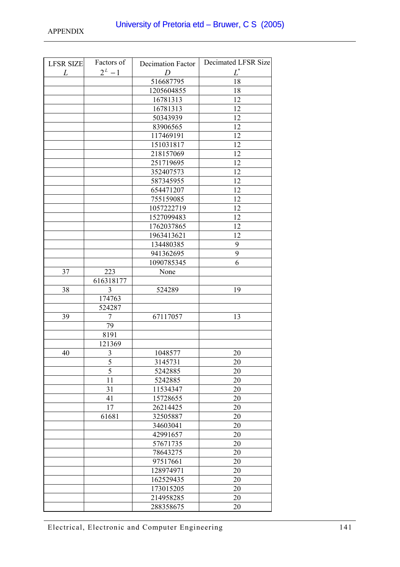| <b>LFSR SIZE</b> | Factors of     | <b>Decimation Factor</b> | Decimated LFSR Size |
|------------------|----------------|--------------------------|---------------------|
| L                | $2^L - 1$      | D                        | $L^*$               |
|                  |                | 516687795                | $\overline{18}$     |
|                  |                | 1205604855               | 18                  |
|                  |                | 16781313                 | 12                  |
|                  |                | 16781313                 | 12                  |
|                  |                | 50343939                 | 12                  |
|                  |                | 83906565                 | 12                  |
|                  |                | 117469191                | 12                  |
|                  |                | 151031817                | 12                  |
|                  |                | 218157069                | 12                  |
|                  |                | 251719695                | 12                  |
|                  |                | 352407573                | 12                  |
|                  |                | 587345955                | 12                  |
|                  |                | 654471207                | 12                  |
|                  |                | 755159085                | 12                  |
|                  |                | 1057222719               | 12                  |
|                  |                | 1527099483               | 12                  |
|                  |                | 1762037865               | 12                  |
|                  |                | 1963413621               | 12                  |
|                  |                | 134480385                | 9                   |
|                  |                | 941362695                | 9                   |
|                  |                | 1090785345               | 6                   |
| 37               | 223            | None                     |                     |
|                  | 616318177      |                          |                     |
| 38               | $\overline{3}$ | 524289                   | 19                  |
|                  | 174763         |                          |                     |
|                  | 524287         |                          |                     |
| 39               | 7              | 67117057                 | 13                  |
|                  | 79             |                          |                     |
|                  | 8191           |                          |                     |
|                  | 121369         |                          |                     |
| 40               | 3              | 1048577                  | 20                  |
|                  | 5              | 3145731                  | 20                  |
|                  | 5              | 5242885                  | 20                  |
|                  | 11             | 5242885                  | 20                  |
|                  | 31             | 11534347                 | 20                  |
|                  | 41             | 15728655                 | 20                  |
|                  | 17             | 26214425                 | 20                  |
|                  | 61681          | 32505887                 | 20                  |
|                  |                | 34603041                 | 20                  |
|                  |                | 42991657                 | 20                  |
|                  |                | 57671735                 | 20                  |
|                  |                | 78643275                 | 20                  |
|                  |                | 97517661                 | 20                  |
|                  |                | 128974971                | 20                  |
|                  |                | 162529435                | 20                  |
|                  |                | 173015205                | 20                  |
|                  |                | 214958285                | 20                  |
|                  |                | 288358675                | 20                  |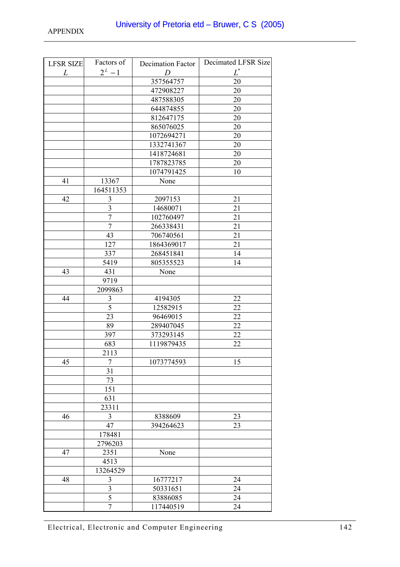| <b>LFSR SIZE</b> | Factors of              | Decimation Factor | Decimated LFSR Size |
|------------------|-------------------------|-------------------|---------------------|
| L                | $2^L - 1$               | D                 | $L^*$               |
|                  |                         | 357564757         | 20                  |
|                  |                         | 472908227         | 20                  |
|                  |                         | 487588305         | 20                  |
|                  |                         | 644874855         | 20                  |
|                  |                         | 812647175         | 20                  |
|                  |                         | 865076025         | 20                  |
|                  |                         | 1072694271        | 20                  |
|                  |                         | 1332741367        | 20                  |
|                  |                         | 1418724681        | 20                  |
|                  |                         | 1787823785        | 20                  |
|                  |                         | 1074791425        | 10                  |
| 41               | 13367                   | None              |                     |
|                  | 164511353               |                   |                     |
| 42               | $\mathfrak{Z}$          | 2097153           | 21                  |
|                  | $\overline{\mathbf{3}}$ | 14680071          | 21                  |
|                  | $\overline{7}$          | 102760497         | 21                  |
|                  | $\overline{7}$          | 266338431         | 21                  |
|                  | 43                      | 706740561         | 21                  |
|                  | 127                     | 1864369017        | 21                  |
|                  | 337                     | 268451841         | 14                  |
|                  | 5419                    | 805355523         | 14                  |
| 43               | 431                     | None              |                     |
|                  | 9719                    |                   |                     |
|                  | 2099863                 |                   |                     |
| 44               | $\mathfrak{Z}$          | 4194305           | 22                  |
|                  | $\overline{5}$          | 12582915          | 22                  |
|                  | 23                      | 96469015          | 22                  |
|                  | 89                      | 289407045         | 22                  |
|                  | 397                     | 373293145         | 22                  |
|                  | 683                     | 1119879435        | 22                  |
|                  | 2113                    |                   |                     |
| 45               | 7                       | 1073774593        | 15                  |
|                  | 31                      |                   |                     |
|                  | 73                      |                   |                     |
|                  | 151                     |                   |                     |
|                  | 631<br>23311            |                   |                     |
| 46               | 3                       | 8388609           | 23                  |
|                  | 47                      | 394264623         | 23                  |
|                  | 178481                  |                   |                     |
|                  | 2796203                 |                   |                     |
| 47               | 2351                    | None              |                     |
|                  | 4513                    |                   |                     |
|                  | 13264529                |                   |                     |
| 48               | $\mathfrak{Z}$          | 16777217          | 24                  |
|                  | $\overline{3}$          | 50331651          | 24                  |
|                  | 5                       | 83886085          | 24                  |
|                  | 7                       | 117440519         | 24                  |
|                  |                         |                   |                     |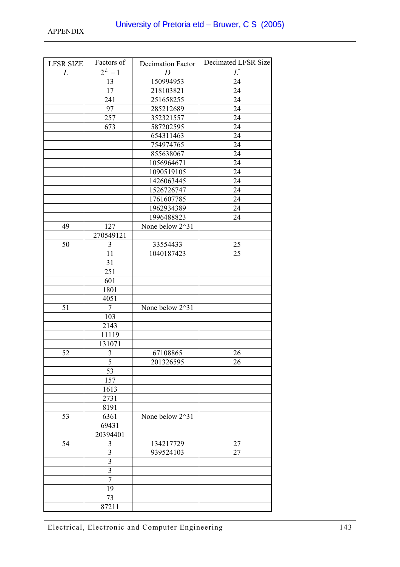| <b>LFSR SIZE</b> | Factors of              | Decimation Factor | Decimated LFSR Size |
|------------------|-------------------------|-------------------|---------------------|
| L                | $2^L - 1$               | D                 | $\boldsymbol{L}^*$  |
|                  | 13                      | 150994953         | 24                  |
|                  | 17                      | 218103821         | 24                  |
|                  | 241                     | 251658255         | 24                  |
|                  | 97                      | 285212689         | 24                  |
|                  | 257                     | 352321557         | 24                  |
|                  | 673                     | 587202595         | 24                  |
|                  |                         | 654311463         | 24                  |
|                  |                         | 754974765         | 24                  |
|                  |                         | 855638067         | 24                  |
|                  |                         | 1056964671        | 24                  |
|                  |                         | 1090519105        | 24                  |
|                  |                         | 1426063445        | 24                  |
|                  |                         | 1526726747        | 24                  |
|                  |                         | 1761607785        | 24                  |
|                  |                         | 1962934389        | 24                  |
|                  |                         | 1996488823        | 24                  |
| 49               | 127                     | None below 2^31   |                     |
|                  | 270549121               |                   |                     |
| 50               | 3                       | 33554433          | 25                  |
|                  | 11                      | 1040187423        | 25                  |
|                  | $\overline{31}$         |                   |                     |
|                  | 251                     |                   |                     |
|                  | 601                     |                   |                     |
|                  | 1801                    |                   |                     |
|                  | 4051                    |                   |                     |
| 51               | $\overline{7}$          | None below 2^31   |                     |
|                  | 103                     |                   |                     |
|                  | 2143                    |                   |                     |
|                  | 11119                   |                   |                     |
| 52               | 131071<br>3             | 67108865          | 26                  |
|                  | 5                       | 201326595         | 26                  |
|                  | 53                      |                   |                     |
|                  | 157                     |                   |                     |
|                  | 1613                    |                   |                     |
|                  | 2731                    |                   |                     |
|                  | 8191                    |                   |                     |
| 53               | 6361                    | None below 2^31   |                     |
|                  | 69431                   |                   |                     |
|                  | 20394401                |                   |                     |
| 54               | 3                       | 134217729         | 27                  |
|                  | $\overline{3}$          | 939524103         | 27                  |
|                  | $\overline{\mathbf{3}}$ |                   |                     |
|                  | $\overline{\mathbf{3}}$ |                   |                     |
|                  | $\overline{7}$          |                   |                     |
|                  | 19                      |                   |                     |
|                  | 73                      |                   |                     |
|                  | 87211                   |                   |                     |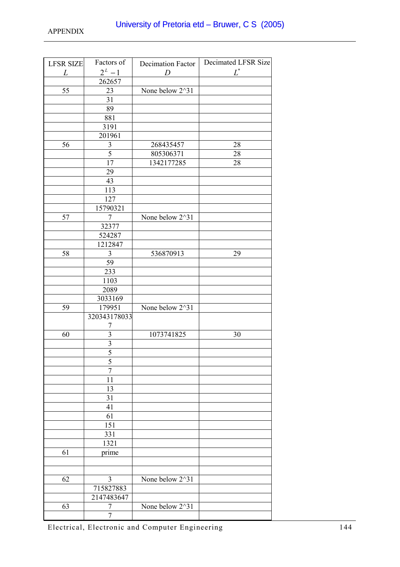| <b>LFSR SIZE</b> | Factors of              | Decimation Factor | Decimated LFSR Size |
|------------------|-------------------------|-------------------|---------------------|
| L                | $2^L - 1$               | D                 | $L^*$               |
|                  | 262657                  |                   |                     |
| 55               | 23                      | None below 2^31   |                     |
|                  | 31                      |                   |                     |
|                  | 89                      |                   |                     |
|                  | 881                     |                   |                     |
|                  | 3191                    |                   |                     |
|                  | 201961                  |                   |                     |
| 56               | 3                       | 268435457         | 28                  |
|                  | $\mathfrak s$           | 805306371         | 28                  |
|                  | 17                      | 1342177285        | 28                  |
|                  | 29                      |                   |                     |
|                  | 43                      |                   |                     |
|                  | 113                     |                   |                     |
|                  | 127                     |                   |                     |
|                  | 15790321                |                   |                     |
| 57               | 7                       | None below 2^31   |                     |
|                  | 32377                   |                   |                     |
|                  | 524287                  |                   |                     |
|                  | 1212847                 |                   |                     |
| 58               | $\mathfrak{Z}$          | 536870913         | 29                  |
|                  | 59                      |                   |                     |
|                  | 233                     |                   |                     |
|                  | 1103                    |                   |                     |
|                  | 2089                    |                   |                     |
|                  | 3033169                 |                   |                     |
| 59               | 179951                  | None below 2^31   |                     |
|                  | 320343178033            |                   |                     |
|                  | 7                       |                   |                     |
| 60               | $\overline{\mathbf{3}}$ | 1073741825        | 30                  |
|                  | $\overline{\mathbf{3}}$ |                   |                     |
|                  | $\overline{5}$          |                   |                     |
|                  | 5                       |                   |                     |
|                  | $\overline{7}$          |                   |                     |
|                  | 11                      |                   |                     |
|                  | 13                      |                   |                     |
|                  | 31                      |                   |                     |
|                  | 41                      |                   |                     |
|                  | 61                      |                   |                     |
|                  | 151                     |                   |                     |
|                  | 331                     |                   |                     |
|                  | 1321                    |                   |                     |
| 61               | prime                   |                   |                     |
|                  |                         |                   |                     |
| 62               | 3                       | None below 2^31   |                     |
|                  |                         |                   |                     |
|                  | 715827883               |                   |                     |
| 63               | 2147483647<br>7         | None below 2^31   |                     |
|                  | $\overline{7}$          |                   |                     |
|                  |                         |                   |                     |